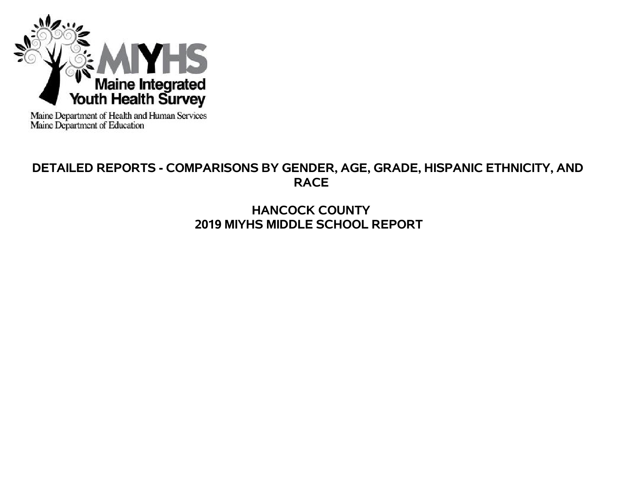

Maine Department of Health and Human Services<br>Maine Department of Education

# **DETAILED REPORTS - COMPARISONS BY GENDER, AGE, GRADE, HISPANIC ETHNICITY, AND RACE**

# **HANCOCK COUNTY 2019 MIYHS MIDDLE SCHOOL REPORT**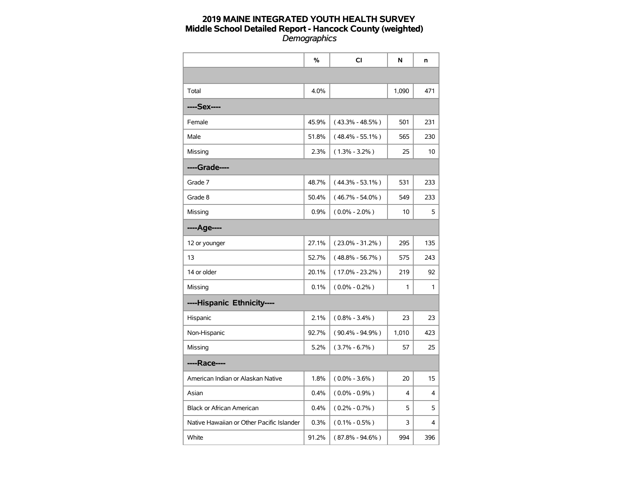|                                           | %     | <b>CI</b>           | N     | n   |
|-------------------------------------------|-------|---------------------|-------|-----|
|                                           |       |                     |       |     |
| Total                                     | 4.0%  |                     | 1,090 | 471 |
| ----Sex----                               |       |                     |       |     |
| Female                                    | 45.9% | $(43.3\% - 48.5\%)$ | 501   | 231 |
| Male                                      | 51.8% | $(48.4\% - 55.1\%)$ | 565   | 230 |
| Missing                                   | 2.3%  | $(1.3\% - 3.2\%)$   | 25    | 10  |
| ----Grade----                             |       |                     |       |     |
| Grade 7                                   | 48.7% | $(44.3\% - 53.1\%)$ | 531   | 233 |
| Grade 8                                   | 50.4% | $(46.7\% - 54.0\%)$ | 549   | 233 |
| Missing                                   | 0.9%  | $(0.0\% - 2.0\%)$   | 10    | 5   |
| ----Age----                               |       |                     |       |     |
| 12 or younger                             | 27.1% | $(23.0\% - 31.2\%)$ | 295   | 135 |
| 13                                        | 52.7% | $(48.8\% - 56.7\%)$ | 575   | 243 |
| 14 or older                               | 20.1% | $(17.0\% - 23.2\%)$ | 219   | 92  |
| Missing                                   | 0.1%  | $(0.0\% - 0.2\%)$   | 1     | 1   |
| ----Hispanic Ethnicity----                |       |                     |       |     |
| Hispanic                                  | 2.1%  | $(0.8\% - 3.4\%)$   | 23    | 23  |
| Non-Hispanic                              | 92.7% | $(90.4\% - 94.9\%)$ | 1,010 | 423 |
| Missing                                   | 5.2%  | $(3.7\% - 6.7\%)$   | 57    | 25  |
| ----Race----                              |       |                     |       |     |
| American Indian or Alaskan Native         | 1.8%  | $(0.0\% - 3.6\%)$   | 20    | 15  |
| Asian                                     | 0.4%  | $(0.0\% - 0.9\%)$   | 4     | 4   |
| <b>Black or African American</b>          | 0.4%  | $(0.2\% - 0.7\%)$   | 5     | 5   |
| Native Hawaiian or Other Pacific Islander | 0.3%  | $(0.1\% - 0.5\%)$   | 3     | 4   |
| White                                     | 91.2% | $(87.8\% - 94.6\%)$ | 994   | 396 |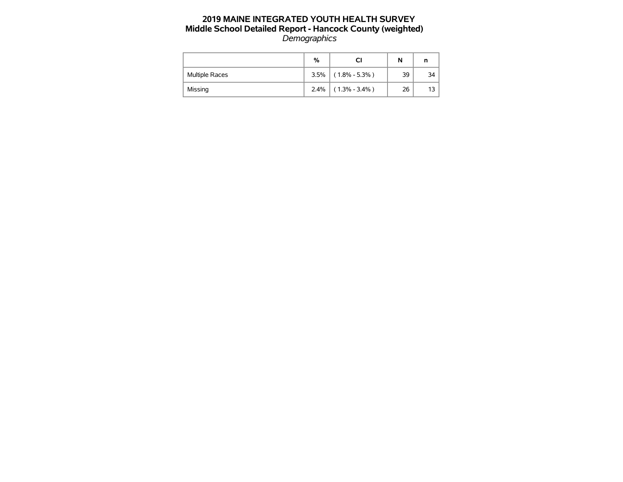|                       | %    |                   | N  |      |
|-----------------------|------|-------------------|----|------|
| <b>Multiple Races</b> | 3.5% | $(1.8\% - 5.3\%)$ | 39 | 34 I |
| Missing               | 2.4% | $(1.3\% - 3.4\%)$ | 26 | 13   |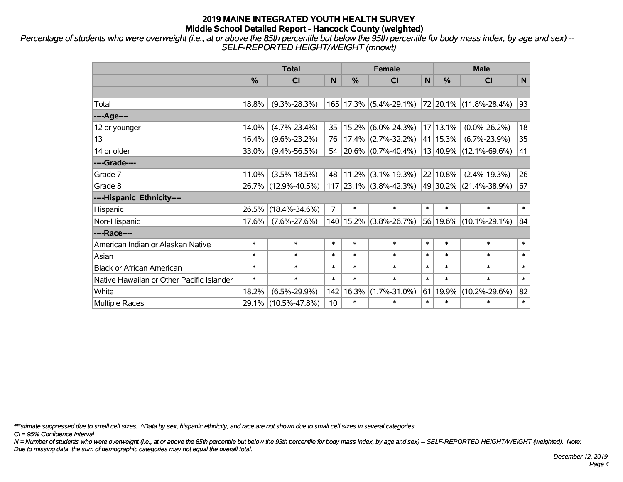*Percentage of students who were overweight (i.e., at or above the 85th percentile but below the 95th percentile for body mass index, by age and sex) -- SELF-REPORTED HEIGHT/WEIGHT (mnowt)*

|                                           | <b>Total</b> |                     |                 |               | <b>Female</b>                               |              | <b>Male</b> |                                                                                   |        |  |
|-------------------------------------------|--------------|---------------------|-----------------|---------------|---------------------------------------------|--------------|-------------|-----------------------------------------------------------------------------------|--------|--|
|                                           | %            | <b>CI</b>           | N               | $\frac{0}{0}$ | <b>CI</b>                                   | $\mathsf{N}$ | %           | <b>CI</b>                                                                         | N      |  |
|                                           |              |                     |                 |               |                                             |              |             |                                                                                   |        |  |
| Total                                     | 18.8%        | $(9.3\% - 28.3\%)$  | 165             |               |                                             |              |             | $\vert$ 17.3% $\vert$ (5.4%-29.1%) $\vert$ 72 $\vert$ 20.1% $\vert$ (11.8%-28.4%) | 93     |  |
| ----Age----                               |              |                     |                 |               |                                             |              |             |                                                                                   |        |  |
| 12 or younger                             | 14.0%        | $(4.7\% - 23.4\%)$  | 35              | 15.2%         | $(6.0\% - 24.3\%)$                          |              | 17 13.1%    | $(0.0\% - 26.2\%)$                                                                | 18     |  |
| 13                                        | 16.4%        | $(9.6\% - 23.2\%)$  | 76              | $17.4\%$      | $(2.7\% - 32.2\%)$ 41 15.3%                 |              |             | $(6.7\% - 23.9\%)$                                                                | 35     |  |
| 14 or older                               | 33.0%        | $(9.4\% - 56.5\%)$  | 54              |               | $\vert 20.6\% \vert (0.7\% - 40.4\%) \vert$ |              |             | 13 40.9% (12.1%-69.6%)                                                            | 41     |  |
| ----Grade----                             |              |                     |                 |               |                                             |              |             |                                                                                   |        |  |
| Grade 7                                   | 11.0%        | $(3.5\% - 18.5\%)$  | 48              | 11.2%         | $(3.1\% - 19.3\%)$ 22 10.8%                 |              |             | $(2.4\% - 19.3\%)$                                                                | 26     |  |
| Grade 8                                   |              | 26.7% (12.9%-40.5%) |                 |               |                                             |              |             | $117$ 23.1% (3.8%-42.3%) 49 30.2% (21.4%-38.9%)                                   | 67     |  |
| ----Hispanic Ethnicity----                |              |                     |                 |               |                                             |              |             |                                                                                   |        |  |
| Hispanic                                  | 26.5%        | $(18.4\% - 34.6\%)$ | $\overline{7}$  | $\ast$        | $\ast$                                      | $\ast$       | $\ast$      | $\ast$                                                                            | $\ast$ |  |
| Non-Hispanic                              | 17.6%        | $(7.6\% - 27.6\%)$  | 140             | $15.2\%$      | $(3.8\% - 26.7\%)$                          |              |             | 56 19.6% (10.1%-29.1%)                                                            | 84     |  |
| ----Race----                              |              |                     |                 |               |                                             |              |             |                                                                                   |        |  |
| American Indian or Alaskan Native         | $\ast$       | $\ast$              | $\ast$          | $\ast$        | $\ast$                                      | $\ast$       | $\ast$      | $\ast$                                                                            | $\ast$ |  |
| Asian                                     | $\ast$       | $\ast$              | $\ast$          | $\ast$        | $\ast$                                      | $\ast$       | $\ast$      | $\ast$                                                                            | $\ast$ |  |
| <b>Black or African American</b>          | $\ast$       | $\ast$              | $\ast$          | $\ast$        | $\ast$                                      | $\ast$       | $\ast$      | $\ast$                                                                            | $\ast$ |  |
| Native Hawaiian or Other Pacific Islander | $\ast$       | $\ast$              | $\ast$          | $\ast$        | $\ast$                                      | $\ast$       | $\ast$      | $\ast$                                                                            | $\ast$ |  |
| White                                     | 18.2%        | $(6.5\% - 29.9\%)$  | 142             | 16.3%         | $(1.7\% - 31.0\%)$                          | 61           | 19.9%       | $(10.2\% - 29.6\%)$                                                               | 82     |  |
| Multiple Races                            |              | 29.1% (10.5%-47.8%) | 10 <sup>1</sup> | $\ast$        | $\ast$                                      | $\ast$       | $\ast$      | $\ast$                                                                            | $\ast$ |  |

*\*Estimate suppressed due to small cell sizes. ^Data by sex, hispanic ethnicity, and race are not shown due to small cell sizes in several categories.*

*CI = 95% Confidence Interval*

*N = Number of students who were overweight (i.e., at or above the 85th percentile but below the 95th percentile for body mass index, by age and sex) -- SELF-REPORTED HEIGHT/WEIGHT (weighted). Note: Due to missing data, the sum of demographic categories may not equal the overall total.*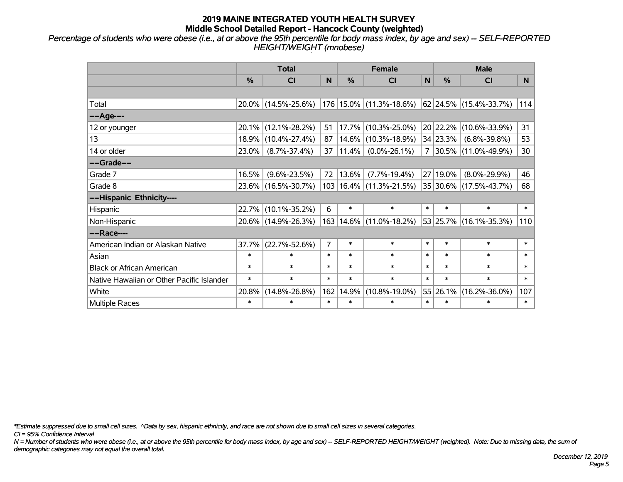*Percentage of students who were obese (i.e., at or above the 95th percentile for body mass index, by age and sex) -- SELF-REPORTED HEIGHT/WEIGHT (mnobese)*

|                                           |               | <b>Total</b>        |        | <b>Female</b> |                             | <b>Male</b> |          |                          |        |
|-------------------------------------------|---------------|---------------------|--------|---------------|-----------------------------|-------------|----------|--------------------------|--------|
|                                           | $\frac{0}{0}$ | <b>CI</b>           | N      | $\frac{0}{0}$ | <b>CI</b>                   | N           | %        | <b>CI</b>                | N.     |
|                                           |               |                     |        |               |                             |             |          |                          |        |
| Total                                     |               | 20.0% (14.5%-25.6%) |        |               | 176 15.0% (11.3%-18.6%)     |             |          | 62 24.5% (15.4%-33.7%)   | 114    |
| ----Age----                               |               |                     |        |               |                             |             |          |                          |        |
| 12 or younger                             | 20.1%         | $(12.1\% - 28.2\%)$ | 51     | 17.7%         | $(10.3\% - 25.0\%)$         |             | 20 22.2% | $(10.6\% - 33.9\%)$      | 31     |
| 13                                        | 18.9%         | $(10.4\% - 27.4\%)$ | 87     | 14.6%         | $(10.3\% - 18.9\%)$         |             | 34 23.3% | $(6.8\% - 39.8\%)$       | 53     |
| 14 or older                               | 23.0%         | $(8.7\% - 37.4\%)$  | 37     | 11.4%         | $(0.0\% - 26.1\%)$          | 7           |          | $ 30.5\% $ (11.0%-49.9%) | 30     |
| ----Grade----                             |               |                     |        |               |                             |             |          |                          |        |
| Grade 7                                   | 16.5%         | $(9.6\% - 23.5\%)$  | 72     | 13.6%         | $(7.7\% - 19.4\%)$          |             | 27 19.0% | $(8.0\% - 29.9\%)$       | 46     |
| Grade 8                                   |               | 23.6% (16.5%-30.7%) |        |               | 103   16.4%   (11.3%-21.5%) |             |          | 35 30.6% (17.5%-43.7%)   | 68     |
| ----Hispanic Ethnicity----                |               |                     |        |               |                             |             |          |                          |        |
| Hispanic                                  | 22.7%         | $(10.1\% - 35.2\%)$ | 6      | $\ast$        | $\ast$                      | $\ast$      | $\ast$   | $\ast$                   | $\ast$ |
| Non-Hispanic                              |               | 20.6% (14.9%-26.3%) |        | 163 14.6%     | $(11.0\% - 18.2\%)$         |             | 53 25.7% | $(16.1\% - 35.3\%)$      | 110    |
| ----Race----                              |               |                     |        |               |                             |             |          |                          |        |
| American Indian or Alaskan Native         | 37.7%         | $(22.7\% - 52.6\%)$ | 7      | $\ast$        | $\ast$                      | $\ast$      | $\ast$   | $\ast$                   | $\ast$ |
| Asian                                     | $\ast$        | $\ast$              | $\ast$ | $\ast$        | $\ast$                      | $\ast$      | $\ast$   | $\ast$                   | $\ast$ |
| <b>Black or African American</b>          | $\ast$        | $\ast$              | $\ast$ | $\ast$        | $\ast$                      | $\ast$      | $\ast$   | $\ast$                   | $\ast$ |
| Native Hawaiian or Other Pacific Islander | $\ast$        | $\ast$              | $\ast$ | $\ast$        | $\ast$                      | $\ast$      | $\ast$   | $\ast$                   | $\ast$ |
| White                                     | 20.8%         | $(14.8\% - 26.8\%)$ | 162    | 14.9%         | $(10.8\% - 19.0\%)$         |             | 55 26.1% | $(16.2\% - 36.0\%)$      | 107    |
| <b>Multiple Races</b>                     | $\ast$        | $\ast$              | $\ast$ | $\ast$        | $\ast$                      | $\ast$      | $\ast$   | $\ast$                   | $\ast$ |

*\*Estimate suppressed due to small cell sizes. ^Data by sex, hispanic ethnicity, and race are not shown due to small cell sizes in several categories.*

*CI = 95% Confidence Interval*

*N = Number of students who were obese (i.e., at or above the 95th percentile for body mass index, by age and sex) -- SELF-REPORTED HEIGHT/WEIGHT (weighted). Note: Due to missing data, the sum of demographic categories may not equal the overall total.*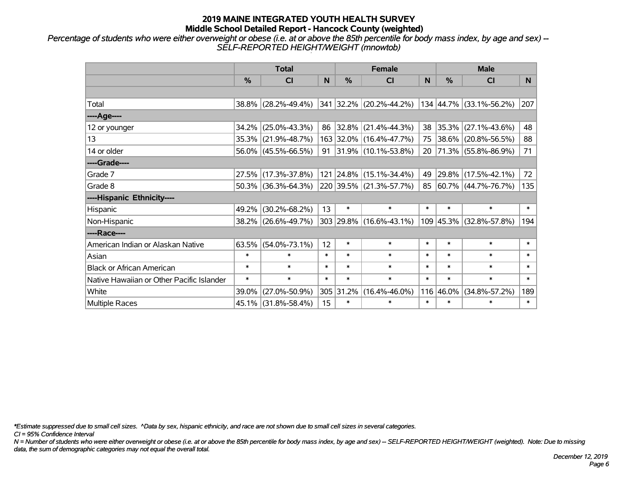*Percentage of students who were either overweight or obese (i.e. at or above the 85th percentile for body mass index, by age and sex) -- SELF-REPORTED HEIGHT/WEIGHT (mnowtob)*

|                                           | <b>Total</b>  |                        |        |           | <b>Female</b>                |        | <b>Male</b> |                         |                |  |
|-------------------------------------------|---------------|------------------------|--------|-----------|------------------------------|--------|-------------|-------------------------|----------------|--|
|                                           | $\frac{0}{0}$ | <b>CI</b>              | N      | $\%$      | <b>CI</b>                    | N      | %           | <b>CI</b>               | N <sub>1</sub> |  |
|                                           |               |                        |        |           |                              |        |             |                         |                |  |
| Total                                     |               | 38.8% (28.2%-49.4%)    |        |           | 341 32.2% (20.2%-44.2%)      |        |             | 134 44.7% (33.1%-56.2%) | 207            |  |
| ----Age----                               |               |                        |        |           |                              |        |             |                         |                |  |
| 12 or younger                             | 34.2%         | $(25.0\% - 43.3\%)$    | 86     |           | $ 32.8\% $ (21.4%-44.3%)     | 38     | 35.3%       | $(27.1\% - 43.6\%)$     | 48             |  |
| 13                                        | 35.3%         | $(21.9\% - 48.7\%)$    |        |           | 163 32.0% (16.4%-47.7%)      |        |             | 75 38.6% (20.8%-56.5%)  | 88             |  |
| 14 or older                               |               | 56.0% (45.5%-66.5%)    |        |           | 91 31.9% $(10.1\% - 53.8\%)$ |        |             | 20 71.3% (55.8%-86.9%)  | 71             |  |
| ----Grade----                             |               |                        |        |           |                              |        |             |                         |                |  |
| Grade 7                                   | 27.5%         | $(17.3\% - 37.8\%)$    |        |           | 121 24.8% (15.1%-34.4%)      | 49     | 29.8%       | $(17.5\% - 42.1\%)$     | 72             |  |
| Grade 8                                   |               | $50.3\%$ (36.3%-64.3%) |        |           | 220 39.5% (21.3%-57.7%)      |        |             | 85 60.7% (44.7%-76.7%)  | 135            |  |
| ----Hispanic Ethnicity----                |               |                        |        |           |                              |        |             |                         |                |  |
| Hispanic                                  | 49.2%         | $(30.2\% - 68.2\%)$    | 13     | $\ast$    | $\ast$                       | $\ast$ | $\ast$      | $\ast$                  | $\ast$         |  |
| Non-Hispanic                              |               | 38.2% (26.6%-49.7%)    |        |           | 303 29.8% (16.6%-43.1%)      |        | 109 45.3%   | $(32.8\% - 57.8\%)$     | 194            |  |
| ----Race----                              |               |                        |        |           |                              |        |             |                         |                |  |
| American Indian or Alaskan Native         | 63.5%         | $(54.0\% - 73.1\%)$    | 12     | $\ast$    | $\ast$                       | $\ast$ | $\ast$      | $\ast$                  | $\ast$         |  |
| Asian                                     | $\ast$        | $\ast$                 | $\ast$ | $\ast$    | $\ast$                       | $\ast$ | $\ast$      | $\ast$                  | $\ast$         |  |
| <b>Black or African American</b>          | $\ast$        | $\ast$                 | $\ast$ | $\ast$    | $\ast$                       | $\ast$ | $\ast$      | $\ast$                  | $\ast$         |  |
| Native Hawaiian or Other Pacific Islander | $\ast$        | $\ast$                 | $\ast$ | $\ast$    | $\ast$                       | $\ast$ | $\ast$      | $\ast$                  | $\ast$         |  |
| White                                     | 39.0%         | $(27.0\% - 50.9\%)$    |        | 305 31.2% | $(16.4\% - 46.0\%)$          |        | 116 46.0%   | $(34.8\% - 57.2\%)$     | 189            |  |
| Multiple Races                            |               | 45.1% (31.8%-58.4%)    | 15     | $\ast$    | $\ast$                       | $\ast$ | $\ast$      | *                       | $\ast$         |  |

*\*Estimate suppressed due to small cell sizes. ^Data by sex, hispanic ethnicity, and race are not shown due to small cell sizes in several categories.*

*CI = 95% Confidence Interval*

*N = Number of students who were either overweight or obese (i.e. at or above the 85th percentile for body mass index, by age and sex) -- SELF-REPORTED HEIGHT/WEIGHT (weighted). Note: Due to missing data, the sum of demographic categories may not equal the overall total.*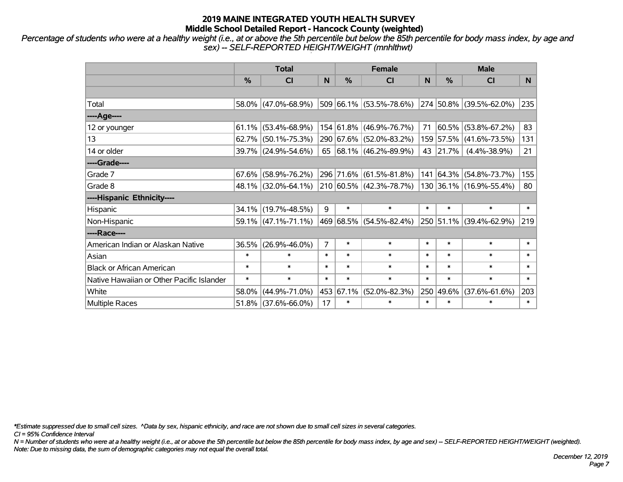*Percentage of students who were at a healthy weight (i.e., at or above the 5th percentile but below the 85th percentile for body mass index, by age and sex) -- SELF-REPORTED HEIGHT/WEIGHT (mnhlthwt)*

|                                           | <b>Total</b>  |                        |                |           | <b>Female</b>                   |        | <b>Male</b> |                         |        |  |
|-------------------------------------------|---------------|------------------------|----------------|-----------|---------------------------------|--------|-------------|-------------------------|--------|--|
|                                           | $\frac{0}{0}$ | <b>CI</b>              | N              | %         | <b>CI</b>                       | N      | %           | <b>CI</b>               | N.     |  |
|                                           |               |                        |                |           |                                 |        |             |                         |        |  |
| Total                                     |               | $58.0\%$ (47.0%-68.9%) |                |           | $509 66.1\%  (53.5\% - 78.6\%)$ |        |             | 274 50.8% (39.5%-62.0%) | 235    |  |
| ----Age----                               |               |                        |                |           |                                 |        |             |                         |        |  |
| 12 or younger                             |               | $61.1\%$ (53.4%-68.9%) |                |           | 154 61.8% (46.9%-76.7%)         | 71     | 60.5%       | $(53.8\% - 67.2\%)$     | 83     |  |
| 13                                        |               | $62.7\%$ (50.1%-75.3%) |                |           | 290 67.6% (52.0%-83.2%)         |        | 159 57.5%   | $(41.6\% - 73.5\%)$     | 131    |  |
| 14 or older                               |               | 39.7% (24.9%-54.6%)    |                |           | 65   68.1%   (46.2%-89.9%)      |        | 43 21.7%    | $(4.4\% - 38.9\%)$      | 21     |  |
| ----Grade----                             |               |                        |                |           |                                 |        |             |                         |        |  |
| Grade 7                                   |               | $67.6\%$ (58.9%-76.2%) |                |           | 296 71.6% (61.5%-81.8%)         |        | 141 64.3%   | $(54.8\% - 73.7\%)$     | 155    |  |
| Grade 8                                   |               | 48.1% (32.0%-64.1%)    |                |           | 210 60.5% (42.3%-78.7%)         |        |             | 130 36.1% (16.9%-55.4%) | 80     |  |
| ----Hispanic Ethnicity----                |               |                        |                |           |                                 |        |             |                         |        |  |
| Hispanic                                  |               | 34.1% (19.7%-48.5%)    | 9              | $\ast$    | $\ast$                          | $\ast$ | $\ast$      | $\ast$                  | $\ast$ |  |
| Non-Hispanic                              |               | $59.1\%$ (47.1%-71.1%) |                |           | 469 68.5% (54.5%-82.4%)         |        | 250 51.1%   | $(39.4\% - 62.9\%)$     | 219    |  |
| ----Race----                              |               |                        |                |           |                                 |        |             |                         |        |  |
| American Indian or Alaskan Native         | 36.5%         | $(26.9\% - 46.0\%)$    | $\overline{7}$ | $\ast$    | $\ast$                          | $\ast$ | $\ast$      | $\ast$                  | $\ast$ |  |
| Asian                                     | $\ast$        | $\ast$                 | $\ast$         | $\ast$    | $\ast$                          | $\ast$ | $\ast$      | $\ast$                  | $\ast$ |  |
| <b>Black or African American</b>          | $\ast$        | $\ast$                 | $\ast$         | $\ast$    | $\ast$                          | $\ast$ | $\ast$      | $\ast$                  | $\ast$ |  |
| Native Hawaiian or Other Pacific Islander | $\ast$        | $\ast$                 | $\ast$         | $\ast$    | $\ast$                          | $\ast$ | $\ast$      | $\ast$                  | $\ast$ |  |
| White                                     | 58.0%         | $(44.9\% - 71.0\%)$    |                | 453 67.1% | $(52.0\% - 82.3\%)$             |        | 250 49.6%   | $(37.6\% - 61.6\%)$     | 203    |  |
| <b>Multiple Races</b>                     |               | $51.8\%$ (37.6%-66.0%) | 17             | $\ast$    | $\ast$                          | $\ast$ | $\ast$      | $\ast$                  | $\ast$ |  |

*\*Estimate suppressed due to small cell sizes. ^Data by sex, hispanic ethnicity, and race are not shown due to small cell sizes in several categories.*

*CI = 95% Confidence Interval*

*N = Number of students who were at a healthy weight (i.e., at or above the 5th percentile but below the 85th percentile for body mass index, by age and sex) -- SELF-REPORTED HEIGHT/WEIGHT (weighted). Note: Due to missing data, the sum of demographic categories may not equal the overall total.*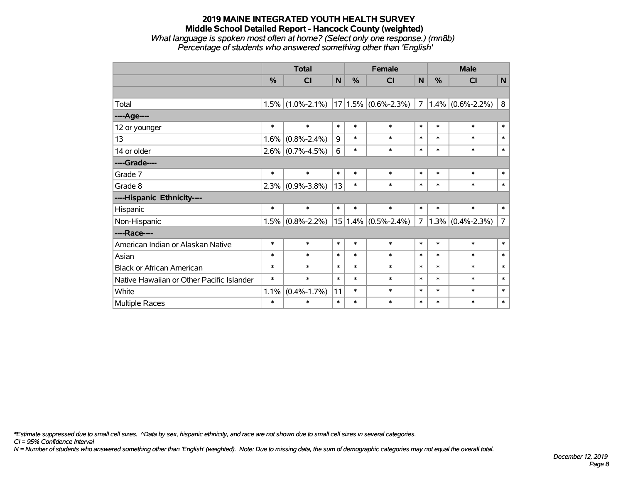#### **2019 MAINE INTEGRATED YOUTH HEALTH SURVEY Middle School Detailed Report - Hancock County (weighted)** *What language is spoken most often at home? (Select only one response.) (mn8b) Percentage of students who answered something other than 'English'*

|                                           | <b>Total</b> |                                               |        | <b>Female</b> |                         |                | <b>Male</b> |                     |                |
|-------------------------------------------|--------------|-----------------------------------------------|--------|---------------|-------------------------|----------------|-------------|---------------------|----------------|
|                                           | %            | CI                                            | N      | %             | CI                      | N              | %           | CI                  | $\mathsf{N}$   |
|                                           |              |                                               |        |               |                         |                |             |                     |                |
| Total                                     |              | $1.5\%$ (1.0%-2.1%)   17   1.5%   (0.6%-2.3%) |        |               |                         | $\overline{7}$ |             | $1.4\%$ (0.6%-2.2%) | $\bf 8$        |
| ----Age----                               |              |                                               |        |               |                         |                |             |                     |                |
| 12 or younger                             | $\ast$       | $\ast$                                        | $\ast$ | $\ast$        | $\ast$                  | $\ast$         | $\ast$      | $\ast$              | $\ast$         |
| 13                                        | 1.6%         | $(0.8\% - 2.4\%)$                             | 9      | $\ast$        | $\ast$                  | $\ast$         | $\ast$      | $\ast$              | $\ast$         |
| 14 or older                               |              | $2.6\%$ (0.7%-4.5%)                           | 6      | $\ast$        | $\ast$                  | $\ast$         | $\ast$      | $\ast$              | $\ast$         |
| ----Grade----                             |              |                                               |        |               |                         |                |             |                     |                |
| Grade 7                                   | $\ast$       | $\ast$                                        | $\ast$ | $\ast$        | $\ast$                  | $\ast$         | $\ast$      | $\ast$              | $\ast$         |
| Grade 8                                   | 2.3%         | $(0.9\% - 3.8\%)$                             | 13     | $\ast$        | $\ast$                  | $\ast$         | $\ast$      | $\ast$              | $\ast$         |
| ----Hispanic Ethnicity----                |              |                                               |        |               |                         |                |             |                     |                |
| Hispanic                                  | $\ast$       | $\ast$                                        | $\ast$ | $\ast$        | $\ast$                  | $\ast$         | $\ast$      | $\ast$              | $\ast$         |
| Non-Hispanic                              | 1.5%         | $(0.8\% - 2.2\%)$                             |        |               | $15 1.4\% $ (0.5%-2.4%) | $\overline{7}$ |             | $1.3\%$ (0.4%-2.3%) | $\overline{7}$ |
| ----Race----                              |              |                                               |        |               |                         |                |             |                     |                |
| American Indian or Alaskan Native         | $\ast$       | $\ast$                                        | $\ast$ | $\ast$        | $\ast$                  | $\ast$         | $\ast$      | $\ast$              | $\ast$         |
| Asian                                     | $\ast$       | $\ast$                                        | $\ast$ | $\ast$        | $\ast$                  | $\ast$         | $\ast$      | $\ast$              | $\ast$         |
| <b>Black or African American</b>          | $\ast$       | $\ast$                                        | $\ast$ | $\ast$        | $\ast$                  | $\ast$         | $\ast$      | $\ast$              | $\ast$         |
| Native Hawaiian or Other Pacific Islander | $\ast$       | $\ast$                                        | $\ast$ | $\ast$        | $\ast$                  | $\ast$         | $\ast$      | $\ast$              | $\ast$         |
| White                                     | 1.1%         | $(0.4\% - 1.7\%)$                             | 11     | $\ast$        | $\ast$                  | $\ast$         | $\ast$      | $\ast$              | $\ast$         |
| Multiple Races                            | $\ast$       | $\ast$                                        | $\ast$ | $\ast$        | $\ast$                  | $\ast$         | $\ast$      | $\ast$              | $\ast$         |

*\*Estimate suppressed due to small cell sizes. ^Data by sex, hispanic ethnicity, and race are not shown due to small cell sizes in several categories.*

*CI = 95% Confidence Interval*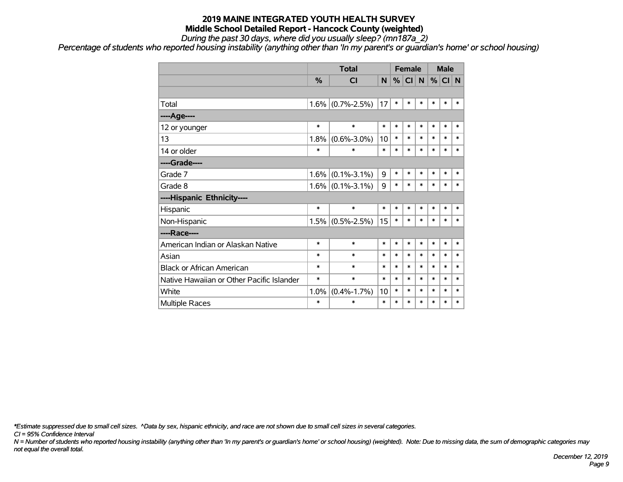*During the past 30 days, where did you usually sleep? (mn187a\_2)*

*Percentage of students who reported housing instability (anything other than 'In my parent's or guardian's home' or school housing)*

|                                           |               | <b>Total</b>        |        | <b>Female</b> |        |        | <b>Male</b> |        |        |
|-------------------------------------------|---------------|---------------------|--------|---------------|--------|--------|-------------|--------|--------|
|                                           | $\frac{0}{0}$ | <b>CI</b>           | N      | %             | CI N   |        | %           | CI N   |        |
|                                           |               |                     |        |               |        |        |             |        |        |
| Total                                     |               | $1.6\%$ (0.7%-2.5%) | 17     | $\ast$        | *      | $\ast$ | *           | $\ast$ | $\ast$ |
| ---- Age----                              |               |                     |        |               |        |        |             |        |        |
| 12 or younger                             | $\ast$        | $\ast$              | $\ast$ | $\ast$        | $\ast$ | $\ast$ | $\ast$      | $\ast$ | $\ast$ |
| 13                                        | 1.8%          | $(0.6\% - 3.0\%)$   | 10     | $\ast$        | *      | $\ast$ | $\ast$      | $\ast$ | $\ast$ |
| 14 or older                               | $\ast$        | $\ast$              | $\ast$ | $\ast$        | $\ast$ | $\ast$ | $\ast$      | $\ast$ | $\ast$ |
| ----Grade----                             |               |                     |        |               |        |        |             |        |        |
| Grade 7                                   | $1.6\%$       | $(0.1\% - 3.1\%)$   | 9      | $\ast$        | *      | $\ast$ | $\ast$      | $\ast$ | $\ast$ |
| Grade 8                                   |               | $1.6\%$ (0.1%-3.1%) | 9      | $\ast$        | *      | $\ast$ | *           | $\ast$ | $\ast$ |
| ----Hispanic Ethnicity----                |               |                     |        |               |        |        |             |        |        |
| Hispanic                                  | $\ast$        | $\ast$              | $\ast$ | $\ast$        | $\ast$ | $\ast$ | $\ast$      | $\ast$ | $\ast$ |
| Non-Hispanic                              |               | $1.5\%$ (0.5%-2.5%) | 15     | $\ast$        | *      | $\ast$ | *           | $\ast$ | $\ast$ |
| ----Race----                              |               |                     |        |               |        |        |             |        |        |
| American Indian or Alaskan Native         | $\ast$        | $\ast$              | $\ast$ | $\ast$        | *      | $\ast$ | *           | $\ast$ | $\ast$ |
| Asian                                     | $\ast$        | $\ast$              | $\ast$ | *             | $\ast$ | $\ast$ | $\ast$      | $\ast$ | $\ast$ |
| <b>Black or African American</b>          | $\ast$        | $\ast$              | $\ast$ | $\ast$        | *      | $\ast$ | $\ast$      | $\ast$ | $\ast$ |
| Native Hawaiian or Other Pacific Islander | $\ast$        | $\ast$              | $\ast$ | $\ast$        | *      | $\ast$ | $\ast$      | $\ast$ | $\ast$ |
| White                                     | 1.0%          | $(0.4\% - 1.7\%)$   | 10     | $\ast$        | *      | $\ast$ | $\ast$      | $\ast$ | $\ast$ |
| <b>Multiple Races</b>                     | $\ast$        | $\ast$              | $\ast$ | *             | $\ast$ | $\ast$ | $\ast$      | $\ast$ | $\ast$ |

*\*Estimate suppressed due to small cell sizes. ^Data by sex, hispanic ethnicity, and race are not shown due to small cell sizes in several categories.*

*CI = 95% Confidence Interval*

*N = Number of students who reported housing instability (anything other than 'In my parent's or guardian's home' or school housing) (weighted). Note: Due to missing data, the sum of demographic categories may not equal the overall total.*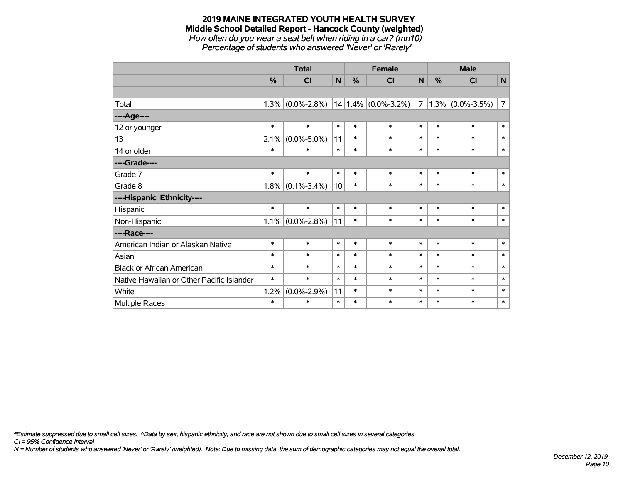#### **2019 MAINE INTEGRATED YOUTH HEALTH SURVEY Middle School Detailed Report - Hancock County (weighted)** *How often do you wear a seat belt when riding in a car? (mn10)*

*Percentage of students who answered 'Never' or 'Rarely'*

|                                           | <b>Total</b> |                   |              |               | <b>Female</b>           |        |        | <b>Male</b>         |                |  |
|-------------------------------------------|--------------|-------------------|--------------|---------------|-------------------------|--------|--------|---------------------|----------------|--|
|                                           | %            | CI                | N            | $\frac{0}{0}$ | CI                      | N      | %      | CI                  | $\mathsf{N}$   |  |
|                                           |              |                   |              |               |                         |        |        |                     |                |  |
| Total                                     | 1.3%         | $(0.0\% - 2.8\%)$ |              |               | $14 1.4\% $ (0.0%-3.2%) | 7      |        | $1.3\%$ (0.0%-3.5%) | $\overline{7}$ |  |
| ----Age----                               |              |                   |              |               |                         |        |        |                     |                |  |
| 12 or younger                             | $\ast$       | $\ast$            | $\ast$       | $\ast$        | $\ast$                  | $\ast$ | $\ast$ | $\ast$              | $\ast$         |  |
| 13                                        | 2.1%         | $(0.0\% - 5.0\%)$ | 11           | $\ast$        | $\ast$                  | $\ast$ | $\ast$ | $\ast$              | $\ast$         |  |
| 14 or older                               | $\ast$       | $\ast$            | $\pmb{\ast}$ | $\ast$        | $\ast$                  | $\ast$ | $\ast$ | $\ast$              | $\ast$         |  |
| ----Grade----                             |              |                   |              |               |                         |        |        |                     |                |  |
| Grade 7                                   | $\ast$       | $\ast$            | $\ast$       | $\ast$        | $\ast$                  | $\ast$ | $\ast$ | $\ast$              | $\ast$         |  |
| Grade 8                                   | 1.8%         | $(0.1\% - 3.4\%)$ | 10           | $\ast$        | $\ast$                  | $\ast$ | $\ast$ | $\ast$              | $\ast$         |  |
| ----Hispanic Ethnicity----                |              |                   |              |               |                         |        |        |                     |                |  |
| Hispanic                                  | $\ast$       | $\ast$            | $\ast$       | $\ast$        | $\ast$                  | $\ast$ | $\ast$ | $\ast$              | $\ast$         |  |
| Non-Hispanic                              | 1.1%         | $(0.0\% - 2.8\%)$ | 11           | $\ast$        | $\ast$                  | $\ast$ | $\ast$ | $\ast$              | $\ast$         |  |
| ----Race----                              |              |                   |              |               |                         |        |        |                     |                |  |
| American Indian or Alaskan Native         | $\ast$       | $\ast$            | $\ast$       | $\ast$        | $\ast$                  | $\ast$ | $\ast$ | $\ast$              | $\ast$         |  |
| Asian                                     | $\ast$       | $\ast$            | $\ast$       | $\ast$        | $\ast$                  | $\ast$ | $\ast$ | $\ast$              | $\ast$         |  |
| <b>Black or African American</b>          | $\ast$       | $\ast$            | $\ast$       | $\ast$        | $\ast$                  | $\ast$ | $\ast$ | $\ast$              | $\ast$         |  |
| Native Hawaiian or Other Pacific Islander | $\ast$       | $\ast$            | $\ast$       | $\ast$        | $\ast$                  | $\ast$ | $\ast$ | $\ast$              | $\ast$         |  |
| White                                     | 1.2%         | $(0.0\% - 2.9\%)$ | 11           | $\ast$        | $\ast$                  | $\ast$ | $\ast$ | $\ast$              | $\ast$         |  |
| <b>Multiple Races</b>                     | $\ast$       | $\ast$            | $\ast$       | $\ast$        | $\ast$                  | $\ast$ | $\ast$ | $\ast$              | $\pmb{\ast}$   |  |

*\*Estimate suppressed due to small cell sizes. ^Data by sex, hispanic ethnicity, and race are not shown due to small cell sizes in several categories.*

*CI = 95% Confidence Interval*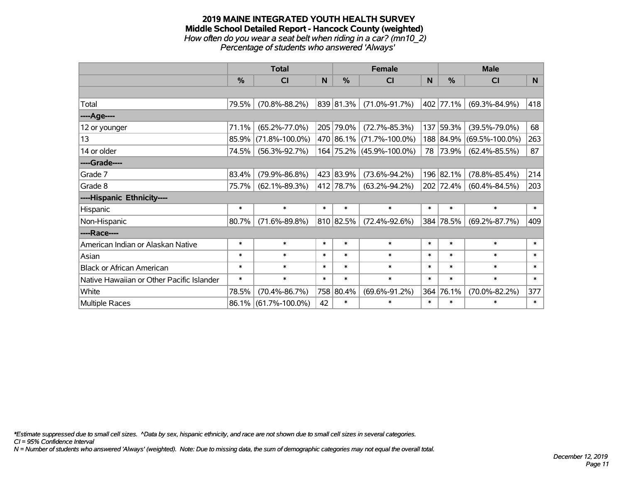#### **2019 MAINE INTEGRATED YOUTH HEALTH SURVEY Middle School Detailed Report - Hancock County (weighted)** *How often do you wear a seat belt when riding in a car? (mn10\_2) Percentage of students who answered 'Always'*

|                                           |          | <b>Total</b>         |        | <b>Female</b> |                          | <b>Male</b> |               |                      |          |
|-------------------------------------------|----------|----------------------|--------|---------------|--------------------------|-------------|---------------|----------------------|----------|
|                                           | %        | <b>CI</b>            | N      | $\frac{0}{0}$ | <b>CI</b>                | N           | $\frac{0}{0}$ | <b>CI</b>            | <b>N</b> |
|                                           |          |                      |        |               |                          |             |               |                      |          |
| Total                                     | 79.5%    | $(70.8\% - 88.2\%)$  |        | 839 81.3%     | $(71.0\% - 91.7\%)$      |             | 402 77.1%     | $(69.3\% - 84.9\%)$  | 418      |
| ----Age----                               |          |                      |        |               |                          |             |               |                      |          |
| 12 or younger                             | 71.1%    | $(65.2\% - 77.0\%)$  |        | 205 79.0%     | $(72.7\% - 85.3\%)$      |             | 137 59.3%     | $(39.5\% - 79.0\%)$  | 68       |
| 13                                        | 85.9%    | $(71.8\% - 100.0\%)$ |        |               | 470 86.1% (71.7%-100.0%) |             | 188 84.9%     | $(69.5\% - 100.0\%)$ | 263      |
| 14 or older                               | 74.5%    | $(56.3\% - 92.7\%)$  |        |               | 164 75.2% (45.9%-100.0%) | 78          | 73.9%         | $(62.4\% - 85.5\%)$  | 87       |
| ----Grade----                             |          |                      |        |               |                          |             |               |                      |          |
| Grade 7                                   | 83.4%    | $(79.9\% - 86.8\%)$  |        | 423 83.9%     | $(73.6\% - 94.2\%)$      |             | 196 82.1%     | $(78.8\% - 85.4\%)$  | 214      |
| Grade 8                                   | 75.7%    | $(62.1\% - 89.3\%)$  |        | 412 78.7%     | $(63.2\% - 94.2\%)$      |             | 202 72.4%     | $(60.4\% - 84.5\%)$  | 203      |
| ----Hispanic Ethnicity----                |          |                      |        |               |                          |             |               |                      |          |
| Hispanic                                  | $\ast$   | $\ast$               | $\ast$ | $\ast$        | $\ast$                   | $\ast$      | $\ast$        | $\ast$               | $\ast$   |
| Non-Hispanic                              | 80.7%    | $(71.6\% - 89.8\%)$  |        | 810 82.5%     | $(72.4\% - 92.6\%)$      |             | 384 78.5%     | $(69.2\% - 87.7\%)$  | 409      |
| ----Race----                              |          |                      |        |               |                          |             |               |                      |          |
| American Indian or Alaskan Native         | $\ast$   | $\ast$               | $\ast$ | $\ast$        | $\ast$                   | $\ast$      | $\ast$        | $\ast$               | $\ast$   |
| Asian                                     | $\ast$   | $\ast$               | $\ast$ | $\ast$        | $\ast$                   | $\ast$      | $\ast$        | $\ast$               | $\ast$   |
| <b>Black or African American</b>          | $\ast$   | $\ast$               | $\ast$ | $\ast$        | $\ast$                   | $\ast$      | $\ast$        | $\ast$               | $\ast$   |
| Native Hawaiian or Other Pacific Islander | $\ast$   | $\ast$               | $\ast$ | $\ast$        | $\ast$                   | $\ast$      | $\ast$        | $\ast$               | $\ast$   |
| White                                     | 78.5%    | $(70.4\% - 86.7\%)$  |        | 758 80.4%     | $(69.6\% - 91.2\%)$      | 364         | 76.1%         | $(70.0\% - 82.2\%)$  | 377      |
| <b>Multiple Races</b>                     | $86.1\%$ | $(61.7\% - 100.0\%)$ | 42     | $\ast$        | $\ast$                   | $\ast$      | $\ast$        | $\ast$               | $\ast$   |

*\*Estimate suppressed due to small cell sizes. ^Data by sex, hispanic ethnicity, and race are not shown due to small cell sizes in several categories.*

*CI = 95% Confidence Interval*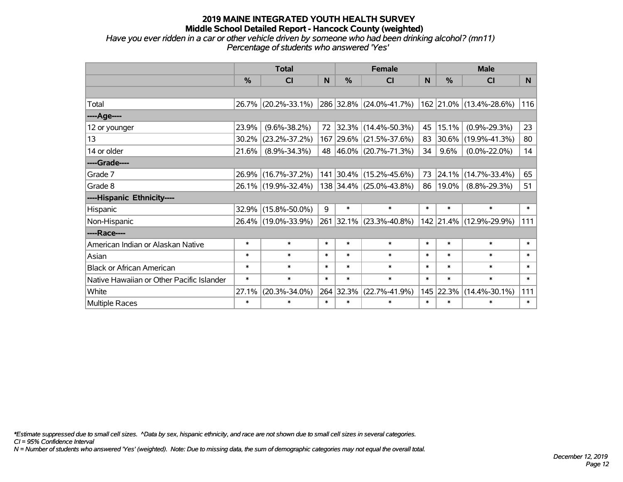## *Have you ever ridden in a car or other vehicle driven by someone who had been drinking alcohol? (mn11) Percentage of students who answered 'Yes'*

|                                           |               | <b>Total</b>        |        | <b>Female</b> |                         | <b>Male</b> |               |                         |                |
|-------------------------------------------|---------------|---------------------|--------|---------------|-------------------------|-------------|---------------|-------------------------|----------------|
|                                           | $\frac{0}{0}$ | CI                  | N      | %             | <b>CI</b>               | N           | $\frac{0}{0}$ | <b>CI</b>               | N <sub>1</sub> |
|                                           |               |                     |        |               |                         |             |               |                         |                |
| Total                                     |               | 26.7% (20.2%-33.1%) |        |               | 286 32.8% (24.0%-41.7%) |             |               | 162 21.0% (13.4%-28.6%) | 116            |
| ----Age----                               |               |                     |        |               |                         |             |               |                         |                |
| 12 or younger                             | 23.9%         | $(9.6\% - 38.2\%)$  | 72     |               | 32.3% (14.4%-50.3%)     | 45          | 15.1%         | $(0.9\% - 29.3\%)$      | 23             |
| 13                                        | 30.2%         | $(23.2\% - 37.2\%)$ |        |               | 167 29.6% (21.5%-37.6%) | 83          | 30.6%         | $(19.9\% - 41.3\%)$     | 80             |
| 14 or older                               | 21.6%         | $(8.9\% - 34.3\%)$  |        |               | 48 46.0% (20.7%-71.3%)  | 34          | 9.6%          | $(0.0\% - 22.0\%)$      | 14             |
| ----Grade----                             |               |                     |        |               |                         |             |               |                         |                |
| Grade 7                                   | $26.9\%$      | $(16.7\% - 37.2\%)$ |        |               | 141 30.4% (15.2%-45.6%) | 73          | 24.1%         | $(14.7\% - 33.4\%)$     | 65             |
| Grade 8                                   |               | 26.1% (19.9%-32.4%) |        |               | 138 34.4% (25.0%-43.8%) | 86          | $19.0\%$      | $(8.8\% - 29.3\%)$      | 51             |
| ----Hispanic Ethnicity----                |               |                     |        |               |                         |             |               |                         |                |
| Hispanic                                  | 32.9%         | $(15.8\% - 50.0\%)$ | 9      | $\ast$        | $\ast$                  | $\ast$      | $\ast$        | $\ast$                  | $\ast$         |
| Non-Hispanic                              |               | 26.4% (19.0%-33.9%) |        |               | 261 32.1% (23.3%-40.8%) |             |               | 142 21.4% (12.9%-29.9%) | 111            |
| ----Race----                              |               |                     |        |               |                         |             |               |                         |                |
| American Indian or Alaskan Native         | $\ast$        | $\ast$              | $\ast$ | $\ast$        | $\ast$                  | $\ast$      | $\ast$        | $\ast$                  | $\ast$         |
| Asian                                     | $\ast$        | $\ast$              | $\ast$ | $\ast$        | $\ast$                  | $\ast$      | $\ast$        | $\ast$                  | $\ast$         |
| <b>Black or African American</b>          | $\ast$        | $\ast$              | $\ast$ | $\ast$        | $\ast$                  | $\ast$      | $\ast$        | $\ast$                  | $\ast$         |
| Native Hawaiian or Other Pacific Islander | $\ast$        | $\ast$              | $\ast$ | $\ast$        | $\ast$                  | $\ast$      | $\ast$        | $\ast$                  | $\ast$         |
| White                                     | 27.1%         | $(20.3\% - 34.0\%)$ |        | 264 32.3%     | $(22.7\% - 41.9\%)$     | 145         | 22.3%         | $(14.4\% - 30.1\%)$     | 111            |
| <b>Multiple Races</b>                     | $\ast$        | $\ast$              | $\ast$ | $\ast$        | $\ast$                  | $\ast$      | $\ast$        | $\ast$                  | $\ast$         |

*\*Estimate suppressed due to small cell sizes. ^Data by sex, hispanic ethnicity, and race are not shown due to small cell sizes in several categories.*

*CI = 95% Confidence Interval*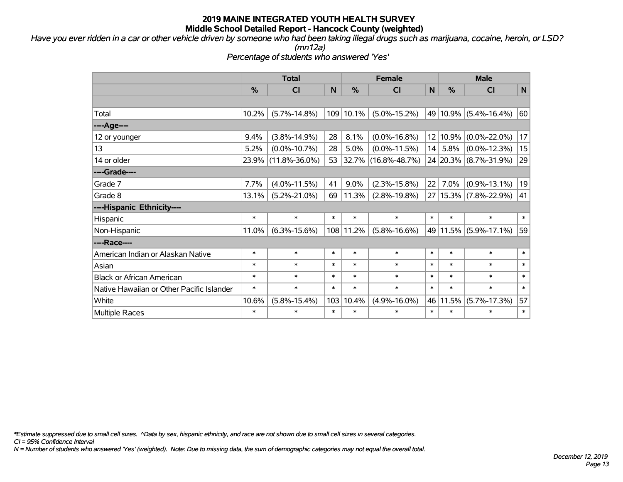*Have you ever ridden in a car or other vehicle driven by someone who had been taking illegal drugs such as marijuana, cocaine, heroin, or LSD?*

*(mn12a)*

*Percentage of students who answered 'Yes'*

|                                           | <b>Total</b>  |                     |        |               | <b>Female</b>            |                 |        | <b>Male</b>           |              |  |  |
|-------------------------------------------|---------------|---------------------|--------|---------------|--------------------------|-----------------|--------|-----------------------|--------------|--|--|
|                                           | $\frac{0}{0}$ | <b>CI</b>           | N      | $\frac{0}{0}$ | C <sub>l</sub>           | N               | %      | CI                    | $\mathsf{N}$ |  |  |
|                                           |               |                     |        |               |                          |                 |        |                       |              |  |  |
| Total                                     | 10.2%         | $(5.7\% - 14.8\%)$  | 109    | 10.1%         | $(5.0\% - 15.2\%)$       | 49              |        | $10.9\%$ (5.4%-16.4%) | 60           |  |  |
| ----Age----                               |               |                     |        |               |                          |                 |        |                       |              |  |  |
| 12 or younger                             | 9.4%          | $(3.8\% - 14.9\%)$  | 28     | 8.1%          | $(0.0\% - 16.8\%)$       | 12              | 10.9%  | $(0.0\% - 22.0\%)$    | 17           |  |  |
| 13                                        | 5.2%          | $(0.0\% - 10.7\%)$  | 28     | 5.0%          | $(0.0\% - 11.5\%)$       | 14              | 5.8%   | $(0.0\% - 12.3\%)$    | 15           |  |  |
| 14 or older                               | 23.9%         | $(11.8\% - 36.0\%)$ | 53     |               | $ 32.7\% $ (16.8%-48.7%) |                 |        | 24 20.3% (8.7%-31.9%) | 29           |  |  |
| ----Grade----                             |               |                     |        |               |                          |                 |        |                       |              |  |  |
| Grade 7                                   | 7.7%          | $(4.0\% - 11.5\%)$  | 41     | 9.0%          | $(2.3\% - 15.8\%)$       | 22              | 7.0%   | $(0.9\% - 13.1\%)$    | 19           |  |  |
| Grade 8                                   | 13.1%         | $(5.2\% - 21.0\%)$  | 69     | 11.3%         | $(2.8\% - 19.8\%)$       | 27 <sup>1</sup> |        | 15.3% (7.8%-22.9%)    | 41           |  |  |
| ----Hispanic Ethnicity----                |               |                     |        |               |                          |                 |        |                       |              |  |  |
| Hispanic                                  | $\ast$        | $\ast$              | $\ast$ | $\ast$        | $\ast$                   | $\ast$          | $\ast$ | $\ast$                | $\ast$       |  |  |
| Non-Hispanic                              | 11.0%         | $(6.3\% - 15.6\%)$  |        | 108 11.2%     | $(5.8\% - 16.6\%)$       |                 |        | 49 11.5% (5.9%-17.1%) | 59           |  |  |
| ----Race----                              |               |                     |        |               |                          |                 |        |                       |              |  |  |
| American Indian or Alaskan Native         | $\ast$        | $\ast$              | $\ast$ | $\ast$        | $\ast$                   | $\ast$          | $\ast$ | $\ast$                | $\ast$       |  |  |
| Asian                                     | $\ast$        | $\ast$              | $\ast$ | $\ast$        | $\ast$                   | $\ast$          | $\ast$ | $\ast$                | $\ast$       |  |  |
| <b>Black or African American</b>          | $\ast$        | $\ast$              | $\ast$ | $\ast$        | $\ast$                   | $\ast$          | $\ast$ | $\ast$                | $\ast$       |  |  |
| Native Hawaiian or Other Pacific Islander | $\ast$        | $\ast$              | $\ast$ | $\ast$        | $\ast$                   | $\ast$          | $\ast$ | $\ast$                | $\ast$       |  |  |
| White                                     | 10.6%         | $(5.8\% - 15.4\%)$  | 103    | 10.4%         | $(4.9\% - 16.0\%)$       | 46              | 11.5%  | $(5.7\% - 17.3\%)$    | 57           |  |  |
| Multiple Races                            | $\ast$        | $\ast$              | $\ast$ | *             | $\ast$                   | $\ast$          | $\ast$ | $\ast$                | $\ast$       |  |  |

*\*Estimate suppressed due to small cell sizes. ^Data by sex, hispanic ethnicity, and race are not shown due to small cell sizes in several categories.*

*CI = 95% Confidence Interval*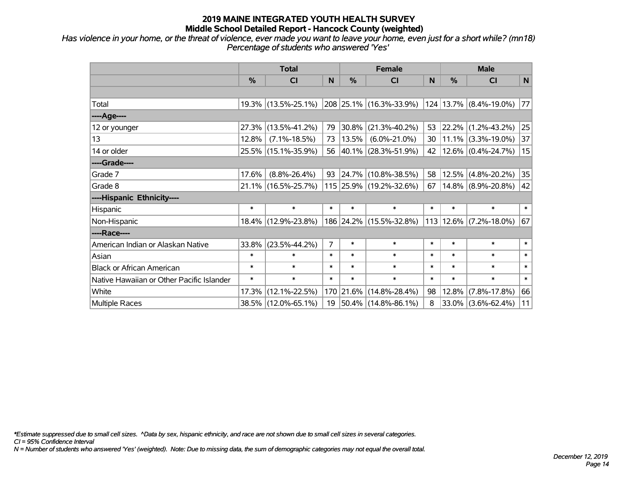*Has violence in your home, or the threat of violence, ever made you want to leave your home, even just for a short while? (mn18) Percentage of students who answered 'Yes'*

|                                           | <b>Total</b>  |                        |                |           | <b>Female</b>            | <b>Male</b> |               |                                   |             |
|-------------------------------------------|---------------|------------------------|----------------|-----------|--------------------------|-------------|---------------|-----------------------------------|-------------|
|                                           | $\frac{0}{0}$ | <b>CI</b>              | N              | %         | <b>CI</b>                | N           | $\frac{0}{0}$ | <b>CI</b>                         | $\mathbf N$ |
|                                           |               |                        |                |           |                          |             |               |                                   |             |
| Total                                     |               | $19.3\%$ (13.5%-25.1%) |                |           | 208 25.1% (16.3%-33.9%)  |             |               | 124   13.7%   (8.4%-19.0%)        | 77          |
| ----Age----                               |               |                        |                |           |                          |             |               |                                   |             |
| 12 or younger                             | 27.3%         | $(13.5\% - 41.2\%)$    | 79             | 30.8%     | $(21.3\% - 40.2\%)$      | 53          |               | 22.2% (1.2%-43.2%)                | 25          |
| 13                                        | 12.8%         | $(7.1\% - 18.5\%)$     | 73             | 13.5%     | $(6.0\% - 21.0\%)$       | 30          |               | $11.1\%$ (3.3%-19.0%)             | 37          |
| 14 or older                               |               | 25.5% (15.1%-35.9%)    | 56             |           | $ 40.1\% $ (28.3%-51.9%) | 42          |               | $12.6\%$ (0.4%-24.7%)             | 15          |
| ----Grade----                             |               |                        |                |           |                          |             |               |                                   |             |
| Grade 7                                   | 17.6%         | $(8.8\% - 26.4\%)$     | 93             | 24.7%     | $(10.8\% - 38.5\%)$      | 58          |               | 12.5% (4.8%-20.2%)                | 35          |
| Grade 8                                   |               | $21.1\%$ (16.5%-25.7%) |                |           | 115 25.9% (19.2%-32.6%)  | 67          |               | $14.8\%$ (8.9%-20.8%)             | 42          |
| ----Hispanic Ethnicity----                |               |                        |                |           |                          |             |               |                                   |             |
| Hispanic                                  | $\ast$        | $\ast$                 | $\ast$         | $\ast$    | $\ast$                   | $\ast$      | $\ast$        | $\ast$                            | $\ast$      |
| Non-Hispanic                              |               | 18.4% (12.9%-23.8%)    |                |           | 186 24.2% (15.5%-32.8%)  |             |               | $113   12.6\%   (7.2\% - 18.0\%)$ | 67          |
| ----Race----                              |               |                        |                |           |                          |             |               |                                   |             |
| American Indian or Alaskan Native         | 33.8%         | $(23.5\% - 44.2\%)$    | $\overline{7}$ | $\ast$    | $\ast$                   | $\ast$      | $\ast$        | $\ast$                            | $\ast$      |
| Asian                                     | $\ast$        | $\ast$                 | $\ast$         | $\ast$    | $\ast$                   | $\ast$      | $\ast$        | $\ast$                            | $\ast$      |
| <b>Black or African American</b>          | $\ast$        | $\ast$                 | $\ast$         | $\ast$    | $\ast$                   | $\ast$      | $\ast$        | $\ast$                            | $\ast$      |
| Native Hawaiian or Other Pacific Islander | $\ast$        | $\ast$                 | $\ast$         | $\ast$    | $\ast$                   | $\ast$      | $\ast$        | $\ast$                            | $\ast$      |
| White                                     | 17.3%         | $(12.1\% - 22.5\%)$    |                | 170 21.6% | $(14.8\% - 28.4\%)$      | 98          | 12.8%         | $(7.8\% - 17.8\%)$                | 66          |
| Multiple Races                            |               | 38.5% (12.0%-65.1%)    | 19             |           | $ 50.4\% $ (14.8%-86.1%) | 8           |               | $33.0\%$ (3.6%-62.4%)             | 11          |

*\*Estimate suppressed due to small cell sizes. ^Data by sex, hispanic ethnicity, and race are not shown due to small cell sizes in several categories.*

*CI = 95% Confidence Interval*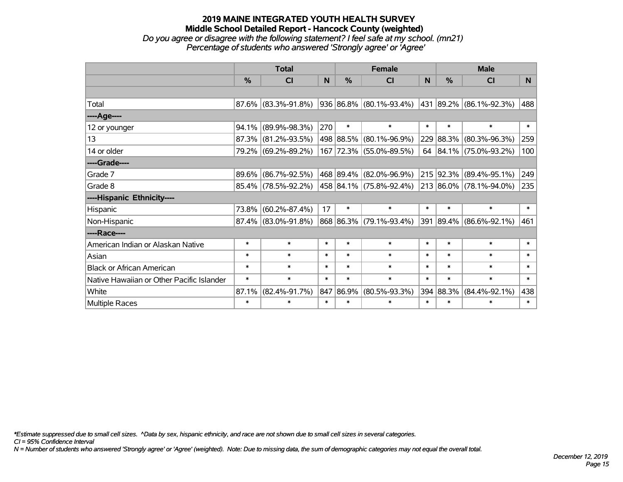## **2019 MAINE INTEGRATED YOUTH HEALTH SURVEY Middle School Detailed Report - Hancock County (weighted)** *Do you agree or disagree with the following statement? I feel safe at my school. (mn21)*

| Percentage of students who answered 'Strongly agree' or 'Agree' |  |
|-----------------------------------------------------------------|--|
|                                                                 |  |

|                                           |               | <b>Total</b>           |        |           | <b>Female</b>                | <b>Male</b> |               |                              |                |  |
|-------------------------------------------|---------------|------------------------|--------|-----------|------------------------------|-------------|---------------|------------------------------|----------------|--|
|                                           | $\frac{0}{0}$ | CI                     | N      | %         | CI                           | N           | $\frac{0}{0}$ | <b>CI</b>                    | N <sub>1</sub> |  |
|                                           |               |                        |        |           |                              |             |               |                              |                |  |
| Total                                     |               | $87.6\%$ (83.3%-91.8%) |        |           | 936   86.8%   (80.1%-93.4%)  |             |               | $ 431 89.2\% $ (86.1%-92.3%) | 488            |  |
| ----Age----                               |               |                        |        |           |                              |             |               |                              |                |  |
| 12 or younger                             | 94.1%         | $(89.9\% - 98.3\%)$    | 270    | $\ast$    | $\ast$                       | $\ast$      | $\ast$        | $\ast$                       | $\ast$         |  |
| 13                                        | 87.3%         | $(81.2\% - 93.5\%)$    |        | 498 88.5% | $(80.1\% - 96.9\%)$          |             | 229 88.3%     | $(80.3\% - 96.3\%)$          | 259            |  |
| 14 or older                               |               | 79.2% (69.2%-89.2%)    |        |           | 167 72.3% (55.0%-89.5%)      |             |               | 64 84.1% (75.0%-93.2%)       | 100            |  |
| ----Grade----                             |               |                        |        |           |                              |             |               |                              |                |  |
| Grade 7                                   | 89.6%         | $(86.7\% - 92.5\%)$    |        |           | 468   89.4%   (82.0%-96.9%)  |             | 215 92.3%     | $(89.4\% - 95.1\%)$          | 249            |  |
| Grade 8                                   |               | 85.4% (78.5%-92.2%)    |        |           | $ 458 84.1\% $ (75.8%-92.4%) |             |               | 213 86.0% (78.1%-94.0%)      | 235            |  |
| ----Hispanic Ethnicity----                |               |                        |        |           |                              |             |               |                              |                |  |
| Hispanic                                  | 73.8%         | $(60.2\% - 87.4\%)$    | 17     | $\ast$    | $\ast$                       | $\ast$      | $\ast$        | $\ast$                       | $\ast$         |  |
| Non-Hispanic                              |               | 87.4% (83.0%-91.8%)    |        |           | 868 86.3% (79.1%-93.4%)      | 391         | $ 89.4\% $    | $(86.6\% - 92.1\%)$          | 461            |  |
| ----Race----                              |               |                        |        |           |                              |             |               |                              |                |  |
| American Indian or Alaskan Native         | $\ast$        | $\ast$                 | $\ast$ | $\ast$    | $\ast$                       | $\ast$      | $\ast$        | $\ast$                       | $\ast$         |  |
| Asian                                     | $\ast$        | $\ast$                 | $\ast$ | $\ast$    | $\ast$                       | $\ast$      | $\ast$        | $\ast$                       | $\ast$         |  |
| <b>Black or African American</b>          | $\ast$        | $\ast$                 | $\ast$ | $\ast$    | $\ast$                       | $\ast$      | $\ast$        | $\ast$                       | $\ast$         |  |
| Native Hawaiian or Other Pacific Islander | $\ast$        | $\ast$                 | $\ast$ | $\ast$    | $\ast$                       | $\ast$      | $\ast$        | $\ast$                       | $\ast$         |  |
| White                                     | 87.1%         | $(82.4\% - 91.7\%)$    | 847    | 86.9%     | $(80.5\% - 93.3\%)$          | 394         | 88.3%         | $(84.4\% - 92.1\%)$          | 438            |  |
| Multiple Races                            | $\ast$        | $\ast$                 | $\ast$ | $\ast$    | $\ast$                       | $\ast$      | $\ast$        | $\ast$                       | $\ast$         |  |

*\*Estimate suppressed due to small cell sizes. ^Data by sex, hispanic ethnicity, and race are not shown due to small cell sizes in several categories.*

*CI = 95% Confidence Interval*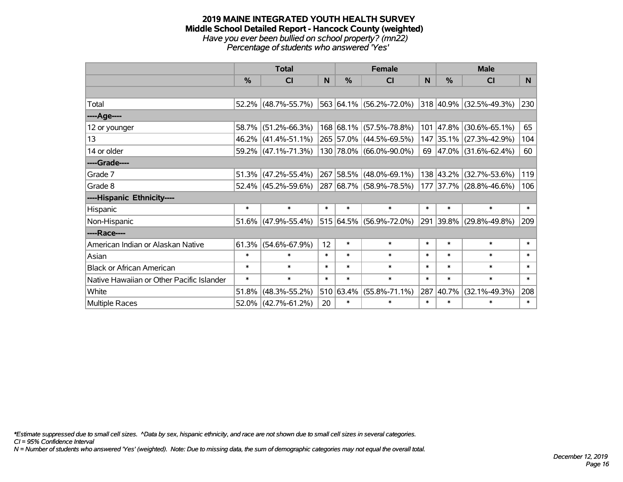#### **2019 MAINE INTEGRATED YOUTH HEALTH SURVEY Middle School Detailed Report - Hancock County (weighted)** *Have you ever been bullied on school property? (mn22) Percentage of students who answered 'Yes'*

|                                           |        | <b>Total</b>        |        | <b>Female</b> |                         | <b>Male</b> |           |                            |                |  |
|-------------------------------------------|--------|---------------------|--------|---------------|-------------------------|-------------|-----------|----------------------------|----------------|--|
|                                           | %      | <b>CI</b>           | N.     | %             | <b>CI</b>               | N           | %         | <b>CI</b>                  | N <sub>1</sub> |  |
|                                           |        |                     |        |               |                         |             |           |                            |                |  |
| Total                                     |        | 52.2% (48.7%-55.7%) |        |               | 563 64.1% (56.2%-72.0%) |             |           | 318 40.9% (32.5%-49.3%)    | 230            |  |
| ----Age----                               |        |                     |        |               |                         |             |           |                            |                |  |
| 12 or younger                             | 58.7%  | $(51.2\% - 66.3\%)$ |        |               | 168 68.1% (57.5%-78.8%) | 101         | 47.8%     | $(30.6\% - 65.1\%)$        | 65             |  |
| 13                                        |        | 46.2% (41.4%-51.1%) |        |               | 265 57.0% (44.5%-69.5%) |             |           | 147 35.1% (27.3%-42.9%)    | 104            |  |
| 14 or older                               |        | 59.2% (47.1%-71.3%) |        |               | 130 78.0% (66.0%-90.0%) |             |           | 69   47.0%   (31.6%-62.4%) | 60             |  |
| ----Grade----                             |        |                     |        |               |                         |             |           |                            |                |  |
| Grade 7                                   | 51.3%  | $(47.2\% - 55.4\%)$ |        |               | 267 58.5% (48.0%-69.1%) |             | 138 43.2% | $(32.7\% - 53.6\%)$        | 119            |  |
| Grade 8                                   |        | 52.4% (45.2%-59.6%) |        |               | 287 68.7% (58.9%-78.5%) |             |           | 177 37.7% (28.8%-46.6%)    | 106            |  |
| ----Hispanic Ethnicity----                |        |                     |        |               |                         |             |           |                            |                |  |
| Hispanic                                  | $\ast$ | $\ast$              | $\ast$ | $\ast$        | $\ast$                  | $\ast$      | $\ast$    | $\ast$                     | $\ast$         |  |
| Non-Hispanic                              |        | 51.6% (47.9%-55.4%) |        |               | 515 64.5% (56.9%-72.0%) |             |           | 291 39.8% (29.8%-49.8%)    | 209            |  |
| ----Race----                              |        |                     |        |               |                         |             |           |                            |                |  |
| American Indian or Alaskan Native         | 61.3%  | $(54.6\% - 67.9\%)$ | 12     | $\ast$        | $\ast$                  | $\ast$      | $\ast$    | $\ast$                     | $\ast$         |  |
| Asian                                     | $\ast$ | $\ast$              | $\ast$ | $\ast$        | $\ast$                  | $\ast$      | $\ast$    | $\ast$                     | $\ast$         |  |
| <b>Black or African American</b>          | $\ast$ | $\ast$              | $\ast$ | $\ast$        | $\ast$                  | $\ast$      | $\ast$    | $\ast$                     | $\ast$         |  |
| Native Hawaiian or Other Pacific Islander | $\ast$ | $\ast$              | $\ast$ | $\ast$        | $\ast$                  | $\ast$      | $\ast$    | $\ast$                     | $\ast$         |  |
| White                                     | 51.8%  | $(48.3\% - 55.2\%)$ |        | 510 63.4%     | $(55.8\% - 71.1\%)$     | 287         | 40.7%     | $(32.1\% - 49.3\%)$        | 208            |  |
| <b>Multiple Races</b>                     |        | 52.0% (42.7%-61.2%) | 20     | $\ast$        | $\ast$                  | $\ast$      | $\ast$    | $\ast$                     | $\ast$         |  |

*\*Estimate suppressed due to small cell sizes. ^Data by sex, hispanic ethnicity, and race are not shown due to small cell sizes in several categories.*

*CI = 95% Confidence Interval*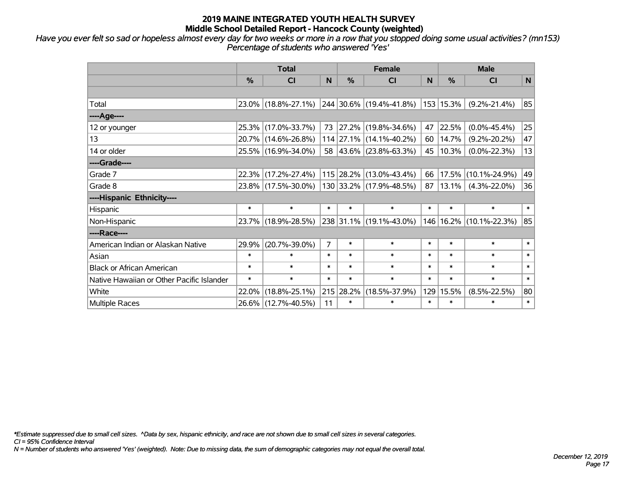*Have you ever felt so sad or hopeless almost every day for two weeks or more in a row that you stopped doing some usual activities? (mn153) Percentage of students who answered 'Yes'*

|                                           |        | <b>Total</b>        |                |        | <b>Female</b>           | <b>Male</b> |                             |                             |              |
|-------------------------------------------|--------|---------------------|----------------|--------|-------------------------|-------------|-----------------------------|-----------------------------|--------------|
|                                           | %      | <b>CI</b>           | N              | %      | <b>CI</b>               | N           | %                           | <b>CI</b>                   | $\mathsf{N}$ |
|                                           |        |                     |                |        |                         |             |                             |                             |              |
| Total                                     |        | 23.0% (18.8%-27.1%) |                |        | 244 30.6% (19.4%-41.8%) |             | 153 15.3%                   | $(9.2\% - 21.4\%)$          | 85           |
| ----Age----                               |        |                     |                |        |                         |             |                             |                             |              |
| 12 or younger                             | 25.3%  | $(17.0\% - 33.7\%)$ | 73             |        | 27.2% (19.8%-34.6%)     | 47          | 22.5%                       | $(0.0\% - 45.4\%)$          | 25           |
| 13                                        |        | 20.7% (14.6%-26.8%) |                |        | 114 27.1% (14.1%-40.2%) | 60          | 14.7%                       | $(9.2\% - 20.2\%)$          | 47           |
| 14 or older                               |        | 25.5% (16.9%-34.0%) |                |        | 58 43.6% (23.8%-63.3%)  |             | 45   10.3%                  | $(0.0\% - 22.3\%)$          | 13           |
| ----Grade----                             |        |                     |                |        |                         |             |                             |                             |              |
| Grade 7                                   | 22.3%  | $(17.2\% - 27.4\%)$ |                |        | 115 28.2% (13.0%-43.4%) | 66          | 17.5%                       | $(10.1\% - 24.9\%)$         | 49           |
| Grade 8                                   |        | 23.8% (17.5%-30.0%) |                |        | 130 33.2% (17.9%-48.5%) | 87          | 13.1%                       | $(4.3\% - 22.0\%)$          | 36           |
| ----Hispanic Ethnicity----                |        |                     |                |        |                         |             |                             |                             |              |
| Hispanic                                  | $\ast$ | $\ast$              | $\ast$         | $\ast$ | $\ast$                  | $\ast$      | $\ast$                      | $\ast$                      | $\ast$       |
| Non-Hispanic                              |        | 23.7% (18.9%-28.5%) |                |        | 238 31.1% (19.1%-43.0%) |             |                             | 146   16.2%   (10.1%-22.3%) | 85           |
| ----Race----                              |        |                     |                |        |                         |             |                             |                             |              |
| American Indian or Alaskan Native         | 29.9%  | $(20.7\% - 39.0\%)$ | $\overline{7}$ | $\ast$ | $\ast$                  | $\ast$      | $\ast$                      | $\ast$                      | $\ast$       |
| Asian                                     | $\ast$ | $\ast$              | $\ast$         | $\ast$ | $\ast$                  | $\ast$      | $\ast$                      | $\ast$                      | $\ast$       |
| <b>Black or African American</b>          | $\ast$ | $\ast$              | $\ast$         | $\ast$ | $\ast$                  | $\ast$      | $\ast$                      | $\ast$                      | $\ast$       |
| Native Hawaiian or Other Pacific Islander | $\ast$ | $\ast$              | $\ast$         | $\ast$ | $\ast$                  | $\ast$      | $\ast$<br>$\ast$            |                             | $\ast$       |
| White                                     | 22.0%  | $(18.8\% - 25.1\%)$ | 215            | 28.2%  | $(18.5\% - 37.9\%)$     | 129         | 15.5%<br>$(8.5\% - 22.5\%)$ |                             | 80           |
| Multiple Races                            |        | 26.6% (12.7%-40.5%) | 11             | $\ast$ | $\ast$                  | $\ast$      | $\ast$<br>$\ast$            |                             | $\ast$       |

*\*Estimate suppressed due to small cell sizes. ^Data by sex, hispanic ethnicity, and race are not shown due to small cell sizes in several categories.*

*CI = 95% Confidence Interval*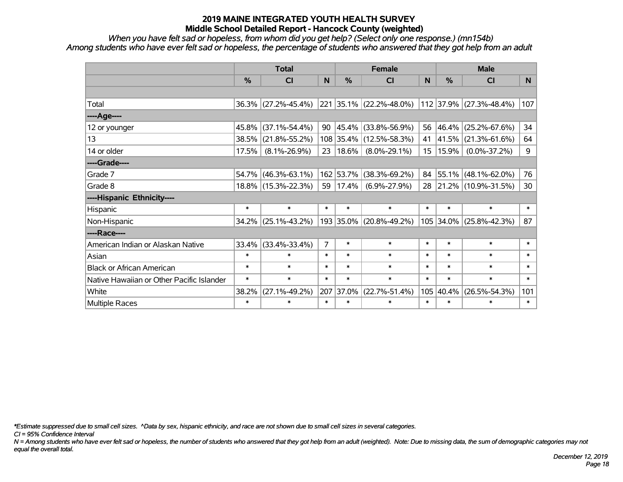*When you have felt sad or hopeless, from whom did you get help? (Select only one response.) (mn154b) Among students who have ever felt sad or hopeless, the percentage of students who answered that they got help from an adult*

|                                           |               | <b>Total</b>           |                |            | <b>Female</b>           |                 | <b>Male</b> |                         |                |  |  |
|-------------------------------------------|---------------|------------------------|----------------|------------|-------------------------|-----------------|-------------|-------------------------|----------------|--|--|
|                                           | $\frac{0}{0}$ | <b>CI</b>              | N              | %          | <b>CI</b>               | N               | %           | <b>CI</b>               | N <sub>1</sub> |  |  |
|                                           |               |                        |                |            |                         |                 |             |                         |                |  |  |
| Total                                     |               | $36.3\%$ (27.2%-45.4%) |                |            | 221 35.1% (22.2%-48.0%) |                 |             | 112 37.9% (27.3%-48.4%) | 107            |  |  |
| ----Age----                               |               |                        |                |            |                         |                 |             |                         |                |  |  |
| 12 or younger                             | 45.8%         | $(37.1\% - 54.4\%)$    | 90             | $ 45.4\% $ | $(33.8\% - 56.9\%)$     | 56              | 46.4%       | $(25.2\% - 67.6\%)$     | 34             |  |  |
| 13                                        | 38.5%         | $(21.8\% - 55.2\%)$    |                |            | 108 35.4% (12.5%-58.3%) | 41              | 41.5%       | $(21.3\% - 61.6\%)$     | 64             |  |  |
| 14 or older                               | 17.5%         | $(8.1\% - 26.9\%)$     | $23 \mid$      | $18.6\%$   | $(8.0\% - 29.1\%)$      | 15 <sub>1</sub> | 15.9%       | $(0.0\% - 37.2\%)$      | 9              |  |  |
| ----Grade----                             |               |                        |                |            |                         |                 |             |                         |                |  |  |
| Grade 7                                   | 54.7%         | $(46.3\% - 63.1\%)$    |                | 162 53.7%  | $(38.3\% - 69.2\%)$     | 84              | 55.1%       | $(48.1\% - 62.0\%)$     | 76             |  |  |
| Grade 8                                   |               | 18.8% (15.3%-22.3%)    | 59             | 17.4%      | $(6.9\% - 27.9\%)$      | 28              |             | 21.2% (10.9%-31.5%)     | 30             |  |  |
| ----Hispanic Ethnicity----                |               |                        |                |            |                         |                 |             |                         |                |  |  |
| Hispanic                                  | $\ast$        | $\ast$                 | $\ast$         | $\ast$     | $\ast$                  | $\ast$          | $\ast$      | $\ast$                  | $\ast$         |  |  |
| Non-Hispanic                              | 34.2%         | $(25.1\% - 43.2\%)$    |                | 193 35.0%  | $(20.8\% - 49.2\%)$     | 105             | 34.0%       | $(25.8\% - 42.3\%)$     | 87             |  |  |
| ----Race----                              |               |                        |                |            |                         |                 |             |                         |                |  |  |
| American Indian or Alaskan Native         | 33.4%         | $(33.4\% - 33.4\%)$    | $\overline{7}$ | $\ast$     | $\ast$                  | $\ast$          | $\ast$      | $\ast$                  | $\ast$         |  |  |
| Asian                                     | $\ast$        | $\ast$                 | $\ast$         | $\ast$     | $\ast$                  | $\ast$          | $\ast$      | $\ast$                  | $\ast$         |  |  |
| <b>Black or African American</b>          | $\ast$        | $\ast$                 | $\ast$         | $\ast$     | $\ast$                  | $\ast$          | $\ast$      | $\ast$                  | $\ast$         |  |  |
| Native Hawaiian or Other Pacific Islander | $\ast$        | $\ast$                 | $\ast$         | $\ast$     | $\ast$                  | $\ast$          | $\ast$      | $\ast$                  | $\ast$         |  |  |
| White                                     | 38.2%         | $(27.1\% - 49.2\%)$    | 207            | 37.0%      | $(22.7\% - 51.4\%)$     | 105             | 40.4%       | $(26.5\% - 54.3\%)$     |                |  |  |
| <b>Multiple Races</b>                     | $\ast$        | $\ast$                 | $\ast$         | $\ast$     | $\ast$                  | $\ast$          | $\ast$      | $\ast$                  | $\ast$         |  |  |

*\*Estimate suppressed due to small cell sizes. ^Data by sex, hispanic ethnicity, and race are not shown due to small cell sizes in several categories.*

*CI = 95% Confidence Interval*

*N = Among students who have ever felt sad or hopeless, the number of students who answered that they got help from an adult (weighted). Note: Due to missing data, the sum of demographic categories may not equal the overall total.*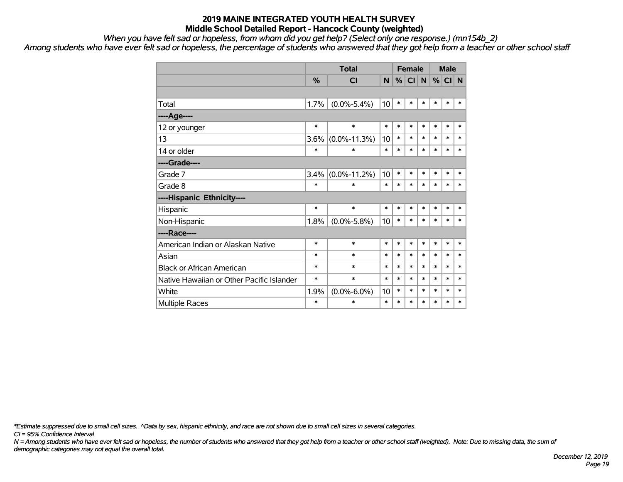*When you have felt sad or hopeless, from whom did you get help? (Select only one response.) (mn154b\_2)*

*Among students who have ever felt sad or hopeless, the percentage of students who answered that they got help from a teacher or other school staff*

|                                           |        | <b>Female</b>      |        |        | <b>Male</b>     |             |        |        |        |
|-------------------------------------------|--------|--------------------|--------|--------|-----------------|-------------|--------|--------|--------|
|                                           | %      | <b>CI</b>          | N      | %      | Cl <sub>1</sub> | $\mathbf N$ | %      | CI N   |        |
|                                           |        |                    |        |        |                 |             |        |        |        |
| Total                                     | 1.7%   | $(0.0\% - 5.4\%)$  | 10     | $\ast$ | $\ast$          | $\ast$      | *      | $\ast$ | *      |
| ----Age----                               |        |                    |        |        |                 |             |        |        |        |
| 12 or younger                             | $\ast$ | $\ast$             | $\ast$ | $\ast$ | $\ast$          | $\ast$      | $\ast$ | $\ast$ | *      |
| 13                                        | 3.6%   | $(0.0\% - 11.3\%)$ | 10     | $\ast$ | $\ast$          | $\ast$      | $\ast$ | $\ast$ | $\ast$ |
| 14 or older                               | $\ast$ | $\ast$             | $\ast$ | $\ast$ | $\ast$          | $\ast$      | $\ast$ | $\ast$ | $\ast$ |
| ----Grade----                             |        |                    |        |        |                 |             |        |        |        |
| Grade 7                                   | 3.4%   | $(0.0\% - 11.2\%)$ | 10     | $\ast$ | $\ast$          | $\ast$      | $\ast$ | $\ast$ | *      |
| Grade 8                                   | $\ast$ | $\ast$             | $\ast$ | $\ast$ | $\ast$          | $\ast$      | $\ast$ | $\ast$ | $\ast$ |
| ----Hispanic Ethnicity----                |        |                    |        |        |                 |             |        |        |        |
| Hispanic                                  | $\ast$ | $\ast$             | $\ast$ | $\ast$ | $\ast$          | $\ast$      | $\ast$ | $\ast$ | *      |
| Non-Hispanic                              | 1.8%   | $(0.0\% - 5.8\%)$  | 10     | $\ast$ | $\ast$          | $\ast$      | $\ast$ | $\ast$ | $\ast$ |
| ----Race----                              |        |                    |        |        |                 |             |        |        |        |
| American Indian or Alaskan Native         | $\ast$ | $\ast$             | $\ast$ | $\ast$ | $\ast$          | $\ast$      | $\ast$ | $\ast$ | $\ast$ |
| Asian                                     | $\ast$ | $\ast$             | $\ast$ | $\ast$ | $\ast$          | $\ast$      | $\ast$ | $\ast$ | $\ast$ |
| <b>Black or African American</b>          | $\ast$ | $\ast$             | $\ast$ | $\ast$ | $\ast$          | $\ast$      | $\ast$ | $\ast$ | $\ast$ |
| Native Hawaiian or Other Pacific Islander | $\ast$ | $\ast$             | $\ast$ | $\ast$ | $\ast$          | $\ast$      | $\ast$ | $\ast$ | *      |
| White                                     | 1.9%   | $(0.0\% - 6.0\%)$  | 10     | $\ast$ | $\ast$          | $\ast$      | $\ast$ | $\ast$ | $\ast$ |
| <b>Multiple Races</b>                     | $\ast$ | $\ast$             | $\ast$ | $\ast$ | $\ast$          | $\ast$      | $\ast$ | $\ast$ | $\ast$ |

*\*Estimate suppressed due to small cell sizes. ^Data by sex, hispanic ethnicity, and race are not shown due to small cell sizes in several categories.*

*CI = 95% Confidence Interval*

*N = Among students who have ever felt sad or hopeless, the number of students who answered that they got help from a teacher or other school staff (weighted). Note: Due to missing data, the sum of demographic categories may not equal the overall total.*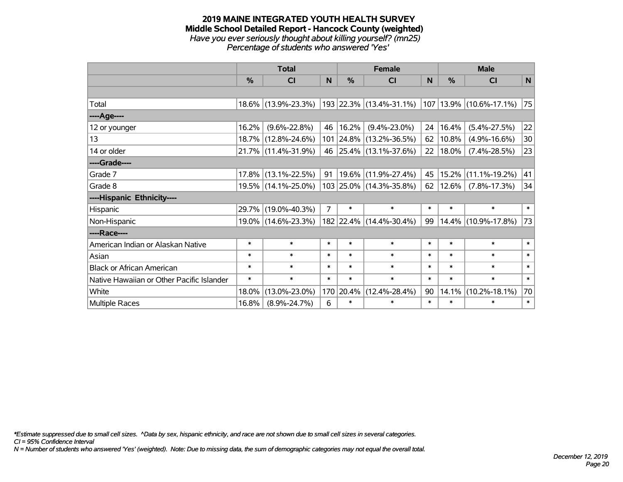#### **2019 MAINE INTEGRATED YOUTH HEALTH SURVEY Middle School Detailed Report - Hancock County (weighted)** *Have you ever seriously thought about killing yourself? (mn25) Percentage of students who answered 'Yes'*

|                                           |               | <b>Total</b>        |                | <b>Female</b> | <b>Male</b>             |             |        |                              |        |
|-------------------------------------------|---------------|---------------------|----------------|---------------|-------------------------|-------------|--------|------------------------------|--------|
|                                           | $\frac{0}{0}$ | CI                  | N              | %             | <b>CI</b>               | N           | %      | <b>CI</b>                    | N      |
|                                           |               |                     |                |               |                         |             |        |                              |        |
| Total                                     |               | 18.6% (13.9%-23.3%) |                |               | 193 22.3% (13.4%-31.1%) |             |        | $ 107 13.9\% $ (10.6%-17.1%) | 75     |
| ----Age----                               |               |                     |                |               |                         |             |        |                              |        |
| 12 or younger                             | 16.2%         | $(9.6\% - 22.8\%)$  | 46             | 16.2%         | $(9.4\% - 23.0\%)$      | 24          | 16.4%  | $(5.4\% - 27.5\%)$           | 22     |
| 13                                        | 18.7%         | $(12.8\% - 24.6\%)$ |                |               | 101 24.8% (13.2%-36.5%) | 62          | 10.8%  | $(4.9\% - 16.6\%)$           | 30     |
| 14 or older                               |               | 21.7% (11.4%-31.9%) |                |               | 46 25.4% (13.1%-37.6%)  | 22          | 18.0%  | $(7.4\% - 28.5\%)$           | 23     |
| ----Grade----                             |               |                     |                |               |                         |             |        |                              |        |
| Grade 7                                   | 17.8%         | $(13.1\% - 22.5\%)$ | 91             | 19.6%         | $(11.9\% - 27.4\%)$     | 45          | 15.2%  | $(11.1\% - 19.2\%)$          | 41     |
| Grade 8                                   |               | 19.5% (14.1%-25.0%) |                |               | 103 25.0% (14.3%-35.8%) | 62          | 12.6%  | $(7.8\% - 17.3\%)$           | 34     |
| ----Hispanic Ethnicity----                |               |                     |                |               |                         |             |        |                              |        |
| Hispanic                                  | 29.7%         | $(19.0\% - 40.3\%)$ | $\overline{7}$ | $\ast$        | $\ast$                  | $\ast$      | $\ast$ | $\ast$                       | $\ast$ |
| Non-Hispanic                              |               | 19.0% (14.6%-23.3%) |                |               | 182 22.4% (14.4%-30.4%) | 99          | 14.4%  | $(10.9\% - 17.8\%)$          | 73     |
| ----Race----                              |               |                     |                |               |                         |             |        |                              |        |
| American Indian or Alaskan Native         | $\ast$        | $\ast$              | $\ast$         | $\ast$        | $\ast$                  | $\ast$      | $\ast$ | $\ast$                       | $\ast$ |
| Asian                                     | $\ast$        | $\ast$              | $\ast$         | $\ast$        | $\ast$                  | $\ast$      | $\ast$ | $\ast$                       | $\ast$ |
| <b>Black or African American</b>          | $\ast$        | $\ast$              | $\ast$         | $\ast$        | $\ast$                  | $\ast$      | $\ast$ | $\ast$                       | $\ast$ |
| Native Hawaiian or Other Pacific Islander | $\ast$        | $\ast$              | $\ast$         | $\ast$        | $\ast$                  | $\ast$      | $\ast$ | $\ast$                       | $\ast$ |
| White                                     | 18.0%         | $(13.0\% - 23.0\%)$ |                | 170 20.4%     | $(12.4\% - 28.4\%)$     | 90<br>14.1% |        | $(10.2\% - 18.1\%)$          | 70     |
| Multiple Races                            | 16.8%         | $(8.9\% - 24.7\%)$  | 6              | $\ast$        | $\ast$                  | $\ast$      | $\ast$ | $\ast$                       | $\ast$ |

*\*Estimate suppressed due to small cell sizes. ^Data by sex, hispanic ethnicity, and race are not shown due to small cell sizes in several categories.*

*CI = 95% Confidence Interval*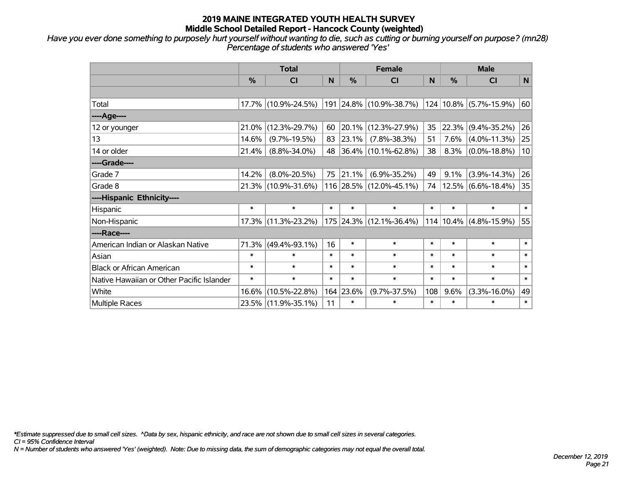*Have you ever done something to purposely hurt yourself without wanting to die, such as cutting or burning yourself on purpose? (mn28) Percentage of students who answered 'Yes'*

|                                           |               | <b>Total</b>        |        | <b>Female</b> | <b>Male</b>                |                  |                            |                        |              |
|-------------------------------------------|---------------|---------------------|--------|---------------|----------------------------|------------------|----------------------------|------------------------|--------------|
|                                           | $\frac{0}{0}$ | <b>CI</b>           | N      | %             | <b>CI</b>                  | <sub>N</sub>     | %                          | <b>CI</b>              | $\mathsf{N}$ |
|                                           |               |                     |        |               |                            |                  |                            |                        |              |
| Total                                     |               | 17.7% (10.9%-24.5%) |        |               | 191 24.8% (10.9%-38.7%)    |                  |                            | 124 10.8% (5.7%-15.9%) | 60           |
| ----Age----                               |               |                     |        |               |                            |                  |                            |                        |              |
| 12 or younger                             | 21.0%         | $(12.3\% - 29.7\%)$ | 60     | $ 20.1\% $    | $(12.3\% - 27.9\%)$        | 35               | 22.3%                      | $(9.4\% - 35.2\%)$     | 26           |
| 13                                        | 14.6%         | $(9.7\% - 19.5\%)$  | 83     | 23.1%         | $(7.8\% - 38.3\%)$         | 51               | 7.6%                       | $(4.0\% - 11.3\%)$     | 25           |
| 14 or older                               | 21.4%         | $(8.8\% - 34.0\%)$  | 48     |               | $ 36.4\% $ (10.1%-62.8%)   | 38               | 8.3%                       | $(0.0\% - 18.8\%)$     | 10           |
| ----Grade----                             |               |                     |        |               |                            |                  |                            |                        |              |
| Grade 7                                   | 14.2%         | $(8.0\% - 20.5\%)$  | 75     | 21.1%         | $(6.9\% - 35.2\%)$         | 49               | 9.1%                       | $(3.9\% - 14.3\%)$     | 26           |
| Grade 8                                   |               | 21.3% (10.9%-31.6%) |        |               | 116 28.5% (12.0%-45.1%)    | 74               |                            | $12.5\%$ (6.6%-18.4%)  | 35           |
| ----Hispanic Ethnicity----                |               |                     |        |               |                            |                  |                            |                        |              |
| Hispanic                                  | $\ast$        | $\ast$              | $\ast$ | $\ast$        | $\ast$                     | $\ast$           | $\ast$                     | $\ast$                 | $\ast$       |
| Non-Hispanic                              |               | 17.3% (11.3%-23.2%) |        |               | 175 24.3% (12.1%-36.4%)    | 114              |                            | $10.4\%$ (4.8%-15.9%)  | 55           |
| ----Race----                              |               |                     |        |               |                            |                  |                            |                        |              |
| American Indian or Alaskan Native         | 71.3%         | $(49.4\% - 93.1\%)$ | 16     | $\ast$        | $\ast$                     | $\ast$           | $\ast$                     | $\ast$                 | $\ast$       |
| Asian                                     | $\ast$        | $\ast$              | $\ast$ | $\ast$        | $\ast$                     | $\ast$           | $\ast$                     | $\ast$                 | $\ast$       |
| <b>Black or African American</b>          | $\ast$        | $\ast$              | $\ast$ | $\ast$        | $\ast$                     | $\ast$           | $\ast$                     | $\ast$                 | $\ast$       |
| Native Hawaiian or Other Pacific Islander | $\ast$        | $\ast$              | $\ast$ | $\ast$        | $\ast$<br>$\ast$<br>$\ast$ |                  | $\ast$                     | $\ast$                 |              |
| White                                     | 16.6%         | $(10.5\% - 22.8\%)$ |        | 164 23.6%     | $(9.7\% - 37.5\%)$         | 108              | 9.6%<br>$(3.3\% - 16.0\%)$ |                        | 49           |
| <b>Multiple Races</b>                     |               | 23.5% (11.9%-35.1%) | 11     | $\ast$        | $\ast$                     | $\ast$<br>$\ast$ |                            | $\ast$                 | $\ast$       |

*\*Estimate suppressed due to small cell sizes. ^Data by sex, hispanic ethnicity, and race are not shown due to small cell sizes in several categories.*

*CI = 95% Confidence Interval*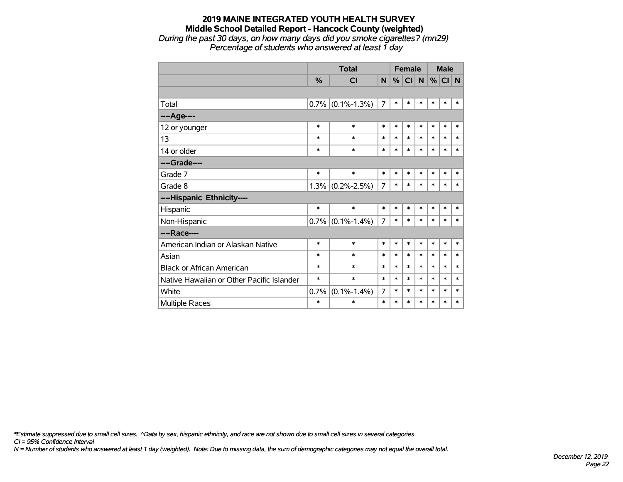#### **2019 MAINE INTEGRATED YOUTH HEALTH SURVEY Middle School Detailed Report - Hancock County (weighted)** *During the past 30 days, on how many days did you smoke cigarettes? (mn29)*

*Percentage of students who answered at least 1 day*

|                                           |               | <b>Total</b>      |                |        | <b>Female</b> |        | <b>Male</b> |        |        |
|-------------------------------------------|---------------|-------------------|----------------|--------|---------------|--------|-------------|--------|--------|
|                                           | $\frac{0}{0}$ | CI                | N              | %      | <b>CI</b>     | N      | %           | CI N   |        |
|                                           |               |                   |                |        |               |        |             |        |        |
| Total                                     | 0.7%          | $(0.1\% - 1.3\%)$ | $\overline{7}$ | $\ast$ | $\ast$        | $\ast$ | $\ast$      | $\ast$ | *      |
| ----Age----                               |               |                   |                |        |               |        |             |        |        |
| 12 or younger                             | $\ast$        | $\ast$            | $\ast$         | $\ast$ | $\ast$        | $\ast$ | $\ast$      | $\ast$ | $\ast$ |
| 13                                        | $\ast$        | $\ast$            | $\ast$         | $\ast$ | $\ast$        | $\ast$ | $\ast$      | $\ast$ | *      |
| 14 or older                               | $\ast$        | $\ast$            | $\ast$         | $\ast$ | $\ast$        | $\ast$ | $\ast$      | $\ast$ | $\ast$ |
| ----Grade----                             |               |                   |                |        |               |        |             |        |        |
| Grade 7                                   | $\ast$        | $\ast$            | *              | $\ast$ | $\ast$        | $\ast$ | $\ast$      | $\ast$ | *      |
| Grade 8                                   | 1.3%          | $(0.2\% - 2.5\%)$ | 7              | $\ast$ | $\ast$        | $\ast$ | $\ast$      | $\ast$ | *      |
| ----Hispanic Ethnicity----                |               |                   |                |        |               |        |             |        |        |
| Hispanic                                  | $\ast$        | $\ast$            | $\ast$         | $\ast$ | $\ast$        | $\ast$ | $\ast$      | $\ast$ | *      |
| Non-Hispanic                              | 0.7%          | $(0.1\% - 1.4\%)$ | $\overline{7}$ | $\ast$ | $\ast$        | $\ast$ | $\ast$      | $\ast$ | *      |
| ----Race----                              |               |                   |                |        |               |        |             |        |        |
| American Indian or Alaskan Native         | $\ast$        | $\ast$            | *              | $\ast$ | $\ast$        | $\ast$ | $\ast$      | $\ast$ | $\ast$ |
| Asian                                     | $\ast$        | $\ast$            | *              | $\ast$ | $\ast$        | $\ast$ | $\ast$      | $\ast$ | *      |
| <b>Black or African American</b>          | $\ast$        | $\ast$            | $\ast$         | $\ast$ | $\ast$        | $\ast$ | $\ast$      | $\ast$ | *      |
| Native Hawaiian or Other Pacific Islander | $\ast$        | $\ast$            | $\ast$         | $\ast$ | $\ast$        | $\ast$ | $\ast$      | $\ast$ | $\ast$ |
| White                                     | 0.7%          | $(0.1\% - 1.4\%)$ | 7              | $\ast$ | $\ast$        | $\ast$ | $\ast$      | $\ast$ | *      |
| Multiple Races                            | $\ast$        | $\ast$            | $\ast$         | $\ast$ | $\ast$        | $\ast$ | $\ast$      | $\ast$ | $\ast$ |

*\*Estimate suppressed due to small cell sizes. ^Data by sex, hispanic ethnicity, and race are not shown due to small cell sizes in several categories.*

*CI = 95% Confidence Interval*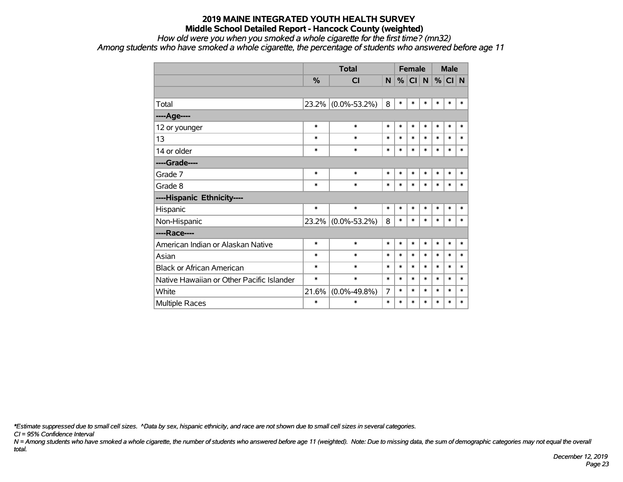#### *How old were you when you smoked a whole cigarette for the first time? (mn32)*

*Among students who have smoked a whole cigarette, the percentage of students who answered before age 11*

|                                           |        |                    |        |        | <b>Female</b> |        | <b>Male</b> |        |        |
|-------------------------------------------|--------|--------------------|--------|--------|---------------|--------|-------------|--------|--------|
|                                           | %      | <b>CI</b>          | N      | %      | CI            | N      |             | % CI N |        |
|                                           |        |                    |        |        |               |        |             |        |        |
| Total                                     | 23.2%  | $(0.0\% - 53.2\%)$ | 8      | $\ast$ | $\ast$        | $\ast$ | $\ast$      | $\ast$ | $\ast$ |
| ----Age----                               |        |                    |        |        |               |        |             |        |        |
| 12 or younger                             | $\ast$ | $\ast$             | $\ast$ | $\ast$ | $\ast$        | $\ast$ | $\ast$      | $\ast$ | $\ast$ |
| 13                                        | $\ast$ | $\ast$             | $\ast$ | $\ast$ | $\ast$        | $\ast$ | $\ast$      | $\ast$ | $\ast$ |
| 14 or older                               | $\ast$ | $\ast$             | $\ast$ | $\ast$ | $\ast$        | $\ast$ | $\ast$      | $\ast$ | $\ast$ |
| ----Grade----                             |        |                    |        |        |               |        |             |        |        |
| Grade 7                                   | $\ast$ | $\ast$             | $\ast$ | $\ast$ | $\ast$        | $\ast$ | $\ast$      | $\ast$ | $\ast$ |
| Grade 8                                   | $\ast$ | $\ast$             | $\ast$ | $\ast$ | *             | $\ast$ | $\ast$      | $\ast$ | $\ast$ |
| ----Hispanic Ethnicity----                |        |                    |        |        |               |        |             |        |        |
| Hispanic                                  | $\ast$ | $\ast$             | $\ast$ | $\ast$ | $\ast$        | $\ast$ | $\ast$      | $\ast$ | $\ast$ |
| Non-Hispanic                              | 23.2%  | $(0.0\% - 53.2\%)$ | 8      | $\ast$ | $\ast$        | $\ast$ | $\ast$      | $\ast$ | $\ast$ |
| ----Race----                              |        |                    |        |        |               |        |             |        |        |
| American Indian or Alaskan Native         | $\ast$ | $\ast$             | $\ast$ | $\ast$ | $\ast$        | $\ast$ | $\ast$      | $\ast$ | $\ast$ |
| Asian                                     | $\ast$ | $\ast$             | $\ast$ | $\ast$ | $\ast$        | $\ast$ | $\ast$      | $\ast$ | $\ast$ |
| <b>Black or African American</b>          | $\ast$ | $\ast$             | $\ast$ | $\ast$ | $\ast$        | $\ast$ | $\ast$      | $\ast$ | $\ast$ |
| Native Hawaiian or Other Pacific Islander | $\ast$ | $\ast$             | $\ast$ | $\ast$ | $\ast$        | $\ast$ | $\ast$      | $\ast$ | $\ast$ |
| White                                     | 21.6%  | $(0.0\% - 49.8\%)$ | 7      | $\ast$ | *             | $\ast$ | $\ast$      | $\ast$ | $\ast$ |
| <b>Multiple Races</b>                     | $\ast$ | $\ast$             | $\ast$ | $\ast$ | $\ast$        | $\ast$ | $\ast$      | $\ast$ | $\ast$ |

*\*Estimate suppressed due to small cell sizes. ^Data by sex, hispanic ethnicity, and race are not shown due to small cell sizes in several categories.*

*CI = 95% Confidence Interval*

*N = Among students who have smoked a whole cigarette, the number of students who answered before age 11 (weighted). Note: Due to missing data, the sum of demographic categories may not equal the overall total.*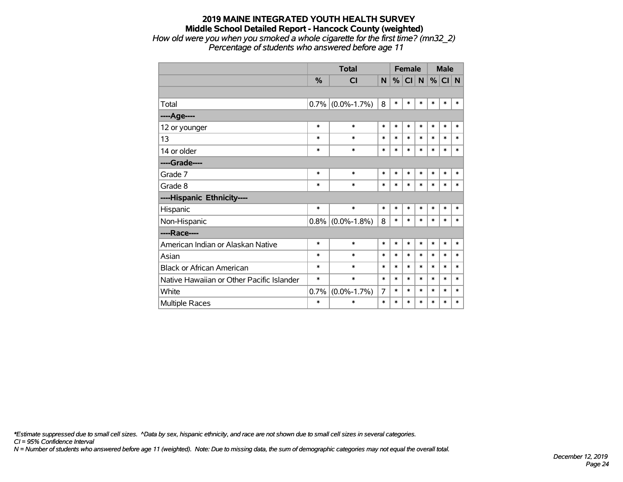## **2019 MAINE INTEGRATED YOUTH HEALTH SURVEY Middle School Detailed Report - Hancock County (weighted)** *How old were you when you smoked a whole cigarette for the first time? (mn32\_2)*

*Percentage of students who answered before age 11*

|                                           |         | <b>Total</b>        |        | <b>Female</b> |        |        | <b>Male</b> |        |        |
|-------------------------------------------|---------|---------------------|--------|---------------|--------|--------|-------------|--------|--------|
|                                           | %       | <b>CI</b>           | N      | %             | CI N   |        | %           | CI N   |        |
|                                           |         |                     |        |               |        |        |             |        |        |
| Total                                     | $0.7\%$ | $(0.0\% - 1.7\%)$   | 8      | $\ast$        | $\ast$ | $\ast$ | *           | $\ast$ | $\ast$ |
| ----Age----                               |         |                     |        |               |        |        |             |        |        |
| 12 or younger                             | $\ast$  | $\ast$              | $\ast$ | $\ast$        | $\ast$ | $\ast$ | $\ast$      | $\ast$ | $\ast$ |
| 13                                        | $\ast$  | $\ast$              | $\ast$ | $\ast$        | $\ast$ | $\ast$ | $\ast$      | $\ast$ | $\ast$ |
| 14 or older                               | $\ast$  | $\ast$              | $\ast$ | $\ast$        | $\ast$ | $\ast$ | $\ast$      | $\ast$ | $\ast$ |
| ----Grade----                             |         |                     |        |               |        |        |             |        |        |
| Grade 7                                   | $\ast$  | $\ast$              | $\ast$ | $\ast$        | $\ast$ | $\ast$ | $\ast$      | $\ast$ | $\ast$ |
| Grade 8                                   | $\ast$  | $\ast$              | $\ast$ | $\ast$        | $\ast$ | $\ast$ | *           | $\ast$ | $\ast$ |
| ----Hispanic Ethnicity----                |         |                     |        |               |        |        |             |        |        |
| Hispanic                                  | $\ast$  | $\ast$              | $\ast$ | $\ast$        | $\ast$ | $\ast$ | *           | $\ast$ | $\ast$ |
| Non-Hispanic                              |         | $0.8\%$ (0.0%-1.8%) | 8      | $\ast$        | $\ast$ | $\ast$ | *           | $\ast$ | $\ast$ |
| ----Race----                              |         |                     |        |               |        |        |             |        |        |
| American Indian or Alaskan Native         | $\ast$  | $\ast$              | $\ast$ | $\ast$        | $\ast$ | $\ast$ | $\ast$      | $\ast$ | $\ast$ |
| Asian                                     | $\ast$  | $\ast$              | $\ast$ | $\ast$        | $\ast$ | $\ast$ | *           | $\ast$ | $\ast$ |
| <b>Black or African American</b>          | $\ast$  | $\ast$              | $\ast$ | $\ast$        | *      | $\ast$ | *           | $\ast$ | $\ast$ |
| Native Hawaiian or Other Pacific Islander | $\ast$  | $\ast$              | $\ast$ | $\ast$        | $\ast$ | $\ast$ | *           | $\ast$ | $\ast$ |
| White                                     | 0.7%    | $(0.0\% - 1.7\%)$   | 7      | $\ast$        | $\ast$ | $\ast$ | $\ast$      | $\ast$ | $\ast$ |
| Multiple Races                            | $\ast$  | $\ast$              | $\ast$ | $\ast$        | $\ast$ | $\ast$ | *           | $\ast$ | $\ast$ |

*\*Estimate suppressed due to small cell sizes. ^Data by sex, hispanic ethnicity, and race are not shown due to small cell sizes in several categories.*

*CI = 95% Confidence Interval*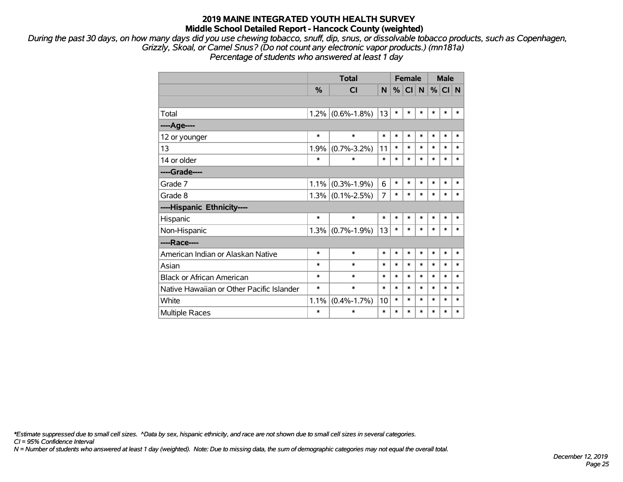*During the past 30 days, on how many days did you use chewing tobacco, snuff, dip, snus, or dissolvable tobacco products, such as Copenhagen, Grizzly, Skoal, or Camel Snus? (Do not count any electronic vapor products.) (mn181a)*

*Percentage of students who answered at least 1 day*

|                                           |               | <b>Total</b>        |                |        | <b>Female</b> |        | <b>Male</b> |         |             |
|-------------------------------------------|---------------|---------------------|----------------|--------|---------------|--------|-------------|---------|-------------|
|                                           | $\frac{0}{2}$ | <b>CI</b>           | N              | %      | C             | N      |             | $\%$ CI | $\mathbf N$ |
|                                           |               |                     |                |        |               |        |             |         |             |
| Total                                     | 1.2%          | $(0.6\% - 1.8\%)$   | 13             | $\ast$ | *             | $\ast$ | $\ast$      | $\ast$  | $\ast$      |
| ----Age----                               |               |                     |                |        |               |        |             |         |             |
| 12 or younger                             | $\ast$        | $\ast$              | $\ast$         | $\ast$ | $\ast$        | $\ast$ | $\ast$      | $\ast$  | $\ast$      |
| 13                                        | 1.9%          | $(0.7\% - 3.2\%)$   | 11             | $\ast$ | *             | $\ast$ | $\ast$      | $\ast$  | $\ast$      |
| 14 or older                               | $\ast$        | $\ast$              | $\ast$         | $\ast$ | *             | $\ast$ | $\ast$      | $\ast$  | $\ast$      |
| ----Grade----                             |               |                     |                |        |               |        |             |         |             |
| Grade 7                                   | 1.1%          | $(0.3\% - 1.9\%)$   | 6              | $\ast$ | *             | $\ast$ | $\ast$      | $\ast$  | $\ast$      |
| Grade 8                                   |               | $1.3\%$ (0.1%-2.5%) | $\overline{7}$ | $\ast$ | *             | $\ast$ | $\ast$      | $\ast$  | *           |
| ----Hispanic Ethnicity----                |               |                     |                |        |               |        |             |         |             |
| Hispanic                                  | $\ast$        | $\ast$              | $\ast$         | $\ast$ | $\ast$        | $\ast$ | $\ast$      | $\ast$  | *           |
| Non-Hispanic                              |               | $1.3\%$ (0.7%-1.9%) | 13             | $\ast$ | *             | $\ast$ | $\ast$      | $\ast$  | $\ast$      |
| ----Race----                              |               |                     |                |        |               |        |             |         |             |
| American Indian or Alaskan Native         | $\ast$        | $\ast$              | $\ast$         | $\ast$ | *             | $\ast$ | $\ast$      | $\ast$  | $\ast$      |
| Asian                                     | $\ast$        | $\ast$              | $\ast$         | $\ast$ | *             | $\ast$ | $\ast$      | $\ast$  | $\ast$      |
| <b>Black or African American</b>          | $\ast$        | $\ast$              | $\ast$         | $\ast$ | *             | $\ast$ | $\ast$      | $\ast$  | *           |
| Native Hawaiian or Other Pacific Islander | $\ast$        | $\ast$              | $\ast$         | $\ast$ | *             | $\ast$ | $\ast$      | $\ast$  | $\ast$      |
| White                                     | 1.1%          | $(0.4\% - 1.7\%)$   | 10             | $\ast$ | *             | $\ast$ | $\ast$      | $\ast$  | *           |
| <b>Multiple Races</b>                     | *             | $\ast$              | $\ast$         | $\ast$ | $\ast$        | $\ast$ | $\ast$      | $\ast$  | $\ast$      |

*\*Estimate suppressed due to small cell sizes. ^Data by sex, hispanic ethnicity, and race are not shown due to small cell sizes in several categories.*

*CI = 95% Confidence Interval*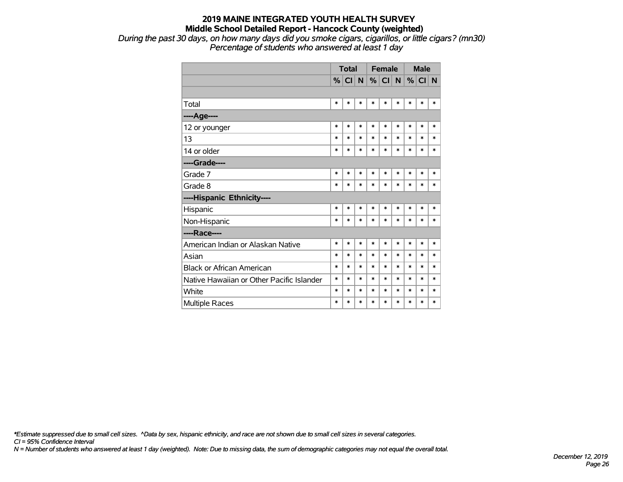*During the past 30 days, on how many days did you smoke cigars, cigarillos, or little cigars? (mn30) Percentage of students who answered at least 1 day*

|                                           |        | <b>Total</b> |        |        | <b>Female</b> |        | <b>Male</b> |        |        |
|-------------------------------------------|--------|--------------|--------|--------|---------------|--------|-------------|--------|--------|
|                                           | %      | CI N         |        |        | $%$ CI N      |        | %           | CI N   |        |
|                                           |        |              |        |        |               |        |             |        |        |
| Total                                     | $\ast$ | $\ast$       | *      | $\ast$ | $\ast$        | $\ast$ | $\ast$      | $\ast$ | $\ast$ |
| ---- Age----                              |        |              |        |        |               |        |             |        |        |
| 12 or younger                             | $\ast$ | $\ast$       | *      | $\ast$ | $\ast$        | $\ast$ | $\ast$      | $\ast$ | $\ast$ |
| 13                                        | $\ast$ | $\ast$       | $\ast$ | $\ast$ | $\ast$        | $\ast$ | $\ast$      | $\ast$ | $\ast$ |
| 14 or older                               | $\ast$ | *            | $\ast$ | $\ast$ | $\ast$        | $\ast$ | $\ast$      | $\ast$ | $\ast$ |
| ----Grade----                             |        |              |        |        |               |        |             |        |        |
| Grade 7                                   | $\ast$ | $\ast$       | $\ast$ | $\ast$ | $\ast$        | $\ast$ | $\ast$      | $\ast$ | $\ast$ |
| Grade 8                                   | $\ast$ | $\ast$       | *      | $\ast$ | $\ast$        | $\ast$ | $\ast$      | $\ast$ | $\ast$ |
| ----Hispanic Ethnicity----                |        |              |        |        |               |        |             |        |        |
| Hispanic                                  | $\ast$ | *            | $\ast$ | $\ast$ | $\ast$        | $\ast$ | $\ast$      | $\ast$ | ∗      |
| Non-Hispanic                              | $\ast$ | $\ast$       | $\ast$ | $\ast$ | $\ast$        | $\ast$ | $\ast$      | $\ast$ | $\ast$ |
| ----Race----                              |        |              |        |        |               |        |             |        |        |
| American Indian or Alaskan Native         | $\ast$ | *            | $\ast$ | $\ast$ | $\ast$        | $\ast$ | $\ast$      | $\ast$ | $\ast$ |
| Asian                                     | $\ast$ | $\ast$       | $\ast$ | $\ast$ | $\ast$        | $\ast$ | $\ast$      | $\ast$ | $\ast$ |
| <b>Black or African American</b>          | $\ast$ | $\ast$       | *      | $\ast$ | $\ast$        | $\ast$ | $\ast$      | $\ast$ | $\ast$ |
| Native Hawaiian or Other Pacific Islander | $\ast$ | $\ast$       | *      | $\ast$ | $\ast$        | $\ast$ | $\ast$      | $\ast$ | $\ast$ |
| White                                     | $\ast$ | $\ast$       | *      | *      | $\ast$        | $\ast$ | $\ast$      | $\ast$ | $\ast$ |
| <b>Multiple Races</b>                     | $\ast$ | $\ast$       | *      | $\ast$ | $\ast$        | $\ast$ | $\ast$      | $\ast$ | $\ast$ |

*\*Estimate suppressed due to small cell sizes. ^Data by sex, hispanic ethnicity, and race are not shown due to small cell sizes in several categories.*

*CI = 95% Confidence Interval*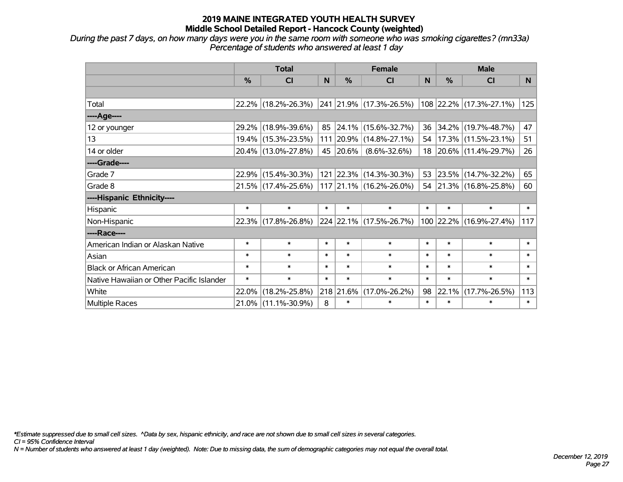*During the past 7 days, on how many days were you in the same room with someone who was smoking cigarettes? (mn33a) Percentage of students who answered at least 1 day*

|                                           | <b>Total</b>  |                        |        | <b>Female</b> |                             | <b>Male</b> |        |                         |        |
|-------------------------------------------|---------------|------------------------|--------|---------------|-----------------------------|-------------|--------|-------------------------|--------|
|                                           | $\frac{0}{0}$ | CI                     | N      | $\frac{0}{0}$ | <b>CI</b>                   | N           | %      | <b>CI</b>               | N      |
|                                           |               |                        |        |               |                             |             |        |                         |        |
| Total                                     |               | 22.2% (18.2%-26.3%)    |        |               | 241 21.9% (17.3%-26.5%)     |             |        | 108 22.2% (17.3%-27.1%) | 125    |
| ----Age----                               |               |                        |        |               |                             |             |        |                         |        |
| 12 or younger                             | 29.2%         | $(18.9\% - 39.6\%)$    | 85     |               | 24.1% (15.6%-32.7%)         | 36          |        | 34.2% (19.7%-48.7%)     | 47     |
| 13                                        |               | 19.4% (15.3%-23.5%)    |        |               | 111 20.9% (14.8%-27.1%)     | 54          |        | $17.3\%$ (11.5%-23.1%)  | 51     |
| 14 or older                               |               | 20.4% (13.0%-27.8%)    |        | 45 20.6%      | $(8.6\% - 32.6\%)$          |             |        | 18 20.6% (11.4%-29.7%)  | 26     |
| ----Grade----                             |               |                        |        |               |                             |             |        |                         |        |
| Grade 7                                   | 22.9%         | $(15.4\% - 30.3\%)$    |        |               | 121 22.3% (14.3%-30.3%)     | 53          |        | $23.5\%$ (14.7%-32.2%)  | 65     |
| Grade 8                                   |               | $21.5\%$ (17.4%-25.6%) |        |               | 117   21.1%   (16.2%-26.0%) |             |        | 54 21.3% (16.8%-25.8%)  | 60     |
| ----Hispanic Ethnicity----                |               |                        |        |               |                             |             |        |                         |        |
| Hispanic                                  | $\ast$        | $\ast$                 | $\ast$ | $\ast$        | $\ast$                      | $\ast$      | $\ast$ | $\ast$                  | $\ast$ |
| Non-Hispanic                              |               | 22.3% (17.8%-26.8%)    |        |               | 224 22.1% (17.5%-26.7%)     |             |        | 100 22.2% (16.9%-27.4%) | 117    |
| ----Race----                              |               |                        |        |               |                             |             |        |                         |        |
| American Indian or Alaskan Native         | $\ast$        | $\ast$                 | $\ast$ | $\ast$        | $\ast$                      | $\ast$      | $\ast$ | $\ast$                  | $\ast$ |
| Asian                                     | $\ast$        | $\ast$                 | $\ast$ | $\ast$        | $\ast$                      | $\ast$      | $\ast$ | $\ast$                  | $\ast$ |
| <b>Black or African American</b>          | $\ast$        | $\ast$                 | $\ast$ | $\ast$        | $\ast$                      | $\ast$      | $\ast$ | $\ast$                  | $\ast$ |
| Native Hawaiian or Other Pacific Islander | $\ast$        | $\ast$                 | $\ast$ | $\ast$        | $\ast$                      | $\ast$      | $\ast$ | $\ast$                  | $\ast$ |
| White                                     | 22.0%         | $(18.2\% - 25.8\%)$    |        | 218 21.6%     | $(17.0\% - 26.2\%)$         | 98          | 22.1%  | $(17.7\% - 26.5\%)$     | 113    |
| <b>Multiple Races</b>                     |               | 21.0% (11.1%-30.9%)    | 8      | $\ast$        | $\ast$                      | $\ast$      | $\ast$ | $\ast$                  | $\ast$ |

*\*Estimate suppressed due to small cell sizes. ^Data by sex, hispanic ethnicity, and race are not shown due to small cell sizes in several categories.*

*CI = 95% Confidence Interval*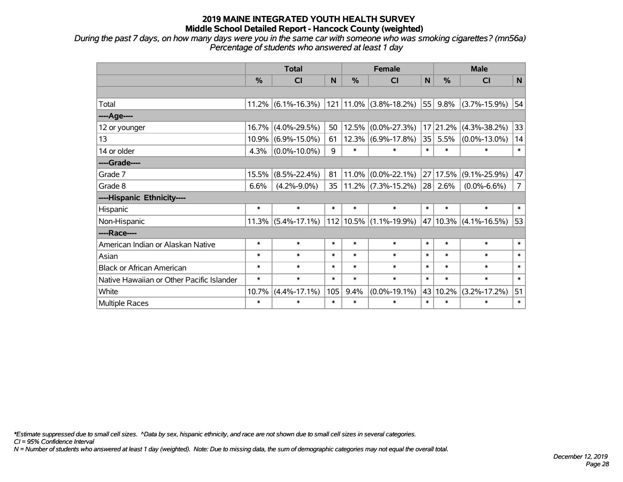*During the past 7 days, on how many days were you in the same car with someone who was smoking cigarettes? (mn56a) Percentage of students who answered at least 1 day*

|                                           | <b>Total</b> |                       |        | <b>Female</b> | <b>Male</b>                     |        |               |                    |                |
|-------------------------------------------|--------------|-----------------------|--------|---------------|---------------------------------|--------|---------------|--------------------|----------------|
|                                           | %            | CI                    | N      | %             | <b>CI</b>                       | N      | $\frac{0}{0}$ | <b>CI</b>          | N              |
|                                           |              |                       |        |               |                                 |        |               |                    |                |
| Total                                     |              | $11.2\%$ (6.1%-16.3%) |        |               | $121$ 11.0% (3.8%-18.2%)        | 55     | 9.8%          | $(3.7\% - 15.9\%)$ | 54             |
| ---- Age----                              |              |                       |        |               |                                 |        |               |                    |                |
| 12 or younger                             | 16.7%        | $(4.0\% - 29.5\%)$    | 50     | 12.5%         | $(0.0\% - 27.3\%)$              | 17     | 21.2%         | $(4.3\% - 38.2\%)$ | 33             |
| 13                                        | 10.9%        | $(6.9\% - 15.0\%)$    | 61     |               | $12.3\%$ (6.9%-17.8%)           | 35     | 5.5%          | $(0.0\% - 13.0\%)$ | 14             |
| 14 or older                               | 4.3%         | $(0.0\% - 10.0\%)$    | 9      | $\ast$        | $\ast$                          | $\ast$ | $\ast$        | ∗                  | $\ast$         |
| ----Grade----                             |              |                       |        |               |                                 |        |               |                    |                |
| Grade 7                                   | 15.5%        | $(8.5\% - 22.4\%)$    | 81     | 11.0%         | $(0.0\% - 22.1\%)$              | 27     | 17.5%         | $(9.1\% - 25.9\%)$ | 47             |
| Grade 8                                   | 6.6%         | $(4.2\% - 9.0\%)$     | 35     |               | $11.2\%$ (7.3%-15.2%)           | 28     | 2.6%          | $(0.0\% - 6.6\%)$  | $\overline{7}$ |
| ----Hispanic Ethnicity----                |              |                       |        |               |                                 |        |               |                    |                |
| Hispanic                                  | $\ast$       | $\ast$                | $\ast$ | $\ast$        | $\ast$                          | $\ast$ | $\ast$        | $\ast$             | $\ast$         |
| Non-Hispanic                              |              | $11.3\%$ (5.4%-17.1%) |        |               | $ 112 10.5\%  (1.1\% - 19.9\%)$ |        | 47 10.3%      | $(4.1\% - 16.5\%)$ | 53             |
| ----Race----                              |              |                       |        |               |                                 |        |               |                    |                |
| American Indian or Alaskan Native         | $\ast$       | $\ast$                | $\ast$ | $\ast$        | $\ast$                          | $\ast$ | $\ast$        | $\ast$             | $\ast$         |
| Asian                                     | $\ast$       | $\ast$                | $\ast$ | $\ast$        | $\ast$                          | $\ast$ | $\ast$        | $\ast$             | $\ast$         |
| <b>Black or African American</b>          | $\ast$       | $\ast$                | $\ast$ | $\ast$        | $\ast$                          | $\ast$ | $\ast$        | $\ast$             | $\ast$         |
| Native Hawaiian or Other Pacific Islander | $\ast$       | $\ast$                | $\ast$ | $\ast$        | $\ast$                          | $\ast$ | $\ast$        | $\ast$             | $\ast$         |
| White                                     | 10.7%        | $(4.4\% - 17.1\%)$    | 105    | 9.4%          | $(0.0\% - 19.1\%)$              |        | 43 10.2%      | $(3.2\% - 17.2\%)$ | 51             |
| Multiple Races                            | $\ast$       | $\ast$                | $\ast$ | $\ast$        | $\ast$                          | $\ast$ | $\ast$        | $\ast$             | $\ast$         |

*\*Estimate suppressed due to small cell sizes. ^Data by sex, hispanic ethnicity, and race are not shown due to small cell sizes in several categories.*

*CI = 95% Confidence Interval*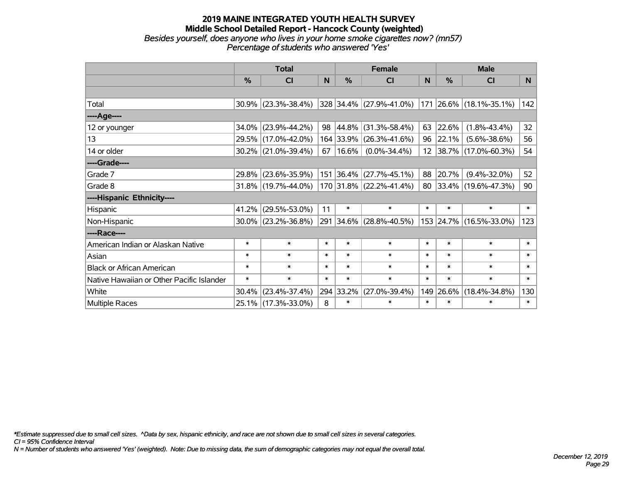#### **2019 MAINE INTEGRATED YOUTH HEALTH SURVEY Middle School Detailed Report - Hancock County (weighted)** *Besides yourself, does anyone who lives in your home smoke cigarettes now? (mn57) Percentage of students who answered 'Yes'*

|                                           | <b>Total</b> |                        |        | <b>Female</b> |                           | <b>Male</b> |        |                         |              |
|-------------------------------------------|--------------|------------------------|--------|---------------|---------------------------|-------------|--------|-------------------------|--------------|
|                                           | %            | CI                     | N      | $\frac{0}{0}$ | <b>CI</b>                 | N           | %      | <b>CI</b>               | N            |
|                                           |              |                        |        |               |                           |             |        |                         |              |
| Total                                     |              | $30.9\%$ (23.3%-38.4%) |        |               | 328 34.4% (27.9%-41.0%)   |             |        | 171 26.6% (18.1%-35.1%) | 142          |
| ---- Age----                              |              |                        |        |               |                           |             |        |                         |              |
| 12 or younger                             | 34.0%        | $(23.9\% - 44.2\%)$    | 98     | $ 44.8\% $    | $(31.3\% - 58.4\%)$       | 63          | 22.6%  | $(1.8\% - 43.4\%)$      | 32           |
| 13                                        |              | 29.5% (17.0%-42.0%)    |        |               | 164 33.9% (26.3%-41.6%)   | 96          | 22.1%  | $(5.6\% - 38.6\%)$      | 56           |
| 14 or older                               |              | $30.2\%$ (21.0%-39.4%) | 67     | $ 16.6\% $    | $(0.0\% - 34.4\%)$        |             |        | 12 38.7% (17.0%-60.3%)  | 54           |
| ----Grade----                             |              |                        |        |               |                           |             |        |                         |              |
| Grade 7                                   | 29.8%        | $(23.6\% - 35.9\%)$    |        |               | $151$ 36.4% (27.7%-45.1%) | 88          | 20.7%  | $(9.4\% - 32.0\%)$      | 52           |
| Grade 8                                   |              | $31.8\%$ (19.7%-44.0%) |        |               | $170$ 31.8% (22.2%-41.4%) |             |        | 80 33.4% (19.6%-47.3%)  | 90           |
| ----Hispanic Ethnicity----                |              |                        |        |               |                           |             |        |                         |              |
| Hispanic                                  | 41.2%        | $(29.5\% - 53.0\%)$    | 11     | $\ast$        | $\ast$                    | $\ast$      | $\ast$ | $\ast$                  | $\ast$       |
| Non-Hispanic                              |              | $30.0\%$ (23.2%-36.8%) |        |               | 291 34.6% (28.8%-40.5%)   |             |        | 153 24.7% (16.5%-33.0%) | 123          |
| ----Race----                              |              |                        |        |               |                           |             |        |                         |              |
| American Indian or Alaskan Native         | $\ast$       | $\ast$                 | $\ast$ | $\ast$        | $\ast$                    | $\ast$      | $\ast$ | $\ast$                  | $\ast$       |
| Asian                                     | $\ast$       | $\ast$                 | $\ast$ | $\ast$        | $\ast$                    | $\ast$      | $\ast$ | $\ast$                  | $\ast$       |
| <b>Black or African American</b>          | $\ast$       | $\ast$                 | $\ast$ | $\ast$        | $\ast$                    | $\ast$      | $\ast$ | $\ast$                  | $\ast$       |
| Native Hawaiian or Other Pacific Islander | $\ast$       | $\ast$                 | $\ast$ | $\ast$        | $\ast$                    | $\ast$      | $\ast$ | $\ast$                  | $\ast$       |
| White                                     | 30.4%        | $(23.4\% - 37.4\%)$    |        | 294 33.2%     | $(27.0\% - 39.4\%)$       | 149         | 26.6%  | $(18.4\% - 34.8\%)$     | 130          |
| Multiple Races                            |              | 25.1% (17.3%-33.0%)    | 8      | $\ast$        | $\ast$                    | $\ast$      | $\ast$ | $\ast$                  | $\pmb{\ast}$ |

*\*Estimate suppressed due to small cell sizes. ^Data by sex, hispanic ethnicity, and race are not shown due to small cell sizes in several categories.*

*CI = 95% Confidence Interval*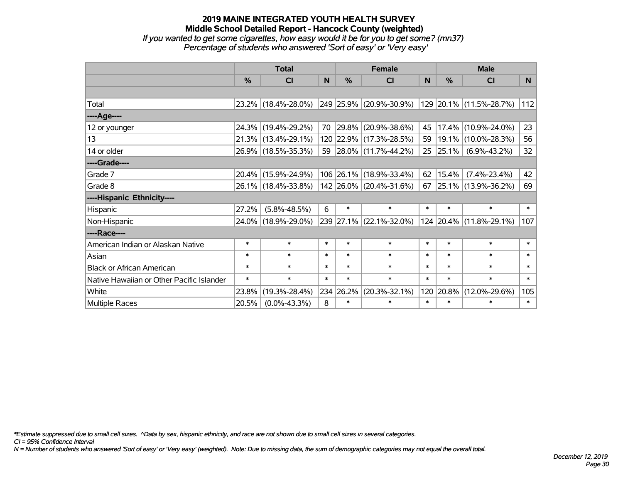#### **2019 MAINE INTEGRATED YOUTH HEALTH SURVEY Middle School Detailed Report - Hancock County (weighted)** *If you wanted to get some cigarettes, how easy would it be for you to get some? (mn37) Percentage of students who answered 'Sort of easy' or 'Very easy'*

|                                           | <b>Total</b>  |                     |        |               | <b>Female</b>            |        | <b>Male</b> |                         |                 |  |
|-------------------------------------------|---------------|---------------------|--------|---------------|--------------------------|--------|-------------|-------------------------|-----------------|--|
|                                           | $\frac{0}{0}$ | CI                  | N      | $\frac{0}{0}$ | <b>CI</b>                | N      | %           | <b>CI</b>               | N               |  |
|                                           |               |                     |        |               |                          |        |             |                         |                 |  |
| Total                                     |               | 23.2% (18.4%-28.0%) |        |               | 249 25.9% (20.9%-30.9%)  |        |             | 129 20.1% (11.5%-28.7%) | 112             |  |
| ----Age----                               |               |                     |        |               |                          |        |             |                         |                 |  |
| 12 or younger                             |               | 24.3% (19.4%-29.2%) | 70     |               | $ 29.8\% $ (20.9%-38.6%) | 45     | 17.4%       | $(10.9\% - 24.0\%)$     | 23              |  |
| 13                                        |               | 21.3% (13.4%-29.1%) |        |               | 120 22.9% (17.3%-28.5%)  | 59     |             | 19.1% (10.0%-28.3%)     | 56              |  |
| 14 or older                               |               | 26.9% (18.5%-35.3%) |        |               | 59 28.0% (11.7%-44.2%)   | 25     | $ 25.1\% $  | $(6.9\% - 43.2\%)$      | 32 <sub>2</sub> |  |
| ----Grade----                             |               |                     |        |               |                          |        |             |                         |                 |  |
| Grade 7                                   |               | 20.4% (15.9%-24.9%) |        |               | 106 26.1% (18.9%-33.4%)  | 62     | 15.4%       | $(7.4\% - 23.4\%)$      | 42              |  |
| Grade 8                                   |               | 26.1% (18.4%-33.8%) |        |               | 142 26.0% (20.4%-31.6%)  |        |             | 67 25.1% (13.9%-36.2%)  | 69              |  |
| ----Hispanic Ethnicity----                |               |                     |        |               |                          |        |             |                         |                 |  |
| Hispanic                                  | 27.2%         | $(5.8\% - 48.5\%)$  | 6      | $\ast$        | $\ast$                   | $\ast$ | $\ast$      | $\ast$                  | $\ast$          |  |
| Non-Hispanic                              |               | 24.0% (18.9%-29.0%) |        |               | 239 27.1% (22.1%-32.0%)  |        |             | 124 20.4% (11.8%-29.1%) | 107             |  |
| ----Race----                              |               |                     |        |               |                          |        |             |                         |                 |  |
| American Indian or Alaskan Native         | $\ast$        | $\ast$              | $\ast$ | $\ast$        | $\ast$                   | $\ast$ | $\ast$      | $\ast$                  | $\ast$          |  |
| Asian                                     | $\ast$        | $\ast$              | $\ast$ | $\ast$        | $\ast$                   | $\ast$ | $\ast$      | $\ast$                  | $\ast$          |  |
| <b>Black or African American</b>          | $\ast$        | $\ast$              | $\ast$ | $\ast$        | $\ast$                   | $\ast$ | $\ast$      | $\ast$                  | $\ast$          |  |
| Native Hawaiian or Other Pacific Islander | $\ast$        | $\ast$              | $\ast$ | $\ast$        | $\ast$                   | $\ast$ | $\ast$      | $\ast$                  | $\ast$          |  |
| White                                     | 23.8%         | $(19.3\% - 28.4\%)$ |        | 234 26.2%     | $(20.3\% - 32.1\%)$      | 120    | 20.8%       | $(12.0\% - 29.6\%)$     | 105             |  |
| <b>Multiple Races</b>                     | 20.5%         | $(0.0\% - 43.3\%)$  | 8      | $\ast$        | $\ast$                   | $\ast$ | $\ast$      | $\ast$                  | $\ast$          |  |

*\*Estimate suppressed due to small cell sizes. ^Data by sex, hispanic ethnicity, and race are not shown due to small cell sizes in several categories.*

*CI = 95% Confidence Interval*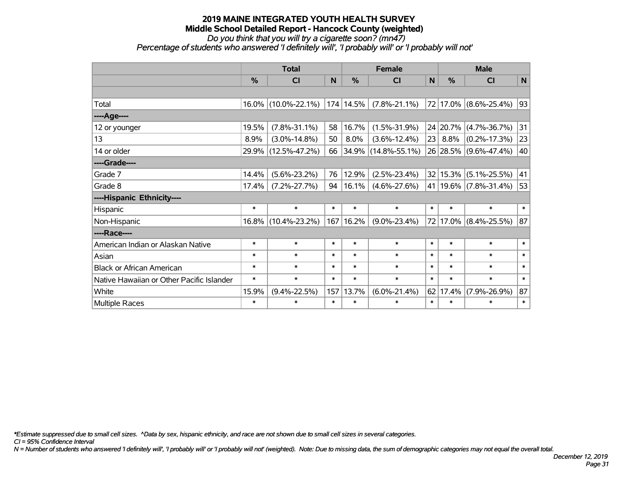*Do you think that you will try a cigarette soon? (mn47)*

*Percentage of students who answered 'I definitely will', 'I probably will' or 'I probably will not'*

|                                           | <b>Total</b> |                     | <b>Female</b> |           |                     | <b>Male</b> |          |                           |        |
|-------------------------------------------|--------------|---------------------|---------------|-----------|---------------------|-------------|----------|---------------------------|--------|
|                                           | $\%$         | <b>CI</b>           | N             | $\%$      | <b>CI</b>           | N           | $\%$     | <b>CI</b>                 | N      |
|                                           |              |                     |               |           |                     |             |          |                           |        |
| Total                                     |              | 16.0% (10.0%-22.1%) |               | 174 14.5% | $(7.8\% - 21.1\%)$  |             |          | 72 17.0% (8.6%-25.4%)     | 93     |
| ----Age----                               |              |                     |               |           |                     |             |          |                           |        |
| 12 or younger                             | 19.5%        | $(7.8\% - 31.1\%)$  | 58            | 16.7%     | $(1.5\% - 31.9\%)$  |             | 24 20.7% | $(4.7\% - 36.7\%)$        | 31     |
| 13                                        | 8.9%         | $(3.0\% - 14.8\%)$  | 50            | 8.0%      | $(3.6\% - 12.4\%)$  | 23          | 8.8%     | $(0.2\% - 17.3\%)$        | 23     |
| 14 or older                               |              | 29.9% (12.5%-47.2%) | 66            |           | 34.9% (14.8%-55.1%) |             |          | 26 28.5% (9.6%-47.4%)     | 40     |
| ----Grade----                             |              |                     |               |           |                     |             |          |                           |        |
| Grade 7                                   | 14.4%        | $(5.6\% - 23.2\%)$  | 76            | 12.9%     | $(2.5\% - 23.4\%)$  |             |          | 32 15.3% (5.1%-25.5%)     | 41     |
| Grade 8                                   | 17.4%        | $(7.2\% - 27.7\%)$  | 94            | 16.1%     | $(4.6\% - 27.6\%)$  |             |          | 41   19.6%   (7.8%-31.4%) | 53     |
| ----Hispanic Ethnicity----                |              |                     |               |           |                     |             |          |                           |        |
| Hispanic                                  | $\ast$       | $\ast$              | $\ast$        | $\ast$    | $\ast$              | $\ast$      | $\ast$   | $\ast$                    | $\ast$ |
| Non-Hispanic                              |              | 16.8% (10.4%-23.2%) | 167           | 16.2%     | $(9.0\% - 23.4\%)$  | 72          |          | 17.0% (8.4%-25.5%)        | 87     |
| ----Race----                              |              |                     |               |           |                     |             |          |                           |        |
| American Indian or Alaskan Native         | $\ast$       | $\ast$              | $\ast$        | $\ast$    | $\ast$              | $\ast$      | $\ast$   | $\ast$                    | $\ast$ |
| Asian                                     | $\ast$       | $\ast$              | $\ast$        | $\ast$    | $\ast$              | $\ast$      | $\ast$   | $\ast$                    | $\ast$ |
| <b>Black or African American</b>          | $\ast$       | $\ast$              | $\ast$        | $\ast$    | $\ast$              | $\ast$      | $\ast$   | $\ast$                    | $\ast$ |
| Native Hawaiian or Other Pacific Islander | $\ast$       | $\ast$              | $\ast$        | $\ast$    | $\ast$              | $\ast$      | $\ast$   | $\ast$                    | $\ast$ |
| White                                     | 15.9%        | $(9.4\% - 22.5\%)$  | 157           | 13.7%     | $(6.0\% - 21.4\%)$  | 62          | 17.4%    | $(7.9\% - 26.9\%)$        | 87     |
| Multiple Races                            | $\ast$       | $\ast$              | $\ast$        | $\ast$    | $\ast$              | $\ast$      | $\ast$   | $\ast$                    | $\ast$ |

*\*Estimate suppressed due to small cell sizes. ^Data by sex, hispanic ethnicity, and race are not shown due to small cell sizes in several categories.*

*CI = 95% Confidence Interval*

*N = Number of students who answered 'I definitely will', 'I probably will' or 'I probably will not' (weighted). Note: Due to missing data, the sum of demographic categories may not equal the overall total.*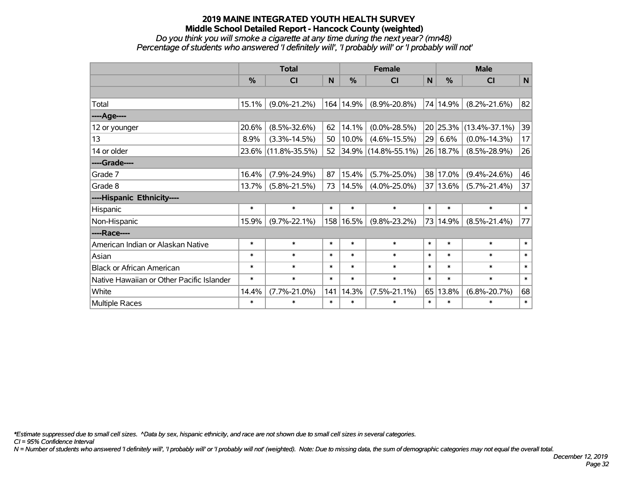*Do you think you will smoke a cigarette at any time during the next year? (mn48) Percentage of students who answered 'I definitely will', 'I probably will' or 'I probably will not'*

|                                           | <b>Total</b>  |                     |        | <b>Female</b> | <b>Male</b>         |        |               |                     |        |
|-------------------------------------------|---------------|---------------------|--------|---------------|---------------------|--------|---------------|---------------------|--------|
|                                           | $\frac{0}{0}$ | <b>CI</b>           | N      | $\frac{0}{0}$ | <b>CI</b>           | N      | $\frac{0}{0}$ | <b>CI</b>           | N      |
|                                           |               |                     |        |               |                     |        |               |                     |        |
| Total                                     | 15.1%         | $(9.0\% - 21.2\%)$  |        | 164 14.9%     | $(8.9\% - 20.8\%)$  |        | 74 14.9%      | $(8.2\% - 21.6\%)$  | 82     |
| ---- Age----                              |               |                     |        |               |                     |        |               |                     |        |
| 12 or younger                             | 20.6%         | $(8.5\% - 32.6\%)$  | 62     | 14.1%         | $(0.0\% - 28.5\%)$  |        | 20 25.3%      | $(13.4\% - 37.1\%)$ | 39     |
| 13                                        | 8.9%          | $(3.3\% - 14.5\%)$  | 50     | 10.0%         | $(4.6\% - 15.5\%)$  | 29     | 6.6%          | $(0.0\% - 14.3\%)$  | 17     |
| 14 or older                               |               | 23.6% (11.8%-35.5%) | 52     |               | 34.9% (14.8%-55.1%) |        | 26 18.7%      | $(8.5\% - 28.9\%)$  | 26     |
| ----Grade----                             |               |                     |        |               |                     |        |               |                     |        |
| Grade 7                                   | 16.4%         | $(7.9\% - 24.9\%)$  | 87     | 15.4%         | $(5.7\% - 25.0\%)$  | 38     | 17.0%         | $(9.4\% - 24.6\%)$  | 46     |
| Grade 8                                   | 13.7%         | $(5.8\% - 21.5\%)$  | 73     | 14.5%         | $(4.0\% - 25.0\%)$  |        | 37 13.6%      | $(5.7\% - 21.4\%)$  | 37     |
| ----Hispanic Ethnicity----                |               |                     |        |               |                     |        |               |                     |        |
| Hispanic                                  | $\ast$        | $\ast$              | $\ast$ | $\ast$        | $\ast$              | $\ast$ | $\ast$        | $\ast$              | $\ast$ |
| Non-Hispanic                              | 15.9%         | $(9.7\% - 22.1\%)$  |        | 158 16.5%     | $(9.8\% - 23.2\%)$  | 73     | 14.9%         | $(8.5\% - 21.4\%)$  | 77     |
| ----Race----                              |               |                     |        |               |                     |        |               |                     |        |
| American Indian or Alaskan Native         | $\ast$        | $\ast$              | $\ast$ | $\ast$        | $\ast$              | $\ast$ | $\ast$        | $\ast$              | $\ast$ |
| Asian                                     | $\ast$        | $\ast$              | $\ast$ | $\ast$        | $\ast$              | $\ast$ | $\ast$        | $\ast$              | $\ast$ |
| <b>Black or African American</b>          | $\ast$        | $\ast$              | $\ast$ | $\ast$        | $\ast$              | $\ast$ | $\ast$        | $\ast$              | $\ast$ |
| Native Hawaiian or Other Pacific Islander | $\ast$        | $\ast$              | $\ast$ | $\ast$        | $\ast$              | $\ast$ | $\ast$        | $\ast$              | $\ast$ |
| White                                     | 14.4%         | $(7.7\% - 21.0\%)$  | 141    | 14.3%         | $(7.5\% - 21.1\%)$  | 65     | 13.8%         | $(6.8\% - 20.7\%)$  | 68     |
| Multiple Races                            | $\ast$        | $\ast$              | $\ast$ | $\ast$        | $\ast$              | $\ast$ | $\ast$        | $\ast$              | $\ast$ |

*\*Estimate suppressed due to small cell sizes. ^Data by sex, hispanic ethnicity, and race are not shown due to small cell sizes in several categories.*

*CI = 95% Confidence Interval*

*N = Number of students who answered 'I definitely will', 'I probably will' or 'I probably will not' (weighted). Note: Due to missing data, the sum of demographic categories may not equal the overall total.*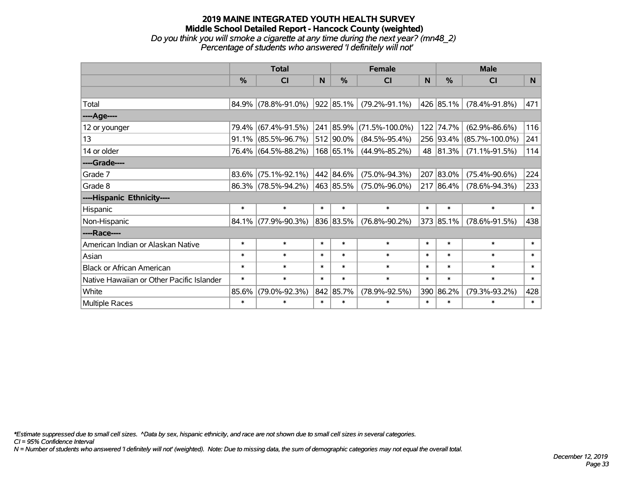## **2019 MAINE INTEGRATED YOUTH HEALTH SURVEY Middle School Detailed Report - Hancock County (weighted)** *Do you think you will smoke a cigarette at any time during the next year? (mn48\_2) Percentage of students who answered 'I definitely will not'*

|                                           |               | <b>Total</b>        |        |                | <b>Female</b>        |        | <b>Male</b> |                      |        |  |
|-------------------------------------------|---------------|---------------------|--------|----------------|----------------------|--------|-------------|----------------------|--------|--|
|                                           | $\frac{0}{0}$ | <b>CI</b>           | N      | %              | <b>CI</b>            | N      | %           | <b>CI</b>            | N      |  |
|                                           |               |                     |        |                |                      |        |             |                      |        |  |
| Total                                     |               | 84.9% (78.8%-91.0%) |        | $ 922 85.1\% $ | $(79.2\% - 91.1\%)$  |        | 426 85.1%   | $(78.4\% - 91.8\%)$  | 471    |  |
| ----Age----                               |               |                     |        |                |                      |        |             |                      |        |  |
| 12 or younger                             | 79.4%         | $(67.4\% - 91.5\%)$ | 241    | 85.9%          | $(71.5\% - 100.0\%)$ | 122    | 74.7%       | $(62.9\% - 86.6\%)$  | 116    |  |
| 13                                        | 91.1%         | $(85.5\% - 96.7\%)$ |        | 512 90.0%      | $(84.5\% - 95.4\%)$  |        | 256 93.4%   | $(85.7\% - 100.0\%)$ | 241    |  |
| 14 or older                               |               | 76.4% (64.5%-88.2%) |        | 168 65.1%      | $(44.9\% - 85.2\%)$  |        | 48 81.3%    | $(71.1\% - 91.5\%)$  | 114    |  |
| ----Grade----                             |               |                     |        |                |                      |        |             |                      |        |  |
| Grade 7                                   | 83.6%         | $(75.1\% - 92.1\%)$ |        | 442 84.6%      | $(75.0\% - 94.3\%)$  |        | 207 83.0%   | $(75.4\% - 90.6\%)$  | 224    |  |
| Grade 8                                   |               | 86.3% (78.5%-94.2%) |        | 463 85.5%      | $(75.0\% - 96.0\%)$  |        | 217 86.4%   | $(78.6\% - 94.3\%)$  | 233    |  |
| ----Hispanic Ethnicity----                |               |                     |        |                |                      |        |             |                      |        |  |
| Hispanic                                  | $\ast$        | $\ast$              | $\ast$ | $\ast$         | $\ast$               | $\ast$ | $\ast$      | $\ast$               | $\ast$ |  |
| Non-Hispanic                              | $84.1\%$      | $(77.9\% - 90.3\%)$ |        | 836 83.5%      | $(76.8\% - 90.2\%)$  |        | 373 85.1%   | $(78.6\% - 91.5\%)$  | 438    |  |
| ----Race----                              |               |                     |        |                |                      |        |             |                      |        |  |
| American Indian or Alaskan Native         | $\ast$        | $\ast$              | $\ast$ | $\ast$         | $\ast$               | $\ast$ | $\ast$      | $\ast$               | $\ast$ |  |
| Asian                                     | $\ast$        | $\ast$              | $\ast$ | $\ast$         | $\ast$               | $\ast$ | $\ast$      | $\ast$               | $\ast$ |  |
| <b>Black or African American</b>          | $\ast$        | $\ast$              | $\ast$ | $\ast$         | $\ast$               | $\ast$ | $\ast$      | $\ast$               | $\ast$ |  |
| Native Hawaiian or Other Pacific Islander | $\ast$        | $\ast$              | $\ast$ | $\ast$         | $\ast$               | $\ast$ | $\ast$      | $\ast$               | $\ast$ |  |
| White                                     | 85.6%         | $(79.0\% - 92.3\%)$ |        | 842 85.7%      | $(78.9\% - 92.5\%)$  | 390    | 86.2%       | $(79.3\% - 93.2\%)$  | 428    |  |
| Multiple Races                            | $\ast$        | $\ast$              | $\ast$ | $\ast$         | $\ast$               | $\ast$ | $\ast$      | $\ast$               | $\ast$ |  |

*\*Estimate suppressed due to small cell sizes. ^Data by sex, hispanic ethnicity, and race are not shown due to small cell sizes in several categories.*

*CI = 95% Confidence Interval*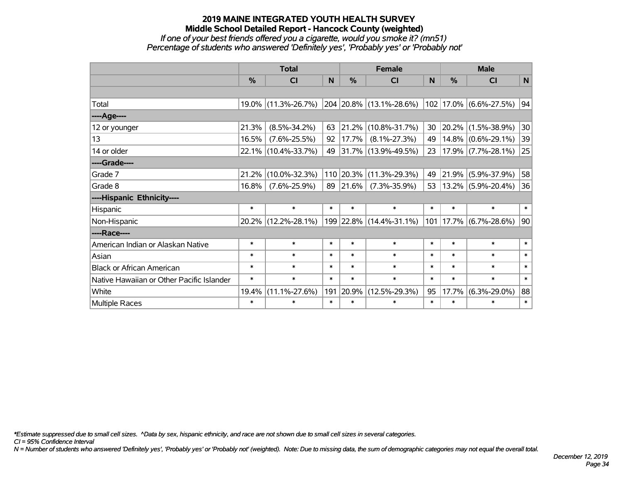#### **2019 MAINE INTEGRATED YOUTH HEALTH SURVEY Middle School Detailed Report - Hancock County (weighted)** *If one of your best friends offered you a cigarette, would you smoke it? (mn51) Percentage of students who answered 'Definitely yes', 'Probably yes' or 'Probably not'*

|                                           | <b>Total</b> |                     |        | <b>Female</b> |                         | <b>Male</b> |        |                             |        |
|-------------------------------------------|--------------|---------------------|--------|---------------|-------------------------|-------------|--------|-----------------------------|--------|
|                                           | $\%$         | CI                  | N      | $\frac{0}{0}$ | CI                      | <b>N</b>    | $\%$   | <b>CI</b>                   | N      |
|                                           |              |                     |        |               |                         |             |        |                             |        |
| Total                                     |              | 19.0% (11.3%-26.7%) |        |               | 204 20.8% (13.1%-28.6%) |             |        | $ 102 17.0\% $ (6.6%-27.5%) | 94     |
| ----Age----                               |              |                     |        |               |                         |             |        |                             |        |
| 12 or younger                             | 21.3%        | $(8.5\% - 34.2\%)$  | 63     | 21.2%         | $(10.8\% - 31.7\%)$     | 30          |        | 20.2% (1.5%-38.9%)          | 30     |
| 13                                        | 16.5%        | $(7.6\% - 25.5\%)$  | 92     | 17.7%         | $(8.1\% - 27.3\%)$      | 49          |        | $14.8\%$ (0.6%-29.1%)       | 39     |
| 14 or older                               |              | 22.1% (10.4%-33.7%) | 49     |               | 31.7% (13.9%-49.5%)     | 23          |        | $17.9\%$ (7.7%-28.1%)       | 25     |
| ----Grade----                             |              |                     |        |               |                         |             |        |                             |        |
| Grade 7                                   | 21.2%        | $(10.0\% - 32.3\%)$ |        | 110 20.3%     | $(11.3\% - 29.3\%)$     | 49          | 21.9%  | $(5.9\% - 37.9\%)$          | 58     |
| Grade 8                                   | 16.8%        | $(7.6\% - 25.9\%)$  | 89     | 21.6%         | $(7.3\% - 35.9\%)$      | 53          |        | 13.2% (5.9%-20.4%)          | 36     |
| ----Hispanic Ethnicity----                |              |                     |        |               |                         |             |        |                             |        |
| Hispanic                                  | $\ast$       | $\ast$              | $\ast$ | $\ast$        | $\ast$                  | $\ast$      | $\ast$ | $\ast$                      | $\ast$ |
| Non-Hispanic                              |              | 20.2% (12.2%-28.1%) |        |               | 199 22.8% (14.4%-31.1%) |             |        | $101$  17.7% (6.7%-28.6%)   | 90     |
| ----Race----                              |              |                     |        |               |                         |             |        |                             |        |
| American Indian or Alaskan Native         | $\ast$       | $\ast$              | $\ast$ | $\ast$        | $\ast$                  | $\ast$      | $\ast$ | $\ast$                      | $\ast$ |
| Asian                                     | $\ast$       | $\ast$              | $\ast$ | $\ast$        | $\ast$                  | $\ast$      | $\ast$ | $\ast$                      | $\ast$ |
| <b>Black or African American</b>          | $\ast$       | $\ast$              | $\ast$ | $\ast$        | $\ast$                  | $\ast$      | $\ast$ | $\ast$                      | $\ast$ |
| Native Hawaiian or Other Pacific Islander | $\ast$       | $\ast$              | $\ast$ | $\ast$        | $\ast$                  | $\ast$      | $\ast$ | $\ast$                      | $\ast$ |
| White                                     | 19.4%        | $(11.1\% - 27.6\%)$ | 191    | 20.9%         | $(12.5\% - 29.3\%)$     | 95          | 17.7%  | $(6.3\% - 29.0\%)$          | 88     |
| Multiple Races                            | $\ast$       | $\ast$              | $\ast$ | $\ast$        | $\ast$                  | $\ast$      | $\ast$ | ∗                           | $\ast$ |

*\*Estimate suppressed due to small cell sizes. ^Data by sex, hispanic ethnicity, and race are not shown due to small cell sizes in several categories.*

*CI = 95% Confidence Interval*

*N = Number of students who answered 'Definitely yes', 'Probably yes' or 'Probably not' (weighted). Note: Due to missing data, the sum of demographic categories may not equal the overall total.*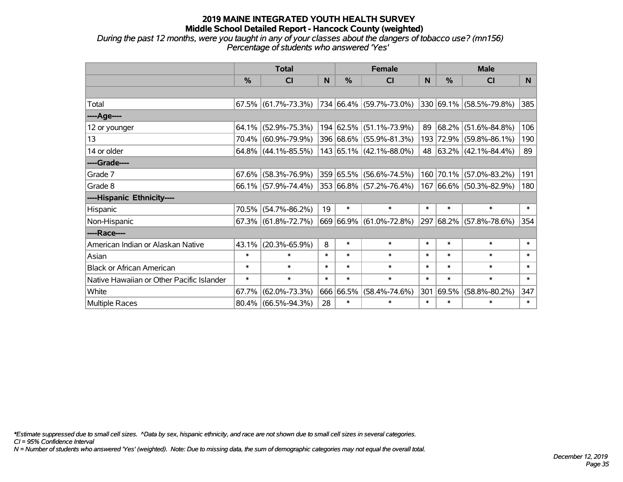*During the past 12 months, were you taught in any of your classes about the dangers of tobacco use? (mn156) Percentage of students who answered 'Yes'*

|                                           | <b>Total</b> |                                                |        | <b>Female</b> | <b>Male</b>             |        |               |                                  |        |
|-------------------------------------------|--------------|------------------------------------------------|--------|---------------|-------------------------|--------|---------------|----------------------------------|--------|
|                                           | $\%$         | <b>CI</b>                                      | N      | $\%$          | <b>CI</b>               | N      | $\frac{0}{0}$ | <b>CI</b>                        | N.     |
|                                           |              |                                                |        |               |                         |        |               |                                  |        |
| Total                                     |              | $67.5\%$ (61.7%-73.3%) 734 66.4% (59.7%-73.0%) |        |               |                         |        |               | $ 330 69.1\%  (58.5\% - 79.8\%)$ | 385    |
| ----Age----                               |              |                                                |        |               |                         |        |               |                                  |        |
| 12 or younger                             | 64.1%        | $(52.9\% - 75.3\%)$                            |        |               | 194 62.5% (51.1%-73.9%) | 89     | 68.2%         | $(51.6\% - 84.8\%)$              | 106    |
| 13                                        |              | 70.4% (60.9%-79.9%)                            |        |               | 396 68.6% (55.9%-81.3%) |        |               | 193 72.9% (59.8%-86.1%)          | 190    |
| 14 or older                               |              | $64.8\%$ (44.1%-85.5%)                         |        |               | 143 65.1% (42.1%-88.0%) |        |               | 48 63.2% (42.1%-84.4%)           | 89     |
| ----Grade----                             |              |                                                |        |               |                         |        |               |                                  |        |
| Grade 7                                   | 67.6%        | $(58.3\% - 76.9\%)$                            |        |               | 359 65.5% (56.6%-74.5%) | 160    | 70.1%         | $(57.0\% - 83.2\%)$              | 191    |
| Grade 8                                   |              | $66.1\%$ (57.9%-74.4%)                         |        |               | 353 66.8% (57.2%-76.4%) |        |               | 167 66.6% (50.3%-82.9%)          | 180    |
| ----Hispanic Ethnicity----                |              |                                                |        |               |                         |        |               |                                  |        |
| Hispanic                                  | 70.5%        | $(54.7\% - 86.2\%)$                            | 19     | $\ast$        | $\ast$                  | $\ast$ | $\ast$        | $\ast$                           | $\ast$ |
| Non-Hispanic                              |              | $67.3\%$ (61.8%-72.7%)                         |        |               | 669 66.9% (61.0%-72.8%) |        |               | 297 68.2% (57.8%-78.6%)          | 354    |
| ----Race----                              |              |                                                |        |               |                         |        |               |                                  |        |
| American Indian or Alaskan Native         | $43.1\%$     | $(20.3\% - 65.9\%)$                            | 8      | $\ast$        | $\ast$                  | $\ast$ | $\ast$        | $\ast$                           | $\ast$ |
| Asian                                     | $\ast$       | $\ast$                                         | $\ast$ | $\ast$        | $\ast$                  | $\ast$ | $\ast$        | $\ast$                           | $\ast$ |
| <b>Black or African American</b>          | $\ast$       | $\ast$                                         | $\ast$ | $\ast$        | $\ast$                  | $\ast$ | $\ast$        | $\ast$                           | $\ast$ |
| Native Hawaiian or Other Pacific Islander | $\ast$       | $\ast$                                         | $\ast$ | $\ast$        | $\ast$                  | $\ast$ | $\ast$        | $\ast$                           | $\ast$ |
| White                                     | 67.7%        | $(62.0\% - 73.3\%)$                            | 666    | 66.5%         | $(58.4\% - 74.6\%)$     | 301    | 69.5%         | $(58.8\% - 80.2\%)$              | 347    |
| Multiple Races                            | $80.4\%$     | $(66.5\% - 94.3\%)$                            | 28     | $\ast$        | $\ast$                  | $\ast$ | $\ast$        | $\ast$                           | $\ast$ |

*\*Estimate suppressed due to small cell sizes. ^Data by sex, hispanic ethnicity, and race are not shown due to small cell sizes in several categories.*

*CI = 95% Confidence Interval*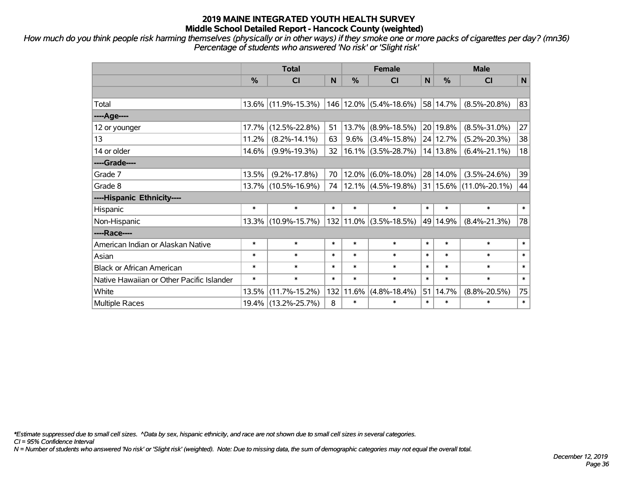*How much do you think people risk harming themselves (physically or in other ways) if they smoke one or more packs of cigarettes per day? (mn36) Percentage of students who answered 'No risk' or 'Slight risk'*

|                                           | <b>Total</b>  |                     |        |        | <b>Female</b>              |        | <b>Male</b> |                                              |        |  |
|-------------------------------------------|---------------|---------------------|--------|--------|----------------------------|--------|-------------|----------------------------------------------|--------|--|
|                                           | $\frac{0}{0}$ | <b>CI</b>           | N      | %      | <b>CI</b>                  | N      | %           | <b>CI</b>                                    | N      |  |
|                                           |               |                     |        |        |                            |        |             |                                              |        |  |
| Total                                     |               | 13.6% (11.9%-15.3%) |        |        | 146   12.0%   (5.4%-18.6%) |        | 58 14.7%    | $(8.5\% - 20.8\%)$                           | 83     |  |
| ----Age----                               |               |                     |        |        |                            |        |             |                                              |        |  |
| 12 or younger                             | 17.7%         | $(12.5\% - 22.8\%)$ | 51     |        | 13.7% (8.9%-18.5%)         |        | 20 19.8%    | $(8.5\% - 31.0\%)$                           | 27     |  |
| 13                                        | 11.2%         | $(8.2\% - 14.1\%)$  | 63     | 9.6%   | $(3.4\% - 15.8\%)$         |        | 24 12.7%    | $(5.2\% - 20.3\%)$                           | 38     |  |
| 14 or older                               | 14.6%         | $(9.9\% - 19.3\%)$  | 32     |        | $16.1\%$ (3.5%-28.7%)      |        | 14 13.8%    | $(6.4\% - 21.1\%)$                           | 18     |  |
| ----Grade----                             |               |                     |        |        |                            |        |             |                                              |        |  |
| Grade 7                                   | 13.5%         | $(9.2\% - 17.8\%)$  | 70     |        | $12.0\%$ (6.0%-18.0%)      |        | 28 14.0%    | $(3.5\% - 24.6\%)$                           | 39     |  |
| Grade 8                                   |               | 13.7% (10.5%-16.9%) | 74     |        |                            |        |             | $12.1\%$ (4.5%-19.8%) 31 15.6% (11.0%-20.1%) | 44     |  |
| ----Hispanic Ethnicity----                |               |                     |        |        |                            |        |             |                                              |        |  |
| Hispanic                                  | $\ast$        | $\ast$              | $\ast$ | $\ast$ | $\ast$                     | $\ast$ | $\ast$      | $\ast$                                       | $\ast$ |  |
| Non-Hispanic                              |               | 13.3% (10.9%-15.7%) |        |        | $132 11.0\% $ (3.5%-18.5%) |        | 49 14.9%    | $(8.4\% - 21.3\%)$                           | 78     |  |
| ----Race----                              |               |                     |        |        |                            |        |             |                                              |        |  |
| American Indian or Alaskan Native         | $\ast$        | $\ast$              | $\ast$ | $\ast$ | $\ast$                     | $\ast$ | $\ast$      | $\ast$                                       | $\ast$ |  |
| Asian                                     | $\ast$        | $\ast$              | $\ast$ | $\ast$ | $\ast$                     | $\ast$ | $\ast$      | $\ast$                                       | $\ast$ |  |
| <b>Black or African American</b>          | $\ast$        | $\ast$              | $\ast$ | $\ast$ | $\ast$                     | $\ast$ | $\ast$      | $\ast$                                       | $\ast$ |  |
| Native Hawaiian or Other Pacific Islander | $\ast$        | $\ast$              | $\ast$ | $\ast$ | $\ast$                     | $\ast$ | $\ast$      | $\ast$                                       | $\ast$ |  |
| White                                     | 13.5%         | $(11.7\% - 15.2\%)$ | 132    | 11.6%  | $(4.8\% - 18.4\%)$         | 51     | 14.7%       | $(8.8\% - 20.5\%)$                           | 75     |  |
| <b>Multiple Races</b>                     |               | 19.4% (13.2%-25.7%) | 8      | $\ast$ | $\ast$                     | $\ast$ | $\ast$      | $\ast$                                       | $\ast$ |  |

*\*Estimate suppressed due to small cell sizes. ^Data by sex, hispanic ethnicity, and race are not shown due to small cell sizes in several categories.*

*CI = 95% Confidence Interval*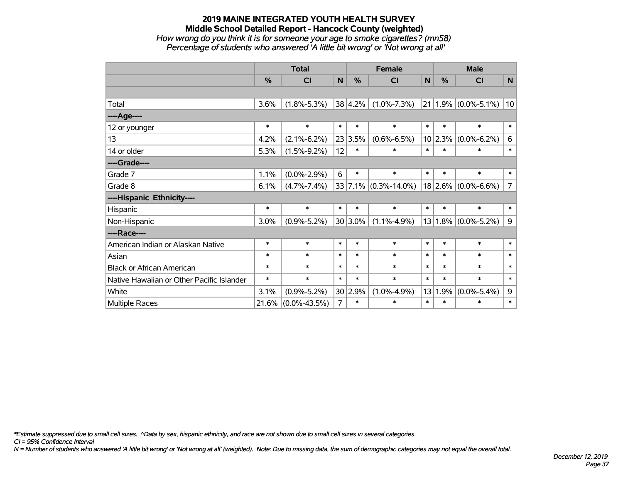## **2019 MAINE INTEGRATED YOUTH HEALTH SURVEY Middle School Detailed Report - Hancock County (weighted)** *How wrong do you think it is for someone your age to smoke cigarettes? (mn58) Percentage of students who answered 'A little bit wrong' or 'Not wrong at all'*

|                                           | <b>Total</b> |                    |                |             | <b>Female</b>        | <b>Male</b> |               |                         |                |
|-------------------------------------------|--------------|--------------------|----------------|-------------|----------------------|-------------|---------------|-------------------------|----------------|
|                                           | %            | CI                 | N              | %           | CI                   | N           | $\frac{0}{0}$ | <b>CI</b>               | $\mathsf{N}$   |
|                                           |              |                    |                |             |                      |             |               |                         |                |
| Total                                     | 3.6%         | $(1.8\% - 5.3\%)$  |                | 38 4.2%     | $(1.0\% - 7.3\%)$    |             |               | $21 1.9\% $ (0.0%-5.1%) | 10             |
| ---- Age----                              |              |                    |                |             |                      |             |               |                         |                |
| 12 or younger                             | $\ast$       | $\ast$             | $\ast$         | $\ast$      | $\ast$               | $\ast$      | $\ast$        | $\ast$                  | $\ast$         |
| 13                                        | 4.2%         | $(2.1\% - 6.2\%)$  |                | 23 3.5%     | $(0.6\% - 6.5\%)$    | 10          | 2.3%          | $(0.0\% - 6.2\%)$       | 6              |
| 14 or older                               | 5.3%         | $(1.5\% - 9.2\%)$  | 12             | $\ast$      | $\ast$               | $\ast$      | $\ast$        | $\ast$                  | $\ast$         |
| ----Grade----                             |              |                    |                |             |                      |             |               |                         |                |
| Grade 7                                   | 1.1%         | $(0.0\% - 2.9\%)$  | 6              | $\ast$      | $\ast$               | $\ast$      | $\ast$        | $\ast$                  | $\ast$         |
| Grade 8                                   | 6.1%         | $(4.7\% - 7.4\%)$  |                |             | 33 7.1% (0.3%-14.0%) |             |               | $18$ 2.6% (0.0%-6.6%)   | $\overline{7}$ |
| ----Hispanic Ethnicity----                |              |                    |                |             |                      |             |               |                         |                |
| Hispanic                                  | $\ast$       | $\ast$             | $\ast$         | $\ast$      | $\ast$               | $\ast$      | $\ast$        | $\ast$                  | $\ast$         |
| Non-Hispanic                              | 3.0%         | $(0.9\% - 5.2\%)$  |                | $30 3.0\% $ | $(1.1\% - 4.9\%)$    | 13          |               | $1.8\%$ (0.0%-5.2%)     | 9              |
| ----Race----                              |              |                    |                |             |                      |             |               |                         |                |
| American Indian or Alaskan Native         | $\ast$       | $\ast$             | $\ast$         | $\ast$      | $\ast$               | $\ast$      | $\ast$        | $\ast$                  | $\ast$         |
| Asian                                     | $\ast$       | $\ast$             | $\ast$         | $\ast$      | $\ast$               | $\ast$      | $\ast$        | $\ast$                  | $\ast$         |
| <b>Black or African American</b>          | $\ast$       | $\ast$             | $\ast$         | $\ast$      | $\ast$               | $\ast$      | $\ast$        | $\ast$                  | $\ast$         |
| Native Hawaiian or Other Pacific Islander | $\ast$       | $\ast$             | $\ast$         | $\ast$      | $\ast$               | $\ast$      | $\ast$        | $\ast$                  | $\ast$         |
| White                                     | 3.1%         | $(0.9\% - 5.2\%)$  |                | 30 2.9%     | $(1.0\% - 4.9\%)$    | 13          | 1.9%          | $(0.0\% - 5.4\%)$       | 9              |
| <b>Multiple Races</b>                     | 21.6%        | $(0.0\% - 43.5\%)$ | $\overline{7}$ | $\ast$      | $\ast$               | $\ast$      | $\ast$        | $\ast$                  | $\ast$         |

*\*Estimate suppressed due to small cell sizes. ^Data by sex, hispanic ethnicity, and race are not shown due to small cell sizes in several categories.*

*CI = 95% Confidence Interval*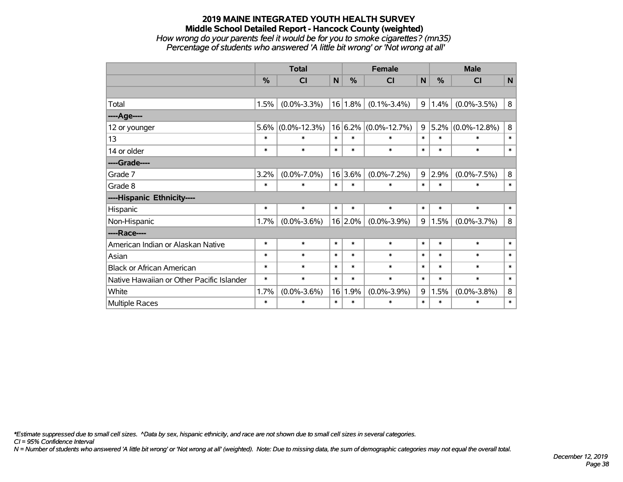## **2019 MAINE INTEGRATED YOUTH HEALTH SURVEY Middle School Detailed Report - Hancock County (weighted)** *How wrong do your parents feel it would be for you to smoke cigarettes? (mn35) Percentage of students who answered 'A little bit wrong' or 'Not wrong at all'*

|                                           | <b>Total</b><br><b>Female</b> |                    |        |            |                    |        | <b>Male</b> |                    |         |
|-------------------------------------------|-------------------------------|--------------------|--------|------------|--------------------|--------|-------------|--------------------|---------|
|                                           | $\frac{0}{2}$                 | <b>CI</b>          | N      | $\%$       | <b>CI</b>          | N      | $\%$        | <b>CI</b>          | N       |
|                                           |                               |                    |        |            |                    |        |             |                    |         |
| Total                                     | 1.5%                          | $(0.0\% - 3.3\%)$  |        | 16 1.8%    | $(0.1\% - 3.4\%)$  | 9      | 1.4%        | $(0.0\% - 3.5\%)$  | 8       |
| ----Age----                               |                               |                    |        |            |                    |        |             |                    |         |
| 12 or younger                             | 5.6%                          | $(0.0\% - 12.3\%)$ |        | 16 6.2%    | $(0.0\% - 12.7\%)$ | 9      | 5.2%        | $(0.0\% - 12.8\%)$ | $\bf 8$ |
| 13                                        | $\ast$                        | *                  | $\ast$ | $\ast$     | $\ast$             | $\ast$ | $\ast$      | $\ast$             | $\ast$  |
| 14 or older                               | $\ast$                        | $\ast$             | $\ast$ | $\ast$     | $\ast$             | $\ast$ | $\ast$      | $\ast$             | $\ast$  |
| ----Grade----                             |                               |                    |        |            |                    |        |             |                    |         |
| Grade 7                                   | 3.2%                          | $(0.0\% - 7.0\%)$  |        | 16 3.6%    | $(0.0\% - 7.2\%)$  | 9      | 2.9%        | $(0.0\% - 7.5\%)$  | $\bf 8$ |
| Grade 8                                   | $\ast$                        | $\ast$             | $\ast$ | $\ast$     | $\ast$             | $\ast$ | $\ast$      | $\ast$             | $\ast$  |
| ----Hispanic Ethnicity----                |                               |                    |        |            |                    |        |             |                    |         |
| Hispanic                                  | $\ast$                        | $\ast$             | $\ast$ | $\ast$     | $\ast$             | $\ast$ | $\ast$      | $\ast$             | $\ast$  |
| Non-Hispanic                              | 1.7%                          | $(0.0\% - 3.6\%)$  |        | $16 2.0\%$ | $(0.0\% - 3.9\%)$  | 9      | 1.5%        | $(0.0\% - 3.7\%)$  | 8       |
| ----Race----                              |                               |                    |        |            |                    |        |             |                    |         |
| American Indian or Alaskan Native         | $\ast$                        | $\ast$             | $\ast$ | $\ast$     | $\ast$             | $\ast$ | $\ast$      | $\ast$             | $\ast$  |
| Asian                                     | $\ast$                        | $\ast$             | $\ast$ | $\ast$     | $\ast$             | $\ast$ | $\ast$      | $\ast$             | $\ast$  |
| <b>Black or African American</b>          | $\ast$                        | $\ast$             | $\ast$ | $\ast$     | $\ast$             | $\ast$ | $\ast$      | $\ast$             | $\ast$  |
| Native Hawaiian or Other Pacific Islander | $\ast$                        | $\ast$             | $\ast$ | $\ast$     | $\ast$             | $\ast$ | $\ast$      | $\ast$             | $\ast$  |
| White                                     | 1.7%                          | $(0.0\% - 3.6\%)$  | 16     | 1.9%       | $(0.0\% - 3.9\%)$  | 9      | 1.5%        | $(0.0\% - 3.8\%)$  | $\bf 8$ |
| Multiple Races                            | $\ast$                        | $\ast$             | $\ast$ | $\ast$     | $\ast$             | $\ast$ | $\ast$      | *                  | $\ast$  |

*\*Estimate suppressed due to small cell sizes. ^Data by sex, hispanic ethnicity, and race are not shown due to small cell sizes in several categories.*

*CI = 95% Confidence Interval*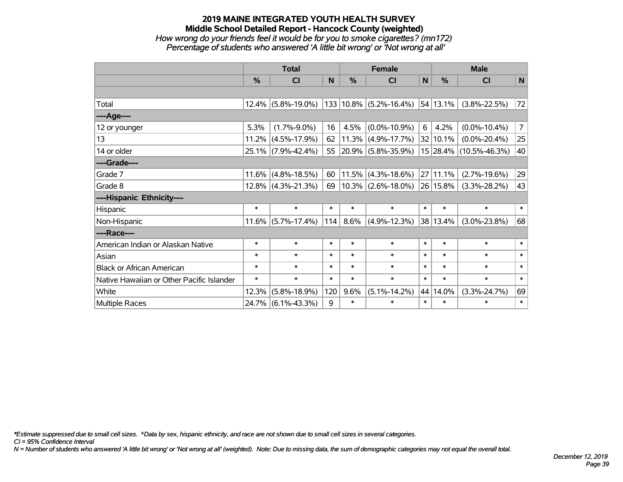## **2019 MAINE INTEGRATED YOUTH HEALTH SURVEY Middle School Detailed Report - Hancock County (weighted)** *How wrong do your friends feel it would be for you to smoke cigarettes? (mn172) Percentage of students who answered 'A little bit wrong' or 'Not wrong at all'*

|                                           |               | <b>Total</b>          |        |        | <b>Female</b>                                               |        |               | <b>Male</b>            |                |
|-------------------------------------------|---------------|-----------------------|--------|--------|-------------------------------------------------------------|--------|---------------|------------------------|----------------|
|                                           | $\frac{0}{0}$ | CI                    | N      | %      | <b>CI</b>                                                   | N      | $\frac{0}{0}$ | CI                     | N              |
|                                           |               |                       |        |        |                                                             |        |               |                        |                |
| Total                                     | $12.4\%$      | $(5.8\% - 19.0\%)$    |        |        | $133 10.8\% $ (5.2%-16.4%) 54 13.1%                         |        |               | $(3.8\% - 22.5\%)$     | 72             |
| ----Age----                               |               |                       |        |        |                                                             |        |               |                        |                |
| 12 or younger                             | 5.3%          | $(1.7\% - 9.0\%)$     | 16     | 4.5%   | $(0.0\% - 10.9\%)$                                          | 6      | 4.2%          | $(0.0\% - 10.4\%)$     | 7 <sup>1</sup> |
| 13                                        | 11.2%         | $(4.5\% - 17.9\%)$    | 62     |        | $11.3\%$ (4.9%-17.7%)                                       |        | 32 10.1%      | $(0.0\% - 20.4\%)$     | 25             |
| 14 or older                               |               | 25.1% (7.9%-42.4%)    | 55     |        | $ 20.9\% $ (5.8%-35.9%)                                     |        |               | 15 28.4% (10.5%-46.3%) | 40             |
| ----Grade----                             |               |                       |        |        |                                                             |        |               |                        |                |
| Grade 7                                   | 11.6%         | $(4.8\% - 18.5\%)$    | 60     | 11.5%  | $(4.3\% - 18.6\%)$                                          |        | 27 11.1%      | $(2.7\% - 19.6\%)$     | 29             |
| Grade 8                                   |               | $12.8\%$ (4.3%-21.3%) | 69     |        | $\vert$ 10.3% $\vert$ (2.6%-18.0%) $\vert$ 26 $\vert$ 15.8% |        |               | $(3.3\% - 28.2\%)$     | 43             |
| ----Hispanic Ethnicity----                |               |                       |        |        |                                                             |        |               |                        |                |
| Hispanic                                  | $\ast$        | $\ast$                | $\ast$ | $\ast$ | $\ast$                                                      | $\ast$ | $\ast$        | $\ast$                 | $\ast$         |
| Non-Hispanic                              |               | $11.6\%$ (5.7%-17.4%) | 114    | 8.6%   | $(4.9\% - 12.3\%)$                                          |        | 38 13.4%      | $(3.0\% - 23.8\%)$     | 68             |
| ----Race----                              |               |                       |        |        |                                                             |        |               |                        |                |
| American Indian or Alaskan Native         | $\ast$        | $\ast$                | $\ast$ | $\ast$ | $\ast$                                                      | $\ast$ | $\ast$        | $\ast$                 | $\ast$         |
| Asian                                     | $\ast$        | $\ast$                | $\ast$ | $\ast$ | $\ast$                                                      | $\ast$ | $\ast$        | $\ast$                 | $\ast$         |
| <b>Black or African American</b>          | $\ast$        | $\ast$                | $\ast$ | $\ast$ | $\ast$                                                      | $\ast$ | $\ast$        | $\ast$                 | $\ast$         |
| Native Hawaiian or Other Pacific Islander | $\ast$        | $\ast$                | $\ast$ | $\ast$ | $\ast$                                                      | $\ast$ | $\ast$        | $\ast$                 | $\ast$         |
| White                                     | 12.3%         | $(5.8\% - 18.9\%)$    | 120    | 9.6%   | $(5.1\% - 14.2\%)$                                          | 44     | 14.0%         | $(3.3\% - 24.7\%)$     | 69             |
| <b>Multiple Races</b>                     |               | 24.7% (6.1%-43.3%)    | 9      | $\ast$ | $\ast$                                                      | $\ast$ | $\ast$        | $\ast$                 | $\ast$         |

*\*Estimate suppressed due to small cell sizes. ^Data by sex, hispanic ethnicity, and race are not shown due to small cell sizes in several categories.*

*CI = 95% Confidence Interval*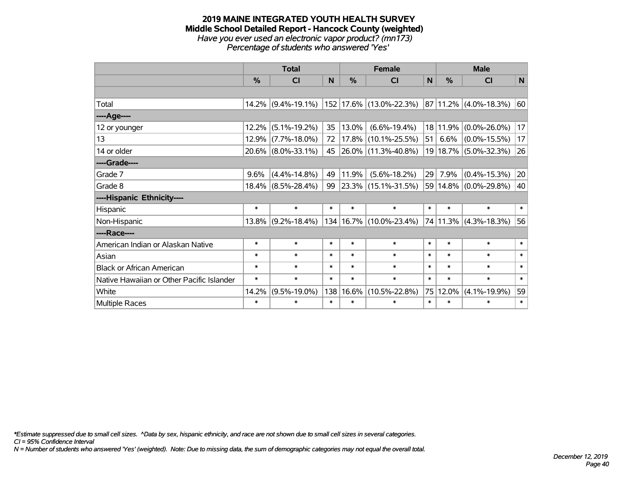#### **2019 MAINE INTEGRATED YOUTH HEALTH SURVEY Middle School Detailed Report - Hancock County (weighted)** *Have you ever used an electronic vapor product? (mn173) Percentage of students who answered 'Yes'*

|                                           |               | <b>Total</b>          |        |        | <b>Female</b>                 |              |               | <b>Male</b>                |              |
|-------------------------------------------|---------------|-----------------------|--------|--------|-------------------------------|--------------|---------------|----------------------------|--------------|
|                                           | $\frac{9}{6}$ | CI                    | N      | %      | <b>CI</b>                     | $\mathsf{N}$ | $\frac{0}{0}$ | <b>CI</b>                  | $\mathsf{N}$ |
|                                           |               |                       |        |        |                               |              |               |                            |              |
| Total                                     | $14.2\%$      | $(9.4\% - 19.1\%)$    |        |        | $152$   17.6%   (13.0%-22.3%) |              |               | $ 87 11.2\% $ (4.0%-18.3%) | 60           |
| ----Age----                               |               |                       |        |        |                               |              |               |                            |              |
| 12 or younger                             | 12.2%         | $(5.1\% - 19.2\%)$    | 35     | 13.0%  | $(6.6\% - 19.4\%)$            |              | 18 11.9%      | $(0.0\% - 26.0\%)$         | 17           |
| 13                                        | 12.9%         | $(7.7\% - 18.0\%)$    | 72     |        | 17.8% (10.1%-25.5%)           | 51           | 6.6%          | $(0.0\% - 15.5\%)$         | 17           |
| 14 or older                               | $20.6\%$      | $(8.0\% - 33.1\%)$    |        |        | 45 26.0% (11.3%-40.8%)        |              |               | 19 18.7% (5.0%-32.3%)      | 26           |
| ----Grade----                             |               |                       |        |        |                               |              |               |                            |              |
| Grade 7                                   | 9.6%          | $(4.4\% - 14.8\%)$    | 49     | 11.9%  | $(5.6\% - 18.2\%)$            | 29           | 7.9%          | $(0.4\% - 15.3\%)$         | 20           |
| Grade 8                                   |               | $18.4\%$ (8.5%-28.4%) | 99     |        | $ 23.3\% $ (15.1%-31.5%)      |              |               | 59 14.8% (0.0%-29.8%)      | 40           |
| ----Hispanic Ethnicity----                |               |                       |        |        |                               |              |               |                            |              |
| Hispanic                                  | $\ast$        | $\ast$                | $\ast$ | $\ast$ | $\ast$                        | $\ast$       | $\ast$        | $\ast$                     | $\ast$       |
| Non-Hispanic                              | $13.8\%$      | $(9.2\% - 18.4\%)$    |        |        | 134   16.7%   (10.0%-23.4%)   |              | 74 11.3%      | $(4.3\% - 18.3\%)$         | 56           |
| ----Race----                              |               |                       |        |        |                               |              |               |                            |              |
| American Indian or Alaskan Native         | $\ast$        | $\ast$                | $\ast$ | $\ast$ | $\ast$                        | $\ast$       | $\ast$        | $\ast$                     | $\ast$       |
| Asian                                     | $\ast$        | $\ast$                | $\ast$ | $\ast$ | $\ast$                        | $\ast$       | $\ast$        | $\ast$                     | $\ast$       |
| <b>Black or African American</b>          | $\ast$        | $\ast$                | $\ast$ | $\ast$ | $\ast$                        | $\ast$       | $\ast$        | $\ast$                     | $\ast$       |
| Native Hawaiian or Other Pacific Islander | $\ast$        | $\ast$                | $\ast$ | $\ast$ | $\ast$                        | $\ast$       | $\ast$        | $\ast$                     | $\ast$       |
| White                                     | 14.2%         | $(9.5\% - 19.0\%)$    | 138    | 16.6%  | $(10.5\% - 22.8\%)$           | 75           | 12.0%         | $(4.1\% - 19.9\%)$         | 59           |
| <b>Multiple Races</b>                     | $\ast$        | $\ast$                | $\ast$ | $\ast$ | $\ast$                        | $\ast$       | $\ast$        | $\ast$                     | $\ast$       |

*\*Estimate suppressed due to small cell sizes. ^Data by sex, hispanic ethnicity, and race are not shown due to small cell sizes in several categories.*

*CI = 95% Confidence Interval*

*N = Number of students who answered 'Yes' (weighted). Note: Due to missing data, the sum of demographic categories may not equal the overall total.*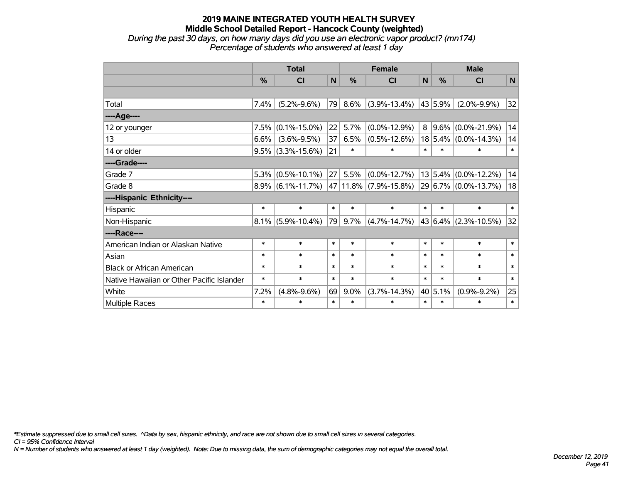#### **2019 MAINE INTEGRATED YOUTH HEALTH SURVEY Middle School Detailed Report - Hancock County (weighted)** *During the past 30 days, on how many days did you use an electronic vapor product? (mn174)*

*Percentage of students who answered at least 1 day*

|                                           |               | <b>Total</b>         |              |         | <b>Female</b>              |        | <b>Male</b> |                          |              |
|-------------------------------------------|---------------|----------------------|--------------|---------|----------------------------|--------|-------------|--------------------------|--------------|
|                                           | $\frac{0}{0}$ | CI                   | $\mathsf{N}$ | %       | <b>CI</b>                  | N      | $\%$        | <b>CI</b>                | $\mathsf{N}$ |
|                                           |               |                      |              |         |                            |        |             |                          |              |
| Total                                     | $7.4\%$       | $(5.2\% - 9.6\%)$    | 79           | 8.6%    | $(3.9\% - 13.4\%)$         |        | 43 5.9%     | $(2.0\% - 9.9\%)$        | 32           |
| ----Age----                               |               |                      |              |         |                            |        |             |                          |              |
| 12 or younger                             | 7.5%          | $(0.1\% - 15.0\%)$   | 22           | 5.7%    | $(0.0\% - 12.9\%)$         | 8      | $ 9.6\% $   | $(0.0\% - 21.9\%)$       | 14           |
| 13                                        | 6.6%          | $(3.6\% - 9.5\%)$    | 37           | 6.5%    | $(0.5\% - 12.6\%)$         |        |             | $18 5.4\% $ (0.0%-14.3%) | 14           |
| 14 or older                               | $9.5\%$       | $(3.3\% - 15.6\%)$   | 21           | $\ast$  | $\ast$                     | $\ast$ | $\ast$      | $\ast$                   | $\ast$       |
| ----Grade----                             |               |                      |              |         |                            |        |             |                          |              |
| Grade 7                                   | 5.3%          | $(0.5\% - 10.1\%)$   | 27           | 5.5%    | $(0.0\% - 12.7\%)$         |        |             | 13 5.4% (0.0%-12.2%)     | 14           |
| Grade 8                                   |               | $8.9\%$ (6.1%-11.7%) |              |         | $ 47 11.8\% $ (7.9%-15.8%) |        |             | 29 6.7% (0.0%-13.7%)     | 18           |
| ----Hispanic Ethnicity----                |               |                      |              |         |                            |        |             |                          |              |
| Hispanic                                  | $\ast$        | $\ast$               | $\ast$       | $\ast$  | $\ast$                     | $\ast$ | $\ast$      | $\ast$                   | $\ast$       |
| Non-Hispanic                              | $8.1\%$       | $(5.9\% - 10.4\%)$   | 79           | $9.7\%$ | $(4.7\% - 14.7\%)$         |        |             | 43 6.4% (2.3%-10.5%)     | 32           |
| ----Race----                              |               |                      |              |         |                            |        |             |                          |              |
| American Indian or Alaskan Native         | $\ast$        | $\ast$               | $\ast$       | $\ast$  | $\ast$                     | $\ast$ | $\ast$      | $\ast$                   | $\ast$       |
| Asian                                     | $\ast$        | $\ast$               | $\ast$       | $\ast$  | $\ast$                     | $\ast$ | $\ast$      | $\ast$                   | $\ast$       |
| <b>Black or African American</b>          | *             | $\ast$               | $\ast$       | $\ast$  | $\ast$                     | $\ast$ | $\ast$      | $\ast$                   | $\ast$       |
| Native Hawaiian or Other Pacific Islander | $\ast$        | $\ast$               | $\ast$       | $\ast$  | $\ast$                     | $\ast$ | $\ast$      | $\ast$                   | $\ast$       |
| White                                     | 7.2%          | $(4.8\% - 9.6\%)$    | 69           | $9.0\%$ | $(3.7\% - 14.3\%)$         |        | 40 5.1%     | $(0.9\% - 9.2\%)$        | 25           |
| Multiple Races                            | $\ast$        | $\ast$               | $\ast$       | $\ast$  | $\ast$                     | $\ast$ | $\ast$      | $\ast$                   | $\ast$       |

*\*Estimate suppressed due to small cell sizes. ^Data by sex, hispanic ethnicity, and race are not shown due to small cell sizes in several categories.*

*CI = 95% Confidence Interval*

*N = Number of students who answered at least 1 day (weighted). Note: Due to missing data, the sum of demographic categories may not equal the overall total.*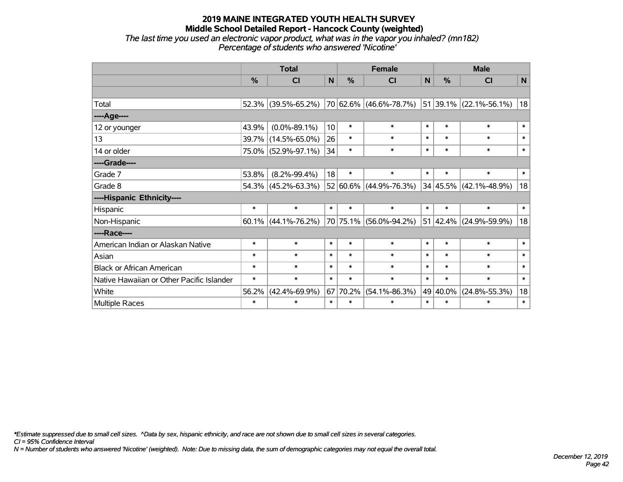#### **2019 MAINE INTEGRATED YOUTH HEALTH SURVEY Middle School Detailed Report - Hancock County (weighted)** *The last time you used an electronic vapor product, what was in the vapor you inhaled? (mn182)*

*Percentage of students who answered 'Nicotine'*

|                                           |                                                | <b>Total</b>        |                 |          | <b>Female</b>              |              |          | <b>Male</b>                |             |
|-------------------------------------------|------------------------------------------------|---------------------|-----------------|----------|----------------------------|--------------|----------|----------------------------|-------------|
|                                           | %                                              | CI                  | $\mathbf N$     | %        | <b>CI</b>                  | $\mathsf{N}$ | %        | <b>CI</b>                  | $\mathbf N$ |
|                                           |                                                |                     |                 |          |                            |              |          |                            |             |
| Total                                     | 52.3%                                          | $(39.5\% - 65.2\%)$ |                 |          | 70 62.6% (46.6%-78.7%)     |              |          | $51 39.1\% $ (22.1%-56.1%) | 18          |
| ----Age----                               |                                                |                     |                 |          |                            |              |          |                            |             |
| 12 or younger                             | 43.9%                                          | $(0.0\% - 89.1\%)$  | 10 <sup>1</sup> | $\ast$   | $\ast$                     | $\ast$       | $\ast$   | $\ast$                     | $\ast$      |
| 13                                        | 39.7%                                          | $(14.5\% - 65.0\%)$ | 26              | $\ast$   | $\ast$                     | $\ast$       | $\ast$   | $\ast$                     | $\ast$      |
| 14 or older                               |                                                | 75.0% (52.9%-97.1%) | 34              | $\ast$   | $\ast$                     | $\ast$       | $\ast$   | $\ast$                     | $\ast$      |
| ----Grade----                             |                                                |                     |                 |          |                            |              |          |                            |             |
| Grade 7                                   | 53.8%                                          | $(8.2\% - 99.4\%)$  | 18              | $\ast$   | $\ast$                     | $\ast$       | $\ast$   | $\ast$                     | $\ast$      |
| Grade 8                                   |                                                | 54.3% (45.2%-63.3%) |                 |          | $52 60.6\% $ (44.9%-76.3%) |              |          | $34 45.5\% $ (42.1%-48.9%) | 18          |
| ----Hispanic Ethnicity----                |                                                |                     |                 |          |                            |              |          |                            |             |
| Hispanic                                  | $\ast$                                         | $\ast$              | $\ast$          | $\ast$   | $\ast$                     | $\ast$       | $\ast$   | $\ast$                     | $\ast$      |
| Non-Hispanic                              | 60.1%                                          | $(44.1\% - 76.2\%)$ |                 | 70 75.1% | $(56.0\% - 94.2\%)$        | 51           | 42.4%    | $(24.9\% - 59.9\%)$        | 18          |
| ----Race----                              |                                                |                     |                 |          |                            |              |          |                            |             |
| American Indian or Alaskan Native         | $\ast$                                         | $\ast$              | $\ast$          | $\ast$   | $\ast$                     | $\ast$       | $\ast$   | $\ast$                     | $\ast$      |
| Asian                                     | $\ast$                                         | $\ast$              | $\ast$          | $\ast$   | $\ast$                     | $\ast$       | $\ast$   | $\ast$                     | $\ast$      |
| <b>Black or African American</b>          | $\ast$                                         | $\ast$              | $\ast$          | $\ast$   | $\ast$                     | $\ast$       | $\ast$   | $\ast$                     | $\ast$      |
| Native Hawaiian or Other Pacific Islander | $\ast$                                         | $\ast$              | $\ast$          | $\ast$   | $\ast$                     | $\ast$       | $\ast$   | $\ast$                     | $\ast$      |
| White                                     | 56.2%                                          | $(42.4\% - 69.9\%)$ |                 | 67 70.2% | $(54.1\% - 86.3\%)$        |              | 49 40.0% | $(24.8\% - 55.3\%)$        | 18          |
| Multiple Races                            | $\ast$<br>$\ast$<br>$\ast$<br>$\ast$<br>$\ast$ |                     |                 |          |                            | $\ast$       | $\ast$   | $\ast$                     | $\ast$      |

*\*Estimate suppressed due to small cell sizes. ^Data by sex, hispanic ethnicity, and race are not shown due to small cell sizes in several categories.*

*CI = 95% Confidence Interval*

*N = Number of students who answered 'Nicotine' (weighted). Note: Due to missing data, the sum of demographic categories may not equal the overall total.*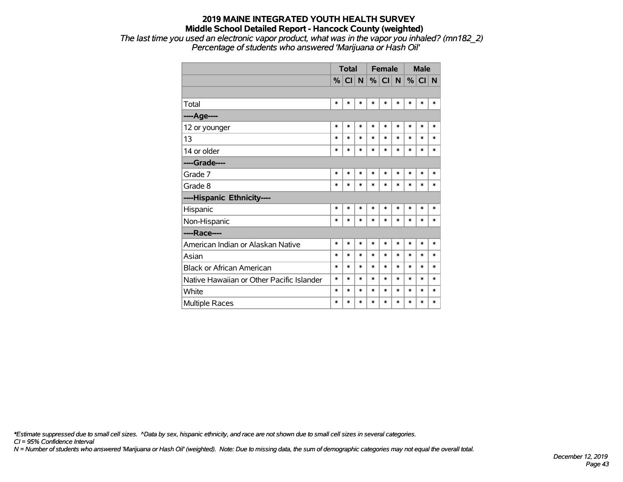*The last time you used an electronic vapor product, what was in the vapor you inhaled? (mn182\_2) Percentage of students who answered 'Marijuana or Hash Oil'*

|                                           |        | <b>Total</b> |        |        | <b>Female</b> |        |        | <b>Male</b> |        |
|-------------------------------------------|--------|--------------|--------|--------|---------------|--------|--------|-------------|--------|
|                                           | %      | CI N         |        | %      | CI N          |        | %      | CI N        |        |
|                                           |        |              |        |        |               |        |        |             |        |
| Total                                     | $\ast$ | *            | *      | $\ast$ | $\ast$        | $\ast$ | $\ast$ | $\ast$      | *      |
| ----Age----                               |        |              |        |        |               |        |        |             |        |
| 12 or younger                             | $\ast$ | *            | $\ast$ | $\ast$ | $\ast$        | $\ast$ | *      | $\ast$      | *      |
| 13                                        | $\ast$ | $\ast$       | $\ast$ | $\ast$ | $\ast$        | $\ast$ | *      | $\ast$      | *      |
| 14 or older                               | $\ast$ | *            | $\ast$ | $\ast$ | $\ast$        | *      | $\ast$ | $\ast$      | *      |
| ----Grade----                             |        |              |        |        |               |        |        |             |        |
| Grade 7                                   | $\ast$ | *            | $\ast$ | $\ast$ | $\ast$        | *      | $\ast$ | $\ast$      | *      |
| Grade 8                                   | $\ast$ | $\ast$       | $\ast$ | $\ast$ | $\ast$        | $\ast$ | *      | $\ast$      | *      |
| ----Hispanic Ethnicity----                |        |              |        |        |               |        |        |             |        |
| Hispanic                                  | $\ast$ | *            | $\ast$ | $\ast$ | $\ast$        | $\ast$ | *      | $\ast$      | *      |
| Non-Hispanic                              | $\ast$ | $\ast$       | $\ast$ | $\ast$ | $\ast$        | $\ast$ | $\ast$ | $\ast$      | *      |
| ----Race----                              |        |              |        |        |               |        |        |             |        |
| American Indian or Alaskan Native         | $\ast$ | $\ast$       | $\ast$ | $\ast$ | $\ast$        | $\ast$ | $\ast$ | $\ast$      | $\ast$ |
| Asian                                     | $\ast$ | *            | $\ast$ | $\ast$ | $\ast$        | $\ast$ | *      | $\ast$      | *      |
| <b>Black or African American</b>          | $\ast$ | *            | $\ast$ | $\ast$ | $\ast$        | $\ast$ | $\ast$ | $\ast$      | *      |
| Native Hawaiian or Other Pacific Islander | $\ast$ | *            | $\ast$ | $\ast$ | $\ast$        | $\ast$ | $\ast$ | *           | *      |
| White                                     | $\ast$ | *            | $\ast$ | *      | $\ast$        | $\ast$ | $\ast$ | *           | $\ast$ |
| <b>Multiple Races</b>                     | $\ast$ | *            | $\ast$ | $\ast$ | $\ast$        | $\ast$ | $\ast$ | $\ast$      | $\ast$ |

*\*Estimate suppressed due to small cell sizes. ^Data by sex, hispanic ethnicity, and race are not shown due to small cell sizes in several categories.*

*CI = 95% Confidence Interval*

*N = Number of students who answered 'Marijuana or Hash Oil' (weighted). Note: Due to missing data, the sum of demographic categories may not equal the overall total.*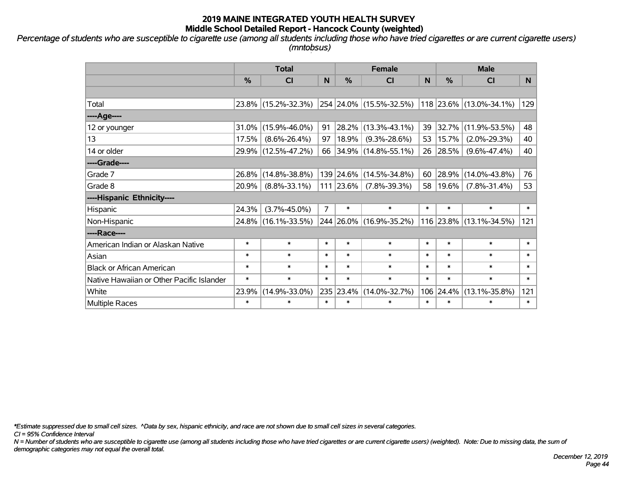*Percentage of students who are susceptible to cigarette use (among all students including those who have tried cigarettes or are current cigarette users) (mntobsus)*

|                                           |               | <b>Total</b>        |                | <b>Female</b> |                          |        |           | <b>Male</b>             |        |
|-------------------------------------------|---------------|---------------------|----------------|---------------|--------------------------|--------|-----------|-------------------------|--------|
|                                           | $\frac{0}{2}$ | <b>CI</b>           | N              | %             | CI                       | N      | %         | <b>CI</b>               | N      |
|                                           |               |                     |                |               |                          |        |           |                         |        |
| Total                                     |               | 23.8% (15.2%-32.3%) |                |               | 254 24.0% (15.5%-32.5%)  |        |           | 118 23.6% (13.0%-34.1%) | 129    |
| ----Age----                               |               |                     |                |               |                          |        |           |                         |        |
| 12 or younger                             | 31.0%         | $(15.9\% - 46.0\%)$ | 91             | 28.2%         | $(13.3\% - 43.1\%)$      | 39     | 32.7%     | $(11.9\% - 53.5\%)$     | 48     |
| 13                                        | 17.5%         | $(8.6\% - 26.4\%)$  | 97             | 18.9%         | $(9.3\% - 28.6\%)$       | 53     | 15.7%     | $(2.0\% - 29.3\%)$      | 40     |
| 14 or older                               |               | 29.9% (12.5%-47.2%) | 66             |               | $ 34.9\% $ (14.8%-55.1%) |        | 26 28.5%  | $(9.6\% - 47.4\%)$      | 40     |
| ----Grade----                             |               |                     |                |               |                          |        |           |                         |        |
| Grade 7                                   | 26.8%         | $(14.8\% - 38.8\%)$ |                | 139 24.6%     | $(14.5\% - 34.8\%)$      | 60     | 28.9%     | $(14.0\% - 43.8\%)$     | 76     |
| Grade 8                                   | 20.9%         | $(8.8\% - 33.1\%)$  |                | 111 23.6%     | $(7.8\% - 39.3\%)$       | 58     | $19.6\%$  | $(7.8\% - 31.4\%)$      | 53     |
| ----Hispanic Ethnicity----                |               |                     |                |               |                          |        |           |                         |        |
| Hispanic                                  | 24.3%         | $(3.7\% - 45.0\%)$  | $\overline{7}$ | $\ast$        | $\ast$                   | $\ast$ | $\ast$    | $\ast$                  | $\ast$ |
| Non-Hispanic                              |               | 24.8% (16.1%-33.5%) |                |               | 244 26.0% (16.9%-35.2%)  |        |           | 116 23.8% (13.1%-34.5%) | 121    |
| ----Race----                              |               |                     |                |               |                          |        |           |                         |        |
| American Indian or Alaskan Native         | $\ast$        | $\ast$              | $\ast$         | $\ast$        | $\ast$                   | $\ast$ | $\ast$    | $\ast$                  | $\ast$ |
| Asian                                     | $\ast$        | $\ast$              | $\ast$         | $\ast$        | $\ast$                   | $\ast$ | $\ast$    | $\ast$                  | $\ast$ |
| <b>Black or African American</b>          | $\ast$        | $\ast$              | $\ast$         | $\ast$        | $\ast$                   | $\ast$ | $\ast$    | $\ast$                  | $\ast$ |
| Native Hawaiian or Other Pacific Islander | $\ast$        | $\ast$              | $\ast$         | $\ast$        | $\ast$                   | $\ast$ | $\ast$    | $\ast$                  | $\ast$ |
| White                                     | 23.9%         | $(14.9\% - 33.0\%)$ |                | 235 23.4%     | $(14.0\% - 32.7\%)$      |        | 106 24.4% | $(13.1\% - 35.8\%)$     | 121    |
| <b>Multiple Races</b>                     | $\ast$        | $\ast$              | $\ast$         | $\ast$        | $\ast$                   | $\ast$ | $\ast$    | $\ast$                  | $\ast$ |

*\*Estimate suppressed due to small cell sizes. ^Data by sex, hispanic ethnicity, and race are not shown due to small cell sizes in several categories.*

*CI = 95% Confidence Interval*

*N = Number of students who are susceptible to cigarette use (among all students including those who have tried cigarettes or are current cigarette users) (weighted). Note: Due to missing data, the sum of demographic categories may not equal the overall total.*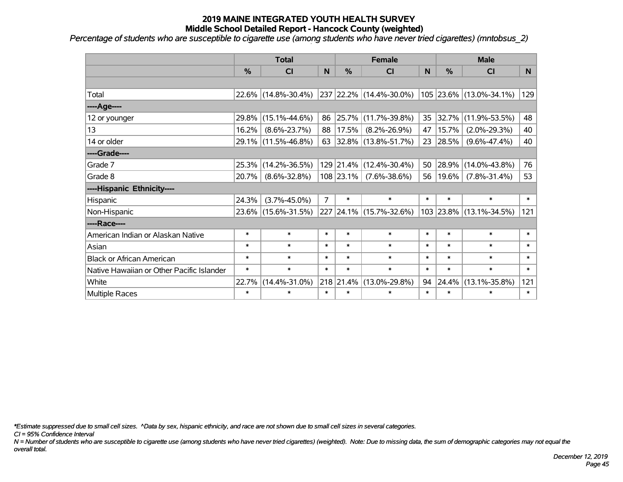*Percentage of students who are susceptible to cigarette use (among students who have never tried cigarettes) (mntobsus\_2)*

|                                           | <b>Total</b><br>$\frac{0}{0}$<br>CI<br>22.6% (14.8%-30.4%)<br>$(15.1\% - 44.6\%)$<br>29.8%<br>16.2%<br>$(8.6\% - 23.7\%)$<br>29.1% (11.5%-46.8%)<br>$(14.2\% - 36.5\%)$<br>25.3%<br>20.7%<br>$(8.6\% - 32.8\%)$<br>24.3%<br>$(3.7\% - 45.0\%)$<br>23.6% (15.6%-31.5%)<br>$\ast$<br>$\ast$<br>$\ast$<br>$\ast$<br>$\ast$<br>$\ast$<br>$\ast$<br>$\ast$ |                     |                |               | <b>Female</b>            |        |           | <b>Male</b>             |        |
|-------------------------------------------|-------------------------------------------------------------------------------------------------------------------------------------------------------------------------------------------------------------------------------------------------------------------------------------------------------------------------------------------------------|---------------------|----------------|---------------|--------------------------|--------|-----------|-------------------------|--------|
|                                           |                                                                                                                                                                                                                                                                                                                                                       |                     | $\mathsf{N}$   | $\frac{0}{0}$ | <b>CI</b>                | N      | %         | <b>CI</b>               | N      |
|                                           |                                                                                                                                                                                                                                                                                                                                                       |                     |                |               |                          |        |           |                         |        |
| Total                                     |                                                                                                                                                                                                                                                                                                                                                       |                     |                |               | 237 22.2% (14.4%-30.0%)  |        |           | 105 23.6% (13.0%-34.1%) | 129    |
| ----Age----                               |                                                                                                                                                                                                                                                                                                                                                       |                     |                |               |                          |        |           |                         |        |
| 12 or younger                             |                                                                                                                                                                                                                                                                                                                                                       |                     | 86             | $ 25.7\% $    | $(11.7\% - 39.8\%)$      | 35     | 32.7%     | $(11.9\% - 53.5\%)$     | 48     |
| 13                                        |                                                                                                                                                                                                                                                                                                                                                       |                     | 88             | 17.5%         | $(8.2\% - 26.9\%)$       | 47     | 15.7%     | $(2.0\% - 29.3\%)$      | 40     |
| 14 or older                               |                                                                                                                                                                                                                                                                                                                                                       |                     | 63             |               | $ 32.8\% $ (13.8%-51.7%) | 23     | 28.5%     | $(9.6\% - 47.4\%)$      | 40     |
| ----Grade----                             |                                                                                                                                                                                                                                                                                                                                                       |                     |                |               |                          |        |           |                         |        |
| Grade 7                                   |                                                                                                                                                                                                                                                                                                                                                       |                     |                | $129$ 21.4%   | $(12.4\% - 30.4\%)$      | 50     | 28.9%     | $(14.0\% - 43.8\%)$     | 76     |
| Grade 8                                   |                                                                                                                                                                                                                                                                                                                                                       |                     |                |               | 108 23.1% (7.6%-38.6%)   | 56     | 19.6%     | $(7.8\% - 31.4\%)$      | 53     |
| ----Hispanic Ethnicity----                |                                                                                                                                                                                                                                                                                                                                                       |                     |                |               |                          |        |           |                         |        |
| Hispanic                                  |                                                                                                                                                                                                                                                                                                                                                       |                     | $\overline{7}$ | $\ast$        | $\ast$                   | $\ast$ | $\ast$    | $\ast$                  | $\ast$ |
| Non-Hispanic                              |                                                                                                                                                                                                                                                                                                                                                       |                     |                |               | 227 24.1% (15.7%-32.6%)  |        | 103 23.8% | $(13.1\% - 34.5\%)$     | 121    |
| ----Race----                              |                                                                                                                                                                                                                                                                                                                                                       |                     |                |               |                          |        |           |                         |        |
| American Indian or Alaskan Native         |                                                                                                                                                                                                                                                                                                                                                       |                     | $\ast$         | $\ast$        | $\ast$                   | $\ast$ | $\ast$    | $\ast$                  | $\ast$ |
| Asian                                     |                                                                                                                                                                                                                                                                                                                                                       |                     | $\ast$         | $\ast$        | $\ast$                   | $\ast$ | $\ast$    | $\ast$                  | $\ast$ |
| <b>Black or African American</b>          |                                                                                                                                                                                                                                                                                                                                                       |                     | $\ast$         | $\ast$        | $\ast$                   | $\ast$ | $\ast$    | $\ast$                  | $\ast$ |
| Native Hawaiian or Other Pacific Islander |                                                                                                                                                                                                                                                                                                                                                       |                     | $\ast$         | $\ast$        | $\ast$                   | $\ast$ | $\ast$    | $\ast$                  | $\ast$ |
| White                                     | 22.7%                                                                                                                                                                                                                                                                                                                                                 | $(14.4\% - 31.0\%)$ |                | 218 21.4%     | $(13.0\% - 29.8\%)$      | 94     | 24.4%     | $(13.1\% - 35.8\%)$     | 121    |
| <b>Multiple Races</b>                     | $\ast$                                                                                                                                                                                                                                                                                                                                                | $\ast$              | $\ast$         | $\ast$        | $\ast$                   | $\ast$ | $\ast$    | $\ast$                  | $\ast$ |

*\*Estimate suppressed due to small cell sizes. ^Data by sex, hispanic ethnicity, and race are not shown due to small cell sizes in several categories.*

*CI = 95% Confidence Interval*

*N = Number of students who are susceptible to cigarette use (among students who have never tried cigarettes) (weighted). Note: Due to missing data, the sum of demographic categories may not equal the overall total.*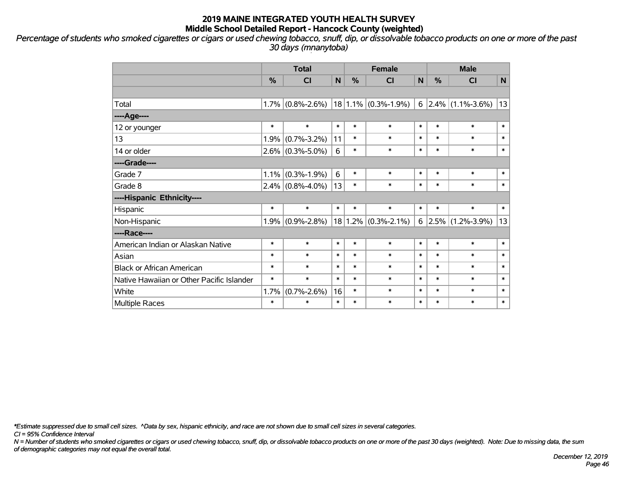*Percentage of students who smoked cigarettes or cigars or used chewing tobacco, snuff, dip, or dissolvable tobacco products on one or more of the past 30 days (mnanytoba)*

|                                           | <b>Total</b> |                     |                |        | <b>Female</b>           |        | <b>Male</b> |                          |        |  |
|-------------------------------------------|--------------|---------------------|----------------|--------|-------------------------|--------|-------------|--------------------------|--------|--|
|                                           | %            | C <sub>l</sub>      | $\mathbf N$    | %      | CI                      | N      | %           | CI                       | N      |  |
|                                           |              |                     |                |        |                         |        |             |                          |        |  |
| Total                                     | 1.7%         | $(0.8\% - 2.6\%)$   |                |        | $18 1.1\% $ (0.3%-1.9%) |        |             | $6$ 2.4% (1.1%-3.6%)     | 13     |  |
| ----Age----                               |              |                     |                |        |                         |        |             |                          |        |  |
| 12 or younger                             | $\ast$       | $\ast$              | $\ast$         | $\ast$ | $\ast$                  | $\ast$ | $\ast$      | $\ast$                   | $\ast$ |  |
| 13                                        | 1.9%         | $(0.7\% - 3.2\%)$   | 11             | $\ast$ | $\ast$                  | $\ast$ | $\ast$      | $\ast$                   | $\ast$ |  |
| 14 or older                               |              | $2.6\%$ (0.3%-5.0%) | $6\phantom{1}$ | $\ast$ | $\ast$                  | $\ast$ | $\ast$      | $\ast$                   | $\ast$ |  |
| ----Grade----                             |              |                     |                |        |                         |        |             |                          |        |  |
| Grade 7                                   | 1.1%         | $(0.3\% - 1.9\%)$   | 6              | $\ast$ | $\ast$                  | $\ast$ | $\ast$      | $\ast$                   | $\ast$ |  |
| Grade 8                                   |              | $2.4\%$ (0.8%-4.0%) | 13             | $\ast$ | $\ast$                  | $\ast$ | $\ast$      | $\ast$                   | $\ast$ |  |
| ----Hispanic Ethnicity----                |              |                     |                |        |                         |        |             |                          |        |  |
| Hispanic                                  | $\ast$       | $\ast$              | $\ast$         | $\ast$ | $\ast$                  | $\ast$ | $\ast$      | $\ast$                   | $\ast$ |  |
| Non-Hispanic                              | 1.9%         | $(0.9% - 2.8%)$     | 18             |        | $1.2\%$ (0.3%-2.1%)     |        |             | $6$   2.5%   (1.2%-3.9%) | 13     |  |
| ----Race----                              |              |                     |                |        |                         |        |             |                          |        |  |
| American Indian or Alaskan Native         | $\ast$       | $\ast$              | $\ast$         | $\ast$ | $\ast$                  | $\ast$ | $\ast$      | $\ast$                   | $\ast$ |  |
| Asian                                     | $\ast$       | $\ast$              | $\ast$         | $\ast$ | $\ast$                  | $\ast$ | $\ast$      | $\ast$                   | $\ast$ |  |
| <b>Black or African American</b>          | $\ast$       | $\ast$              | $\ast$         | $\ast$ | $\ast$                  | $\ast$ | $\ast$      | $\ast$                   | $\ast$ |  |
| Native Hawaiian or Other Pacific Islander | $\ast$       | $\ast$              | $\ast$         | $\ast$ | $\ast$                  | $\ast$ | $\ast$      | $\ast$                   | $\ast$ |  |
| White                                     | 1.7%         | $(0.7\% - 2.6\%)$   | 16             | $\ast$ | $\ast$                  | $\ast$ | $\ast$      | $\ast$                   | $\ast$ |  |
| Multiple Races                            | $\ast$       | $\ast$              | $\ast$         | $\ast$ | $\ast$                  | $\ast$ | $\ast$      | $\ast$                   | $\ast$ |  |

*\*Estimate suppressed due to small cell sizes. ^Data by sex, hispanic ethnicity, and race are not shown due to small cell sizes in several categories.*

*CI = 95% Confidence Interval*

*N = Number of students who smoked cigarettes or cigars or used chewing tobacco, snuff, dip, or dissolvable tobacco products on one or more of the past 30 days (weighted). Note: Due to missing data, the sum of demographic categories may not equal the overall total.*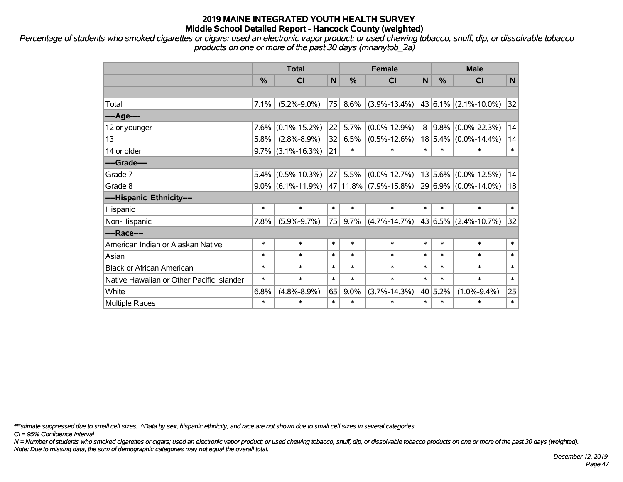*Percentage of students who smoked cigarettes or cigars; used an electronic vapor product; or used chewing tobacco, snuff, dip, or dissolvable tobacco products on one or more of the past 30 days (mnanytob\_2a)*

|                                           |               | <b>Total</b>         |        |         | <b>Female</b>             |        | <b>Male</b>   |                           |        |  |
|-------------------------------------------|---------------|----------------------|--------|---------|---------------------------|--------|---------------|---------------------------|--------|--|
|                                           | $\frac{0}{0}$ | <b>CI</b>            | N      | $\%$    | <b>CI</b>                 | N      | $\frac{0}{0}$ | <b>CI</b>                 | N      |  |
|                                           |               |                      |        |         |                           |        |               |                           |        |  |
| Total                                     | 7.1%          | $(5.2\% - 9.0\%)$    | 75     | 8.6%    | $(3.9\% - 13.4\%)$        |        |               | 43 6.1% (2.1%-10.0%)      | 32     |  |
| ----Age----                               |               |                      |        |         |                           |        |               |                           |        |  |
| 12 or younger                             | 7.6%          | $(0.1\% - 15.2\%)$   | 22     | 5.7%    | $(0.0\% - 12.9\%)$        |        | $8 9.8\% $    | $(0.0\% - 22.3\%)$        | 14     |  |
| 13                                        | 5.8%          | $(2.8\% - 8.9\%)$    | 32     | 6.5%    | $(0.5\% - 12.6\%)$        |        |               | $18 5.4\% $ (0.0%-14.4%)  | 14     |  |
| 14 or older                               |               | $9.7\%$ (3.1%-16.3%) | 21     | $\ast$  | $\ast$                    | $\ast$ | $\ast$        | $\ast$                    | $\ast$ |  |
| ----Grade----                             |               |                      |        |         |                           |        |               |                           |        |  |
| Grade 7                                   | $5.4\%$       | $(0.5\% - 10.3\%)$   | 27     | 5.5%    | $(0.0\% - 12.7\%)$        |        |               | $13 5.6\% $ (0.0%-12.5%)  | 14     |  |
| Grade 8                                   |               | $9.0\%$ (6.1%-11.9%) |        |         | 47   11.8%   (7.9%-15.8%) |        |               | 29 6.9% (0.0%-14.0%)      | 18     |  |
| ----Hispanic Ethnicity----                |               |                      |        |         |                           |        |               |                           |        |  |
| Hispanic                                  | $\ast$        | $\ast$               | $\ast$ | $\ast$  | $\ast$                    | $\ast$ | $\ast$        | $\ast$                    | $\ast$ |  |
| Non-Hispanic                              | 7.8%          | $(5.9\% - 9.7\%)$    | 75     | 9.7%    | $(4.7\% - 14.7\%)$        |        |               | $ 43 6.5\% $ (2.4%-10.7%) | 32     |  |
| ----Race----                              |               |                      |        |         |                           |        |               |                           |        |  |
| American Indian or Alaskan Native         | $\ast$        | $\ast$               | $\ast$ | $\ast$  | $\ast$                    | $\ast$ | $\ast$        | $\ast$                    | $\ast$ |  |
| Asian                                     | $\ast$        | $\ast$               | $\ast$ | $\ast$  | $\ast$                    | $\ast$ | $\ast$        | $\ast$                    | $\ast$ |  |
| <b>Black or African American</b>          | $\ast$        | $\ast$               | $\ast$ | $\ast$  | $\ast$                    | $\ast$ | $\ast$        | $\ast$                    | $\ast$ |  |
| Native Hawaiian or Other Pacific Islander | $\ast$        | $\ast$               | $\ast$ | $\ast$  | $\ast$                    | $\ast$ | $\ast$        | $\ast$                    | $\ast$ |  |
| White                                     | 6.8%          | $(4.8\% - 8.9\%)$    | 65     | $9.0\%$ | $(3.7\% - 14.3\%)$        |        | 40 5.2%       | $(1.0\% - 9.4\%)$         | 25     |  |
| Multiple Races                            | $\ast$        | $\ast$               | $\ast$ | $\ast$  | $\ast$                    | $\ast$ | $\ast$        | $\ast$                    | $\ast$ |  |

*\*Estimate suppressed due to small cell sizes. ^Data by sex, hispanic ethnicity, and race are not shown due to small cell sizes in several categories.*

*CI = 95% Confidence Interval*

*N = Number of students who smoked cigarettes or cigars; used an electronic vapor product; or used chewing tobacco, snuff, dip, or dissolvable tobacco products on one or more of the past 30 days (weighted). Note: Due to missing data, the sum of demographic categories may not equal the overall total.*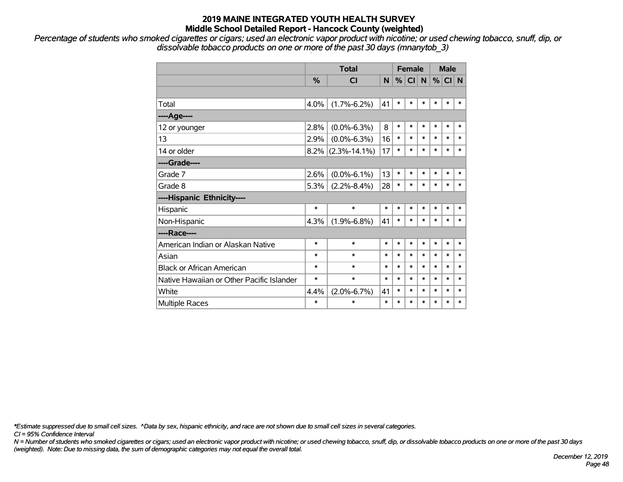*Percentage of students who smoked cigarettes or cigars; used an electronic vapor product with nicotine; or used chewing tobacco, snuff, dip, or dissolvable tobacco products on one or more of the past 30 days (mnanytob\_3)*

|                                           |        | <b>Total</b>         |        | <b>Female</b> |           |              | <b>Male</b> |        |        |
|-------------------------------------------|--------|----------------------|--------|---------------|-----------|--------------|-------------|--------|--------|
|                                           | %      | <b>CI</b>            | N      | %             | <b>CI</b> | $\mathsf{N}$ | %           | CI N   |        |
|                                           |        |                      |        |               |           |              |             |        |        |
| Total                                     | 4.0%   | $(1.7\% - 6.2\%)$    | 41     | $\ast$        | $\ast$    | $\ast$       | $\ast$      | $\ast$ | $\ast$ |
| ----Age----                               |        |                      |        |               |           |              |             |        |        |
| 12 or younger                             | 2.8%   | $(0.0\% - 6.3\%)$    | 8      | $\ast$        | $\ast$    | $\ast$       | $\ast$      | $\ast$ | $\ast$ |
| 13                                        | 2.9%   | $(0.0\% - 6.3\%)$    | 16     | $\ast$        | $\ast$    | $\ast$       | $\ast$      | $\ast$ | $\ast$ |
| 14 or older                               |        | $8.2\%$ (2.3%-14.1%) | 17     | $\ast$        | $\ast$    | $\ast$       | $\ast$      | $\ast$ | $\ast$ |
| ----Grade----                             |        |                      |        |               |           |              |             |        |        |
| Grade 7                                   | 2.6%   | $(0.0\% - 6.1\%)$    | 13     | $\ast$        | $\ast$    | *            | $\ast$      | $\ast$ | $\ast$ |
| Grade 8                                   | 5.3%   | $(2.2\% - 8.4\%)$    | 28     | $\ast$        | $\ast$    | $\ast$       | $\ast$      | $\ast$ | $\ast$ |
| ----Hispanic Ethnicity----                |        |                      |        |               |           |              |             |        |        |
| Hispanic                                  | $\ast$ | $\ast$               | $\ast$ | $\ast$        | $\ast$    | $\ast$       | $\ast$      | $\ast$ | $\ast$ |
| Non-Hispanic                              | 4.3%   | $(1.9\% - 6.8\%)$    | 41     | $\ast$        | $\ast$    | $\ast$       | $\ast$      | $\ast$ | $\ast$ |
| ----Race----                              |        |                      |        |               |           |              |             |        |        |
| American Indian or Alaskan Native         | $\ast$ | $\ast$               | *      | $\ast$        | *         | $\ast$       | $\ast$      | $\ast$ | $\ast$ |
| Asian                                     | *      | $\ast$               | *      | $\ast$        | $\ast$    | $\ast$       | $\ast$      | $\ast$ | $\ast$ |
| <b>Black or African American</b>          | *      | $\ast$               | $\ast$ | $\ast$        | $\ast$    | $\ast$       | $\ast$      | $\ast$ | $\ast$ |
| Native Hawaiian or Other Pacific Islander | *      | $\ast$               | $\ast$ | $\ast$        | $\ast$    | $\ast$       | $\ast$      | $\ast$ | $\ast$ |
| White                                     | 4.4%   | $(2.0\% - 6.7\%)$    | 41     | $\ast$        | $\ast$    | $\ast$       | $\ast$      | $\ast$ | $\ast$ |
| <b>Multiple Races</b>                     | *      | *                    | $\ast$ | $\ast$        | $\ast$    | $\ast$       | $\ast$      | $\ast$ | $\ast$ |

*\*Estimate suppressed due to small cell sizes. ^Data by sex, hispanic ethnicity, and race are not shown due to small cell sizes in several categories.*

*CI = 95% Confidence Interval*

*N = Number of students who smoked cigarettes or cigars; used an electronic vapor product with nicotine; or used chewing tobacco, snuff, dip, or dissolvable tobacco products on one or more of the past 30 days (weighted). Note: Due to missing data, the sum of demographic categories may not equal the overall total.*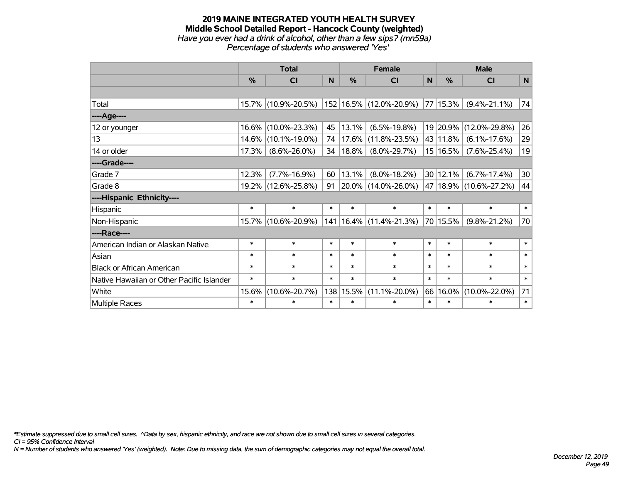#### **2019 MAINE INTEGRATED YOUTH HEALTH SURVEY Middle School Detailed Report - Hancock County (weighted)** *Have you ever had a drink of alcohol, other than a few sips? (mn59a) Percentage of students who answered 'Yes'*

|                                           | <b>Total</b> |                     |        |            | <b>Female</b>               | <b>Male</b>     |          |                        |              |
|-------------------------------------------|--------------|---------------------|--------|------------|-----------------------------|-----------------|----------|------------------------|--------------|
|                                           | %            | <b>CI</b>           | N      | %          | <b>CI</b>                   | $\mathsf{N}$    | %        | <b>CI</b>              | $\mathsf{N}$ |
|                                           |              |                     |        |            |                             |                 |          |                        |              |
| Total                                     |              | 15.7% (10.9%-20.5%) |        |            | 152 16.5% (12.0%-20.9%)     |                 | 77 15.3% | $(9.4\% - 21.1\%)$     | 74           |
| ---- Age----                              |              |                     |        |            |                             |                 |          |                        |              |
| 12 or younger                             | 16.6%        | $(10.0\% - 23.3\%)$ | 45     | 13.1%      | $(6.5\% - 19.8\%)$          |                 | 19 20.9% | $(12.0\% - 29.8\%)$    | 26           |
| 13                                        | 14.6%        | $(10.1\% - 19.0\%)$ | 74     |            | 17.6% (11.8%-23.5%)         |                 | 43 11.8% | $(6.1\% - 17.6\%)$     | 29           |
| 14 or older                               | 17.3%        | $(8.6\% - 26.0\%)$  | 34     | $ 18.8\% $ | $(8.0\% - 29.7\%)$          |                 | 15 16.5% | $(7.6\% - 25.4\%)$     | 19           |
| ----Grade----                             |              |                     |        |            |                             |                 |          |                        |              |
| Grade 7                                   | 12.3%        | $(7.7\% - 16.9\%)$  | 60     | 13.1%      | $(8.0\% - 18.2\%)$          | 30 <sub>1</sub> | 12.1%    | $(6.7\% - 17.4\%)$     | 30           |
| Grade 8                                   |              | 19.2% (12.6%-25.8%) | 91     |            | 20.0% (14.0%-26.0%)         |                 |          | 47 18.9% (10.6%-27.2%) | 44           |
| ----Hispanic Ethnicity----                |              |                     |        |            |                             |                 |          |                        |              |
| Hispanic                                  | $\ast$       | $\ast$              | $\ast$ | $\ast$     | $\ast$                      | $\ast$          | $\ast$   | $\ast$                 | $\ast$       |
| Non-Hispanic                              |              | 15.7% (10.6%-20.9%) |        |            | 141   16.4%   (11.4%-21.3%) | 70              | 15.5%    | $(9.8\% - 21.2\%)$     | 70           |
| ----Race----                              |              |                     |        |            |                             |                 |          |                        |              |
| American Indian or Alaskan Native         | $\ast$       | $\ast$              | $\ast$ | $\ast$     | $\ast$                      | $\ast$          | $\ast$   | $\ast$                 | $\ast$       |
| Asian                                     | $\ast$       | $\ast$              | $\ast$ | $\ast$     | $\ast$                      | $\ast$          | $\ast$   | $\ast$                 | $\ast$       |
| <b>Black or African American</b>          | $\ast$       | $\ast$              | $\ast$ | $\ast$     | $\ast$                      | $\ast$          | $\ast$   | $\ast$                 | $\ast$       |
| Native Hawaiian or Other Pacific Islander | $\ast$       | $\ast$              | $\ast$ | $\ast$     | $\ast$                      | $\ast$          | $\ast$   | $\ast$                 | $\ast$       |
| White                                     | 15.6%        | $(10.6\% - 20.7\%)$ | 138    | 15.5%      | $(11.1\% - 20.0\%)$         | 66              | $16.0\%$ | $(10.0\% - 22.0\%)$    | 71           |
| Multiple Races                            | $\ast$       | $\ast$              | $\ast$ | $\ast$     | $\ast$                      | $\ast$          | $\ast$   | $\ast$                 | $\ast$       |

*\*Estimate suppressed due to small cell sizes. ^Data by sex, hispanic ethnicity, and race are not shown due to small cell sizes in several categories.*

*CI = 95% Confidence Interval*

*N = Number of students who answered 'Yes' (weighted). Note: Due to missing data, the sum of demographic categories may not equal the overall total.*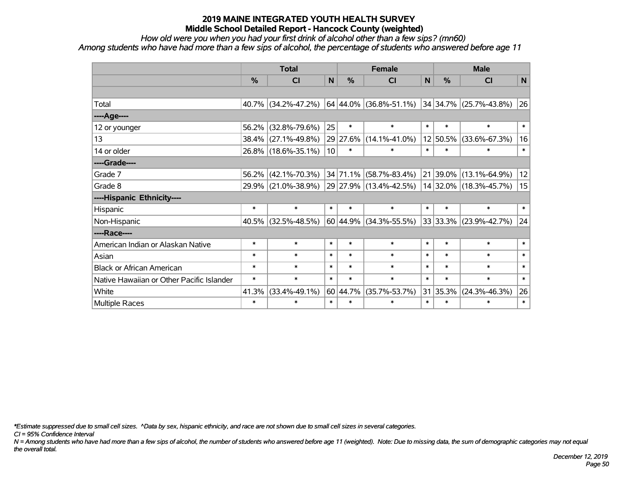*How old were you when you had your first drink of alcohol other than a few sips? (mn60)*

*Among students who have had more than a few sips of alcohol, the percentage of students who answered before age 11*

|                                           | <b>Total</b> |                        |                 |          | <b>Female</b>                | <b>Male</b>  |               |                            |        |
|-------------------------------------------|--------------|------------------------|-----------------|----------|------------------------------|--------------|---------------|----------------------------|--------|
|                                           | %            | <b>CI</b>              | $\mathsf{N}$    | %        | <b>CI</b>                    | $\mathsf{N}$ | $\frac{0}{0}$ | <b>CI</b>                  | N      |
|                                           |              |                        |                 |          |                              |              |               |                            |        |
| Total                                     |              | 40.7% (34.2%-47.2%)    |                 |          | $ 64 44.0\% (36.8\%$ -51.1%) |              |               | $34$ 34.7% (25.7%-43.8%)   | 26     |
| ----Age----                               |              |                        |                 |          |                              |              |               |                            |        |
| 12 or younger                             | 56.2%        | $(32.8\% - 79.6\%)$    | 25              | $\ast$   | $\ast$                       | $\ast$       | $\ast$        | $\ast$                     | $\ast$ |
| 13                                        |              | 38.4% (27.1%-49.8%)    |                 | 29 27.6% | $(14.1\% - 41.0\%)$          |              | 12 50.5%      | $(33.6\% - 67.3\%)$        | 16     |
| 14 or older                               |              | 26.8% (18.6%-35.1%)    | 10 <sup>1</sup> | $\ast$   | $\ast$                       | $\ast$       | $\ast$        | $\ast$                     | $\ast$ |
| ----Grade----                             |              |                        |                 |          |                              |              |               |                            |        |
| Grade 7                                   | $56.2\%$     | $(42.1\% - 70.3\%)$    |                 |          | 34 71.1% (58.7%-83.4%)       |              |               | 21 39.0% (13.1%-64.9%)     | 12     |
| Grade 8                                   |              | 29.9% (21.0%-38.9%)    |                 |          | $ 29 27.9\% $ (13.4%-42.5%)  |              |               | 14 32.0% (18.3%-45.7%)     | 15     |
| ----Hispanic Ethnicity----                |              |                        |                 |          |                              |              |               |                            |        |
| Hispanic                                  | $\ast$       | $\ast$                 | $\ast$          | $\ast$   | $\ast$                       | $\ast$       | $\ast$        | $\ast$                     | $\ast$ |
| Non-Hispanic                              |              | $40.5\%$ (32.5%-48.5%) |                 |          | 60 44.9% (34.3%-55.5%)       |              |               | $33 33.3\% $ (23.9%-42.7%) | 24     |
| ----Race----                              |              |                        |                 |          |                              |              |               |                            |        |
| American Indian or Alaskan Native         | $\ast$       | $\ast$                 | $\ast$          | $\ast$   | $\ast$                       | $\ast$       | $\ast$        | $\ast$                     | $\ast$ |
| Asian                                     | $\ast$       | $\ast$                 | $\ast$          | $\ast$   | $\ast$                       | $\ast$       | $\ast$        | $\ast$                     | $\ast$ |
| <b>Black or African American</b>          | $\ast$       | $\ast$                 | $\ast$          | $\ast$   | $\ast$                       | $\ast$       | $\ast$        | $\ast$                     | $\ast$ |
| Native Hawaiian or Other Pacific Islander | $\ast$       | $\ast$                 | $\ast$          | $\ast$   | $\ast$                       | $\ast$       | $\ast$        | $\ast$                     | $\ast$ |
| White                                     | 41.3%        | $(33.4\% - 49.1\%)$    |                 | 60 44.7% | $(35.7\% - 53.7\%)$          | 31           | 35.3%         | $(24.3\% - 46.3\%)$        | 26     |
| Multiple Races                            | $\ast$       | $\ast$                 | $\ast$          | $\ast$   | $\ast$                       | $\ast$       | $\ast$        | $\ast$                     | $\ast$ |

*\*Estimate suppressed due to small cell sizes. ^Data by sex, hispanic ethnicity, and race are not shown due to small cell sizes in several categories.*

*CI = 95% Confidence Interval*

*N = Among students who have had more than a few sips of alcohol, the number of students who answered before age 11 (weighted). Note: Due to missing data, the sum of demographic categories may not equal the overall total.*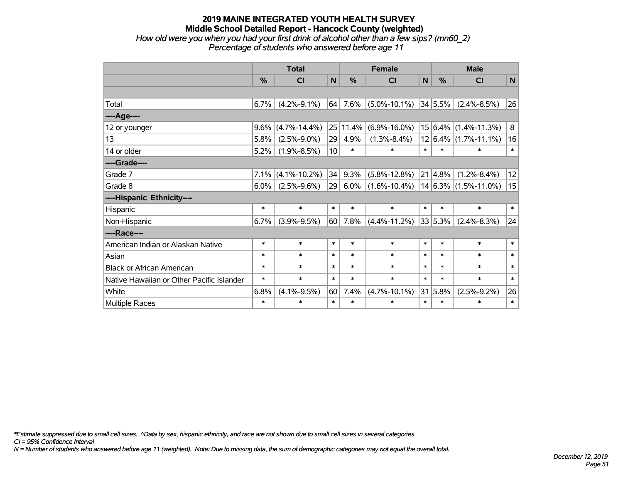#### **2019 MAINE INTEGRATED YOUTH HEALTH SURVEY Middle School Detailed Report - Hancock County (weighted)** *How old were you when you had your first drink of alcohol other than a few sips? (mn60\_2) Percentage of students who answered before age 11*

|                                           | <b>Total</b>  |                    |                 |        | <b>Female</b>      | <b>Male</b>  |                 |                             |        |
|-------------------------------------------|---------------|--------------------|-----------------|--------|--------------------|--------------|-----------------|-----------------------------|--------|
|                                           | $\frac{0}{0}$ | CI                 | $\mathsf{N}$    | %      | <b>CI</b>          | $\mathsf{N}$ | %               | <b>CI</b>                   | N      |
|                                           |               |                    |                 |        |                    |              |                 |                             |        |
| Total                                     | 6.7%          | $(4.2\% - 9.1\%)$  | 64              | 7.6%   | $(5.0\% - 10.1\%)$ |              | 34 5.5%         | $(2.4\% - 8.5\%)$           | 26     |
| ----Age----                               |               |                    |                 |        |                    |              |                 |                             |        |
| 12 or younger                             | 9.6%          | $(4.7\% - 14.4\%)$ | 25              | 11.4%  | $(6.9\% - 16.0\%)$ |              |                 | $15 6.4\% (1.4\% - 11.3\%)$ | 8      |
| 13                                        | 5.8%          | $(2.5\% - 9.0\%)$  | 29              | 4.9%   | $(1.3\% - 8.4\%)$  |              |                 | $12 6.4\% (1.7\% - 11.1\%)$ | 16     |
| 14 or older                               | 5.2%          | $(1.9\% - 8.5\%)$  | 10              | $\ast$ | $\ast$             | $\ast$       | $\ast$          | $\ast$                      | $\ast$ |
| ----Grade----                             |               |                    |                 |        |                    |              |                 |                             |        |
| Grade 7                                   | $7.1\%$       | $(4.1\% - 10.2\%)$ | 34              | 9.3%   | $(5.8\% - 12.8\%)$ |              | $21 \,   4.8\%$ | $(1.2\% - 8.4\%)$           | 12     |
| Grade 8                                   | $6.0\%$       | $(2.5\% - 9.6\%)$  | 29 <sub>1</sub> | 6.0%   | $(1.6\% - 10.4\%)$ |              |                 | $14 6.3\% $ (1.5%-11.0%)    | 15     |
| ----Hispanic Ethnicity----                |               |                    |                 |        |                    |              |                 |                             |        |
| Hispanic                                  | $\ast$        | $\ast$             | $\ast$          | $\ast$ | $\ast$             | $\ast$       | $\ast$          | $\ast$                      | $\ast$ |
| Non-Hispanic                              | 6.7%          | $(3.9\% - 9.5\%)$  | 60              | 7.8%   | $(4.4\% - 11.2\%)$ |              | 33 5.3%         | $(2.4\% - 8.3\%)$           | 24     |
| ----Race----                              |               |                    |                 |        |                    |              |                 |                             |        |
| American Indian or Alaskan Native         | $\ast$        | $\ast$             | $\ast$          | $\ast$ | $\ast$             | $\ast$       | $\ast$          | $\ast$                      | $\ast$ |
| Asian                                     | $\ast$        | $\ast$             | $\ast$          | $\ast$ | $\ast$             | $\ast$       | $\ast$          | $\ast$                      | $\ast$ |
| <b>Black or African American</b>          | $\ast$        | $\ast$             | $\ast$          | $\ast$ | $\ast$             | $\ast$       | $\ast$          | $\ast$                      | $\ast$ |
| Native Hawaiian or Other Pacific Islander | $\ast$        | $\ast$             | $\ast$          | $\ast$ | $\ast$             | $\ast$       | $\ast$          | $\ast$                      | $\ast$ |
| White                                     | 6.8%          | $(4.1\% - 9.5\%)$  | 60              | 7.4%   | $(4.7\% - 10.1\%)$ | 31           | 5.8%            | $(2.5\% - 9.2\%)$           | 26     |
| <b>Multiple Races</b>                     | $\ast$        | $\ast$             | $\ast$          | $\ast$ | $\ast$             | $\ast$       | $\ast$          | $\ast$                      | $\ast$ |

*\*Estimate suppressed due to small cell sizes. ^Data by sex, hispanic ethnicity, and race are not shown due to small cell sizes in several categories.*

*CI = 95% Confidence Interval*

*N = Number of students who answered before age 11 (weighted). Note: Due to missing data, the sum of demographic categories may not equal the overall total.*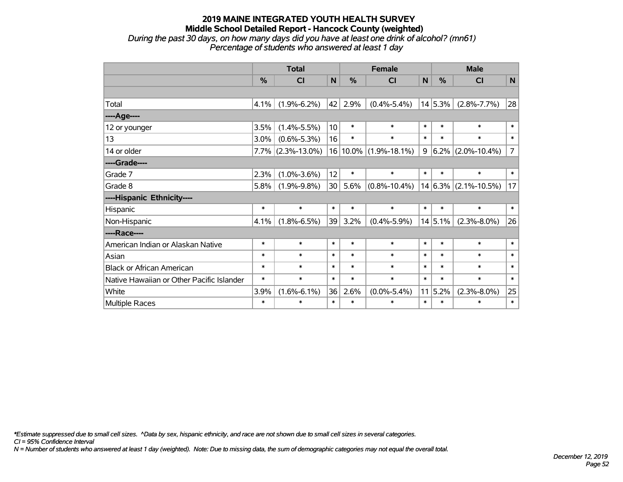#### **2019 MAINE INTEGRATED YOUTH HEALTH SURVEY Middle School Detailed Report - Hancock County (weighted)** *During the past 30 days, on how many days did you have at least one drink of alcohol? (mn61) Percentage of students who answered at least 1 day*

|                                           | <b>Total</b>  |                    |                 |               | <b>Female</b>      | <b>Male</b>  |         |                          |                |
|-------------------------------------------|---------------|--------------------|-----------------|---------------|--------------------|--------------|---------|--------------------------|----------------|
|                                           | $\frac{0}{0}$ | <b>CI</b>          | N               | $\frac{0}{0}$ | <b>CI</b>          | $\mathsf{N}$ | %       | CI                       | $\mathsf{N}$   |
|                                           |               |                    |                 |               |                    |              |         |                          |                |
| Total                                     | 4.1%          | $(1.9\% - 6.2\%)$  | 42              | 2.9%          | $(0.4\% - 5.4\%)$  |              | 14 5.3% | $(2.8\% - 7.7\%)$        | 28             |
| ----Age----                               |               |                    |                 |               |                    |              |         |                          |                |
| 12 or younger                             | 3.5%          | $(1.4\% - 5.5\%)$  | 10              | $\ast$        | $\ast$             | $\ast$       | $\ast$  | $\ast$                   | $\ast$         |
| 13                                        | $3.0\%$       | $(0.6\% - 5.3\%)$  | 16              | $\ast$        | $\ast$             | $\ast$       | $\ast$  | $\ast$                   | $\ast$         |
| 14 or older                               | 7.7%          | $(2.3\% - 13.0\%)$ | 16              | $ 10.0\% $    | $(1.9\% - 18.1\%)$ | 9            |         | $6.2\%$ (2.0%-10.4%)     | $\overline{7}$ |
| ----Grade----                             |               |                    |                 |               |                    |              |         |                          |                |
| Grade 7                                   | 2.3%          | $(1.0\% - 3.6\%)$  | 12              | $\ast$        | $\ast$             | $\ast$       | $\ast$  | $\ast$                   | $\ast$         |
| Grade 8                                   | 5.8%          | $(1.9\% - 9.8\%)$  | 30 <sup>°</sup> | 5.6%          | $(0.8\% - 10.4\%)$ |              |         | $14 6.3\% $ (2.1%-10.5%) | 17             |
| ----Hispanic Ethnicity----                |               |                    |                 |               |                    |              |         |                          |                |
| Hispanic                                  | $\ast$        | $\ast$             | $\ast$          | $\ast$        | $\ast$             | $\ast$       | $\ast$  | $\ast$                   | $\ast$         |
| Non-Hispanic                              | 4.1%          | $(1.8\% - 6.5\%)$  | 39              | 3.2%          | $(0.4\% - 5.9\%)$  |              | 14 5.1% | $(2.3\% - 8.0\%)$        | 26             |
| ----Race----                              |               |                    |                 |               |                    |              |         |                          |                |
| American Indian or Alaskan Native         | $\ast$        | $\ast$             | $\ast$          | $\ast$        | $\ast$             | $\ast$       | $\ast$  | $\ast$                   | $\ast$         |
| Asian                                     | $\ast$        | $\ast$             | $\ast$          | $\ast$        | $\ast$             | $\ast$       | $\ast$  | $\ast$                   | $\ast$         |
| <b>Black or African American</b>          | $\ast$        | $\ast$             | $\ast$          | $\ast$        | $\ast$             | $\ast$       | $\ast$  | $\ast$                   | $\ast$         |
| Native Hawaiian or Other Pacific Islander | $\ast$        | $\ast$             | $\ast$          | $\ast$        | $\ast$             | $\ast$       | $\ast$  | $\ast$                   | $\ast$         |
| White                                     | 3.9%          | $(1.6\% - 6.1\%)$  | 36              | 2.6%          | $(0.0\% - 5.4\%)$  |              | 11 5.2% | $(2.3\% - 8.0\%)$        | 25             |
| Multiple Races                            | $\ast$        | $\ast$             | $\ast$          | $\ast$        | $\ast$             | $\ast$       | $\ast$  | $\ast$                   | $\ast$         |

*\*Estimate suppressed due to small cell sizes. ^Data by sex, hispanic ethnicity, and race are not shown due to small cell sizes in several categories.*

*CI = 95% Confidence Interval*

*N = Number of students who answered at least 1 day (weighted). Note: Due to missing data, the sum of demographic categories may not equal the overall total.*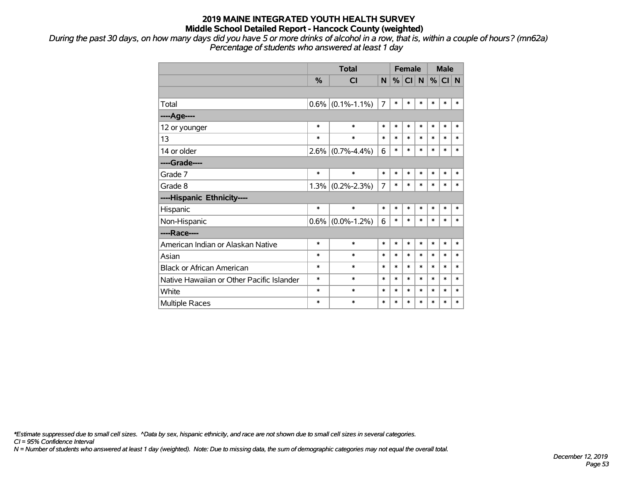*During the past 30 days, on how many days did you have 5 or more drinks of alcohol in a row, that is, within a couple of hours? (mn62a) Percentage of students who answered at least 1 day*

|                                           |               | <b>Total</b>        | <b>Female</b> |        |           |              | <b>Male</b> |          |        |
|-------------------------------------------|---------------|---------------------|---------------|--------|-----------|--------------|-------------|----------|--------|
|                                           | $\frac{0}{0}$ | CI                  | N             | %      | <b>CI</b> | $\mathsf{N}$ |             | $%$ CI N |        |
|                                           |               |                     |               |        |           |              |             |          |        |
| Total                                     |               | $0.6\%$ (0.1%-1.1%) | 7             | $\ast$ | $\ast$    | *            | *           | $\ast$   | *      |
| ----Age----                               |               |                     |               |        |           |              |             |          |        |
| 12 or younger                             | $\ast$        | $\ast$              | $\ast$        | $\ast$ | $\ast$    | $\ast$       | $\ast$      | $\ast$   | $\ast$ |
| 13                                        | $\ast$        | $\ast$              | $\ast$        | $\ast$ | $\ast$    | $\ast$       | $\ast$      | $\ast$   | $\ast$ |
| 14 or older                               |               | $2.6\%$ (0.7%-4.4%) | 6             | $\ast$ | $\ast$    | $\ast$       | $\ast$      | $\ast$   | $\ast$ |
| ----Grade----                             |               |                     |               |        |           |              |             |          |        |
| Grade 7                                   | $\ast$        | $\ast$              | $\ast$        | $\ast$ | $\ast$    | $\ast$       | $\ast$      | $\ast$   | $\ast$ |
| Grade 8                                   |               | $1.3\%$ (0.2%-2.3%) | 7             | $\ast$ | $\ast$    | $\ast$       | $\ast$      | $\ast$   | $\ast$ |
| ----Hispanic Ethnicity----                |               |                     |               |        |           |              |             |          |        |
| Hispanic                                  | $\ast$        | $\ast$              | $\ast$        | $\ast$ | $\ast$    | $\ast$       | *           | $\ast$   | $\ast$ |
| Non-Hispanic                              |               | $0.6\%$ (0.0%-1.2%) | 6             | $\ast$ | $\ast$    | $\ast$       | $\ast$      | $\ast$   | $\ast$ |
| ----Race----                              |               |                     |               |        |           |              |             |          |        |
| American Indian or Alaskan Native         | $\ast$        | $\ast$              | $\ast$        | $\ast$ | $\ast$    | $\ast$       | $\ast$      | $\ast$   | $\ast$ |
| Asian                                     | $\ast$        | $\ast$              | $\ast$        | $\ast$ | $\ast$    | $\ast$       | $\ast$      | $\ast$   | $\ast$ |
| <b>Black or African American</b>          | $\ast$        | $\ast$              | $\ast$        | $\ast$ | $\ast$    | $\ast$       | $\ast$      | $\ast$   | $\ast$ |
| Native Hawaiian or Other Pacific Islander | $\ast$        | $\ast$              | $\ast$        | $\ast$ | $\ast$    | $\ast$       | $\ast$      | $\ast$   | $\ast$ |
| White                                     | $\ast$        | $\ast$              | $\ast$        | $\ast$ | $\ast$    | $\ast$       | $\ast$      | $\ast$   | $\ast$ |
| Multiple Races                            | $\ast$        | $\ast$              | $\ast$        | $\ast$ | $\ast$    | *            | $\ast$      | $\ast$   | *      |

*\*Estimate suppressed due to small cell sizes. ^Data by sex, hispanic ethnicity, and race are not shown due to small cell sizes in several categories.*

*CI = 95% Confidence Interval*

*N = Number of students who answered at least 1 day (weighted). Note: Due to missing data, the sum of demographic categories may not equal the overall total.*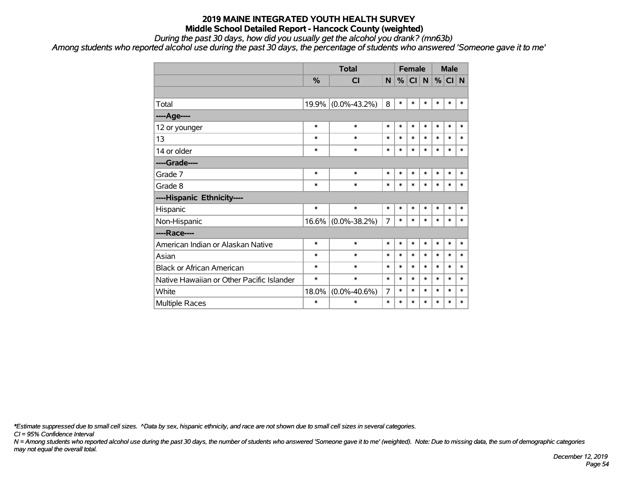*During the past 30 days, how did you usually get the alcohol you drank? (mn63b)*

*Among students who reported alcohol use during the past 30 days, the percentage of students who answered 'Someone gave it to me'*

|                                           |        | <b>Total</b>       |                | <b>Female</b> |        |        | <b>Male</b> |        |        |
|-------------------------------------------|--------|--------------------|----------------|---------------|--------|--------|-------------|--------|--------|
|                                           | %      | <b>CI</b>          | N              | %             | CI N   |        | %           | CI N   |        |
|                                           |        |                    |                |               |        |        |             |        |        |
| Total                                     | 19.9%  | $(0.0\% - 43.2\%)$ | 8              | $\ast$        | $\ast$ | $\ast$ | $\ast$      | $\ast$ | $\ast$ |
| ----Age----                               |        |                    |                |               |        |        |             |        |        |
| 12 or younger                             | $\ast$ | $\ast$             | $\ast$         | $\ast$        | $\ast$ | $\ast$ | $\ast$      | $\ast$ | $\ast$ |
| 13                                        | $\ast$ | $\ast$             | $\ast$         | $\ast$        | $\ast$ | $\ast$ | $\ast$      | $\ast$ | $\ast$ |
| 14 or older                               | $\ast$ | $\ast$             | $\ast$         | $\ast$        | $\ast$ | $\ast$ | $\ast$      | $\ast$ | $\ast$ |
| ----Grade----                             |        |                    |                |               |        |        |             |        |        |
| Grade 7                                   | *      | $\ast$             | $\ast$         | $\ast$        | $\ast$ | $\ast$ | $\ast$      | $\ast$ | $\ast$ |
| Grade 8                                   | *      | $\ast$             | $\ast$         | $\ast$        | $\ast$ | $\ast$ | $\ast$      | $\ast$ | $\ast$ |
| ----Hispanic Ethnicity----                |        |                    |                |               |        |        |             |        |        |
| Hispanic                                  | $\ast$ | $\ast$             | $\ast$         | $\ast$        | $\ast$ | $\ast$ | $\ast$      | $\ast$ | $\ast$ |
| Non-Hispanic                              |        | 16.6% (0.0%-38.2%) | $\overline{7}$ | $\ast$        | $\ast$ | $\ast$ | $\ast$      | $\ast$ | $\ast$ |
| ----Race----                              |        |                    |                |               |        |        |             |        |        |
| American Indian or Alaskan Native         | $\ast$ | $\ast$             | $\ast$         | $\ast$        | $\ast$ | $\ast$ | $\ast$      | $\ast$ | $\ast$ |
| Asian                                     | $\ast$ | $\ast$             | $\ast$         | $\ast$        | $\ast$ | $\ast$ | $\ast$      | $\ast$ | $\ast$ |
| <b>Black or African American</b>          | *      | $\ast$             | $\ast$         | $\ast$        | $\ast$ | $\ast$ | $\ast$      | $\ast$ | $\ast$ |
| Native Hawaiian or Other Pacific Islander | *      | $\ast$             | $\ast$         | $\ast$        | $\ast$ | $\ast$ | $\ast$      | $\ast$ | $\ast$ |
| White                                     | 18.0%  | $(0.0\% - 40.6\%)$ | 7              | $\ast$        | $\ast$ | $\ast$ | $\ast$      | $\ast$ | $\ast$ |
| Multiple Races                            | *      | $\ast$             | $\ast$         | $\ast$        | $\ast$ | $\ast$ | $\ast$      | $\ast$ | $\ast$ |

*\*Estimate suppressed due to small cell sizes. ^Data by sex, hispanic ethnicity, and race are not shown due to small cell sizes in several categories.*

*CI = 95% Confidence Interval*

*N = Among students who reported alcohol use during the past 30 days, the number of students who answered 'Someone gave it to me' (weighted). Note: Due to missing data, the sum of demographic categories may not equal the overall total.*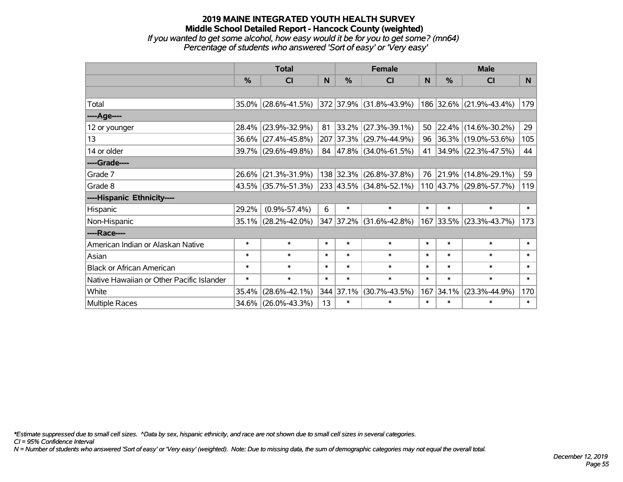#### **2019 MAINE INTEGRATED YOUTH HEALTH SURVEY Middle School Detailed Report - Hancock County (weighted)** *If you wanted to get some alcohol, how easy would it be for you to get some? (mn64) Percentage of students who answered 'Sort of easy' or 'Very easy'*

|                                           | <b>Total</b>  |                        |        |               | <b>Female</b>                |        | <b>Male</b> |                          |        |  |
|-------------------------------------------|---------------|------------------------|--------|---------------|------------------------------|--------|-------------|--------------------------|--------|--|
|                                           | $\frac{0}{0}$ | CI                     | N      | $\frac{0}{0}$ | <b>CI</b>                    | N      | %           | <b>CI</b>                | N      |  |
|                                           |               |                        |        |               |                              |        |             |                          |        |  |
| Total                                     |               | $35.0\%$ (28.6%-41.5%) |        |               | 372 37.9% (31.8%-43.9%)      |        |             | 186 32.6% (21.9%-43.4%)  | 179    |  |
| ----Age----                               |               |                        |        |               |                              |        |             |                          |        |  |
| 12 or younger                             | 28.4%         | $(23.9\% - 32.9\%)$    | 81     | $ 33.2\% $    | $(27.3\% - 39.1\%)$          | 50     | 22.4%       | $(14.6\% - 30.2\%)$      | 29     |  |
| 13                                        |               | 36.6% (27.4%-45.8%)    |        |               | 207 37.3% (29.7%-44.9%)      |        |             | 96 36.3% (19.0%-53.6%)   | 105    |  |
| 14 or older                               |               | 39.7% (29.6%-49.8%)    |        |               | 84 47.8% (34.0%-61.5%)       | 41     |             | $ 34.9\% $ (22.3%-47.5%) | 44     |  |
| ----Grade----                             |               |                        |        |               |                              |        |             |                          |        |  |
| Grade 7                                   | $26.6\%$      | $(21.3\% - 31.9\%)$    |        |               | 138 32.3% (26.8%-37.8%)      | 76     | 21.9%       | $(14.8\% - 29.1\%)$      | 59     |  |
| Grade 8                                   |               | $43.5\%$ (35.7%-51.3%) |        |               | $ 233 43.5\% $ (34.8%-52.1%) |        |             | 110 43.7% (29.8%-57.7%)  | 119    |  |
| ----Hispanic Ethnicity----                |               |                        |        |               |                              |        |             |                          |        |  |
| Hispanic                                  | 29.2%         | $(0.9\% - 57.4\%)$     | 6      | $\ast$        | $\ast$                       | $\ast$ | $\ast$      | $\ast$                   | $\ast$ |  |
| Non-Hispanic                              |               | 35.1% (28.2%-42.0%)    |        |               | 347 37.2% (31.6%-42.8%)      |        |             | 167 33.5% (23.3%-43.7%)  | 173    |  |
| ----Race----                              |               |                        |        |               |                              |        |             |                          |        |  |
| American Indian or Alaskan Native         | $\ast$        | $\ast$                 | $\ast$ | $\ast$        | $\ast$                       | $\ast$ | $\ast$      | $\ast$                   | $\ast$ |  |
| Asian                                     | $\ast$        | $\ast$                 | $\ast$ | $\ast$        | $\ast$                       | $\ast$ | $\ast$      | $\ast$                   | $\ast$ |  |
| <b>Black or African American</b>          | $\ast$        | $\ast$                 | $\ast$ | $\ast$        | $\ast$                       | $\ast$ | $\ast$      | $\ast$                   | $\ast$ |  |
| Native Hawaiian or Other Pacific Islander | $\ast$        | $\ast$                 | $\ast$ | $\ast$        | $\ast$                       | $\ast$ | $\ast$      | $\ast$                   | $\ast$ |  |
| White                                     | 35.4%         | $(28.6\% - 42.1\%)$    |        | 344 37.1%     | $(30.7\% - 43.5\%)$          | 167    | 34.1%       | $(23.3\% - 44.9\%)$      | 170    |  |
| <b>Multiple Races</b>                     |               | 34.6% (26.0%-43.3%)    | 13     | $\ast$        | $\ast$                       | $\ast$ | $\ast$      | $\ast$                   | $\ast$ |  |

*\*Estimate suppressed due to small cell sizes. ^Data by sex, hispanic ethnicity, and race are not shown due to small cell sizes in several categories.*

*CI = 95% Confidence Interval*

*N = Number of students who answered 'Sort of easy' or 'Very easy' (weighted). Note: Due to missing data, the sum of demographic categories may not equal the overall total.*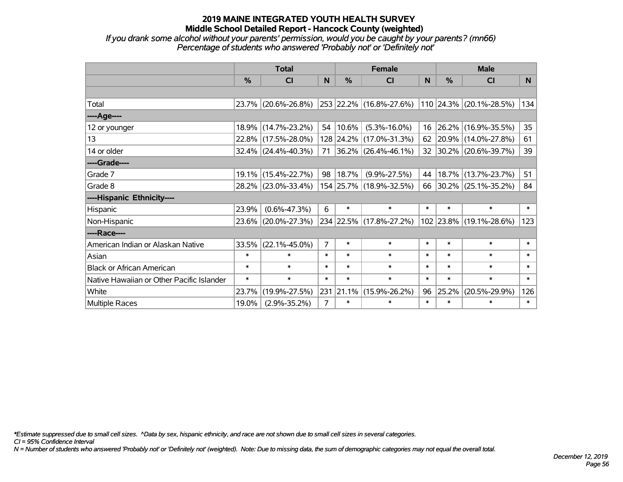*If you drank some alcohol without your parents' permission, would you be caught by your parents? (mn66) Percentage of students who answered 'Probably not' or 'Definitely not'*

|                                           | <b>Total</b>  |                     |                | <b>Female</b> | <b>Male</b>              |          |        |                         |                 |
|-------------------------------------------|---------------|---------------------|----------------|---------------|--------------------------|----------|--------|-------------------------|-----------------|
|                                           | $\frac{0}{0}$ | CI                  | N.             | $\frac{0}{0}$ | CI                       | <b>N</b> | %      | <b>CI</b>               | N <sub>1</sub>  |
|                                           |               |                     |                |               |                          |          |        |                         |                 |
| Total                                     |               | 23.7% (20.6%-26.8%) |                |               | 253 22.2% (16.8%-27.6%)  |          |        | 110 24.3% (20.1%-28.5%) | 134             |
| ----Age----                               |               |                     |                |               |                          |          |        |                         |                 |
| 12 or younger                             |               | 18.9% (14.7%-23.2%) |                | 54   10.6%    | $(5.3\% - 16.0\%)$       | 16       | 26.2%  | $(16.9\% - 35.5\%)$     | 35 <sub>2</sub> |
| 13                                        |               | 22.8% (17.5%-28.0%) |                |               | 128 24.2% (17.0%-31.3%)  | 62       |        | 20.9% (14.0%-27.8%)     | 61              |
| 14 or older                               |               | 32.4% (24.4%-40.3%) | 71             |               | $ 36.2\% $ (26.4%-46.1%) |          |        | 32 30.2% (20.6%-39.7%)  | 39              |
| ----Grade----                             |               |                     |                |               |                          |          |        |                         |                 |
| Grade 7                                   |               | 19.1% (15.4%-22.7%) | 98             | $ 18.7\% $    | $(9.9\% - 27.5\%)$       | 44       | 18.7%  | $(13.7\% - 23.7\%)$     | 51              |
| Grade 8                                   |               | 28.2% (23.0%-33.4%) |                |               | 154 25.7% (18.9%-32.5%)  |          |        | 66 30.2% (25.1%-35.2%)  | 84              |
| ----Hispanic Ethnicity----                |               |                     |                |               |                          |          |        |                         |                 |
| Hispanic                                  | 23.9%         | $(0.6\% - 47.3\%)$  | 6              | $\ast$        | $\ast$                   | $\ast$   | $\ast$ | $\ast$                  | $\ast$          |
| Non-Hispanic                              |               | 23.6% (20.0%-27.3%) |                |               | 234 22.5% (17.8%-27.2%)  |          |        | 102 23.8% (19.1%-28.6%) | 123             |
| ----Race----                              |               |                     |                |               |                          |          |        |                         |                 |
| American Indian or Alaskan Native         | 33.5%         | $(22.1\% - 45.0\%)$ | $\overline{7}$ | $\ast$        | $\ast$                   | $\ast$   | $\ast$ | $\ast$                  | $\ast$          |
| Asian                                     | $\ast$        | $\ast$              | $\ast$         | $\ast$        | $\ast$                   | $\ast$   | $\ast$ | $\ast$                  | $\ast$          |
| <b>Black or African American</b>          | $\ast$        | $\ast$              | $\ast$         | $\ast$        | $\ast$                   | $\ast$   | $\ast$ | $\ast$                  | $\ast$          |
| Native Hawaiian or Other Pacific Islander | $\ast$        | $\ast$              | $\ast$         | $\ast$        | $\ast$                   | $\ast$   | $\ast$ | $\ast$                  | $\ast$          |
| White                                     | 23.7%         | $(19.9\% - 27.5\%)$ | 231            | 21.1%         | $(15.9\% - 26.2\%)$      | 96       | 25.2%  | $(20.5\% - 29.9\%)$     | 126             |
| <b>Multiple Races</b>                     | 19.0%         | $(2.9\% - 35.2\%)$  | $\overline{7}$ | $\ast$        | $\ast$                   | $\ast$   | $\ast$ | $\ast$                  | $\ast$          |

*\*Estimate suppressed due to small cell sizes. ^Data by sex, hispanic ethnicity, and race are not shown due to small cell sizes in several categories.*

*CI = 95% Confidence Interval*

*N = Number of students who answered 'Probably not' or 'Definitely not' (weighted). Note: Due to missing data, the sum of demographic categories may not equal the overall total.*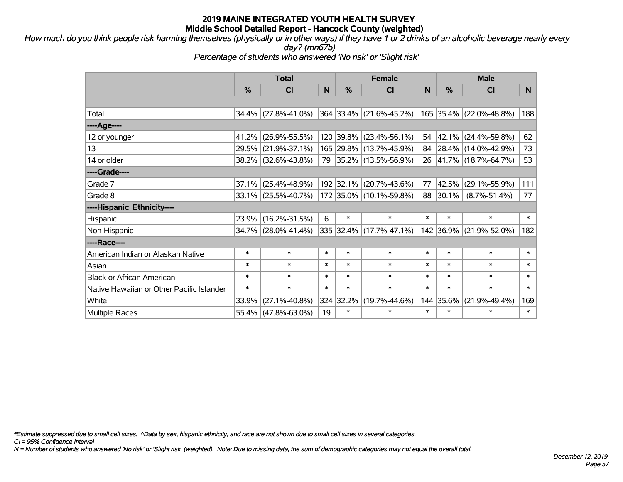*How much do you think people risk harming themselves (physically or in other ways) if they have 1 or 2 drinks of an alcoholic beverage nearly every day? (mn67b)*

*Percentage of students who answered 'No risk' or 'Slight risk'*

|                                           | <b>Total</b> |                        |        | <b>Female</b> |                         | <b>Male</b>  |           |                         |        |
|-------------------------------------------|--------------|------------------------|--------|---------------|-------------------------|--------------|-----------|-------------------------|--------|
|                                           | %            | <b>CI</b>              | N      | $\frac{0}{0}$ | <b>CI</b>               | <sub>N</sub> | %         | <b>CI</b>               | N.     |
|                                           |              |                        |        |               |                         |              |           |                         |        |
| Total                                     |              | $34.4\%$ (27.8%-41.0%) |        |               | 364 33.4% (21.6%-45.2%) |              |           | 165 35.4% (22.0%-48.8%) | 188    |
| ----Age----                               |              |                        |        |               |                         |              |           |                         |        |
| 12 or younger                             |              | 41.2% (26.9%-55.5%)    |        |               | 120 39.8% (23.4%-56.1%) | 54           | 42.1%     | $(24.4\% - 59.8\%)$     | 62     |
| 13                                        |              | 29.5% (21.9%-37.1%)    |        |               | 165 29.8% (13.7%-45.9%) |              |           | 84 28.4% (14.0%-42.9%)  | 73     |
| 14 or older                               |              | 38.2% (32.6%-43.8%)    |        |               | 79 35.2% (13.5%-56.9%)  |              |           | 26 41.7% (18.7%-64.7%)  | 53     |
| ----Grade----                             |              |                        |        |               |                         |              |           |                         |        |
| Grade 7                                   | 37.1%        | $(25.4\% - 48.9\%)$    |        | 192 32.1%     | $(20.7\% - 43.6\%)$     | 77           | 42.5%     | $(29.1\% - 55.9\%)$     | 111    |
| Grade 8                                   |              | $33.1\%$ (25.5%-40.7%) |        |               | 172 35.0% (10.1%-59.8%) |              | 88 30.1%  | $(8.7\% - 51.4\%)$      | 77     |
| ----Hispanic Ethnicity----                |              |                        |        |               |                         |              |           |                         |        |
| Hispanic                                  |              | 23.9% (16.2%-31.5%)    | 6      | $\ast$        | $\ast$                  | $\ast$       | $\ast$    | $\ast$                  | $\ast$ |
| Non-Hispanic                              |              | 34.7% (28.0%-41.4%)    |        |               | 335 32.4% (17.7%-47.1%) |              | 142 36.9% | $(21.9\% - 52.0\%)$     | 182    |
| ----Race----                              |              |                        |        |               |                         |              |           |                         |        |
| American Indian or Alaskan Native         | $\ast$       | $\ast$                 | $\ast$ | $\ast$        | $\ast$                  | $\ast$       | $\ast$    | $\ast$                  | $\ast$ |
| Asian                                     | $\ast$       | $\ast$                 | $\ast$ | $\ast$        | $\ast$                  | $\ast$       | $\ast$    | $\ast$                  | $\ast$ |
| <b>Black or African American</b>          | $\ast$       | $\ast$                 | $\ast$ | $\ast$        | $\ast$                  | $\ast$       | $\ast$    | $\ast$                  | $\ast$ |
| Native Hawaiian or Other Pacific Islander | $\ast$       | $\ast$                 | $\ast$ | $\ast$        | $\ast$                  | $\ast$       | $\ast$    | $\ast$                  | $\ast$ |
| White                                     | 33.9%        | $(27.1\% - 40.8\%)$    |        | 324 32.2%     | $(19.7\% - 44.6\%)$     | 144          | 35.6%     | $(21.9\% - 49.4\%)$     | 169    |
| <b>Multiple Races</b>                     |              | 55.4% (47.8%-63.0%)    | 19     | $\ast$        | $\ast$                  | $\ast$       | $\ast$    | $\ast$                  | $\ast$ |

*\*Estimate suppressed due to small cell sizes. ^Data by sex, hispanic ethnicity, and race are not shown due to small cell sizes in several categories.*

*CI = 95% Confidence Interval*

*N = Number of students who answered 'No risk' or 'Slight risk' (weighted). Note: Due to missing data, the sum of demographic categories may not equal the overall total.*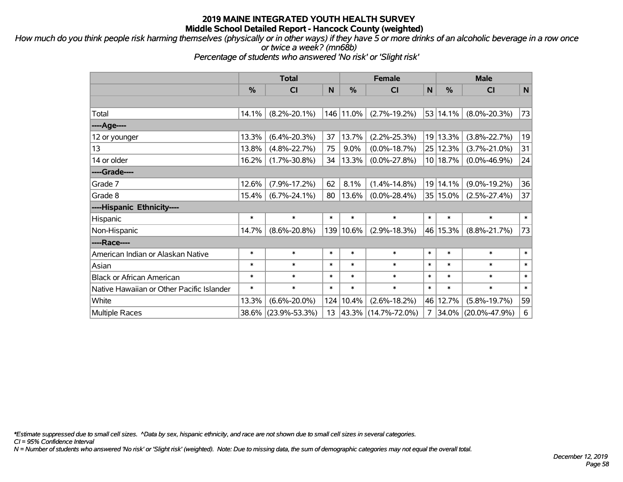*How much do you think people risk harming themselves (physically or in other ways) if they have 5 or more drinks of an alcoholic beverage in a row once or twice a week? (mn68b)*

*Percentage of students who answered 'No risk' or 'Slight risk'*

|                                           | <b>Total</b>  |                     |        |               | <b>Female</b>       |              | <b>Male</b>   |                     |             |  |
|-------------------------------------------|---------------|---------------------|--------|---------------|---------------------|--------------|---------------|---------------------|-------------|--|
|                                           | $\frac{0}{0}$ | <b>CI</b>           | N      | $\frac{0}{0}$ | <b>CI</b>           | $\mathsf{N}$ | $\frac{0}{0}$ | <b>CI</b>           | $\mathbf N$ |  |
|                                           |               |                     |        |               |                     |              |               |                     |             |  |
| Total                                     | 14.1%         | $(8.2\% - 20.1\%)$  |        | 146 11.0%     | $(2.7\% - 19.2\%)$  |              | 53 14.1%      | $(8.0\% - 20.3\%)$  | 73          |  |
| ----Age----                               |               |                     |        |               |                     |              |               |                     |             |  |
| 12 or younger                             | 13.3%         | $(6.4\% - 20.3\%)$  | 37     | 13.7%         | $(2.2\% - 25.3\%)$  |              | 19 13.3%      | $(3.8\% - 22.7\%)$  | 19          |  |
| 13                                        | 13.8%         | $(4.8\% - 22.7\%)$  | 75     | 9.0%          | $(0.0\% - 18.7\%)$  |              | 25 12.3%      | $(3.7\% - 21.0\%)$  | 31          |  |
| 14 or older                               | 16.2%         | $(1.7\% - 30.8\%)$  | 34     | 13.3%         | $(0.0\% - 27.8\%)$  |              | 10 18.7%      | $(0.0\% - 46.9\%)$  | 24          |  |
| ----Grade----                             |               |                     |        |               |                     |              |               |                     |             |  |
| Grade 7                                   | 12.6%         | $(7.9\% - 17.2\%)$  | 62     | 8.1%          | $(1.4\% - 14.8\%)$  |              | 19 14.1%      | $(9.0\% - 19.2\%)$  | 36          |  |
| Grade 8                                   | 15.4%         | $(6.7\% - 24.1\%)$  | 80     | 13.6%         | $(0.0\% - 28.4\%)$  |              | 35   15.0%    | $(2.5\% - 27.4\%)$  | 37          |  |
| ----Hispanic Ethnicity----                |               |                     |        |               |                     |              |               |                     |             |  |
| Hispanic                                  | $\ast$        | $\ast$              | $\ast$ | $\ast$        | $\ast$              | $\ast$       | $\ast$        | $\ast$              | $\ast$      |  |
| Non-Hispanic                              | 14.7%         | $(8.6\% - 20.8\%)$  | 139    | 10.6%         | $(2.9\% - 18.3\%)$  | 46           | 15.3%         | $(8.8\% - 21.7\%)$  | 73          |  |
| ----Race----                              |               |                     |        |               |                     |              |               |                     |             |  |
| American Indian or Alaskan Native         | $\ast$        | $\ast$              | $\ast$ | $\ast$        | $\ast$              | $\ast$       | $\ast$        | $\ast$              | $\ast$      |  |
| Asian                                     | $\ast$        | $\ast$              | $\ast$ | $\ast$        | $\ast$              | $\ast$       | $\ast$        | $\ast$              | $\ast$      |  |
| <b>Black or African American</b>          | $\ast$        | $\ast$              | $\ast$ | $\ast$        | $\ast$              | $\ast$       | $\ast$        | $\ast$              | $\ast$      |  |
| Native Hawaiian or Other Pacific Islander | $\ast$        | $\ast$              | $\ast$ | $\ast$        | $\ast$              | $\ast$       | $\ast$        | $\ast$              | $\ast$      |  |
| White                                     | 13.3%         | $(6.6\% - 20.0\%)$  | 124    | 10.4%         | $(2.6\% - 18.2\%)$  | 46           | 12.7%         | $(5.8\% - 19.7\%)$  | 59          |  |
| Multiple Races                            |               | 38.6% (23.9%-53.3%) | 13     |               | 43.3% (14.7%-72.0%) | 7            | 34.0%         | $(20.0\% - 47.9\%)$ | 6           |  |

*\*Estimate suppressed due to small cell sizes. ^Data by sex, hispanic ethnicity, and race are not shown due to small cell sizes in several categories.*

*CI = 95% Confidence Interval*

*N = Number of students who answered 'No risk' or 'Slight risk' (weighted). Note: Due to missing data, the sum of demographic categories may not equal the overall total.*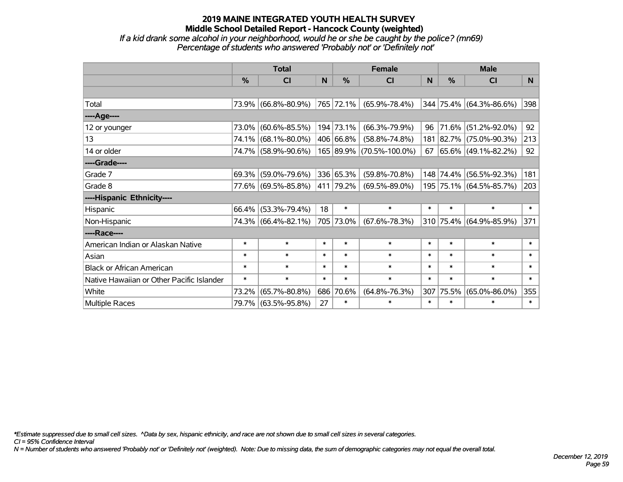*If a kid drank some alcohol in your neighborhood, would he or she be caught by the police? (mn69) Percentage of students who answered 'Probably not' or 'Definitely not'*

|                                           | <b>Total</b>  |                        |        |               | <b>Female</b>            |        | <b>Male</b>   |                          |        |  |
|-------------------------------------------|---------------|------------------------|--------|---------------|--------------------------|--------|---------------|--------------------------|--------|--|
|                                           | $\frac{0}{0}$ | <b>CI</b>              | N      | $\frac{0}{0}$ | <b>CI</b>                | N      | $\frac{0}{0}$ | <b>CI</b>                | N.     |  |
|                                           |               |                        |        |               |                          |        |               |                          |        |  |
| Total                                     |               | 73.9% (66.8%-80.9%)    |        | 765 72.1%     | $(65.9\% - 78.4\%)$      |        |               | 344 75.4% (64.3%-86.6%)  | 398    |  |
| ----Age----                               |               |                        |        |               |                          |        |               |                          |        |  |
| 12 or younger                             | 73.0%         | $(60.6\% - 85.5\%)$    |        | 194 73.1%     | $(66.3\% - 79.9\%)$      | 96     |               | 71.6% (51.2%-92.0%)      | 92     |  |
| 13                                        |               | 74.1% (68.1%-80.0%)    |        | 406 66.8%     | $(58.8\% - 74.8\%)$      |        |               | 181 82.7% (75.0%-90.3%)  | 213    |  |
| 14 or older                               |               | 74.7% (58.9%-90.6%)    |        |               | 165 89.9% (70.5%-100.0%) | 67     |               | $ 65.6\% $ (49.1%-82.2%) | 92     |  |
| ----Grade----                             |               |                        |        |               |                          |        |               |                          |        |  |
| Grade 7                                   | 69.3%         | $(59.0\% - 79.6\%)$    |        | 336 65.3%     | $(59.8\% - 70.8\%)$      |        |               | 148 74.4% (56.5%-92.3%)  | 181    |  |
| Grade 8                                   |               | 77.6% (69.5%-85.8%)    |        | 411 79.2%     | $(69.5\% - 89.0\%)$      |        |               | 195 75.1% (64.5%-85.7%)  | 203    |  |
| ----Hispanic Ethnicity----                |               |                        |        |               |                          |        |               |                          |        |  |
| Hispanic                                  |               | $66.4\%$ (53.3%-79.4%) | 18     | $\ast$        | $\ast$                   | $\ast$ | $\ast$        | $\ast$                   | $\ast$ |  |
| Non-Hispanic                              |               | 74.3% (66.4%-82.1%)    |        | 705 73.0%     | $(67.6\% - 78.3\%)$      |        |               | 310 75.4% (64.9%-85.9%)  | 371    |  |
| ----Race----                              |               |                        |        |               |                          |        |               |                          |        |  |
| American Indian or Alaskan Native         | $\ast$        | $\ast$                 | $\ast$ | $\ast$        | $\ast$                   | $\ast$ | $\ast$        | $\ast$                   | $\ast$ |  |
| Asian                                     | $\ast$        | $\ast$                 | $\ast$ | $\ast$        | $\ast$                   | $\ast$ | $\ast$        | $\ast$                   | $\ast$ |  |
| <b>Black or African American</b>          | $\ast$        | $\ast$                 | $\ast$ | $\ast$        | $\ast$                   | $\ast$ | $\ast$        | $\ast$                   | $\ast$ |  |
| Native Hawaiian or Other Pacific Islander | $\ast$        | $\ast$                 | $\ast$ | $\ast$        | $\ast$                   | $\ast$ | $\ast$        | $\ast$                   | $\ast$ |  |
| White                                     | 73.2%         | $(65.7\% - 80.8\%)$    | 686    | 70.6%         | $(64.8\% - 76.3\%)$      | 307    | 75.5%         | $(65.0\% - 86.0\%)$      | 355    |  |
| Multiple Races                            |               | 79.7% (63.5%-95.8%)    | 27     | $\ast$        | $\ast$                   | $\ast$ | $\ast$        | $\ast$                   | $\ast$ |  |

*\*Estimate suppressed due to small cell sizes. ^Data by sex, hispanic ethnicity, and race are not shown due to small cell sizes in several categories.*

*CI = 95% Confidence Interval*

*N = Number of students who answered 'Probably not' or 'Definitely not' (weighted). Note: Due to missing data, the sum of demographic categories may not equal the overall total.*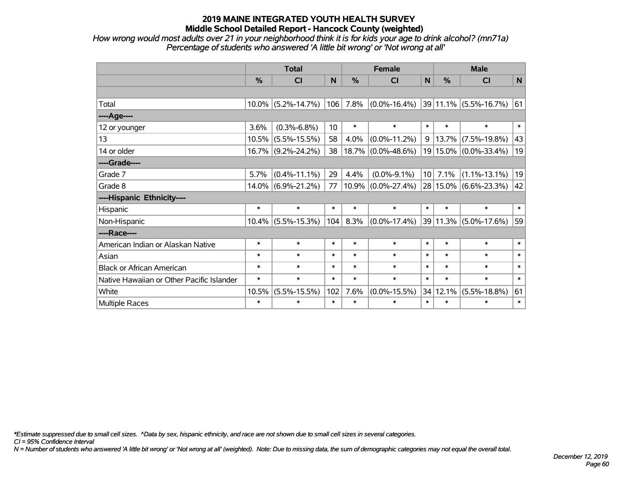*How wrong would most adults over 21 in your neighborhood think it is for kids your age to drink alcohol? (mn71a) Percentage of students who answered 'A little bit wrong' or 'Not wrong at all'*

|                                           | <b>Total</b> |                       |                 |               | <b>Female</b>         |                 | <b>Male</b> |                           |        |  |
|-------------------------------------------|--------------|-----------------------|-----------------|---------------|-----------------------|-----------------|-------------|---------------------------|--------|--|
|                                           | %            | CI                    | N               | $\frac{0}{0}$ | CI                    | <b>N</b>        | %           | <b>CI</b>                 | N      |  |
|                                           |              |                       |                 |               |                       |                 |             |                           |        |  |
| Total                                     |              | $10.0\%$ (5.2%-14.7%) | 106             | 7.8%          | $(0.0\% - 16.4\%)$    |                 |             | 39 11.1% (5.5%-16.7%)     | 61     |  |
| ---- Age----                              |              |                       |                 |               |                       |                 |             |                           |        |  |
| 12 or younger                             | 3.6%         | $(0.3\% - 6.8\%)$     | 10 <sup>1</sup> | $\ast$        | $\ast$                | $\ast$          | $\ast$      | $\ast$                    | $\ast$ |  |
| 13                                        | 10.5%        | $(5.5\% - 15.5\%)$    | 58              | 4.0%          | $(0.0\% - 11.2\%)$    | 9               | 13.7%       | $(7.5\% - 19.8\%)$        | 43     |  |
| 14 or older                               |              | $16.7\%$ (9.2%-24.2%) | 38              |               | $18.7\%$ (0.0%-48.6%) |                 | 19 15.0%    | $(0.0\% - 33.4\%)$        | 19     |  |
| ----Grade----                             |              |                       |                 |               |                       |                 |             |                           |        |  |
| Grade 7                                   | 5.7%         | $(0.4\% - 11.1\%)$    | 29              | 4.4%          | $(0.0\% - 9.1\%)$     | 10 <sup>1</sup> | 7.1%        | $(1.1\% - 13.1\%)$        | 19     |  |
| Grade 8                                   |              | $14.0\%$ (6.9%-21.2%) | 77              |               | $10.9\%$ (0.0%-27.4%) |                 |             | $28 15.0\% $ (6.6%-23.3%) | 42     |  |
| ----Hispanic Ethnicity----                |              |                       |                 |               |                       |                 |             |                           |        |  |
| Hispanic                                  | $\ast$       | $\ast$                | $\ast$          | $\ast$        | $\ast$                | $\ast$          | $\ast$      | $\ast$                    | $\ast$ |  |
| Non-Hispanic                              |              | $10.4\%$ (5.5%-15.3%) | 104             | 8.3%          | $(0.0\% - 17.4\%)$    |                 | 39 11.3%    | $(5.0\% - 17.6\%)$        | 59     |  |
| ----Race----                              |              |                       |                 |               |                       |                 |             |                           |        |  |
| American Indian or Alaskan Native         | $\ast$       | $\ast$                | $\ast$          | $\ast$        | $\ast$                | $\ast$          | $\ast$      | $\ast$                    | $\ast$ |  |
| Asian                                     | $\ast$       | $\ast$                | $\ast$          | $\ast$        | $\ast$                | $\ast$          | $\ast$      | $\ast$                    | $\ast$ |  |
| <b>Black or African American</b>          | $\ast$       | $\ast$                | $\ast$          | $\ast$        | $\ast$                | $\ast$          | $\ast$      | $\ast$                    | $\ast$ |  |
| Native Hawaiian or Other Pacific Islander | $\ast$       | $\ast$                | $\ast$          | $\ast$        | $\ast$                | $\ast$          | $\ast$      | $\ast$                    | $\ast$ |  |
| White                                     | 10.5%        | $(5.5\% - 15.5\%)$    | 102             | 7.6%          | $(0.0\% - 15.5\%)$    |                 | 34 12.1%    | $(5.5\% - 18.8\%)$        | 61     |  |
| Multiple Races                            | $\ast$       | $\ast$                | $\ast$          | $\ast$        | $\ast$                | $\ast$          | $\ast$      | $\ast$                    | $\ast$ |  |

*\*Estimate suppressed due to small cell sizes. ^Data by sex, hispanic ethnicity, and race are not shown due to small cell sizes in several categories.*

*CI = 95% Confidence Interval*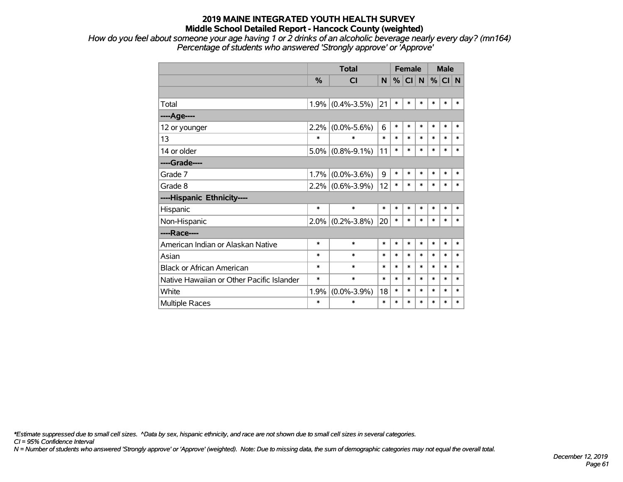*How do you feel about someone your age having 1 or 2 drinks of an alcoholic beverage nearly every day? (mn164) Percentage of students who answered 'Strongly approve' or 'Approve'*

|                                           |               | <b>Total</b>      |        | <b>Female</b> |           |        | <b>Male</b> |        |        |
|-------------------------------------------|---------------|-------------------|--------|---------------|-----------|--------|-------------|--------|--------|
|                                           | $\frac{0}{0}$ | <b>CI</b>         | N      | %             | <b>CI</b> | N.     | %           | CI N   |        |
|                                           |               |                   |        |               |           |        |             |        |        |
| Total                                     | 1.9%          | $(0.4\% - 3.5\%)$ | 21     | $\ast$        | $\ast$    | $\ast$ | $\ast$      | $\ast$ | *      |
| ----Age----                               |               |                   |        |               |           |        |             |        |        |
| 12 or younger                             | 2.2%          | $(0.0\% - 5.6\%)$ | 6      | $\ast$        | $\ast$    | $\ast$ | $\ast$      | $\ast$ | $\ast$ |
| 13                                        | $\ast$        | $\ast$            | $\ast$ | $\ast$        | $\ast$    | $\ast$ | $\ast$      | $\ast$ | $\ast$ |
| 14 or older                               | 5.0%          | $(0.8\% - 9.1\%)$ | 11     | $\ast$        | $\ast$    | $\ast$ | $\ast$      | $\ast$ | $\ast$ |
| ----Grade----                             |               |                   |        |               |           |        |             |        |        |
| Grade 7                                   | 1.7%          | $(0.0\% - 3.6\%)$ | 9      | $\ast$        | $\ast$    | $\ast$ | $\ast$      | $\ast$ | $\ast$ |
| Grade 8                                   | 2.2%          | $(0.6\% - 3.9\%)$ | 12     | $\ast$        | $\ast$    | $\ast$ | $\ast$      | $\ast$ | $\ast$ |
| ----Hispanic Ethnicity----                |               |                   |        |               |           |        |             |        |        |
| Hispanic                                  | *             | $\ast$            | $\ast$ | $\ast$        | $\ast$    | *      | $\ast$      | $\ast$ | $\ast$ |
| Non-Hispanic                              | 2.0%          | $(0.2\% - 3.8\%)$ | 20     | $\ast$        | $\ast$    | $\ast$ | $\ast$      | $\ast$ | *      |
| ----Race----                              |               |                   |        |               |           |        |             |        |        |
| American Indian or Alaskan Native         | $\ast$        | $\ast$            | $\ast$ | $\ast$        | $\ast$    | $\ast$ | $\ast$      | $\ast$ | $\ast$ |
| Asian                                     | $\ast$        | $\ast$            | $\ast$ | $\ast$        | $\ast$    | $\ast$ | $\ast$      | $\ast$ | $\ast$ |
| <b>Black or African American</b>          | $\ast$        | $\ast$            | $\ast$ | $\ast$        | $\ast$    | $\ast$ | $\ast$      | $\ast$ | $\ast$ |
| Native Hawaiian or Other Pacific Islander | *             | $\ast$            | $\ast$ | $\ast$        | $\ast$    | $\ast$ | $\ast$      | $\ast$ | $\ast$ |
| White                                     | 1.9%          | $(0.0\% - 3.9\%)$ | 18     | $\ast$        | $\ast$    | $\ast$ | $\ast$      | $\ast$ | $\ast$ |
| Multiple Races                            | $\ast$        | $\ast$            | $\ast$ | $\ast$        | $\ast$    | $\ast$ | $\ast$      | $\ast$ | $\ast$ |

*\*Estimate suppressed due to small cell sizes. ^Data by sex, hispanic ethnicity, and race are not shown due to small cell sizes in several categories.*

*CI = 95% Confidence Interval*

*N = Number of students who answered 'Strongly approve' or 'Approve' (weighted). Note: Due to missing data, the sum of demographic categories may not equal the overall total.*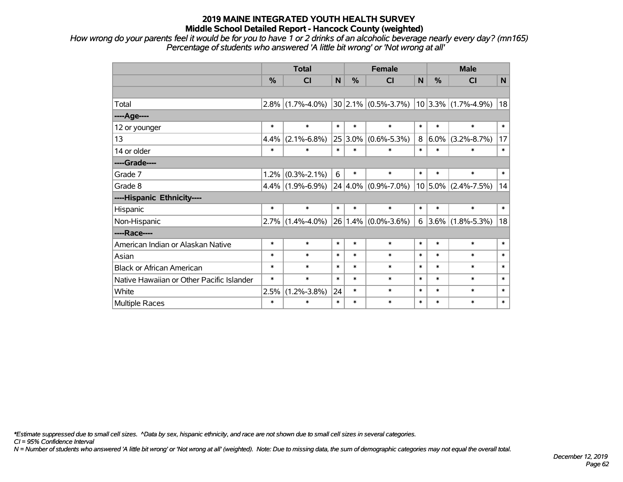*How wrong do your parents feel it would be for you to have 1 or 2 drinks of an alcoholic beverage nearly every day? (mn165) Percentage of students who answered 'A little bit wrong' or 'Not wrong at all'*

|                                           | <b>Total</b> |                             |             |         | <b>Female</b>              | <b>Male</b> |           |                           |        |
|-------------------------------------------|--------------|-----------------------------|-------------|---------|----------------------------|-------------|-----------|---------------------------|--------|
|                                           | %            | <b>CI</b>                   | $\mathbf N$ | %       | <b>CI</b>                  | N           | %         | <b>CI</b>                 | N      |
|                                           |              |                             |             |         |                            |             |           |                           |        |
| Total                                     | 2.8%         | $(1.7\% - 4.0\%)$           |             |         | $30 2.1\% (0.5\% - 3.7\%)$ |             |           | $10 3.3\% $ (1.7%-4.9%)   | 18     |
| ----Age----                               |              |                             |             |         |                            |             |           |                           |        |
| 12 or younger                             | $\ast$       | $\ast$                      | $\ast$      | $\ast$  | $\ast$                     | $\ast$      | $\ast$    | $\ast$                    | $\ast$ |
| 13                                        | 4.4%         | $(2.1\% - 6.8\%)$           |             | 25 3.0% | $(0.6\% - 5.3\%)$          | 8           | $ 6.0\% $ | $(3.2\% - 8.7\%)$         | 17     |
| 14 or older                               | $\ast$       | $\ast$                      | $\ast$      | $\ast$  | $\ast$                     | $\ast$      | $\ast$    | $\ast$                    | $\ast$ |
| ----Grade----                             |              |                             |             |         |                            |             |           |                           |        |
| Grade 7                                   | 1.2%         | $(0.3\text{%}-2.1\text{%})$ | 6           | $\ast$  | $\ast$                     | $\ast$      | $\ast$    | $\ast$                    | $\ast$ |
| Grade 8                                   | 4.4%         | $(1.9\% - 6.9\%)$           |             |         | $24 4.0\% $ (0.9%-7.0%)    |             |           | $10 5.0\% $ (2.4%-7.5%)   | 14     |
| ----Hispanic Ethnicity----                |              |                             |             |         |                            |             |           |                           |        |
| Hispanic                                  | $\ast$       | $\ast$                      | $\ast$      | $\ast$  | $\ast$                     | $\ast$      | $\ast$    | $\ast$                    | $\ast$ |
| Non-Hispanic                              | 2.7%         | $(1.4\% - 4.0\%)$           |             |         | $26 1.4\% $ (0.0%-3.6%)    |             |           | $6 3.6\% (1.8\% - 5.3\%)$ | 18     |
| ----Race----                              |              |                             |             |         |                            |             |           |                           |        |
| American Indian or Alaskan Native         | $\ast$       | $\ast$                      | $\ast$      | $\ast$  | $\ast$                     | $\ast$      | $\ast$    | $\ast$                    | $\ast$ |
| Asian                                     | $\ast$       | $\ast$                      | $\ast$      | $\ast$  | $\ast$                     | $\ast$      | $\ast$    | $\ast$                    | $\ast$ |
| <b>Black or African American</b>          | $\ast$       | $\ast$                      | $\ast$      | $\ast$  | $\ast$                     | $\ast$      | $\ast$    | $\ast$                    | $\ast$ |
| Native Hawaiian or Other Pacific Islander | $\ast$       | $\ast$                      | $\ast$      | $\ast$  | $\ast$                     | $\ast$      | $\ast$    | $\ast$                    | $\ast$ |
| White                                     | 2.5%         | $(1.2\% - 3.8\%)$           | 24          | $\ast$  | $\ast$                     | $\ast$      | $\ast$    | $\ast$                    | $\ast$ |
| Multiple Races                            | $\ast$       | $\ast$                      | $\ast$      | $\ast$  | $\ast$                     | $\ast$      | $\ast$    | $\ast$                    | $\ast$ |

*\*Estimate suppressed due to small cell sizes. ^Data by sex, hispanic ethnicity, and race are not shown due to small cell sizes in several categories.*

*CI = 95% Confidence Interval*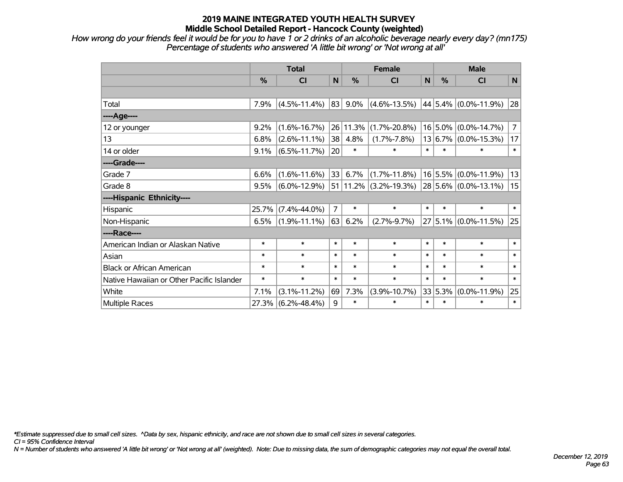*How wrong do your friends feel it would be for you to have 1 or 2 drinks of an alcoholic beverage nearly every day? (mn175) Percentage of students who answered 'A little bit wrong' or 'Not wrong at all'*

|                                           | <b>Total</b>  |                    |                |         | <b>Female</b>         |        | <b>Male</b> |                          |                |  |
|-------------------------------------------|---------------|--------------------|----------------|---------|-----------------------|--------|-------------|--------------------------|----------------|--|
|                                           | $\frac{0}{0}$ | CI                 | N              | %       | <b>CI</b>             | N      | %           | CI                       | N              |  |
|                                           |               |                    |                |         |                       |        |             |                          |                |  |
| Total                                     | 7.9%          | $(4.5\% - 11.4\%)$ | 83             | $9.0\%$ | $(4.6\% - 13.5\%)$    |        |             | 44 5.4% (0.0%-11.9%)     | 28             |  |
| ----Age----                               |               |                    |                |         |                       |        |             |                          |                |  |
| 12 or younger                             | 9.2%          | $(1.6\% - 16.7\%)$ | 26             | 11.3%   | $(1.7\% - 20.8\%)$    |        |             | $16$ 5.0% (0.0%-14.7%)   | $\overline{7}$ |  |
| 13                                        | 6.8%          | $(2.6\% - 11.1\%)$ | 38             | 4.8%    | $(1.7\% - 7.8\%)$     |        |             | $13 6.7\% $ (0.0%-15.3%) | 17             |  |
| 14 or older                               | 9.1%          | $(6.5\% - 11.7\%)$ | 20             | $\ast$  | $\ast$                | $\ast$ | $\ast$      | ∗                        | $\ast$         |  |
| ----Grade----                             |               |                    |                |         |                       |        |             |                          |                |  |
| Grade 7                                   | 6.6%          | $(1.6\% - 11.6\%)$ | 33             | 6.7%    | $(1.7\% - 11.8\%)$    |        |             | $16$ 5.5% (0.0%-11.9%)   | 13             |  |
| Grade 8                                   | 9.5%          | $(6.0\% - 12.9\%)$ | 51             |         | $11.2\%$ (3.2%-19.3%) |        |             | $28 5.6\% $ (0.0%-13.1%) | 15             |  |
| ----Hispanic Ethnicity----                |               |                    |                |         |                       |        |             |                          |                |  |
| Hispanic                                  | 25.7%         | $(7.4\% - 44.0\%)$ | $\overline{7}$ | $\ast$  | $\ast$                | $\ast$ | $\ast$      | $\ast$                   | $\ast$         |  |
| Non-Hispanic                              | 6.5%          | $(1.9\% - 11.1\%)$ | 63             | 6.2%    | $(2.7\% - 9.7\%)$     |        |             | 27 5.1% (0.0%-11.5%)     | 25             |  |
| ----Race----                              |               |                    |                |         |                       |        |             |                          |                |  |
| American Indian or Alaskan Native         | $\ast$        | $\ast$             | $\ast$         | $\ast$  | $\ast$                | $\ast$ | $\ast$      | $\ast$                   | $\ast$         |  |
| Asian                                     | $\ast$        | $\ast$             | $\ast$         | $\ast$  | $\ast$                | $\ast$ | $\ast$      | $\ast$                   | $\ast$         |  |
| <b>Black or African American</b>          | $\ast$        | $\ast$             | $\ast$         | $\ast$  | $\ast$                | $\ast$ | $\ast$      | $\ast$                   | $\ast$         |  |
| Native Hawaiian or Other Pacific Islander | $\ast$        | $\ast$             | $\ast$         | $\ast$  | $\ast$                | $\ast$ | *           | $\ast$                   | $\ast$         |  |
| White                                     | 7.1%          | $(3.1\% - 11.2\%)$ | 69             | 7.3%    | $(3.9\% - 10.7\%)$    |        | 33 5.3%     | $(0.0\% - 11.9\%)$       | 25             |  |
| Multiple Races                            |               | 27.3% (6.2%-48.4%) | 9              | $\ast$  | $\ast$                | $\ast$ | $\ast$      | $\ast$                   | $\ast$         |  |

*\*Estimate suppressed due to small cell sizes. ^Data by sex, hispanic ethnicity, and race are not shown due to small cell sizes in several categories.*

*CI = 95% Confidence Interval*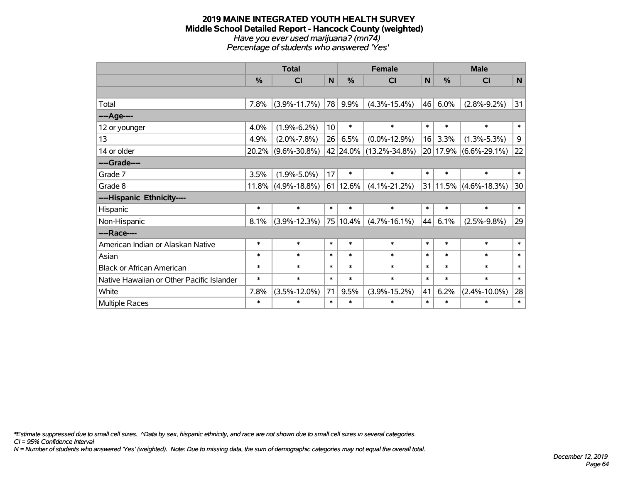#### **2019 MAINE INTEGRATED YOUTH HEALTH SURVEY Middle School Detailed Report - Hancock County (weighted)** *Have you ever used marijuana? (mn74) Percentage of students who answered 'Yes'*

|                                           | <b>Total</b> |                       |                 | <b>Female</b> |                        | <b>Male</b>  |        |                           |              |
|-------------------------------------------|--------------|-----------------------|-----------------|---------------|------------------------|--------------|--------|---------------------------|--------------|
|                                           | %            | <b>CI</b>             | $\mathbf N$     | %             | <b>CI</b>              | $\mathsf{N}$ | %      | <b>CI</b>                 | $\mathsf{N}$ |
|                                           |              |                       |                 |               |                        |              |        |                           |              |
| Total                                     | 7.8%         | $(3.9\% - 11.7\%)$    | 78              | 9.9%          | $(4.3\% - 15.4\%)$     | 46           | 6.0%   | $(2.8\% - 9.2\%)$         | 31           |
| ----Age----                               |              |                       |                 |               |                        |              |        |                           |              |
| 12 or younger                             | 4.0%         | $(1.9\% - 6.2\%)$     | 10 <sup>1</sup> | $\ast$        | $\ast$                 | $\ast$       | $\ast$ | $\ast$                    | $\ast$       |
| 13                                        | 4.9%         | $(2.0\% - 7.8\%)$     | 26              | 6.5%          | $(0.0\% - 12.9\%)$     | 16           | 3.3%   | $(1.3\% - 5.3\%)$         | 9            |
| 14 or older                               | $20.2\%$     | $(9.6\% - 30.8\%)$    |                 |               | 42 24.0% (13.2%-34.8%) |              |        | 20 17.9% (6.6%-29.1%)     | 22           |
| ----Grade----                             |              |                       |                 |               |                        |              |        |                           |              |
| Grade 7                                   | 3.5%         | $(1.9\% - 5.0\%)$     | 17              | $\ast$        | $\ast$                 | $\ast$       | $\ast$ | $\ast$                    | $\ast$       |
| Grade 8                                   |              | $11.8\%$ (4.9%-18.8%) |                 | 61 12.6%      | $(4.1\% - 21.2\%)$     |              |        | $31 11.5\% $ (4.6%-18.3%) | 30           |
| ----Hispanic Ethnicity----                |              |                       |                 |               |                        |              |        |                           |              |
| Hispanic                                  | $\ast$       | $\ast$                | $\ast$          | $\ast$        | $\ast$                 | $\ast$       | $\ast$ | $\ast$                    | $\ast$       |
| Non-Hispanic                              | 8.1%         | $(3.9\% - 12.3\%)$    |                 | $ 75 10.4\% $ | $(4.7\% - 16.1\%)$     | 44           | 6.1%   | $(2.5\% - 9.8\%)$         | 29           |
| ----Race----                              |              |                       |                 |               |                        |              |        |                           |              |
| American Indian or Alaskan Native         | $\ast$       | $\ast$                | $\ast$          | $\ast$        | $\ast$                 | $\ast$       | $\ast$ | $\ast$                    | $\ast$       |
| Asian                                     | $\ast$       | $\ast$                | $\ast$          | $\ast$        | $\ast$                 | $\ast$       | $\ast$ | $\ast$                    | $\ast$       |
| <b>Black or African American</b>          | $\ast$       | $\ast$                | $\ast$          | $\ast$        | $\ast$                 | $\ast$       | $\ast$ | $\ast$                    | $\ast$       |
| Native Hawaiian or Other Pacific Islander | $\ast$       | $\ast$                | $\ast$          | $\ast$        | $\ast$                 | $\ast$       | $\ast$ | $\ast$                    | $\ast$       |
| White                                     | 7.8%         | $(3.5\% - 12.0\%)$    | 71              | 9.5%          | $(3.9\% - 15.2\%)$     | 41           | 6.2%   | $(2.4\% - 10.0\%)$        | 28           |
| Multiple Races                            | $\ast$       | $\ast$                | $\ast$          | $\ast$        | $\ast$                 | $\ast$       | $\ast$ | $\ast$                    | $\ast$       |

*\*Estimate suppressed due to small cell sizes. ^Data by sex, hispanic ethnicity, and race are not shown due to small cell sizes in several categories.*

*CI = 95% Confidence Interval*

*N = Number of students who answered 'Yes' (weighted). Note: Due to missing data, the sum of demographic categories may not equal the overall total.*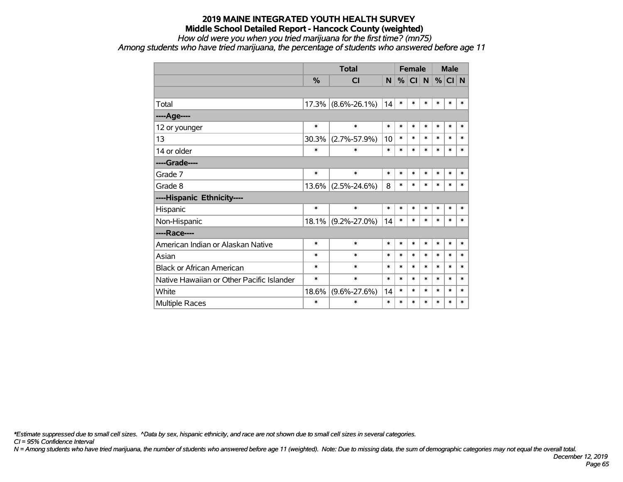*How old were you when you tried marijuana for the first time? (mn75)*

*Among students who have tried marijuana, the percentage of students who answered before age 11*

|                                           |        | <b>Total</b>       |        |        |        | <b>Female</b> |        | <b>Male</b> |        |
|-------------------------------------------|--------|--------------------|--------|--------|--------|---------------|--------|-------------|--------|
|                                           | $\%$   | CI                 | N      | %      | CI     | N             | %      | CI N        |        |
|                                           |        |                    |        |        |        |               |        |             |        |
| Total                                     | 17.3%  | $(8.6\% - 26.1\%)$ | 14     | $\ast$ | $\ast$ | *             | $\ast$ | $\ast$      | $\ast$ |
| ---- Age----                              |        |                    |        |        |        |               |        |             |        |
| 12 or younger                             | $\ast$ | $\ast$             | $\ast$ | $\ast$ | $\ast$ | $\ast$        | $\ast$ | $\ast$      | $\ast$ |
| 13                                        | 30.3%  | $(2.7\% - 57.9\%)$ | 10     | $\ast$ | $\ast$ | $\ast$        | $\ast$ | $\ast$      | $\ast$ |
| 14 or older                               | $\ast$ | $\ast$             | $\ast$ | $\ast$ | $\ast$ | $\ast$        | $\ast$ | $\ast$      | $\ast$ |
| ----Grade----                             |        |                    |        |        |        |               |        |             |        |
| Grade 7                                   | $\ast$ | $\ast$             | $\ast$ | $\ast$ | $\ast$ | $\ast$        | $\ast$ | $\ast$      | $\ast$ |
| Grade 8                                   | 13.6%  | $(2.5\% - 24.6\%)$ | 8      | $\ast$ | $\ast$ | $\ast$        | $\ast$ | $\ast$      | $\ast$ |
| ----Hispanic Ethnicity----                |        |                    |        |        |        |               |        |             |        |
| Hispanic                                  | $\ast$ | $\ast$             | $\ast$ | $\ast$ | $\ast$ | $\ast$        | $\ast$ | $\ast$      | $\ast$ |
| Non-Hispanic                              | 18.1%  | $(9.2\% - 27.0\%)$ | 14     | $\ast$ | $\ast$ | $\ast$        | $\ast$ | $\ast$      | $\ast$ |
| ----Race----                              |        |                    |        |        |        |               |        |             |        |
| American Indian or Alaskan Native         | $\ast$ | $\ast$             | $\ast$ | $\ast$ | *      | $\ast$        | $\ast$ | $\ast$      | $\ast$ |
| Asian                                     | $\ast$ | $\ast$             | $\ast$ | $\ast$ | $\ast$ | $\ast$        | $\ast$ | $\ast$      | $\ast$ |
| <b>Black or African American</b>          | $\ast$ | $\ast$             | $\ast$ | $\ast$ | $\ast$ | $\ast$        | $\ast$ | $\ast$      | $\ast$ |
| Native Hawaiian or Other Pacific Islander | $\ast$ | $\ast$             | $\ast$ | $\ast$ | $\ast$ | $\ast$        | $\ast$ | $\ast$      | $\ast$ |
| White                                     | 18.6%  | $(9.6\% - 27.6\%)$ | 14     | $\ast$ | $\ast$ | $\ast$        | $\ast$ | $\ast$      | $\ast$ |
| Multiple Races                            | $\ast$ | $\ast$             | $\ast$ | $\ast$ | $\ast$ | $\ast$        | $\ast$ | $\ast$      | $\ast$ |

*\*Estimate suppressed due to small cell sizes. ^Data by sex, hispanic ethnicity, and race are not shown due to small cell sizes in several categories.*

*CI = 95% Confidence Interval*

*N = Among students who have tried marijuana, the number of students who answered before age 11 (weighted). Note: Due to missing data, the sum of demographic categories may not equal the overall total.*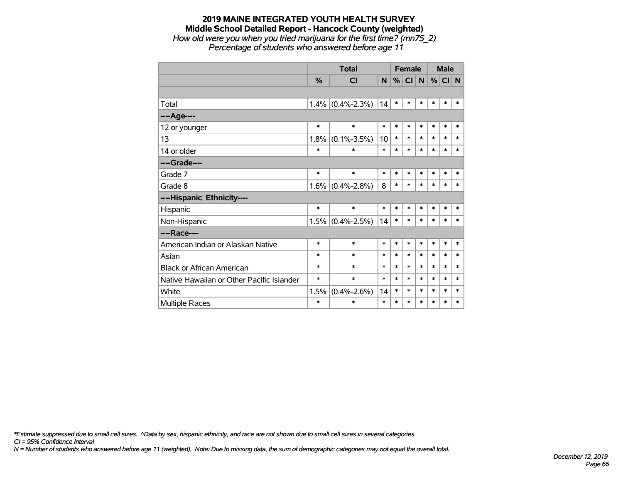## **2019 MAINE INTEGRATED YOUTH HEALTH SURVEY Middle School Detailed Report - Hancock County (weighted)** *How old were you when you tried marijuana for the first time? (mn75\_2)*

*Percentage of students who answered before age 11*

|                                           |               | <b>Total</b>      | <b>Female</b> |        |           |        | <b>Male</b> |        |        |
|-------------------------------------------|---------------|-------------------|---------------|--------|-----------|--------|-------------|--------|--------|
|                                           | $\frac{0}{0}$ | <b>CI</b>         | N             | %      | <b>CI</b> | N      | $\%$        | CI N   |        |
|                                           |               |                   |               |        |           |        |             |        |        |
| Total                                     | 1.4%          | $(0.4\% - 2.3\%)$ | 14            | $\ast$ | $\ast$    | $\ast$ | $\ast$      | $\ast$ | $\ast$ |
| ---- Age----                              |               |                   |               |        |           |        |             |        |        |
| 12 or younger                             | $\ast$        | $\ast$            | $\ast$        | $\ast$ | $\ast$    | $\ast$ | $\ast$      | $\ast$ | $\ast$ |
| 13                                        | 1.8%          | $(0.1\% - 3.5\%)$ | 10            | $\ast$ | $\ast$    | $\ast$ | $\ast$      | $\ast$ | $\ast$ |
| 14 or older                               | $\ast$        | $\ast$            | $\ast$        | $\ast$ | $\ast$    | $\ast$ | $\ast$      | $\ast$ | $\ast$ |
| ----Grade----                             |               |                   |               |        |           |        |             |        |        |
| Grade 7                                   | $\ast$        | $\ast$            | $\ast$        | $\ast$ | $\ast$    | $\ast$ | $\ast$      | $\ast$ | $\ast$ |
| Grade 8                                   | 1.6%          | $(0.4\% - 2.8\%)$ | 8             | $\ast$ | $\ast$    | $\ast$ | $\ast$      | $\ast$ | $\ast$ |
| ----Hispanic Ethnicity----                |               |                   |               |        |           |        |             |        |        |
| Hispanic                                  | $\ast$        | $\ast$            | $\ast$        | $\ast$ | $\ast$    | $\ast$ | $\ast$      | $\ast$ | *      |
| Non-Hispanic                              | 1.5%          | $(0.4\% - 2.5\%)$ | 14            | $\ast$ | $\ast$    | $\ast$ | $\ast$      | $\ast$ | $\ast$ |
| ----Race----                              |               |                   |               |        |           |        |             |        |        |
| American Indian or Alaskan Native         | $\ast$        | $\ast$            | $\ast$        | $\ast$ | $\ast$    | $\ast$ | $\ast$      | $\ast$ | $\ast$ |
| Asian                                     | $\ast$        | $\ast$            | $\ast$        | $\ast$ | $\ast$    | $\ast$ | $\ast$      | $\ast$ | $\ast$ |
| <b>Black or African American</b>          | $\ast$        | $\ast$            | $\ast$        | $\ast$ | $\ast$    | $\ast$ | $\ast$      | $\ast$ | $\ast$ |
| Native Hawaiian or Other Pacific Islander | *             | $\ast$            | $\ast$        | $\ast$ | $\ast$    | $\ast$ | $\ast$      | $\ast$ | $\ast$ |
| White                                     | 1.5%          | $(0.4\% - 2.6\%)$ | 14            | $\ast$ | $\ast$    | $\ast$ | $\ast$      | $\ast$ | $\ast$ |
| <b>Multiple Races</b>                     | $\ast$        | $\ast$            | $\ast$        | $\ast$ | $\ast$    | $\ast$ | $\ast$      | $\ast$ | $\ast$ |

*\*Estimate suppressed due to small cell sizes. ^Data by sex, hispanic ethnicity, and race are not shown due to small cell sizes in several categories.*

*CI = 95% Confidence Interval*

*N = Number of students who answered before age 11 (weighted). Note: Due to missing data, the sum of demographic categories may not equal the overall total.*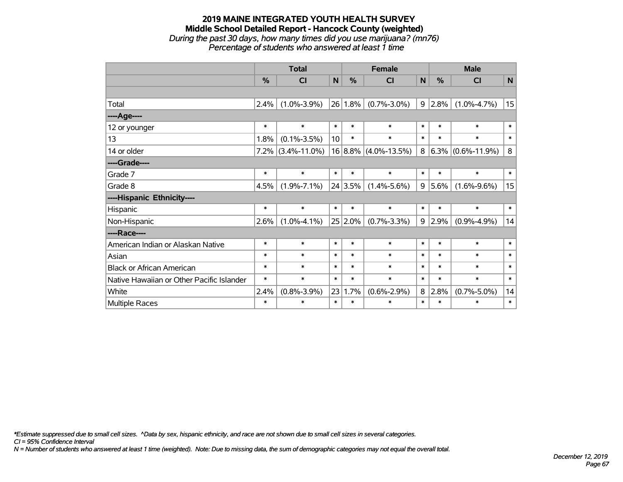#### **2019 MAINE INTEGRATED YOUTH HEALTH SURVEY Middle School Detailed Report - Hancock County (weighted)** *During the past 30 days, how many times did you use marijuana? (mn76) Percentage of students who answered at least 1 time*

|                                           |               | <b>Total</b>         |        |            | <b>Female</b>            |        |           | <b>Male</b>          |        |
|-------------------------------------------|---------------|----------------------|--------|------------|--------------------------|--------|-----------|----------------------|--------|
|                                           | $\frac{9}{6}$ | CI                   | N      | $\%$       | <b>CI</b>                | N      | $\%$      | <b>CI</b>            | N      |
|                                           |               |                      |        |            |                          |        |           |                      |        |
| Total                                     | 2.4%          | $(1.0\% - 3.9\%)$    | 26     | 1.8%       | $(0.7\% - 3.0\%)$        | 9      | $ 2.8\% $ | $(1.0\% - 4.7\%)$    | 15     |
| ----Age----                               |               |                      |        |            |                          |        |           |                      |        |
| 12 or younger                             | $\ast$        | $\ast$               | $\ast$ | $\ast$     | $\ast$                   | $\ast$ | $\ast$    | $\ast$               | $\ast$ |
| 13                                        | 1.8%          | $(0.1\% - 3.5\%)$    | 10     | $\ast$     | $\ast$                   | $\ast$ | $\ast$    | $\ast$               | $\ast$ |
| 14 or older                               |               | $7.2\%$ (3.4%-11.0%) |        |            | $16 8.8\% $ (4.0%-13.5%) | 8      |           | $6.3\%$ (0.6%-11.9%) | 8      |
| ----Grade----                             |               |                      |        |            |                          |        |           |                      |        |
| Grade 7                                   | $\ast$        | $\ast$               | $\ast$ | $\ast$     | $\ast$                   | $\ast$ | $\ast$    | $\ast$               | $\ast$ |
| Grade 8                                   | 4.5%          | $(1.9\% - 7.1\%)$    |        | 24 3.5%    | $(1.4\% - 5.6\%)$        | 9      | $5.6\%$   | $(1.6\% - 9.6\%)$    | 15     |
| ----Hispanic Ethnicity----                |               |                      |        |            |                          |        |           |                      |        |
| Hispanic                                  | $\ast$        | $\ast$               | $\ast$ | $\ast$     | $\ast$                   | $\ast$ | $\ast$    | $\ast$               | $\ast$ |
| Non-Hispanic                              | 2.6%          | $(1.0\% - 4.1\%)$    |        | $25 2.0\%$ | $(0.7\% - 3.3\%)$        | 9      | $ 2.9\% $ | $(0.9\% - 4.9\%)$    | 14     |
| ----Race----                              |               |                      |        |            |                          |        |           |                      |        |
| American Indian or Alaskan Native         | $\ast$        | $\ast$               | $\ast$ | $\ast$     | $\ast$                   | $\ast$ | $\ast$    | $\ast$               | $\ast$ |
| Asian                                     | $\ast$        | $\ast$               | $\ast$ | $\ast$     | $\ast$                   | $\ast$ | $\ast$    | $\ast$               | $\ast$ |
| <b>Black or African American</b>          | $\ast$        | $\ast$               | $\ast$ | $\ast$     | $\ast$                   | $\ast$ | $\ast$    | $\ast$               | $\ast$ |
| Native Hawaiian or Other Pacific Islander | $\ast$        | $\ast$               | $\ast$ | $\ast$     | $\ast$                   | $\ast$ | $\ast$    | $\ast$               | $\ast$ |
| White                                     | 2.4%          | $(0.8\% - 3.9\%)$    | 23     | 1.7%       | $(0.6\% - 2.9\%)$        | 8      | 2.8%      | $(0.7\% - 5.0\%)$    | 14     |
| <b>Multiple Races</b>                     | $\ast$        | $\ast$               | $\ast$ | $\ast$     | $\ast$                   | $\ast$ | $\ast$    | ∗                    | $\ast$ |

*\*Estimate suppressed due to small cell sizes. ^Data by sex, hispanic ethnicity, and race are not shown due to small cell sizes in several categories.*

*CI = 95% Confidence Interval*

*N = Number of students who answered at least 1 time (weighted). Note: Due to missing data, the sum of demographic categories may not equal the overall total.*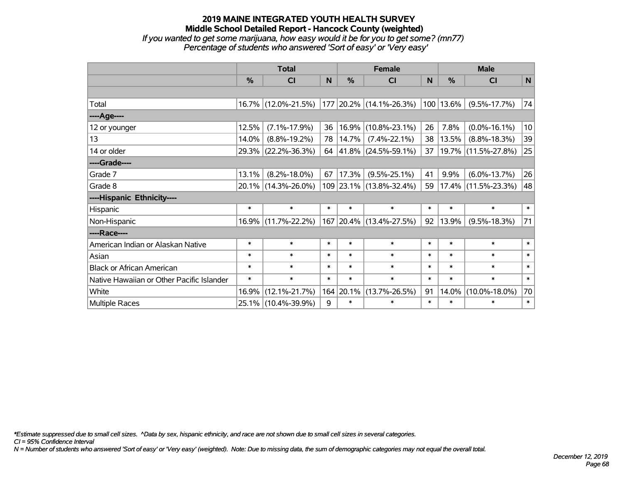*If you wanted to get some marijuana, how easy would it be for you to get some? (mn77) Percentage of students who answered 'Sort of easy' or 'Very easy'*

|                                           | <b>Total</b>  |                     |        |           | <b>Female</b>            |        | <b>Male</b>   |                        |        |  |
|-------------------------------------------|---------------|---------------------|--------|-----------|--------------------------|--------|---------------|------------------------|--------|--|
|                                           | $\frac{0}{0}$ | <b>CI</b>           | N      | %         | <b>CI</b>                | N      | $\frac{0}{0}$ | <b>CI</b>              | N      |  |
|                                           |               |                     |        |           |                          |        |               |                        |        |  |
| Total                                     |               | 16.7% (12.0%-21.5%) |        |           | 177 20.2% (14.1%-26.3%)  |        | 100 13.6%     | $(9.5\% - 17.7\%)$     | 74     |  |
| ----Age----                               |               |                     |        |           |                          |        |               |                        |        |  |
| 12 or younger                             | 12.5%         | $(7.1\% - 17.9\%)$  | 36     | 16.9%     | $(10.8\% - 23.1\%)$      | 26     | 7.8%          | $(0.0\% - 16.1\%)$     | 10     |  |
| 13                                        | 14.0%         | $(8.8\% - 19.2\%)$  | 78     | 14.7%     | $(7.4\% - 22.1\%)$       | 38     | 13.5%         | $(8.8\% - 18.3\%)$     | 39     |  |
| 14 or older                               |               | 29.3% (22.2%-36.3%) | 64     |           | $ 41.8\% $ (24.5%-59.1%) | 37     |               | 19.7% (11.5%-27.8%)    | 25     |  |
| ----Grade----                             |               |                     |        |           |                          |        |               |                        |        |  |
| Grade 7                                   | 13.1%         | $(8.2\% - 18.0\%)$  | 67     | 17.3%     | $(9.5\% - 25.1\%)$       | 41     | 9.9%          | $(6.0\% - 13.7\%)$     | 26     |  |
| Grade 8                                   |               | 20.1% (14.3%-26.0%) |        |           | 109 23.1% (13.8%-32.4%)  | 59     |               | $17.4\%$ (11.5%-23.3%) | 48     |  |
| ----Hispanic Ethnicity----                |               |                     |        |           |                          |        |               |                        |        |  |
| Hispanic                                  | $\ast$        | $\ast$              | $\ast$ | $\ast$    | $\ast$                   | $\ast$ | $\ast$        | $\ast$                 | $\ast$ |  |
| Non-Hispanic                              |               | 16.9% (11.7%-22.2%) |        |           | 167 20.4% (13.4%-27.5%)  | 92     | 13.9%         | $(9.5\% - 18.3\%)$     | 71     |  |
| ----Race----                              |               |                     |        |           |                          |        |               |                        |        |  |
| American Indian or Alaskan Native         | $\ast$        | $\ast$              | $\ast$ | $\ast$    | $\ast$                   | $\ast$ | $\ast$        | $\ast$                 | $\ast$ |  |
| Asian                                     | $\ast$        | $\ast$              | $\ast$ | $\ast$    | $\ast$                   | $\ast$ | $\ast$        | $\ast$                 | $\ast$ |  |
| <b>Black or African American</b>          | $\ast$        | $\ast$              | $\ast$ | $\ast$    | $\ast$                   | $\ast$ | $\ast$        | $\ast$                 | $\ast$ |  |
| Native Hawaiian or Other Pacific Islander | $\ast$        | $\ast$              | $\ast$ | $\ast$    | $\ast$                   | $\ast$ | $\ast$        | $\ast$                 | $\ast$ |  |
| White                                     | 16.9%         | $(12.1\% - 21.7\%)$ |        | 164 20.1% | $(13.7\% - 26.5\%)$      | 91     |               | 14.0% (10.0%-18.0%)    | 70     |  |
| <b>Multiple Races</b>                     |               | 25.1% (10.4%-39.9%) | 9      | $\ast$    | $\ast$                   | $\ast$ | $\ast$        | $\ast$                 | $\ast$ |  |

*\*Estimate suppressed due to small cell sizes. ^Data by sex, hispanic ethnicity, and race are not shown due to small cell sizes in several categories.*

*CI = 95% Confidence Interval*

*N = Number of students who answered 'Sort of easy' or 'Very easy' (weighted). Note: Due to missing data, the sum of demographic categories may not equal the overall total.*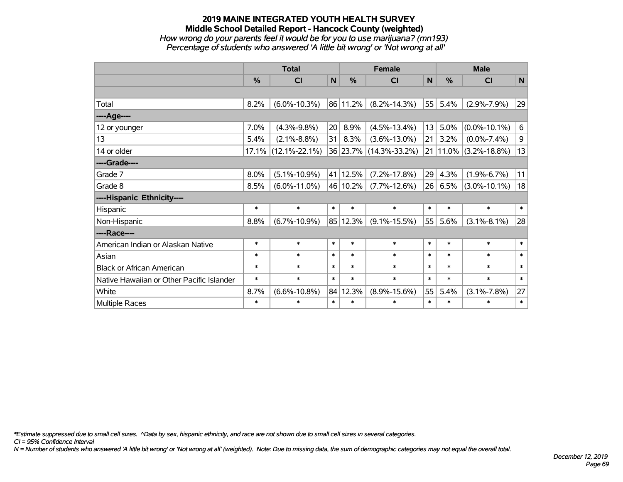#### **2019 MAINE INTEGRATED YOUTH HEALTH SURVEY Middle School Detailed Report - Hancock County (weighted)** *How wrong do your parents feel it would be for you to use marijuana? (mn193) Percentage of students who answered 'A little bit wrong' or 'Not wrong at all'*

|                                           |        | <b>Total</b>           |        |          | <b>Female</b>          |              |               | <b>Male</b>               |              |  |  |
|-------------------------------------------|--------|------------------------|--------|----------|------------------------|--------------|---------------|---------------------------|--------------|--|--|
|                                           | %      | <b>CI</b>              | N      | %        | CI                     | $\mathsf{N}$ | $\frac{0}{0}$ | <b>CI</b>                 | $\mathsf{N}$ |  |  |
|                                           |        |                        |        |          |                        |              |               |                           |              |  |  |
| Total                                     | 8.2%   | $(6.0\% - 10.3\%)$     |        | 86 11.2% | $(8.2\% - 14.3\%)$     | 55           | 5.4%          | $(2.9\% - 7.9\%)$         | 29           |  |  |
| ----Age----                               |        |                        |        |          |                        |              |               |                           |              |  |  |
| 12 or younger                             | 7.0%   | $(4.3\% - 9.8\%)$      | 20     | 8.9%     | $(4.5\% - 13.4\%)$     | 13           | 5.0%          | $(0.0\% - 10.1\%)$        | 6            |  |  |
| 13                                        | 5.4%   | $(2.1\% - 8.8\%)$      | 31     | 8.3%     | $(3.6\% - 13.0\%)$     | 21           | 3.2%          | $(0.0\% - 7.4\%)$         | 9            |  |  |
| 14 or older                               |        | $17.1\%$ (12.1%-22.1%) |        |          | 36 23.7% (14.3%-33.2%) |              |               | 21   11.0%   (3.2%-18.8%) | 13           |  |  |
| ----Grade----                             |        |                        |        |          |                        |              |               |                           |              |  |  |
| Grade 7                                   | 8.0%   | $(5.1\% - 10.9\%)$     |        | 41 12.5% | $(7.2\% - 17.8\%)$     | 29           | 4.3%          | $(1.9\% - 6.7\%)$         | 11           |  |  |
| Grade 8                                   | 8.5%   | $(6.0\% - 11.0\%)$     |        | 46 10.2% | $(7.7\% - 12.6\%)$     | 26           | 6.5%          | $(3.0\% - 10.1\%)$        | 18           |  |  |
| ----Hispanic Ethnicity----                |        |                        |        |          |                        |              |               |                           |              |  |  |
| Hispanic                                  | $\ast$ | $\ast$                 | $\ast$ | $\ast$   | $\ast$                 | $\ast$       | $\ast$        | $\ast$                    | $\ast$       |  |  |
| Non-Hispanic                              | 8.8%   | $(6.7\% - 10.9\%)$     |        | 85 12.3% | $(9.1\% - 15.5\%)$     | 55           | 5.6%          | $(3.1\% - 8.1\%)$         | 28           |  |  |
| ----Race----                              |        |                        |        |          |                        |              |               |                           |              |  |  |
| American Indian or Alaskan Native         | $\ast$ | $\ast$                 | $\ast$ | $\ast$   | $\ast$                 | $\ast$       | $\ast$        | $\ast$                    | $\ast$       |  |  |
| Asian                                     | $\ast$ | $\ast$                 | $\ast$ | $\ast$   | $\ast$                 | $\ast$       | $\ast$        | $\ast$                    | $\ast$       |  |  |
| <b>Black or African American</b>          | $\ast$ | $\ast$                 | $\ast$ | $\ast$   | $\ast$                 | $\ast$       | $\ast$        | $\ast$                    | $\ast$       |  |  |
| Native Hawaiian or Other Pacific Islander | $\ast$ | $\ast$                 | $\ast$ | $\ast$   | $\ast$                 | $\ast$       | $\ast$        | $\ast$                    | $\ast$       |  |  |
| White                                     | 8.7%   | $(6.6\% - 10.8\%)$     |        | 84 12.3% | $(8.9\% - 15.6\%)$     | 55           | 5.4%          | $(3.1\% - 7.8\%)$         | 27           |  |  |
| Multiple Races                            | $\ast$ | $\ast$                 | $\ast$ | $\ast$   | $\ast$                 | $\ast$       | $\ast$        | $\ast$                    | $\ast$       |  |  |

*\*Estimate suppressed due to small cell sizes. ^Data by sex, hispanic ethnicity, and race are not shown due to small cell sizes in several categories.*

*CI = 95% Confidence Interval*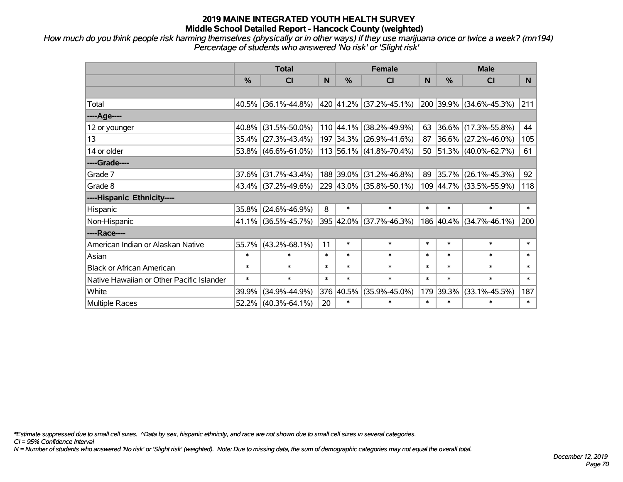*How much do you think people risk harming themselves (physically or in other ways) if they use marijuana once or twice a week? (mn194) Percentage of students who answered 'No risk' or 'Slight risk'*

|                                           | <b>Total</b>  |                        |        |               | <b>Female</b>             |        | <b>Male</b>   |                          |        |  |  |
|-------------------------------------------|---------------|------------------------|--------|---------------|---------------------------|--------|---------------|--------------------------|--------|--|--|
|                                           | $\frac{0}{0}$ | C <sub>l</sub>         | N      | $\frac{0}{0}$ | CI                        | N      | $\frac{0}{0}$ | <b>CI</b>                | N.     |  |  |
|                                           |               |                        |        |               |                           |        |               |                          |        |  |  |
| Total                                     |               | $40.5\%$ (36.1%-44.8%) |        |               | 420 41.2% (37.2%-45.1%)   |        |               | 200 39.9% (34.6%-45.3%)  | 211    |  |  |
| ----Age----                               |               |                        |        |               |                           |        |               |                          |        |  |  |
| 12 or younger                             | 40.8%         | $(31.5\% - 50.0\%)$    |        |               | 110 44.1% (38.2%-49.9%)   | 63     |               | 36.6% (17.3%-55.8%)      | 44     |  |  |
| 13                                        |               | 35.4% (27.3%-43.4%)    |        |               | 197 34.3% (26.9%-41.6%)   | 87     |               | $ 36.6\% $ (27.2%-46.0%) | 105    |  |  |
| 14 or older                               |               | 53.8% (46.6%-61.0%)    |        |               | $113$ 56.1% (41.8%-70.4%) |        |               | 50 51.3% (40.0%-62.7%)   | 61     |  |  |
| ----Grade----                             |               |                        |        |               |                           |        |               |                          |        |  |  |
| Grade 7                                   | 37.6%         | $(31.7\% - 43.4\%)$    |        |               | 188 39.0% (31.2%-46.8%)   | 89     | $ 35.7\% $    | $(26.1\% - 45.3\%)$      | 92     |  |  |
| Grade 8                                   |               | 43.4% (37.2%-49.6%)    |        |               | 229 43.0% (35.8%-50.1%)   |        |               | 109 44.7% (33.5%-55.9%)  | 118    |  |  |
| ----Hispanic Ethnicity----                |               |                        |        |               |                           |        |               |                          |        |  |  |
| Hispanic                                  | 35.8%         | $(24.6\% - 46.9\%)$    | 8      | $\ast$        | $\ast$                    | $\ast$ | $\ast$        | $\ast$                   | $\ast$ |  |  |
| Non-Hispanic                              |               | 41.1% (36.5%-45.7%)    |        |               | 395 42.0% (37.7%-46.3%)   |        | 186 40.4%     | $(34.7\% - 46.1\%)$      | 200    |  |  |
| ----Race----                              |               |                        |        |               |                           |        |               |                          |        |  |  |
| American Indian or Alaskan Native         |               | 55.7% (43.2%-68.1%)    | 11     | $\ast$        | $\ast$                    | $\ast$ | $\ast$        | $\ast$                   | $\ast$ |  |  |
| Asian                                     | $\ast$        | $\ast$                 | $\ast$ | $\ast$        | $\ast$                    | $\ast$ | $\ast$        | $\ast$                   | $\ast$ |  |  |
| <b>Black or African American</b>          | $\ast$        | $\ast$                 | $\ast$ | $\ast$        | $\ast$                    | $\ast$ | $\ast$        | $\ast$                   | $\ast$ |  |  |
| Native Hawaiian or Other Pacific Islander | $\ast$        | $\ast$                 | $\ast$ | $\ast$        | $\ast$                    | $\ast$ | $\ast$        | $\ast$                   | $\ast$ |  |  |
| White                                     | 39.9%         | $(34.9\% - 44.9\%)$    | 376    | 40.5%         | $(35.9\% - 45.0\%)$       | 179    | 39.3%         | $(33.1\% - 45.5\%)$      | 187    |  |  |
| Multiple Races                            |               | $52.2\%$ (40.3%-64.1%) | 20     | $\ast$        | $\ast$                    | $\ast$ | $\ast$        | $\ast$                   | $\ast$ |  |  |

*\*Estimate suppressed due to small cell sizes. ^Data by sex, hispanic ethnicity, and race are not shown due to small cell sizes in several categories.*

*CI = 95% Confidence Interval*

*N = Number of students who answered 'No risk' or 'Slight risk' (weighted). Note: Due to missing data, the sum of demographic categories may not equal the overall total.*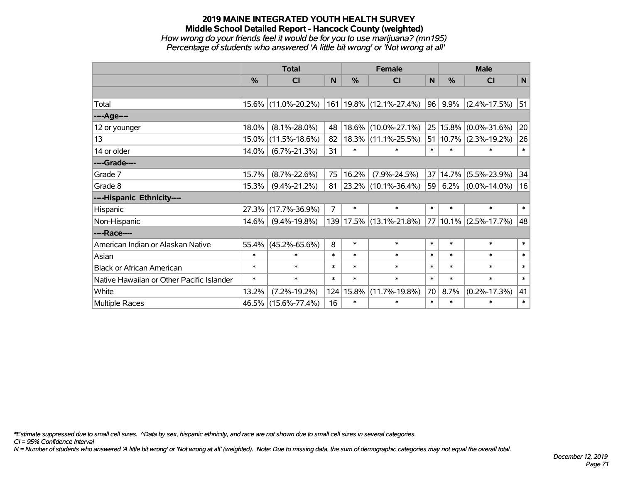## **2019 MAINE INTEGRATED YOUTH HEALTH SURVEY Middle School Detailed Report - Hancock County (weighted)** *How wrong do your friends feel it would be for you to use marijuana? (mn195) Percentage of students who answered 'A little bit wrong' or 'Not wrong at all'*

|                                           |               | <b>Total</b>        |                |        | <b>Female</b>                   |                 | <b>Male</b> |                           |        |  |
|-------------------------------------------|---------------|---------------------|----------------|--------|---------------------------------|-----------------|-------------|---------------------------|--------|--|
|                                           | $\frac{0}{0}$ | <b>CI</b>           | N              | $\%$   | <b>CI</b>                       | $\mathbf N$     | $\%$        | <b>CI</b>                 | N      |  |
|                                           |               |                     |                |        |                                 |                 |             |                           |        |  |
| Total                                     |               | 15.6% (11.0%-20.2%) |                |        | $161 19.8\%  (12.1\% - 27.4\%)$ | 96              | 9.9%        | $(2.4\% - 17.5\%)$        | 51     |  |
| ----Age----                               |               |                     |                |        |                                 |                 |             |                           |        |  |
| 12 or younger                             | 18.0%         | $(8.1\% - 28.0\%)$  | 48             | 18.6%  | $(10.0\% - 27.1\%)$             | 25 <sub>1</sub> | 15.8%       | $(0.0\% - 31.6\%)$        | 20     |  |
| 13                                        | 15.0%         | $(11.5\% - 18.6\%)$ | 82             | 18.3%  | $(11.1\% - 25.5\%)$             |                 |             | 51   10.7%   (2.3%-19.2%) | 26     |  |
| 14 or older                               | 14.0%         | $(6.7\% - 21.3\%)$  | 31             | $\ast$ | $\ast$                          | $\ast$          | $\ast$      | $\ast$                    | $\ast$ |  |
| ----Grade----                             |               |                     |                |        |                                 |                 |             |                           |        |  |
| Grade 7                                   | 15.7%         | $(8.7\% - 22.6\%)$  | 75             | 16.2%  | $(7.9\% - 24.5\%)$              | 37              | 14.7%       | $(5.5\% - 23.9\%)$        | 34     |  |
| Grade 8                                   | 15.3%         | $(9.4\% - 21.2\%)$  | 81             |        | 23.2% (10.1%-36.4%)             |                 | 59 6.2%     | $(0.0\% - 14.0\%)$        | 16     |  |
| ----Hispanic Ethnicity----                |               |                     |                |        |                                 |                 |             |                           |        |  |
| Hispanic                                  | 27.3%         | $(17.7\% - 36.9\%)$ | $\overline{7}$ | $\ast$ | $\ast$                          | $\ast$          | $\ast$      | $\ast$                    | $*1$   |  |
| Non-Hispanic                              | 14.6%         | $(9.4\% - 19.8\%)$  |                |        | 139 17.5% (13.1%-21.8%)         | 77              | $ 10.1\% $  | $(2.5\% - 17.7\%)$        | 48     |  |
| ----Race----                              |               |                     |                |        |                                 |                 |             |                           |        |  |
| American Indian or Alaskan Native         | 55.4%         | $(45.2\% - 65.6\%)$ | 8              | $\ast$ | $\ast$                          | $\ast$          | $\ast$      | $\ast$                    | $\ast$ |  |
| Asian                                     | $\ast$        | $\ast$              | $\ast$         | $\ast$ | $\ast$                          | $\ast$          | $\ast$      | $\ast$                    | $\ast$ |  |
| <b>Black or African American</b>          | $\ast$        | $\ast$              | $\ast$         | $\ast$ | $\ast$                          | $\ast$          | $\ast$      | $\ast$                    | $\ast$ |  |
| Native Hawaiian or Other Pacific Islander | $\ast$        | $\ast$              | $\ast$         | $\ast$ | $\ast$                          | $\ast$          | $\ast$      | $\ast$                    | $\ast$ |  |
| White                                     | 13.2%         | $(7.2\% - 19.2\%)$  | 124            | 15.8%  | $(11.7\% - 19.8\%)$             | 70              | 8.7%        | $(0.2\% - 17.3\%)$        | 41     |  |
| <b>Multiple Races</b>                     |               | 46.5% (15.6%-77.4%) | 16             | $\ast$ | $\ast$                          | $\ast$          | $\ast$      | $\ast$                    | $\ast$ |  |

*\*Estimate suppressed due to small cell sizes. ^Data by sex, hispanic ethnicity, and race are not shown due to small cell sizes in several categories.*

*CI = 95% Confidence Interval*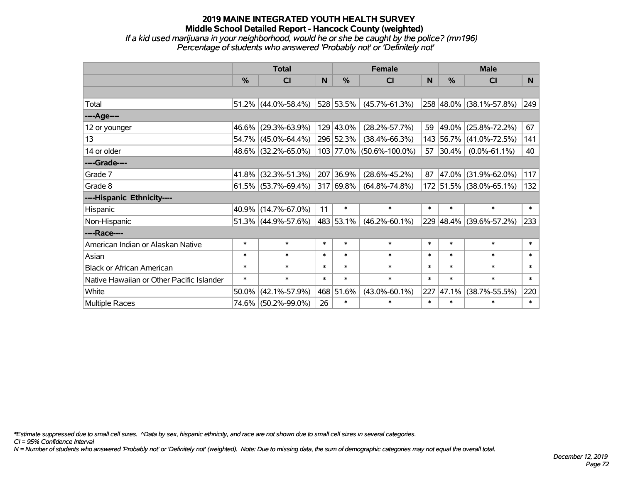#### **2019 MAINE INTEGRATED YOUTH HEALTH SURVEY Middle School Detailed Report - Hancock County (weighted)** *If a kid used marijuana in your neighborhood, would he or she be caught by the police? (mn196) Percentage of students who answered 'Probably not' or 'Definitely not'*

|                                           |               | <b>Total</b>           |              |                | <b>Female</b>            |                | <b>Male</b>   |                         |                |  |  |
|-------------------------------------------|---------------|------------------------|--------------|----------------|--------------------------|----------------|---------------|-------------------------|----------------|--|--|
|                                           | $\frac{0}{0}$ | <b>CI</b>              | <sub>N</sub> | $\frac{0}{0}$  | <b>CI</b>                | N <sub>1</sub> | $\frac{0}{0}$ | <b>CI</b>               | N <sub>1</sub> |  |  |
|                                           |               |                        |              |                |                          |                |               |                         |                |  |  |
| Total                                     |               | 51.2% (44.0%-58.4%)    |              | 528 53.5%      | $(45.7\% - 61.3\%)$      |                |               | 258 48.0% (38.1%-57.8%) | 249            |  |  |
| ----Age----                               |               |                        |              |                |                          |                |               |                         |                |  |  |
| 12 or younger                             |               | 46.6% (29.3%-63.9%)    |              | 129 43.0%      | $(28.2\% - 57.7\%)$      | 59             |               | 49.0% (25.8%-72.2%)     | 67             |  |  |
| 13                                        |               | 54.7% (45.0%-64.4%)    |              | 296 52.3%      | $(38.4\% - 66.3\%)$      |                |               | 143 56.7% (41.0%-72.5%) | 141            |  |  |
| 14 or older                               |               | 48.6% (32.2%-65.0%)    |              |                | 103 77.0% (50.6%-100.0%) | 57             | $ 30.4\% $    | $(0.0\% - 61.1\%)$      | 40             |  |  |
| ----Grade----                             |               |                        |              |                |                          |                |               |                         |                |  |  |
| Grade 7                                   |               | 41.8% (32.3%-51.3%)    |              | 207 36.9%      | $(28.6\% - 45.2\%)$      | 87             |               | 47.0% (31.9%-62.0%)     | 117            |  |  |
| Grade 8                                   |               | $61.5\%$ (53.7%-69.4%) |              | $ 317 69.8\% $ | $(64.8\% - 74.8\%)$      |                |               | 172 51.5% (38.0%-65.1%) | 132            |  |  |
| ----Hispanic Ethnicity----                |               |                        |              |                |                          |                |               |                         |                |  |  |
| Hispanic                                  |               | $40.9\%$ (14.7%-67.0%) | 11           | $\ast$         | $\ast$                   | $\ast$         | $\ast$        | $\ast$                  | $\ast$         |  |  |
| Non-Hispanic                              |               | 51.3% (44.9%-57.6%)    |              | 483 53.1%      | $(46.2\% - 60.1\%)$      |                |               | 229 48.4% (39.6%-57.2%) | 233            |  |  |
| ----Race----                              |               |                        |              |                |                          |                |               |                         |                |  |  |
| American Indian or Alaskan Native         | $\ast$        | $\ast$                 | $\ast$       | $\ast$         | $\ast$                   | $\ast$         | $\ast$        | $\ast$                  | $\ast$         |  |  |
| Asian                                     | $\ast$        | $\ast$                 | $\ast$       | $\ast$         | $\ast$                   | $\ast$         | $\ast$        | $\ast$                  | $\ast$         |  |  |
| <b>Black or African American</b>          | $\ast$        | $\ast$                 | $\ast$       | $\ast$         | $\ast$                   | $\ast$         | $\ast$        | $\ast$                  | $\ast$         |  |  |
| Native Hawaiian or Other Pacific Islander | $\ast$        | $\ast$                 | $\ast$       | $\ast$         | $\ast$                   | $\ast$         | $\ast$        | $\ast$                  | $\ast$         |  |  |
| White                                     | 50.0%         | $(42.1\% - 57.9\%)$    |              | 468 51.6%      | $(43.0\% - 60.1\%)$      | 227            | 47.1%         | $(38.7\% - 55.5\%)$     | 220            |  |  |
| <b>Multiple Races</b>                     |               | 74.6% (50.2%-99.0%)    | 26           | $\ast$         | $\ast$                   | $\ast$         | $\ast$        | $\ast$                  | $\ast$         |  |  |

*\*Estimate suppressed due to small cell sizes. ^Data by sex, hispanic ethnicity, and race are not shown due to small cell sizes in several categories.*

*CI = 95% Confidence Interval*

*N = Number of students who answered 'Probably not' or 'Definitely not' (weighted). Note: Due to missing data, the sum of demographic categories may not equal the overall total.*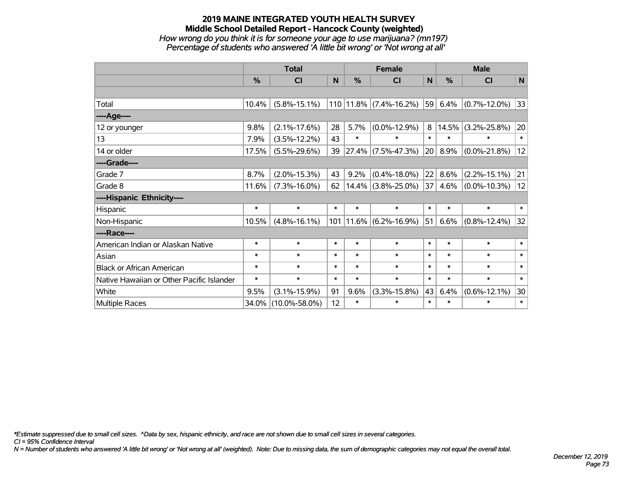## **2019 MAINE INTEGRATED YOUTH HEALTH SURVEY Middle School Detailed Report - Hancock County (weighted)** *How wrong do you think it is for someone your age to use marijuana? (mn197)*

*Percentage of students who answered 'A little bit wrong' or 'Not wrong at all'*

|                                           | <b>Total</b> |                     |              |        | <b>Female</b>                | <b>Male</b> |               |                    |        |
|-------------------------------------------|--------------|---------------------|--------------|--------|------------------------------|-------------|---------------|--------------------|--------|
|                                           | $\%$         | <b>CI</b>           | <sub>N</sub> | %      | <b>CI</b>                    | N           | $\frac{0}{0}$ | <b>CI</b>          | N      |
|                                           |              |                     |              |        |                              |             |               |                    |        |
| Total                                     | 10.4%        | $(5.8\% - 15.1\%)$  |              |        | $110$   11.8%   (7.4%-16.2%) | 59          | 6.4%          | $(0.7\% - 12.0\%)$ | 33     |
| ----Age----                               |              |                     |              |        |                              |             |               |                    |        |
| 12 or younger                             | 9.8%         | $(2.1\% - 17.6\%)$  | 28           | 5.7%   | $(0.0\% - 12.9\%)$           | 8           | 14.5%         | $(3.2\% - 25.8\%)$ | 20     |
| 13                                        | 7.9%         | $(3.5\% - 12.2\%)$  | 43           | $\ast$ | $\ast$                       | $\ast$      | $\ast$        | $\ast$             | $\ast$ |
| 14 or older                               | 17.5%        | $(5.5\% - 29.6\%)$  | 39           |        | $27.4\%$ (7.5%-47.3%)        | 20          | 8.9%          | $(0.0\% - 21.8\%)$ | 12     |
| ----Grade----                             |              |                     |              |        |                              |             |               |                    |        |
| Grade 7                                   | 8.7%         | $(2.0\% - 15.3\%)$  | 43           | 9.2%   | $(0.4\% - 18.0\%)$           | 22          | 8.6%          | $(2.2\% - 15.1\%)$ | 21     |
| Grade 8                                   | 11.6%        | $(7.3\% - 16.0\%)$  | 62           |        | $14.4\%$ (3.8%-25.0%)        | 37          | 4.6%          | $(0.0\% - 10.3\%)$ | 12     |
| ----Hispanic Ethnicity----                |              |                     |              |        |                              |             |               |                    |        |
| Hispanic                                  | $\ast$       | $\ast$              | $\ast$       | $\ast$ | $\ast$                       | $\ast$      | $\ast$        | $\ast$             | $\ast$ |
| Non-Hispanic                              | 10.5%        | $(4.8\% - 16.1\%)$  | 101          |        | $11.6\%$ (6.2%-16.9%)        | 51          | 6.6%          | $(0.8\% - 12.4\%)$ | 32     |
| ----Race----                              |              |                     |              |        |                              |             |               |                    |        |
| American Indian or Alaskan Native         | $\ast$       | $\ast$              | $\ast$       | $\ast$ | $\ast$                       | $\ast$      | $\ast$        | $\ast$             | $\ast$ |
| Asian                                     | $\ast$       | $\ast$              | $\ast$       | $\ast$ | $\ast$                       | $\ast$      | $\ast$        | $\ast$             | $\ast$ |
| <b>Black or African American</b>          | $\ast$       | $\ast$              | $\ast$       | $\ast$ | $\ast$                       | $\ast$      | $\ast$        | $\ast$             | $\ast$ |
| Native Hawaiian or Other Pacific Islander | $\ast$       | $\ast$              | $\ast$       | $\ast$ | $\ast$                       | $\ast$      | $\ast$        | $\ast$             | $\ast$ |
| White                                     | 9.5%         | $(3.1\% - 15.9\%)$  | 91           | 9.6%   | $(3.3\% - 15.8\%)$           | 43          | 6.4%          | $(0.6\% - 12.1\%)$ | 30     |
| Multiple Races                            | 34.0%        | $(10.0\% - 58.0\%)$ | 12           | $\ast$ | $\ast$                       | $\ast$      | $\ast$        | $\ast$             | $\ast$ |

*\*Estimate suppressed due to small cell sizes. ^Data by sex, hispanic ethnicity, and race are not shown due to small cell sizes in several categories.*

*CI = 95% Confidence Interval*

*N = Number of students who answered 'A little bit wrong' or 'Not wrong at all' (weighted). Note: Due to missing data, the sum of demographic categories may not equal the overall total.*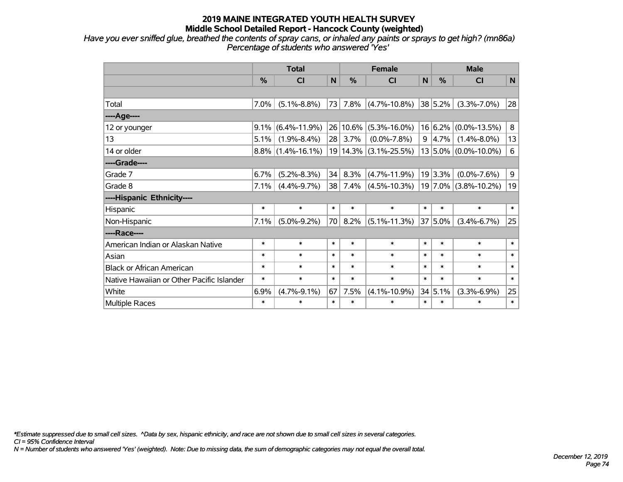*Have you ever sniffed glue, breathed the contents of spray cans, or inhaled any paints or sprays to get high? (mn86a) Percentage of students who answered 'Yes'*

|                                           | <b>Total</b> |                      |        |               | <b>Female</b>      | <b>Male</b> |                     |                           |                 |
|-------------------------------------------|--------------|----------------------|--------|---------------|--------------------|-------------|---------------------|---------------------------|-----------------|
|                                           | %            | C <sub>l</sub>       | N      | $\frac{0}{0}$ | <b>CI</b>          | N           | $\frac{0}{0}$       | <b>CI</b>                 | N               |
|                                           |              |                      |        |               |                    |             |                     |                           |                 |
| Total                                     | 7.0%         | $(5.1\% - 8.8\%)$    | 73     | 7.8%          | $(4.7\% - 10.8\%)$ |             | 38 5.2%             | $(3.3\% - 7.0\%)$         | 28              |
| ----Age----                               |              |                      |        |               |                    |             |                     |                           |                 |
| 12 or younger                             | 9.1%         | $(6.4\% - 11.9\%)$   | 26     | 10.6%         | $(5.3\% - 16.0\%)$ |             |                     | $16 6.2\% $ (0.0%-13.5%)  | 8               |
| 13                                        | 5.1%         | $(1.9\% - 8.4\%)$    | 28     | 3.7%          | $(0.0\% - 7.8\%)$  |             | $9 \mid 4.7\% \mid$ | $(1.4\% - 8.0\%)$         | 13              |
| 14 or older                               |              | $8.8\%$ (1.4%-16.1%) |        | 19 14.3%      | $(3.1\% - 25.5\%)$ |             |                     | $13 5.0\% $ (0.0%-10.0%)  | $6\phantom{1}6$ |
| ----Grade----                             |              |                      |        |               |                    |             |                     |                           |                 |
| Grade 7                                   | 6.7%         | $(5.2\% - 8.3\%)$    | 34     | 8.3%          | $(4.7\% - 11.9\%)$ |             | $19 3.3\% $         | $(0.0\% - 7.6\%)$         | 9               |
| Grade 8                                   | 7.1%         | $(4.4\% - 9.7\%)$    | 38     | 7.4%          | $(4.5\% - 10.3\%)$ |             |                     | $ 19 7.0\% $ (3.8%-10.2%) | 19              |
| ----Hispanic Ethnicity----                |              |                      |        |               |                    |             |                     |                           |                 |
| Hispanic                                  | $\ast$       | $\ast$               | $\ast$ | $\ast$        | $\ast$             | $\ast$      | $\ast$              | $\ast$                    | $\ast$          |
| Non-Hispanic                              | 7.1%         | $(5.0\% - 9.2\%)$    | 70     | 8.2%          | $(5.1\% - 11.3\%)$ |             | 37 5.0%             | $(3.4\% - 6.7\%)$         | 25              |
| ----Race----                              |              |                      |        |               |                    |             |                     |                           |                 |
| American Indian or Alaskan Native         | $\ast$       | $\ast$               | $\ast$ | $\ast$        | $\ast$             | $\ast$      | $\ast$              | $\ast$                    | $\ast$          |
| Asian                                     | $\ast$       | $\ast$               | $\ast$ | $\ast$        | $\ast$             | $\ast$      | $\ast$              | $\ast$                    | $\ast$          |
| <b>Black or African American</b>          | $\ast$       | $\ast$               | $\ast$ | $\ast$        | $\ast$             | $\ast$      | $\ast$              | $\ast$                    | $\ast$          |
| Native Hawaiian or Other Pacific Islander | $\ast$       | $\ast$               | $\ast$ | $\ast$        | $\ast$             | $\ast$      | $\ast$              | $\ast$                    | $\ast$          |
| White                                     | 6.9%         | $(4.7\% - 9.1\%)$    | 67     | 7.5%          | $(4.1\% - 10.9\%)$ |             | 34 5.1%             | $(3.3\% - 6.9\%)$         | 25              |
| Multiple Races                            | $\ast$       | $\ast$               | $\ast$ | $\ast$        | $\ast$             | $\ast$      | $\ast$              | $\ast$                    | $\ast$          |

*\*Estimate suppressed due to small cell sizes. ^Data by sex, hispanic ethnicity, and race are not shown due to small cell sizes in several categories.*

*CI = 95% Confidence Interval*

*N = Number of students who answered 'Yes' (weighted). Note: Due to missing data, the sum of demographic categories may not equal the overall total.*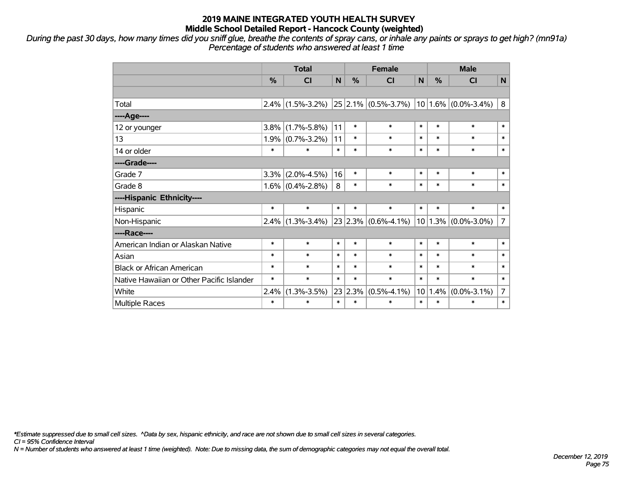*During the past 30 days, how many times did you sniff glue, breathe the contents of spray cans, or inhale any paints or sprays to get high? (mn91a) Percentage of students who answered at least 1 time*

|                                           | <b>Total</b>  |                     |        | <b>Female</b> |                              |        | <b>Male</b> |                         |                |  |
|-------------------------------------------|---------------|---------------------|--------|---------------|------------------------------|--------|-------------|-------------------------|----------------|--|
|                                           | $\frac{0}{0}$ | CI                  | N      | $\frac{0}{0}$ | <b>CI</b>                    | N      | $\%$        | <b>CI</b>               | $\mathsf{N}$   |  |
|                                           |               |                     |        |               |                              |        |             |                         |                |  |
| Total                                     | $2.4\%$       | $(1.5\% - 3.2\%)$   |        |               | $ 25 2.1\%  (0.5\% - 3.7\%)$ |        |             | $10 1.6\% $ (0.0%-3.4%) | 8              |  |
| ----Age----                               |               |                     |        |               |                              |        |             |                         |                |  |
| 12 or younger                             | 3.8%          | $(1.7\% - 5.8\%)$   | 11     | $\ast$        | $\ast$                       | $\ast$ | $\ast$      | $\ast$                  | $\ast$         |  |
| 13                                        | 1.9%          | $(0.7\% - 3.2\%)$   | 11     | $\ast$        | $\ast$                       | $\ast$ | $\ast$      | $\ast$                  | $\ast$         |  |
| 14 or older                               | $\ast$        | $\ast$              | $\ast$ | $\ast$        | $\ast$                       | $\ast$ | $\ast$      | $\ast$                  | $\ast$         |  |
| ----Grade----                             |               |                     |        |               |                              |        |             |                         |                |  |
| Grade 7                                   | 3.3%          | $(2.0\% - 4.5\%)$   | 16     | $\ast$        | $\ast$                       | $\ast$ | $\ast$      | $\ast$                  | $\ast$         |  |
| Grade 8                                   |               | $1.6\%$ (0.4%-2.8%) | 8      | $\ast$        | $\ast$                       | $\ast$ | *           | $\ast$                  | $\ast$         |  |
| ----Hispanic Ethnicity----                |               |                     |        |               |                              |        |             |                         |                |  |
| Hispanic                                  | $\ast$        | $\ast$              | $\ast$ | $\ast$        | $\ast$                       | $\ast$ | $\ast$      | $\ast$                  | $\ast$         |  |
| Non-Hispanic                              | 2.4%          | $(1.3\% - 3.4\%)$   |        |               | $23 2.3\% $ (0.6%-4.1%)      |        |             | $10 1.3\% $ (0.0%-3.0%) | $\overline{7}$ |  |
| ----Race----                              |               |                     |        |               |                              |        |             |                         |                |  |
| American Indian or Alaskan Native         | $\ast$        | $\ast$              | $\ast$ | $\ast$        | $\ast$                       | $\ast$ | $\ast$      | $\ast$                  | $\ast$         |  |
| Asian                                     | $\ast$        | $\ast$              | $\ast$ | $\ast$        | $\ast$                       | $\ast$ | $\ast$      | $\ast$                  | $\ast$         |  |
| <b>Black or African American</b>          | $\ast$        | $\ast$              | $\ast$ | $\ast$        | $\ast$                       | $\ast$ | $\ast$      | $\ast$                  | $\ast$         |  |
| Native Hawaiian or Other Pacific Islander | $\ast$        | $\ast$              | $\ast$ | $\ast$        | $\ast$                       | $\ast$ | $\ast$      | $\ast$                  | $\ast$         |  |
| White                                     | 2.4%          | $(1.3\% - 3.5\%)$   | 23     | 2.3%          | $(0.5\% - 4.1\%)$            | 10     | 1.4%        | $(0.0\% - 3.1\%)$       | 7              |  |
| Multiple Races                            | $\ast$        | $\ast$              | $\ast$ | $\ast$        | $\ast$                       | $\ast$ | $\ast$      | $\ast$                  | $\ast$         |  |

*\*Estimate suppressed due to small cell sizes. ^Data by sex, hispanic ethnicity, and race are not shown due to small cell sizes in several categories.*

*CI = 95% Confidence Interval*

*N = Number of students who answered at least 1 time (weighted). Note: Due to missing data, the sum of demographic categories may not equal the overall total.*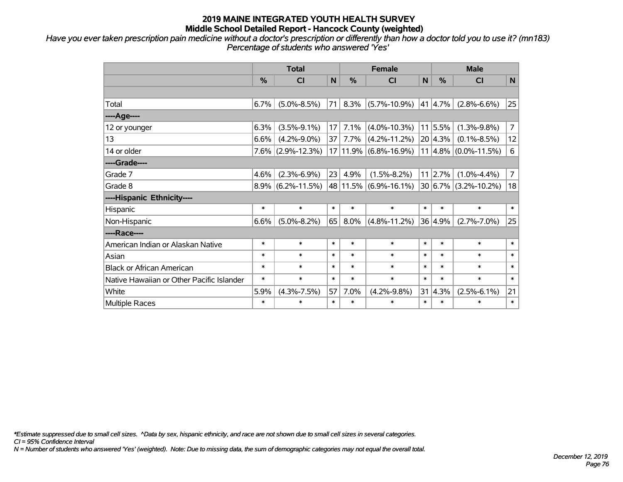*Have you ever taken prescription pain medicine without a doctor's prescription or differently than how a doctor told you to use it? (mn183) Percentage of students who answered 'Yes'*

|                                           | <b>Total</b>  |                      |        |          | <b>Female</b>      | <b>Male</b> |                 |                          |                |
|-------------------------------------------|---------------|----------------------|--------|----------|--------------------|-------------|-----------------|--------------------------|----------------|
|                                           | $\frac{0}{0}$ | <b>CI</b>            | N      | %        | <b>CI</b>          | N           | $\frac{0}{0}$   | <b>CI</b>                | N              |
|                                           |               |                      |        |          |                    |             |                 |                          |                |
| Total                                     | 6.7%          | $(5.0\% - 8.5\%)$    | 71     | 8.3%     | $(5.7\% - 10.9\%)$ |             | 41 4.7%         | $(2.8\% - 6.6\%)$        | 25             |
| ----Age----                               |               |                      |        |          |                    |             |                 |                          |                |
| 12 or younger                             | 6.3%          | $(3.5\% - 9.1\%)$    | 17     | 7.1%     | $(4.0\% - 10.3\%)$ |             | 11 5.5%         | $(1.3\% - 9.8\%)$        | $\overline{7}$ |
| 13                                        | 6.6%          | $(4.2\% - 9.0\%)$    | 37     | 7.7%     | $(4.2\% - 11.2\%)$ |             | 20 4.3%         | $(0.1\% - 8.5\%)$        | 12             |
| 14 or older                               |               | $7.6\%$ (2.9%-12.3%) |        | 17 11.9% | $(6.8\% - 16.9\%)$ |             |                 | $11 4.8\% $ (0.0%-11.5%) | 6              |
| ----Grade----                             |               |                      |        |          |                    |             |                 |                          |                |
| Grade 7                                   | 4.6%          | $(2.3\% - 6.9\%)$    | 23     | 4.9%     | $(1.5\% - 8.2\%)$  |             | $11 \mid 2.7\%$ | $(1.0\% - 4.4\%)$        | 7              |
| Grade 8                                   |               | $8.9\%$ (6.2%-11.5%) |        | 48 11.5% | $(6.9\% - 16.1\%)$ |             |                 | 30 6.7% (3.2%-10.2%)     | 18             |
| ----Hispanic Ethnicity----                |               |                      |        |          |                    |             |                 |                          |                |
| Hispanic                                  | $\ast$        | $\ast$               | $\ast$ | $\ast$   | $\ast$             | $\ast$      | $\ast$          | $\ast$                   | $\ast$         |
| Non-Hispanic                              | 6.6%          | $(5.0\% - 8.2\%)$    | 65     | 8.0%     | $(4.8\% - 11.2\%)$ |             | 36 4.9%         | $(2.7\% - 7.0\%)$        | 25             |
| ----Race----                              |               |                      |        |          |                    |             |                 |                          |                |
| American Indian or Alaskan Native         | $\ast$        | $\ast$               | $\ast$ | $\ast$   | $\ast$             | $\ast$      | $\ast$          | $\ast$                   | $\ast$         |
| Asian                                     | $\ast$        | $\ast$               | $\ast$ | $\ast$   | $\ast$             | $\ast$      | $\ast$          | $\ast$                   | $\ast$         |
| <b>Black or African American</b>          | $\ast$        | $\ast$               | $\ast$ | $\ast$   | $\ast$             | $\ast$      | $\ast$          | $\ast$                   | $\ast$         |
| Native Hawaiian or Other Pacific Islander | $\ast$        | $\ast$               | $\ast$ | $\ast$   | $\ast$             | $\ast$      | $\ast$          | $\ast$                   | $\ast$         |
| White                                     | 5.9%          | $(4.3\% - 7.5\%)$    | 57     | 7.0%     | $(4.2\% - 9.8\%)$  |             | $31 \,   4.3\%$ | $(2.5\% - 6.1\%)$        | 21             |
| Multiple Races                            | $\ast$        | $\ast$               | $\ast$ | $\ast$   | $\ast$             | $\ast$      | $\ast$          | $\ast$                   | $\ast$         |

*\*Estimate suppressed due to small cell sizes. ^Data by sex, hispanic ethnicity, and race are not shown due to small cell sizes in several categories.*

*CI = 95% Confidence Interval*

*N = Number of students who answered 'Yes' (weighted). Note: Due to missing data, the sum of demographic categories may not equal the overall total.*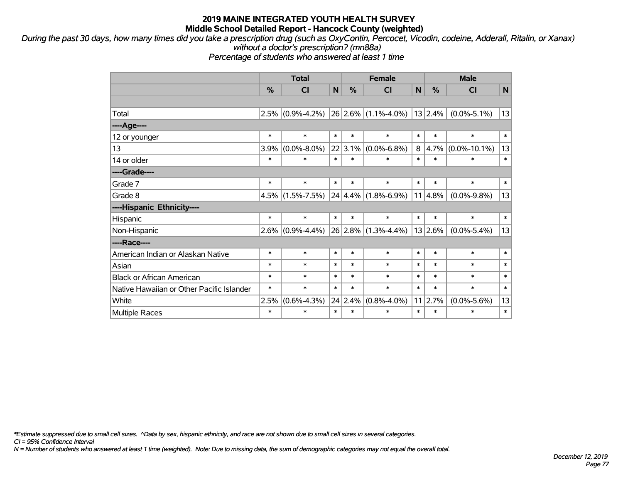*During the past 30 days, how many times did you take a prescription drug (such as OxyContin, Percocet, Vicodin, codeine, Adderall, Ritalin, or Xanax) without a doctor's prescription? (mn88a)*

*Percentage of students who answered at least 1 time*

|                                           | <b>Total</b>  |                   |        |               | <b>Female</b>                                             |        | <b>Male</b>   |                    |        |  |
|-------------------------------------------|---------------|-------------------|--------|---------------|-----------------------------------------------------------|--------|---------------|--------------------|--------|--|
|                                           | $\frac{0}{0}$ | <b>CI</b>         | N      | $\frac{0}{0}$ | <b>CI</b>                                                 | N      | $\frac{0}{0}$ | <b>CI</b>          | N      |  |
|                                           |               |                   |        |               |                                                           |        |               |                    |        |  |
| Total                                     | 2.5%          | $(0.9\% - 4.2\%)$ |        |               | $\left  26 \right  2.6\% \left  (1.1\% - 4.0\% ) \right $ |        | 13 2.4%       | $(0.0\% - 5.1\%)$  | 13     |  |
| ---- Age----                              |               |                   |        |               |                                                           |        |               |                    |        |  |
| 12 or younger                             | $\ast$        | $\ast$            | $\ast$ | $\ast$        | $\ast$                                                    | $\ast$ | $\ast$        | $\ast$             | $\ast$ |  |
| 13                                        | 3.9%          | $(0.0\% - 8.0\%)$ |        | $22 3.1\% $   | $(0.0\% - 6.8\%)$                                         | 8      | 4.7%          | $(0.0\% - 10.1\%)$ | 13     |  |
| 14 or older                               | $\ast$        | $\ast$            | $\ast$ | $\ast$        | $\ast$                                                    | $\ast$ | $\ast$        | $\ast$             | $\ast$ |  |
| ----Grade----                             |               |                   |        |               |                                                           |        |               |                    |        |  |
| Grade 7                                   | $\ast$        | $\ast$            | $\ast$ | $\ast$        | $\ast$                                                    | $\ast$ | $\ast$        | $\ast$             | $\ast$ |  |
| Grade 8                                   | 4.5%          | $(1.5\% - 7.5\%)$ |        |               | $24 4.4\% $ (1.8%-6.9%)                                   |        | 11 4.8%       | $(0.0\% - 9.8\%)$  | 13     |  |
| ----Hispanic Ethnicity----                |               |                   |        |               |                                                           |        |               |                    |        |  |
| Hispanic                                  | $\ast$        | $\ast$            | $\ast$ | $\ast$        | $\ast$                                                    | $\ast$ | $\ast$        | $\ast$             | $\ast$ |  |
| Non-Hispanic                              | $2.6\%$       | $(0.9\% - 4.4\%)$ |        |               | $26$ 2.8% (1.3%-4.4%)                                     |        | 13 2.6%       | $(0.0\% - 5.4\%)$  | 13     |  |
| ----Race----                              |               |                   |        |               |                                                           |        |               |                    |        |  |
| American Indian or Alaskan Native         | $\ast$        | $\ast$            | $\ast$ | $\ast$        | $\ast$                                                    | $\ast$ | $\ast$        | $\ast$             | $\ast$ |  |
| Asian                                     | $\ast$        | $\ast$            | $\ast$ | $\ast$        | $\ast$                                                    | $\ast$ | $\ast$        | $\ast$             | $\ast$ |  |
| <b>Black or African American</b>          | $\ast$        | $\ast$            | $\ast$ | $\ast$        | $\ast$                                                    | $\ast$ | $\ast$        | $\ast$             | $\ast$ |  |
| Native Hawaiian or Other Pacific Islander | $\ast$        | $\ast$            | $\ast$ | $\ast$        | $\ast$                                                    | $\ast$ | $\ast$        | $\ast$             | $\ast$ |  |
| White                                     | 2.5%          | $(0.6\% - 4.3\%)$ |        | 24 2.4%       | $(0.8\% - 4.0\%)$                                         | 11     | 2.7%          | $(0.0\% - 5.6\%)$  | 13     |  |
| Multiple Races                            | $\ast$        | $\ast$            | $\ast$ | $\ast$        | $\ast$                                                    | $\ast$ | $\ast$        | $\ast$             | $\ast$ |  |

*\*Estimate suppressed due to small cell sizes. ^Data by sex, hispanic ethnicity, and race are not shown due to small cell sizes in several categories.*

*CI = 95% Confidence Interval*

*N = Number of students who answered at least 1 time (weighted). Note: Due to missing data, the sum of demographic categories may not equal the overall total.*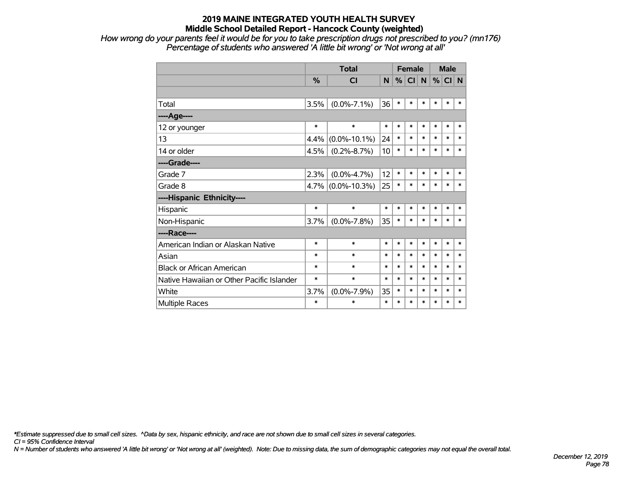*How wrong do your parents feel it would be for you to take prescription drugs not prescribed to you? (mn176) Percentage of students who answered 'A little bit wrong' or 'Not wrong at all'*

|                                           |        | <b>Total</b>         | <b>Female</b> |        |        |        | <b>Male</b> |        |        |
|-------------------------------------------|--------|----------------------|---------------|--------|--------|--------|-------------|--------|--------|
|                                           | %      | <b>CI</b>            | N             | %      | CI     | N      | %           | CI N   |        |
|                                           |        |                      |               |        |        |        |             |        |        |
| Total                                     | 3.5%   | $(0.0\% - 7.1\%)$    | 36            | $\ast$ | $\ast$ | $\ast$ | *           | $\ast$ | *      |
| ---- Age----                              |        |                      |               |        |        |        |             |        |        |
| 12 or younger                             | $\ast$ | $\ast$               | $\ast$        | $\ast$ | $\ast$ | $\ast$ | $\ast$      | $\ast$ | $\ast$ |
| 13                                        | 4.4%   | $(0.0\% - 10.1\%)$   | 24            | $\ast$ | $\ast$ | $\ast$ | $\ast$      | $\ast$ | $\ast$ |
| 14 or older                               | 4.5%   | $(0.2\% - 8.7\%)$    | 10            | $\ast$ | $\ast$ | $\ast$ | $\ast$      | $\ast$ | $\ast$ |
| ----Grade----                             |        |                      |               |        |        |        |             |        |        |
| Grade 7                                   | 2.3%   | $(0.0\% - 4.7\%)$    | 12            | $\ast$ | $\ast$ | $\ast$ | $\ast$      | $\ast$ | *      |
| Grade 8                                   |        | $4.7\%$ (0.0%-10.3%) | 25            | $\ast$ | $\ast$ | $\ast$ | $\ast$      | $\ast$ | *      |
| ----Hispanic Ethnicity----                |        |                      |               |        |        |        |             |        |        |
| Hispanic                                  | $\ast$ | $\ast$               | $\ast$        | $\ast$ | $\ast$ | $\ast$ | $\ast$      | $\ast$ | *      |
| Non-Hispanic                              | 3.7%   | $(0.0\% - 7.8\%)$    | 35            | $\ast$ | $\ast$ | $\ast$ | $\ast$      | $\ast$ | $\ast$ |
| ----Race----                              |        |                      |               |        |        |        |             |        |        |
| American Indian or Alaskan Native         | $\ast$ | $\ast$               | $\ast$        | $\ast$ | $\ast$ | $\ast$ | *           | $\ast$ | $\ast$ |
| Asian                                     | $\ast$ | $\ast$               | $\ast$        | $\ast$ | $\ast$ | $\ast$ | $\ast$      | $\ast$ | *      |
| <b>Black or African American</b>          | $\ast$ | $\ast$               | $\ast$        | $\ast$ | $\ast$ | $\ast$ | $\ast$      | $\ast$ | *      |
| Native Hawaiian or Other Pacific Islander | $\ast$ | $\ast$               | $\ast$        | $\ast$ | $\ast$ | $\ast$ | $\ast$      | $\ast$ | $\ast$ |
| White                                     | 3.7%   | $(0.0\% - 7.9\%)$    | 35            | $\ast$ | $\ast$ | $\ast$ | $\ast$      | $\ast$ | *      |
| <b>Multiple Races</b>                     | *      | $\ast$               | $\ast$        | $\ast$ | $\ast$ | $\ast$ | $\ast$      | $\ast$ | $\ast$ |

*\*Estimate suppressed due to small cell sizes. ^Data by sex, hispanic ethnicity, and race are not shown due to small cell sizes in several categories.*

*CI = 95% Confidence Interval*

*N = Number of students who answered 'A little bit wrong' or 'Not wrong at all' (weighted). Note: Due to missing data, the sum of demographic categories may not equal the overall total.*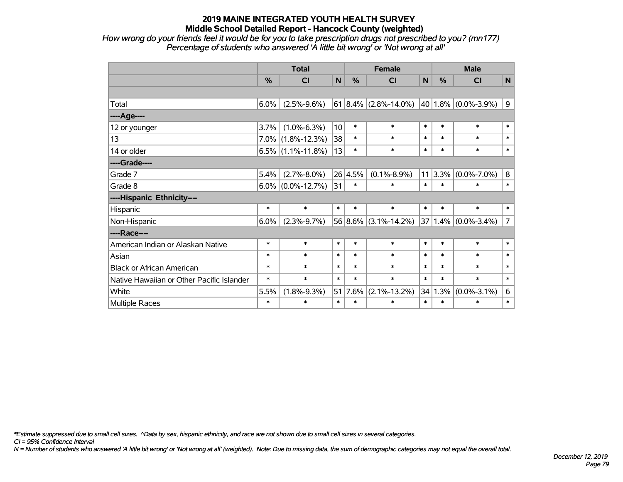*How wrong do your friends feel it would be for you to take prescription drugs not prescribed to you? (mn177) Percentage of students who answered 'A little bit wrong' or 'Not wrong at all'*

|                                           | <b>Total</b> |                      |        | <b>Female</b> |                      |        | <b>Male</b> |                             |                |  |
|-------------------------------------------|--------------|----------------------|--------|---------------|----------------------|--------|-------------|-----------------------------|----------------|--|
|                                           | %            | <b>CI</b>            | N      | %             | <b>CI</b>            | N      | %           | <b>CI</b>                   | $\mathsf{N}$   |  |
|                                           |              |                      |        |               |                      |        |             |                             |                |  |
| Total                                     | 6.0%         | $(2.5\% - 9.6\%)$    |        |               | 61 8.4% (2.8%-14.0%) |        |             | 40   1.8% $(0.0\% - 3.9\%)$ | 9              |  |
| ----Age----                               |              |                      |        |               |                      |        |             |                             |                |  |
| 12 or younger                             | 3.7%         | $(1.0\% - 6.3\%)$    | 10     | $\ast$        | $\ast$               | $\ast$ | $\ast$      | $\ast$                      | $\ast$         |  |
| 13                                        |              | $7.0\%$ (1.8%-12.3%) | 38     | $\ast$        | $\ast$               | $\ast$ | $\ast$      | $\ast$                      | $\ast$         |  |
| 14 or older                               |              | $6.5\%$ (1.1%-11.8%) | 13     | $\ast$        | $\ast$               | $\ast$ | $\ast$      | $\ast$                      | $\ast$         |  |
| ----Grade----                             |              |                      |        |               |                      |        |             |                             |                |  |
| Grade 7                                   | 5.4%         | $(2.7\% - 8.0\%)$    |        | 26 4.5%       | $(0.1\% - 8.9\%)$    | 11     | 3.3%        | $(0.0\% - 7.0\%)$           | 8              |  |
| Grade 8                                   |              | $6.0\%$ (0.0%-12.7%) | 31     | $\ast$        | $\ast$               | $\ast$ | $\ast$      | $\ast$                      | $\ast$         |  |
| ----Hispanic Ethnicity----                |              |                      |        |               |                      |        |             |                             |                |  |
| Hispanic                                  | $\ast$       | $\ast$               | $\ast$ | $\ast$        | $\ast$               | $\ast$ | $\ast$      | $\ast$                      | $\ast$         |  |
| Non-Hispanic                              | 6.0%         | $(2.3\% - 9.7\%)$    |        |               | 56 8.6% (3.1%-14.2%) | 37     |             | $1.4\%$ (0.0%-3.4%)         | $\overline{7}$ |  |
| ----Race----                              |              |                      |        |               |                      |        |             |                             |                |  |
| American Indian or Alaskan Native         | $\ast$       | $\ast$               | $\ast$ | $\ast$        | $\ast$               | $\ast$ | $\ast$      | $\ast$                      | $\ast$         |  |
| Asian                                     | $\ast$       | $\ast$               | $\ast$ | $\ast$        | $\ast$               | $\ast$ | $\ast$      | $\ast$                      | $\ast$         |  |
| <b>Black or African American</b>          | $\ast$       | $\ast$               | $\ast$ | $\ast$        | $\ast$               | $\ast$ | $\ast$      | $\ast$                      | $\ast$         |  |
| Native Hawaiian or Other Pacific Islander | $\ast$       | $\ast$               | $\ast$ | $\ast$        | $\ast$               | $\ast$ | $\ast$      | $\ast$                      | $\ast$         |  |
| White                                     | 5.5%         | $(1.8\% - 9.3\%)$    | 51     | 7.6%          | $(2.1\% - 13.2\%)$   | 34     | 1.3%        | $(0.0\% - 3.1\%)$           | 6              |  |
| Multiple Races                            | $\ast$       | $\ast$               | $\ast$ | $\ast$        | $\ast$               | $\ast$ | $\ast$      | $\ast$                      | $\ast$         |  |

*\*Estimate suppressed due to small cell sizes. ^Data by sex, hispanic ethnicity, and race are not shown due to small cell sizes in several categories.*

*CI = 95% Confidence Interval*

*N = Number of students who answered 'A little bit wrong' or 'Not wrong at all' (weighted). Note: Due to missing data, the sum of demographic categories may not equal the overall total.*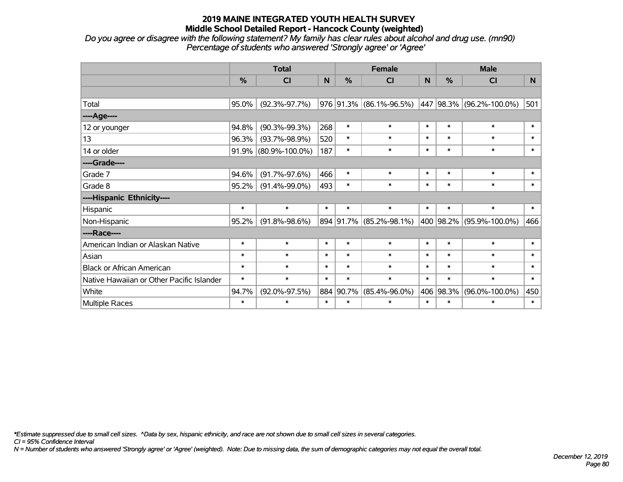*Do you agree or disagree with the following statement? My family has clear rules about alcohol and drug use. (mn90) Percentage of students who answered 'Strongly agree' or 'Agree'*

|                                           |               | <b>Total</b>         |        |               | <b>Female</b>           |        |           | <b>Male</b>                                      |        |
|-------------------------------------------|---------------|----------------------|--------|---------------|-------------------------|--------|-----------|--------------------------------------------------|--------|
|                                           | $\frac{0}{0}$ | CI                   | N      | $\frac{0}{0}$ | CI                      | N      | %         | <b>CI</b>                                        | N      |
|                                           |               |                      |        |               |                         |        |           |                                                  |        |
| Total                                     | 95.0%         | $(92.3\% - 97.7\%)$  |        |               |                         |        |           | 976 91.3% (86.1%-96.5%) 447 98.3% (96.2%-100.0%) | 501    |
| ----Age----                               |               |                      |        |               |                         |        |           |                                                  |        |
| 12 or younger                             | 94.8%         | $(90.3\% - 99.3\%)$  | 268    | $\ast$        | $\ast$                  | $\ast$ | $\ast$    | $\ast$                                           | $\ast$ |
| 13                                        | 96.3%         | $(93.7\% - 98.9\%)$  | 520    | $\ast$        | $\ast$                  | $\ast$ | $\ast$    | $\ast$                                           | $\ast$ |
| 14 or older                               | 91.9%         | $(80.9\% - 100.0\%)$ | 187    | $\ast$        | $\ast$                  | $\ast$ | $\ast$    | $\ast$                                           | $\ast$ |
| ----Grade----                             |               |                      |        |               |                         |        |           |                                                  |        |
| Grade 7                                   | 94.6%         | $(91.7\% - 97.6\%)$  | 466    | $\ast$        | $\ast$                  | $\ast$ | $\ast$    | $\ast$                                           | $\ast$ |
| Grade 8                                   | 95.2%         | $(91.4\% - 99.0\%)$  | 493    | $\ast$        | $\ast$                  | $\ast$ | $\ast$    | $\ast$                                           | $\ast$ |
| ----Hispanic Ethnicity----                |               |                      |        |               |                         |        |           |                                                  |        |
| Hispanic                                  | $\ast$        | $\ast$               | $\ast$ | $\ast$        | $\ast$                  | $\ast$ | $\ast$    | $\ast$                                           | $\ast$ |
| Non-Hispanic                              | 95.2%         | $(91.8\% - 98.6\%)$  |        |               | 894 91.7% (85.2%-98.1%) |        | 400 98.2% | $(95.9\% - 100.0\%)$                             | 466    |
| ----Race----                              |               |                      |        |               |                         |        |           |                                                  |        |
| American Indian or Alaskan Native         | $\ast$        | $\ast$               | $\ast$ | $\ast$        | $\ast$                  | $\ast$ | $\ast$    | $\ast$                                           | $\ast$ |
| Asian                                     | $\ast$        | $\ast$               | $\ast$ | $\ast$        | $\ast$                  | $\ast$ | $\ast$    | $\ast$                                           | $\ast$ |
| <b>Black or African American</b>          | $\ast$        | $\ast$               | $\ast$ | $\ast$        | $\ast$                  | $\ast$ | $\ast$    | $\ast$                                           | $\ast$ |
| Native Hawaiian or Other Pacific Islander | $\ast$        | $\ast$               | $\ast$ | $\ast$        | $\ast$                  | $\ast$ | $\ast$    | $\ast$                                           | $\ast$ |
| White                                     | 94.7%         | $(92.0\% - 97.5\%)$  |        | 884 90.7%     | $(85.4\% - 96.0\%)$     | 406    | 98.3%     | $(96.0\% - 100.0\%)$                             | 450    |
| Multiple Races                            | $\ast$        | $\ast$               | $\ast$ | $\ast$        | $\ast$                  | $\ast$ | $\ast$    | $\ast$                                           | $\ast$ |

*\*Estimate suppressed due to small cell sizes. ^Data by sex, hispanic ethnicity, and race are not shown due to small cell sizes in several categories.*

*CI = 95% Confidence Interval*

*N = Number of students who answered 'Strongly agree' or 'Agree' (weighted). Note: Due to missing data, the sum of demographic categories may not equal the overall total.*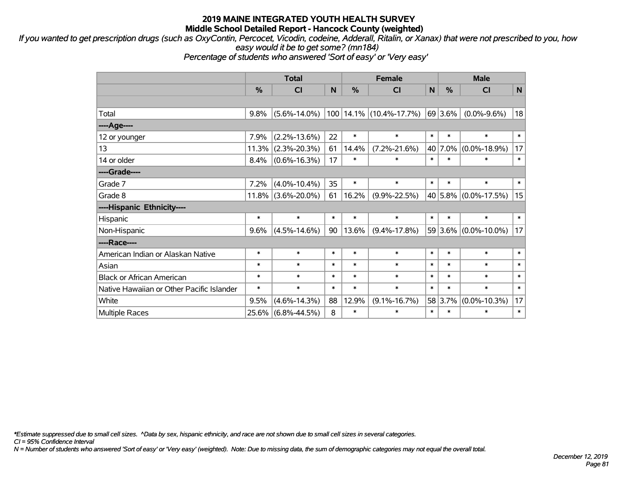*If you wanted to get prescription drugs (such as OxyContin, Percocet, Vicodin, codeine, Adderall, Ritalin, or Xanax) that were not prescribed to you, how easy would it be to get some? (mn184)*

*Percentage of students who answered 'Sort of easy' or 'Very easy'*

|                                           | <b>Total</b> |                       |        |        | <b>Female</b>           | <b>Male</b> |         |                      |        |
|-------------------------------------------|--------------|-----------------------|--------|--------|-------------------------|-------------|---------|----------------------|--------|
|                                           | %            | <b>CI</b>             | N      | %      | <b>CI</b>               | N           | %       | <b>CI</b>            | N      |
|                                           |              |                       |        |        |                         |             |         |                      |        |
| Total                                     | 9.8%         | $(5.6\% - 14.0\%)$    |        |        | 100 14.1% (10.4%-17.7%) |             | 69 3.6% | $(0.0\% - 9.6\%)$    | 18     |
| ---- Age----                              |              |                       |        |        |                         |             |         |                      |        |
| 12 or younger                             | 7.9%         | $(2.2\% - 13.6\%)$    | 22     | $\ast$ | $\ast$                  | $\ast$      | $\ast$  | $\ast$               | $\ast$ |
| 13                                        | 11.3%        | $(2.3\% - 20.3\%)$    | 61     | 14.4%  | $(7.2\% - 21.6\%)$      | 40          | 7.0%    | $(0.0\% - 18.9\%)$   | 17     |
| 14 or older                               | 8.4%         | $(0.6\% - 16.3\%)$    | 17     | $\ast$ | $\ast$                  | $\ast$      | $\ast$  | $\ast$               | $\ast$ |
| ----Grade----                             |              |                       |        |        |                         |             |         |                      |        |
| Grade 7                                   | 7.2%         | $(4.0\% - 10.4\%)$    | 35     | $\ast$ | $\ast$                  | $\ast$      | $\ast$  | $\ast$               | $\ast$ |
| Grade 8                                   |              | $11.8\%$ (3.6%-20.0%) | 61     | 16.2%  | $(9.9\% - 22.5\%)$      |             |         | 40 5.8% (0.0%-17.5%) | 15     |
| ----Hispanic Ethnicity----                |              |                       |        |        |                         |             |         |                      |        |
| Hispanic                                  | $\ast$       | $\ast$                | $\ast$ | $\ast$ | $\ast$                  | $\ast$      | $\ast$  | $\ast$               | $\ast$ |
| Non-Hispanic                              | 9.6%         | $(4.5\% - 14.6\%)$    | 90     | 13.6%  | $(9.4\% - 17.8\%)$      |             | 59 3.6% | $(0.0\% - 10.0\%)$   | 17     |
| ----Race----                              |              |                       |        |        |                         |             |         |                      |        |
| American Indian or Alaskan Native         | $\ast$       | $\ast$                | $\ast$ | $\ast$ | $\ast$                  | $\ast$      | $\ast$  | $\ast$               | $\ast$ |
| Asian                                     | $\ast$       | $\ast$                | $\ast$ | $\ast$ | $\ast$                  | $\ast$      | $\ast$  | $\ast$               | $\ast$ |
| <b>Black or African American</b>          | $\ast$       | $\ast$                | $\ast$ | $\ast$ | $\ast$                  | $\ast$      | $\ast$  | $\ast$               | $\ast$ |
| Native Hawaiian or Other Pacific Islander | $\ast$       | $\ast$                | $\ast$ | $\ast$ | $\ast$                  | $\ast$      | $\ast$  | $\ast$               | $\ast$ |
| White                                     | 9.5%         | $(4.6\% - 14.3\%)$    | 88     | 12.9%  | $(9.1\% - 16.7\%)$      |             | 58 3.7% | $(0.0\% - 10.3\%)$   | 17     |
| <b>Multiple Races</b>                     |              | 25.6% (6.8%-44.5%)    | 8      | $\ast$ | $\ast$                  | $\ast$      | $\ast$  | $\ast$               | $\ast$ |

*\*Estimate suppressed due to small cell sizes. ^Data by sex, hispanic ethnicity, and race are not shown due to small cell sizes in several categories.*

*CI = 95% Confidence Interval*

*N = Number of students who answered 'Sort of easy' or 'Very easy' (weighted). Note: Due to missing data, the sum of demographic categories may not equal the overall total.*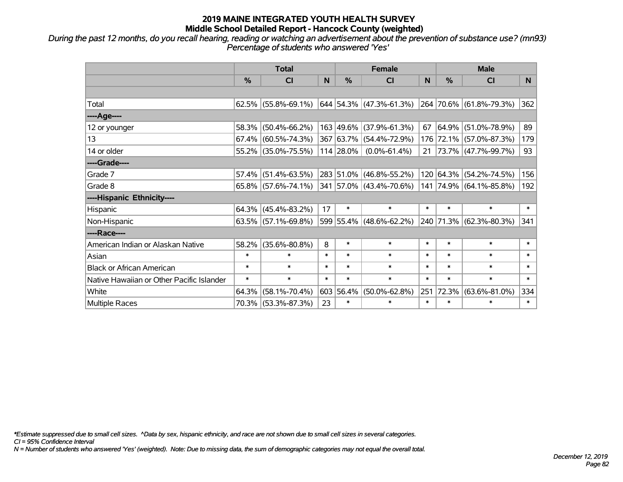*During the past 12 months, do you recall hearing, reading or watching an advertisement about the prevention of substance use? (mn93) Percentage of students who answered 'Yes'*

|                                           | <b>Total</b>  |                                                |        |               | <b>Female</b>                |        | <b>Male</b> |                         |        |  |
|-------------------------------------------|---------------|------------------------------------------------|--------|---------------|------------------------------|--------|-------------|-------------------------|--------|--|
|                                           | $\frac{0}{0}$ | <b>CI</b>                                      | N      | $\frac{9}{6}$ | <b>CI</b>                    | N      | %           | <b>CI</b>               | N.     |  |
|                                           |               |                                                |        |               |                              |        |             |                         |        |  |
| Total                                     |               | $62.5\%$ (55.8%-69.1%)                         |        |               | $ 644 54.3\% $ (47.3%-61.3%) |        |             | 264 70.6% (61.8%-79.3%) | 362    |  |
| ----Age----                               |               |                                                |        |               |                              |        |             |                         |        |  |
| 12 or younger                             | 58.3%         | $(50.4\% - 66.2\%)$                            |        |               | 163 49.6% (37.9%-61.3%)      | 67     | 64.9%       | $(51.0\% - 78.9\%)$     | 89     |  |
| 13                                        | 67.4%         | $(60.5\% - 74.3\%)$                            |        |               | 367 63.7% (54.4%-72.9%)      |        |             | 176 72.1% (57.0%-87.3%) | 179    |  |
| 14 or older                               |               | 55.2% (35.0%-75.5%)                            |        | 114 28.0%     | $(0.0\% - 61.4\%)$           |        |             | 21 73.7% (47.7%-99.7%)  | 93     |  |
| ----Grade----                             |               |                                                |        |               |                              |        |             |                         |        |  |
| Grade 7                                   | 57.4%         | $(51.4\% - 63.5\%)$                            |        |               | 283 51.0% (46.8%-55.2%)      |        | 120 64.3%   | $(54.2\% - 74.5\%)$     | 156    |  |
| Grade 8                                   |               | $65.8\%$ (57.6%-74.1%) 341 57.0% (43.4%-70.6%) |        |               |                              |        |             | 141 74.9% (64.1%-85.8%) | 192    |  |
| ----Hispanic Ethnicity----                |               |                                                |        |               |                              |        |             |                         |        |  |
| Hispanic                                  |               | $64.3\%$ (45.4%-83.2%)                         | 17     | $\ast$        | $\ast$                       | $\ast$ | $\ast$      | $\ast$                  | $\ast$ |  |
| Non-Hispanic                              |               | $63.5\%$ (57.1%-69.8%)                         |        |               | 599 55.4% (48.6%-62.2%)      |        |             | 240 71.3% (62.3%-80.3%) | 341    |  |
| ----Race----                              |               |                                                |        |               |                              |        |             |                         |        |  |
| American Indian or Alaskan Native         | 58.2%         | $(35.6\% - 80.8\%)$                            | 8      | $\ast$        | $\ast$                       | $\ast$ | $\ast$      | $\ast$                  | $\ast$ |  |
| Asian                                     | $\ast$        | $\ast$                                         | $\ast$ | $\ast$        | $\ast$                       | $\ast$ | $\ast$      | $\ast$                  | $\ast$ |  |
| <b>Black or African American</b>          | $\ast$        | $\ast$                                         | $\ast$ | $\ast$        | $\ast$                       | $\ast$ | $\ast$      | $\ast$                  | $\ast$ |  |
| Native Hawaiian or Other Pacific Islander | $\ast$        | $\ast$                                         | $\ast$ | $\ast$        | $\ast$                       | $\ast$ | $\ast$      | $\ast$                  | $\ast$ |  |
| White                                     | 64.3%         | $(58.1\% - 70.4\%)$                            |        | 603 56.4%     | $(50.0\% - 62.8\%)$          | 251    | 72.3%       | $(63.6\% - 81.0\%)$     | 334    |  |
| Multiple Races                            |               | 70.3% (53.3%-87.3%)                            | 23     | $\ast$        | $\ast$                       | $\ast$ | $\ast$      | $\ast$                  | $\ast$ |  |

*\*Estimate suppressed due to small cell sizes. ^Data by sex, hispanic ethnicity, and race are not shown due to small cell sizes in several categories.*

*CI = 95% Confidence Interval*

*N = Number of students who answered 'Yes' (weighted). Note: Due to missing data, the sum of demographic categories may not equal the overall total.*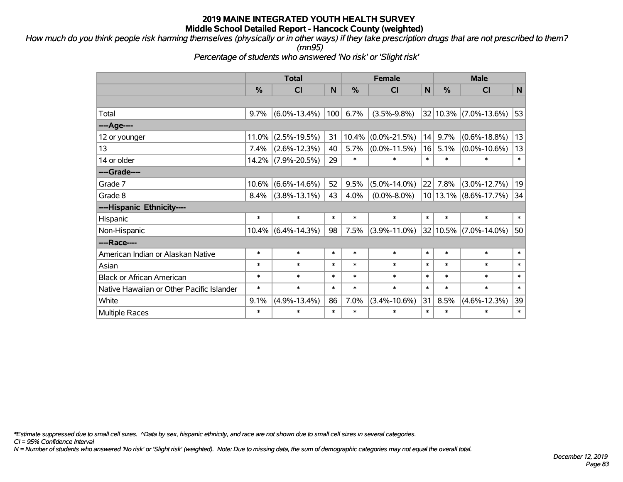*How much do you think people risk harming themselves (physically or in other ways) if they take prescription drugs that are not prescribed to them? (mn95)*

*Percentage of students who answered 'No risk' or 'Slight risk'*

|                                           | <b>Total</b> |                    |        |               | <b>Female</b>      |        | <b>Male</b> |                           |        |  |
|-------------------------------------------|--------------|--------------------|--------|---------------|--------------------|--------|-------------|---------------------------|--------|--|
|                                           | %            | CI                 | N      | $\frac{0}{0}$ | CI                 | N      | %           | CI                        | N      |  |
|                                           |              |                    |        |               |                    |        |             |                           |        |  |
| Total                                     | 9.7%         | $(6.0\% - 13.4\%)$ | 100    | 6.7%          | $(3.5\% - 9.8\%)$  |        | 32 10.3%    | $(7.0\% - 13.6\%)$        | 53     |  |
| ----Age----                               |              |                    |        |               |                    |        |             |                           |        |  |
| 12 or younger                             | 11.0%        | $(2.5\% - 19.5\%)$ | 31     | 10.4%         | $(0.0\% - 21.5\%)$ | 14     | 9.7%        | $(0.6\% - 18.8\%)$        | 13     |  |
| 13                                        | 7.4%         | $(2.6\% - 12.3\%)$ | 40     | 5.7%          | $(0.0\% - 11.5\%)$ | 16     | 5.1%        | $(0.0\% - 10.6\%)$        | 13     |  |
| 14 or older                               | 14.2%        | $(7.9\% - 20.5\%)$ | 29     | $\ast$        | $\ast$             | $\ast$ | $\ast$      | $\ast$                    | $\ast$ |  |
| ----Grade----                             |              |                    |        |               |                    |        |             |                           |        |  |
| Grade 7                                   | 10.6%        | $(6.6\% - 14.6\%)$ | 52     | 9.5%          | $(5.0\% - 14.0\%)$ | 22     | 7.8%        | $(3.0\% - 12.7\%)$        | 19     |  |
| Grade 8                                   | 8.4%         | $(3.8\% - 13.1\%)$ | 43     | 4.0%          | $(0.0\% - 8.0\%)$  |        | 10 13.1%    | $(8.6\% - 17.7\%)$        | 34     |  |
| ----Hispanic Ethnicity----                |              |                    |        |               |                    |        |             |                           |        |  |
| Hispanic                                  | $\ast$       | $\ast$             | $\ast$ | $\ast$        | $\ast$             | $\ast$ | $\ast$      | $\ast$                    | $\ast$ |  |
| Non-Hispanic                              | 10.4%        | $(6.4\% - 14.3\%)$ | 98     | 7.5%          | $(3.9\% - 11.0\%)$ |        |             | 32   10.5%   (7.0%-14.0%) | 50     |  |
| ----Race----                              |              |                    |        |               |                    |        |             |                           |        |  |
| American Indian or Alaskan Native         | $\ast$       | $\ast$             | $\ast$ | $\ast$        | $\ast$             | $\ast$ | $\ast$      | $\ast$                    | $\ast$ |  |
| Asian                                     | $\ast$       | $\ast$             | $\ast$ | $\ast$        | $\ast$             | $\ast$ | $\ast$      | $\ast$                    | $\ast$ |  |
| <b>Black or African American</b>          | $\ast$       | $\ast$             | $\ast$ | $\ast$        | $\ast$             | $\ast$ | $\ast$      | $\ast$                    | $\ast$ |  |
| Native Hawaiian or Other Pacific Islander | $\ast$       | $\ast$             | $\ast$ | $\ast$        | $\ast$             | $\ast$ | $\ast$      | $\ast$                    | $\ast$ |  |
| White                                     | 9.1%         | $(4.9\% - 13.4\%)$ | 86     | 7.0%          | $(3.4\% - 10.6\%)$ | 31     | 8.5%        | $(4.6\% - 12.3\%)$        | 39     |  |
| <b>Multiple Races</b>                     | $\ast$       | $\ast$             | $\ast$ | $\ast$        | $\ast$             | $\ast$ | $\ast$      | $\ast$                    | $\ast$ |  |

*\*Estimate suppressed due to small cell sizes. ^Data by sex, hispanic ethnicity, and race are not shown due to small cell sizes in several categories.*

*CI = 95% Confidence Interval*

*N = Number of students who answered 'No risk' or 'Slight risk' (weighted). Note: Due to missing data, the sum of demographic categories may not equal the overall total.*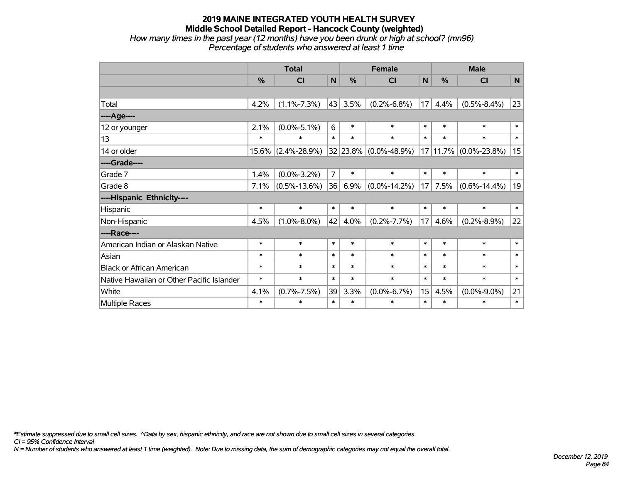#### **2019 MAINE INTEGRATED YOUTH HEALTH SURVEY Middle School Detailed Report - Hancock County (weighted)** *How many times in the past year (12 months) have you been drunk or high at school? (mn96) Percentage of students who answered at least 1 time*

|                                           | <b>Total</b>  |                    |                |               | <b>Female</b>              |        | <b>Male</b> |                       |           |  |
|-------------------------------------------|---------------|--------------------|----------------|---------------|----------------------------|--------|-------------|-----------------------|-----------|--|
|                                           | $\frac{0}{0}$ | CI                 | N              | $\frac{0}{0}$ | CI                         | N      | %           | CI                    | ${\bf N}$ |  |
|                                           |               |                    |                |               |                            |        |             |                       |           |  |
| Total                                     | 4.2%          | $(1.1\% - 7.3\%)$  | 43             | 3.5%          | $(0.2\% - 6.8\%)$          | 17     | 4.4%        | $(0.5\% - 8.4\%)$     | 23        |  |
| ----Age----                               |               |                    |                |               |                            |        |             |                       |           |  |
| 12 or younger                             | 2.1%          | $(0.0\% - 5.1\%)$  | 6              | $\ast$        | $\ast$                     | $\ast$ | $\ast$      | $\ast$                | $\ast$    |  |
| 13                                        | $\ast$        | *                  | $\ast$         | $\ast$        | $\ast$                     | $\ast$ | $\ast$      | $\ast$                | $\ast$    |  |
| 14 or older                               | $15.6\%$      | $(2.4\% - 28.9\%)$ |                |               | $ 32 23.8\% $ (0.0%-48.9%) |        |             | 17 11.7% (0.0%-23.8%) | 15        |  |
| ----Grade----                             |               |                    |                |               |                            |        |             |                       |           |  |
| Grade 7                                   | 1.4%          | $(0.0\% - 3.2\%)$  | $\overline{7}$ | $\ast$        | $\ast$                     | $\ast$ | $\ast$      | $\ast$                | $\ast$    |  |
| Grade 8                                   | 7.1%          | $(0.5\% - 13.6\%)$ | 36             | 6.9%          | $(0.0\% - 14.2\%)$         | 17     | 7.5%        | $(0.6\% - 14.4\%)$    | 19        |  |
| ----Hispanic Ethnicity----                |               |                    |                |               |                            |        |             |                       |           |  |
| Hispanic                                  | $\ast$        | $\ast$             | $\ast$         | $\ast$        | $\ast$                     | $\ast$ | $\ast$      | $\ast$                | $\ast$    |  |
| Non-Hispanic                              | 4.5%          | $(1.0\% - 8.0\%)$  | 42             | 4.0%          | $(0.2\% - 7.7\%)$          | 17     | 4.6%        | $(0.2\% - 8.9\%)$     | 22        |  |
| ----Race----                              |               |                    |                |               |                            |        |             |                       |           |  |
| American Indian or Alaskan Native         | $\ast$        | $\ast$             | $\ast$         | $\ast$        | $\ast$                     | $\ast$ | $\ast$      | $\ast$                | $\ast$    |  |
| Asian                                     | $\ast$        | $\ast$             | $\ast$         | $\ast$        | $\ast$                     | $\ast$ | $\ast$      | $\ast$                | $\ast$    |  |
| <b>Black or African American</b>          | $\ast$        | $\ast$             | $\ast$         | $\ast$        | $\ast$                     | $\ast$ | $\ast$      | $\ast$                | $\ast$    |  |
| Native Hawaiian or Other Pacific Islander | $\ast$        | $\ast$             | $\ast$         | $\ast$        | $\ast$                     | $\ast$ | $\ast$      | $\ast$                | $\ast$    |  |
| White                                     | 4.1%          | $(0.7\% - 7.5\%)$  | 39             | 3.3%          | $(0.0\% - 6.7\%)$          | 15     | 4.5%        | $(0.0\% - 9.0\%)$     | 21        |  |
| Multiple Races                            | $\ast$        | $\ast$             | $\ast$         | $\ast$        | $\ast$                     | $\ast$ | $\ast$      | $\ast$                | $\ast$    |  |

*\*Estimate suppressed due to small cell sizes. ^Data by sex, hispanic ethnicity, and race are not shown due to small cell sizes in several categories.*

*CI = 95% Confidence Interval*

*N = Number of students who answered at least 1 time (weighted). Note: Due to missing data, the sum of demographic categories may not equal the overall total.*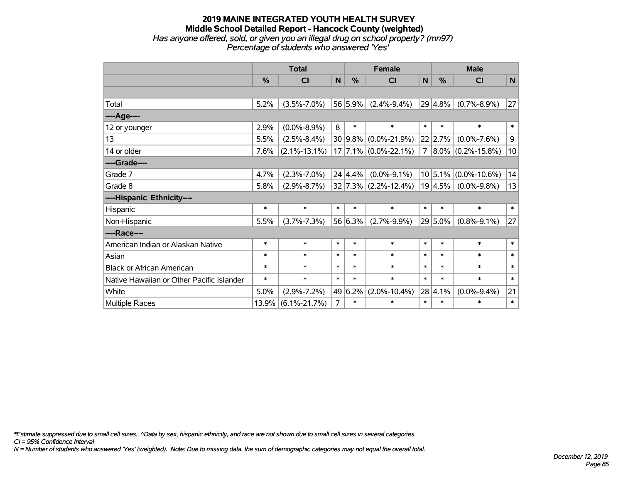#### **2019 MAINE INTEGRATED YOUTH HEALTH SURVEY Middle School Detailed Report - Hancock County (weighted)** *Has anyone offered, sold, or given you an illegal drug on school property? (mn97) Percentage of students who answered 'Yes'*

|                                           | <b>Total</b> |                    |             |                 | <b>Female</b>            | <b>Male</b>  |             |                                |              |
|-------------------------------------------|--------------|--------------------|-------------|-----------------|--------------------------|--------------|-------------|--------------------------------|--------------|
|                                           | %            | <b>CI</b>          | $\mathbf N$ | %               | <b>CI</b>                | $\mathsf{N}$ | %           | <b>CI</b>                      | $\mathsf{N}$ |
|                                           |              |                    |             |                 |                          |              |             |                                |              |
| Total                                     | 5.2%         | $(3.5\% - 7.0\%)$  |             | 56 5.9%         | $(2.4\% - 9.4\%)$        |              | $29 4.8\% $ | $(0.7\% - 8.9\%)$              | 27           |
| ---- Age----                              |              |                    |             |                 |                          |              |             |                                |              |
| 12 or younger                             | 2.9%         | $(0.0\% - 8.9\%)$  | 8           | $\ast$          | $\ast$                   | $\ast$       | $\ast$      | $\ast$                         | $\ast$       |
| 13                                        | 5.5%         | $(2.5\% - 8.4\%)$  |             | 30 9.8%         | $(0.0\% - 21.9\%)$       |              | $22$ 2.7%   | $(0.0\% - 7.6\%)$              | $\mathsf 9$  |
| 14 or older                               | 7.6%         | $(2.1\% - 13.1\%)$ |             |                 | $17$ 7.1% (0.0%-22.1%)   |              |             | $7   8.0\%   (0.2\% - 15.8\%)$ | 10           |
| ----Grade----                             |              |                    |             |                 |                          |              |             |                                |              |
| Grade 7                                   | 4.7%         | $(2.3\% - 7.0\%)$  |             | $24 \mid 4.4\%$ | $(0.0\% - 9.1\%)$        |              | $10 5.1\% $ | $(0.0\% - 10.6\%)$             | 14           |
| Grade 8                                   | 5.8%         | $(2.9\% - 8.7\%)$  |             |                 | $32 7.3\% $ (2.2%-12.4%) |              | $19 4.5\% $ | $(0.0\% - 9.8\%)$              | 13           |
| ----Hispanic Ethnicity----                |              |                    |             |                 |                          |              |             |                                |              |
| Hispanic                                  | $\ast$       | $\ast$             | $\ast$      | $\ast$          | $\ast$                   | $\ast$       | $\ast$      | $\ast$                         | $\ast$       |
| Non-Hispanic                              | 5.5%         | $(3.7\% - 7.3\%)$  |             | 56 6.3%         | $(2.7\% - 9.9\%)$        |              | 29 5.0%     | $(0.8\% - 9.1\%)$              | 27           |
| ----Race----                              |              |                    |             |                 |                          |              |             |                                |              |
| American Indian or Alaskan Native         | $\ast$       | $\ast$             | $\ast$      | $\ast$          | $\ast$                   | $\ast$       | $\ast$      | $\ast$                         | $\ast$       |
| Asian                                     | $\ast$       | $\ast$             | $\ast$      | $\ast$          | $\ast$                   | $\ast$       | $\ast$      | $\ast$                         | $\ast$       |
| <b>Black or African American</b>          | $\ast$       | $\ast$             | $\ast$      | $\ast$          | $\ast$                   | $\ast$       | $\ast$      | $\ast$                         | $\ast$       |
| Native Hawaiian or Other Pacific Islander | $\ast$       | $\ast$             | $\ast$      | $\ast$          | $\ast$                   | $\ast$       | $\ast$      | $\ast$                         | $\ast$       |
| White                                     | 5.0%         | $(2.9\% - 7.2\%)$  | 49          | 6.2%            | $(2.0\% - 10.4\%)$       |              | 28 4.1%     | $(0.0\% - 9.4\%)$              | 21           |
| Multiple Races                            | 13.9%        | $(6.1\% - 21.7\%)$ | 7           | $\ast$          | $\ast$                   | $\ast$       | $\ast$      | $\ast$                         | $\ast$       |

*\*Estimate suppressed due to small cell sizes. ^Data by sex, hispanic ethnicity, and race are not shown due to small cell sizes in several categories.*

*CI = 95% Confidence Interval*

*N = Number of students who answered 'Yes' (weighted). Note: Due to missing data, the sum of demographic categories may not equal the overall total.*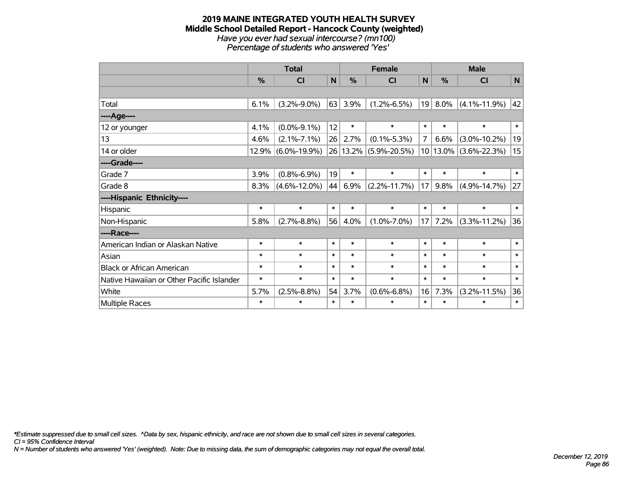#### **2019 MAINE INTEGRATED YOUTH HEALTH SURVEY Middle School Detailed Report - Hancock County (weighted)** *Have you ever had sexual intercourse? (mn100) Percentage of students who answered 'Yes'*

|                                           | <b>Total</b> |                    |        | <b>Female</b> |                    |              | <b>Male</b> |                    |             |  |
|-------------------------------------------|--------------|--------------------|--------|---------------|--------------------|--------------|-------------|--------------------|-------------|--|
|                                           | %            | C <sub>l</sub>     | N      | %             | <b>CI</b>          | $\mathsf{N}$ | %           | <b>CI</b>          | $\mathbf N$ |  |
|                                           |              |                    |        |               |                    |              |             |                    |             |  |
| Total                                     | 6.1%         | $(3.2\% - 9.0\%)$  | 63     | 3.9%          | $(1.2\% - 6.5\%)$  | 19           | 8.0%        | $(4.1\% - 11.9\%)$ | 42          |  |
| ---- Age----                              |              |                    |        |               |                    |              |             |                    |             |  |
| 12 or younger                             | 4.1%         | $(0.0\% - 9.1\%)$  | 12     | $\ast$        | $\ast$             | $\ast$       | $\ast$      | $\ast$             | $\ast$      |  |
| 13                                        | 4.6%         | $(2.1\% - 7.1\%)$  | 26     | 2.7%          | $(0.1\% - 5.3\%)$  | 7            | 6.6%        | $(3.0\% - 10.2\%)$ | 19          |  |
| 14 or older                               | 12.9%        | $(6.0\% - 19.9\%)$ |        | 26 13.2%      | $(5.9\% - 20.5\%)$ |              | $10 13.0\%$ | $(3.6\% - 22.3\%)$ | 15          |  |
| ----Grade----                             |              |                    |        |               |                    |              |             |                    |             |  |
| Grade 7                                   | 3.9%         | $(0.8\% - 6.9\%)$  | 19     | $\ast$        | $\ast$             | $\ast$       | $\ast$      | $\ast$             | $\ast$      |  |
| Grade 8                                   | 8.3%         | $(4.6\% - 12.0\%)$ | 44     | 6.9%          | $(2.2\% - 11.7\%)$ | 17           | 9.8%        | $(4.9\% - 14.7\%)$ | 27          |  |
| ----Hispanic Ethnicity----                |              |                    |        |               |                    |              |             |                    |             |  |
| Hispanic                                  | $\ast$       | $\ast$             | $\ast$ | $\ast$        | $\ast$             | $\ast$       | $\ast$      | $\ast$             | $\ast$      |  |
| Non-Hispanic                              | 5.8%         | $(2.7\% - 8.8\%)$  | 56     | 4.0%          | $(1.0\% - 7.0\%)$  | 17           | 7.2%        | $(3.3\% - 11.2\%)$ | 36          |  |
| ----Race----                              |              |                    |        |               |                    |              |             |                    |             |  |
| American Indian or Alaskan Native         | $\ast$       | $\ast$             | $\ast$ | $\ast$        | $\ast$             | $\ast$       | $\ast$      | $\ast$             | $\ast$      |  |
| Asian                                     | $\ast$       | $\ast$             | $\ast$ | $\ast$        | $\ast$             | $\ast$       | $\ast$      | $\ast$             | $\ast$      |  |
| <b>Black or African American</b>          | $\ast$       | $\ast$             | $\ast$ | $\ast$        | $\ast$             | $\ast$       | $\ast$      | $\ast$             | $\ast$      |  |
| Native Hawaiian or Other Pacific Islander | $\ast$       | $\ast$             | $\ast$ | $\ast$        | $\ast$             | $\ast$       | $\ast$      | $\ast$             | $\ast$      |  |
| White                                     | 5.7%         | $(2.5\% - 8.8\%)$  | 54     | 3.7%          | $(0.6\% - 6.8\%)$  | 16           | 7.3%        | $(3.2\% - 11.5\%)$ | 36          |  |
| <b>Multiple Races</b>                     | $\ast$       | $\ast$             | $\ast$ | $\ast$        | $\ast$             | $\ast$       | $\ast$      | $\ast$             | $\ast$      |  |

*\*Estimate suppressed due to small cell sizes. ^Data by sex, hispanic ethnicity, and race are not shown due to small cell sizes in several categories.*

*CI = 95% Confidence Interval*

*N = Number of students who answered 'Yes' (weighted). Note: Due to missing data, the sum of demographic categories may not equal the overall total.*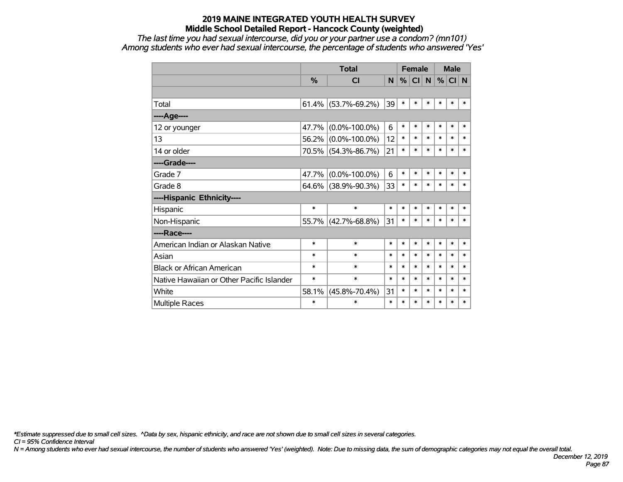*The last time you had sexual intercourse, did you or your partner use a condom? (mn101) Among students who ever had sexual intercourse, the percentage of students who answered 'Yes'*

|                                           |          | <b>Total</b>        |        | <b>Female</b> |           |        | <b>Male</b> |        |        |
|-------------------------------------------|----------|---------------------|--------|---------------|-----------|--------|-------------|--------|--------|
|                                           | $\%$     | <b>CI</b>           | N      | %             | <b>CI</b> | N      | %           | CI N   |        |
|                                           |          |                     |        |               |           |        |             |        |        |
| Total                                     | 61.4%    | $(53.7\% - 69.2\%)$ | 39     | $\ast$        | $\ast$    | $\ast$ | $\ast$      | $\ast$ | $\ast$ |
| ----Age----                               |          |                     |        |               |           |        |             |        |        |
| 12 or younger                             | 47.7%    | $(0.0\% - 100.0\%)$ | 6      | $\ast$        | $\ast$    | $\ast$ | $\ast$      | $\ast$ | $\ast$ |
| 13                                        | 56.2%    | $(0.0\% - 100.0\%)$ | 12     | $\ast$        | $\ast$    | $\ast$ | $\ast$      | $\ast$ | $\ast$ |
| 14 or older                               | 70.5%    | $(54.3\% - 86.7\%)$ | 21     | $\ast$        | $\ast$    | $\ast$ | $\ast$      | $\ast$ | $\ast$ |
| ----Grade----                             |          |                     |        |               |           |        |             |        |        |
| Grade 7                                   | $47.7\%$ | $(0.0\% - 100.0\%)$ | 6      | $\ast$        | $\ast$    | $\ast$ | $\ast$      | $\ast$ | $\ast$ |
| Grade 8                                   |          | 64.6% (38.9%-90.3%) | 33     | $\ast$        | *         | $\ast$ | *           | $\ast$ | $\ast$ |
| ----Hispanic Ethnicity----                |          |                     |        |               |           |        |             |        |        |
| Hispanic                                  | $\ast$   | $\ast$              | $\ast$ | $\ast$        | $\ast$    | $\ast$ | *           | $\ast$ | $\ast$ |
| Non-Hispanic                              | 55.7%    | $(42.7\% - 68.8\%)$ | 31     | $\ast$        | $\ast$    | $\ast$ | *           | $\ast$ | $\ast$ |
| ----Race----                              |          |                     |        |               |           |        |             |        |        |
| American Indian or Alaskan Native         | $\ast$   | $\ast$              | $\ast$ | $\ast$        | $\ast$    | $\ast$ | $\ast$      | $\ast$ | $\ast$ |
| Asian                                     | $\ast$   | $\ast$              | $\ast$ | $\ast$        | $\ast$    | $\ast$ | $\ast$      | $\ast$ | $\ast$ |
| <b>Black or African American</b>          | $\ast$   | $\ast$              | $\ast$ | $\ast$        | $\ast$    | $\ast$ | $\ast$      | $\ast$ | $\ast$ |
| Native Hawaiian or Other Pacific Islander | $\ast$   | $\ast$              | $\ast$ | $\ast$        | $\ast$    | $\ast$ | $\ast$      | $\ast$ | $\ast$ |
| White                                     | 58.1%    | $(45.8\% - 70.4\%)$ | 31     | $\ast$        | $\ast$    | $\ast$ | $\ast$      | $\ast$ | $\ast$ |
| <b>Multiple Races</b>                     | $\ast$   | $\ast$              | $\ast$ | $\ast$        | $\ast$    | $\ast$ | $\ast$      | $\ast$ | $\ast$ |

*\*Estimate suppressed due to small cell sizes. ^Data by sex, hispanic ethnicity, and race are not shown due to small cell sizes in several categories.*

*CI = 95% Confidence Interval*

*N = Among students who ever had sexual intercourse, the number of students who answered 'Yes' (weighted). Note: Due to missing data, the sum of demographic categories may not equal the overall total.*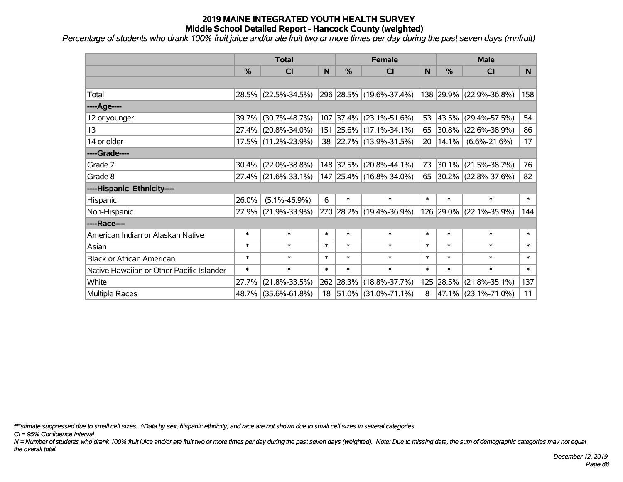*Percentage of students who drank 100% fruit juice and/or ate fruit two or more times per day during the past seven days (mnfruit)*

|                                           | <b>Total</b>  |                        |        |               | <b>Female</b>             | <b>Male</b>     |           |                         |        |
|-------------------------------------------|---------------|------------------------|--------|---------------|---------------------------|-----------------|-----------|-------------------------|--------|
|                                           | $\frac{0}{0}$ | <b>CI</b>              | N      | $\frac{9}{6}$ | <b>CI</b>                 | N               | %         | <b>CI</b>               | N.     |
|                                           |               |                        |        |               |                           |                 |           |                         |        |
| Total                                     |               | 28.5% (22.5%-34.5%)    |        |               | 296 28.5% (19.6%-37.4%)   |                 |           | 138 29.9% (22.9%-36.8%) | 158    |
| ----Age----                               |               |                        |        |               |                           |                 |           |                         |        |
| 12 or younger                             | 39.7%         | $(30.7\% - 48.7\%)$    |        |               | 107 37.4% (23.1%-51.6%)   | 53              | 43.5%     | $(29.4\% - 57.5\%)$     | 54     |
| 13                                        |               | 27.4% (20.8%-34.0%)    |        |               | 151 25.6% (17.1%-34.1%)   |                 |           | 65 30.8% (22.6%-38.9%)  | 86     |
| 14 or older                               |               | 17.5% (11.2%-23.9%)    |        |               | 38 22.7% (13.9%-31.5%)    | 20 <sub>1</sub> |           | $14.1\%$ (6.6%-21.6%)   | 17     |
| ----Grade----                             |               |                        |        |               |                           |                 |           |                         |        |
| Grade 7                                   | 30.4%         | $(22.0\% - 38.8\%)$    |        |               | 148 32.5% (20.8%-44.1%)   |                 | 73 30.1%  | $(21.5\% - 38.7\%)$     | 76     |
| Grade 8                                   |               | $27.4\%$ (21.6%-33.1%) |        |               | $147$ 25.4% (16.8%-34.0%) |                 |           | 65 30.2% (22.8%-37.6%)  | 82     |
| ----Hispanic Ethnicity----                |               |                        |        |               |                           |                 |           |                         |        |
| Hispanic                                  | 26.0%         | $(5.1\% - 46.9\%)$     | 6      | $\ast$        | $\ast$                    | $\ast$          | $\ast$    | $\ast$                  | $\ast$ |
| Non-Hispanic                              | 27.9%         | $(21.9\% - 33.9\%)$    |        |               | 270 28.2% (19.4%-36.9%)   |                 | 126 29.0% | $(22.1\% - 35.9\%)$     | 144    |
| ----Race----                              |               |                        |        |               |                           |                 |           |                         |        |
| American Indian or Alaskan Native         | $\ast$        | $\ast$                 | $\ast$ | $\ast$        | $\ast$                    | $\ast$          | $\ast$    | $\ast$                  | $\ast$ |
| Asian                                     | $\ast$        | $\ast$                 | $\ast$ | $\ast$        | $\ast$                    | $\ast$          | $\ast$    | $\ast$                  | $\ast$ |
| <b>Black or African American</b>          | $\ast$        | $\ast$                 | $\ast$ | $\ast$        | $\ast$                    | $\ast$          | $\ast$    | $\ast$                  | $\ast$ |
| Native Hawaiian or Other Pacific Islander | $\ast$        | $\ast$                 | $\ast$ | $\ast$        | $\ast$                    | $\ast$          | $\ast$    | $\ast$                  | $\ast$ |
| White                                     | 27.7%         | $(21.8\% - 33.5\%)$    |        |               | 262 28.3% (18.8%-37.7%)   |                 | 125 28.5% | $(21.8\% - 35.1\%)$     | 137    |
| Multiple Races                            |               | 48.7% (35.6%-61.8%)    |        |               | 18 51.0% (31.0%-71.1%)    | 8               |           | 47.1% (23.1%-71.0%)     | 11     |

*\*Estimate suppressed due to small cell sizes. ^Data by sex, hispanic ethnicity, and race are not shown due to small cell sizes in several categories.*

*CI = 95% Confidence Interval*

*N = Number of students who drank 100% fruit juice and/or ate fruit two or more times per day during the past seven days (weighted). Note: Due to missing data, the sum of demographic categories may not equal the overall total.*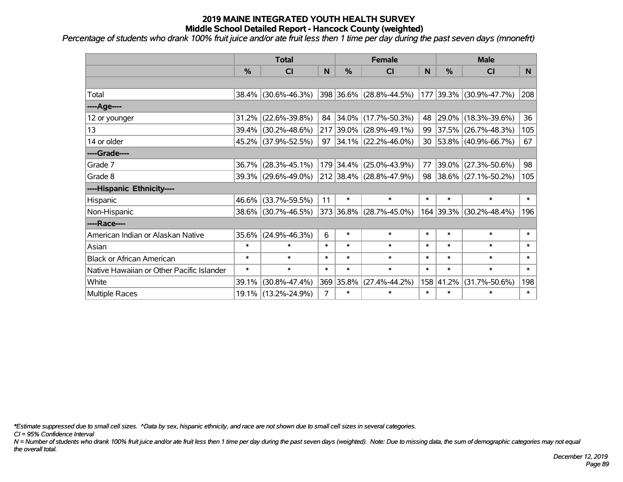*Percentage of students who drank 100% fruit juice and/or ate fruit less then 1 time per day during the past seven days (mnonefrt)*

|                                           | <b>Total</b>  |                     |                |               | <b>Female</b>            |        | <b>Male</b> |                         |        |  |
|-------------------------------------------|---------------|---------------------|----------------|---------------|--------------------------|--------|-------------|-------------------------|--------|--|
|                                           | $\frac{0}{6}$ | <b>CI</b>           | N              | $\frac{9}{6}$ | CI                       | N      | %           | <b>CI</b>               | N.     |  |
|                                           |               |                     |                |               |                          |        |             |                         |        |  |
| Total                                     | 38.4%         | $(30.6\% - 46.3\%)$ |                |               | 398 36.6% (28.8%-44.5%)  |        |             | 177 39.3% (30.9%-47.7%) | 208    |  |
| ----Age----                               |               |                     |                |               |                          |        |             |                         |        |  |
| 12 or younger                             | 31.2%         | $(22.6\% - 39.8\%)$ | 84             |               | $ 34.0\% $ (17.7%-50.3%) | 48     | 29.0%       | $(18.3\% - 39.6\%)$     | 36     |  |
| 13                                        | 39.4%         | $(30.2\% - 48.6\%)$ |                |               | 217 39.0% (28.9%-49.1%)  | 99     | 37.5%       | $(26.7\% - 48.3\%)$     | 105    |  |
| 14 or older                               |               | 45.2% (37.9%-52.5%) | 97             |               | $ 34.1\% $ (22.2%-46.0%) |        |             | 30 53.8% (40.9%-66.7%)  | 67     |  |
| ----Grade----                             |               |                     |                |               |                          |        |             |                         |        |  |
| Grade 7                                   | 36.7%         | $(28.3\% - 45.1\%)$ |                |               | 179 34.4% (25.0%-43.9%)  | 77     | 39.0%       | $(27.3\% - 50.6\%)$     | 98     |  |
| Grade 8                                   |               | 39.3% (29.6%-49.0%) |                |               | 212 38.4% (28.8%-47.9%)  |        |             | 98 38.6% (27.1%-50.2%)  | 105    |  |
| ----Hispanic Ethnicity----                |               |                     |                |               |                          |        |             |                         |        |  |
| Hispanic                                  | $46.6\%$      | $(33.7\% - 59.5\%)$ | 11             | $\ast$        | $\ast$                   | $\ast$ | $\ast$      | $\ast$                  | $\ast$ |  |
| Non-Hispanic                              |               | 38.6% (30.7%-46.5%) |                |               | 373 36.8% (28.7%-45.0%)  |        | 164 39.3%   | $(30.2\% - 48.4\%)$     | 196    |  |
| ----Race----                              |               |                     |                |               |                          |        |             |                         |        |  |
| American Indian or Alaskan Native         | 35.6%         | $(24.9\% - 46.3\%)$ | 6              | $\ast$        | $\ast$                   | $\ast$ | $\ast$      | $\ast$                  | $\ast$ |  |
| Asian                                     | $\ast$        | $\ast$              | $\ast$         | $\ast$        | $\ast$                   | $\ast$ | $\ast$      | $\ast$                  | $\ast$ |  |
| <b>Black or African American</b>          | $\ast$        | $\ast$              | $\ast$         | $\ast$        | $\ast$                   | $\ast$ | $\ast$      | $\ast$                  | $\ast$ |  |
| Native Hawaiian or Other Pacific Islander | $\ast$        | $\ast$              | $\ast$         | $\ast$        | $\ast$                   | $\ast$ | $\ast$      | $\ast$                  | $\ast$ |  |
| White                                     | 39.1%         | $(30.8\% - 47.4\%)$ |                | 369 35.8%     | $(27.4\% - 44.2\%)$      |        | 158 41.2%   | $(31.7\% - 50.6\%)$     | 198    |  |
| Multiple Races                            |               | 19.1% (13.2%-24.9%) | $\overline{7}$ | $\ast$        | $\ast$                   | $\ast$ | $\ast$      | $\ast$                  | $\ast$ |  |

*\*Estimate suppressed due to small cell sizes. ^Data by sex, hispanic ethnicity, and race are not shown due to small cell sizes in several categories.*

*CI = 95% Confidence Interval*

*N = Number of students who drank 100% fruit juice and/or ate fruit less then 1 time per day during the past seven days (weighted). Note: Due to missing data, the sum of demographic categories may not equal the overall total.*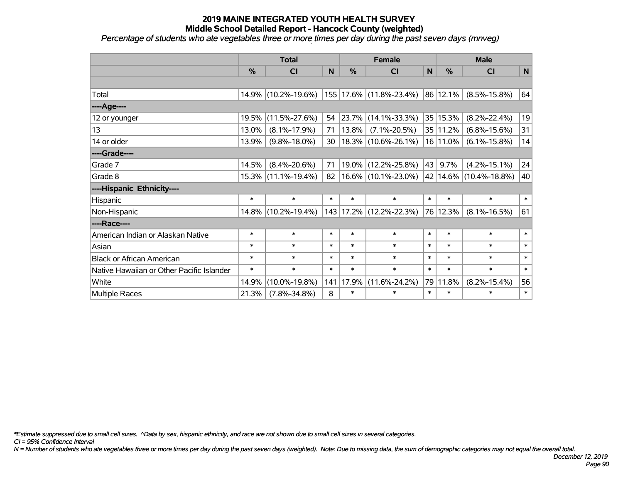*Percentage of students who ate vegetables three or more times per day during the past seven days (mnveg)*

|                                           | <b>Total</b>  |                     |        | <b>Female</b> |                         |              | <b>Male</b>  |                        |             |  |
|-------------------------------------------|---------------|---------------------|--------|---------------|-------------------------|--------------|--------------|------------------------|-------------|--|
|                                           | $\frac{0}{0}$ | CI                  | N      | $\frac{0}{0}$ | CI                      | $\mathsf{N}$ | %            | <b>CI</b>              | $\mathbf N$ |  |
|                                           |               |                     |        |               |                         |              |              |                        |             |  |
| Total                                     |               | 14.9% (10.2%-19.6%) |        |               | 155 17.6% (11.8%-23.4%) |              | 86 12.1%     | $(8.5\% - 15.8\%)$     | 64          |  |
| ----Age----                               |               |                     |        |               |                         |              |              |                        |             |  |
| 12 or younger                             | 19.5%         | $(11.5\% - 27.6\%)$ | 54     | 23.7%         | $(14.1\% - 33.3\%)$     |              | 35 15.3%     | $(8.2\% - 22.4\%)$     | 19          |  |
| 13                                        | 13.0%         | $(8.1\% - 17.9\%)$  | 71     | 13.8%         | $(7.1\% - 20.5\%)$      |              | 35   11.2%   | $(6.8\% - 15.6\%)$     | 31          |  |
| 14 or older                               | 13.9%         | $(9.8\% - 18.0\%)$  | 30     |               | $18.3\%$ (10.6%-26.1%)  |              | $16 11.0\% $ | $(6.1\% - 15.8\%)$     | 14          |  |
| ----Grade----                             |               |                     |        |               |                         |              |              |                        |             |  |
| Grade 7                                   | 14.5%         | $(8.4\% - 20.6\%)$  | 71     |               | 19.0% (12.2%-25.8%)     | 43           | 9.7%         | $(4.2\% - 15.1\%)$     | 24          |  |
| Grade 8                                   |               | 15.3% (11.1%-19.4%) | 82     |               | $16.6\%$ (10.1%-23.0%)  |              |              | 42 14.6% (10.4%-18.8%) | 40          |  |
| ----Hispanic Ethnicity----                |               |                     |        |               |                         |              |              |                        |             |  |
| Hispanic                                  | $\ast$        | $\ast$              | $\ast$ | $\ast$        | $\ast$                  | $\ast$       | $\ast$       | $\ast$                 | $\ast$      |  |
| Non-Hispanic                              |               | 14.8% (10.2%-19.4%) |        |               | 143 17.2% (12.2%-22.3%) |              | 76 12.3%     | $(8.1\% - 16.5\%)$     | 61          |  |
| ----Race----                              |               |                     |        |               |                         |              |              |                        |             |  |
| American Indian or Alaskan Native         | $\ast$        | $\ast$              | $\ast$ | $\ast$        | $\ast$                  | $\ast$       | $\ast$       | $\ast$                 | $\ast$      |  |
| Asian                                     | $\ast$        | $\ast$              | $\ast$ | $\ast$        | $\ast$                  | $\ast$       | $\ast$       | $\ast$                 | $\ast$      |  |
| <b>Black or African American</b>          | $\ast$        | $\ast$              | $\ast$ | $\ast$        | $\ast$                  | $\ast$       | $\ast$       | $\ast$                 | $\ast$      |  |
| Native Hawaiian or Other Pacific Islander | $\ast$        | $\ast$              | $\ast$ | $\ast$        | $\ast$                  | $\ast$       | $\ast$       | $\ast$                 | $\ast$      |  |
| White                                     | 14.9%         | $(10.0\% - 19.8\%)$ | 141    | 17.9%         | $(11.6\% - 24.2\%)$     | 79           | 11.8%        | $(8.2\% - 15.4\%)$     | 56          |  |
| Multiple Races                            | 21.3%         | $(7.8\% - 34.8\%)$  | 8      | $\ast$        | $\ast$                  | $\ast$       | $\ast$       | $\ast$                 | $\ast$      |  |

*\*Estimate suppressed due to small cell sizes. ^Data by sex, hispanic ethnicity, and race are not shown due to small cell sizes in several categories.*

*CI = 95% Confidence Interval*

*N = Number of students who ate vegetables three or more times per day during the past seven days (weighted). Note: Due to missing data, the sum of demographic categories may not equal the overall total.*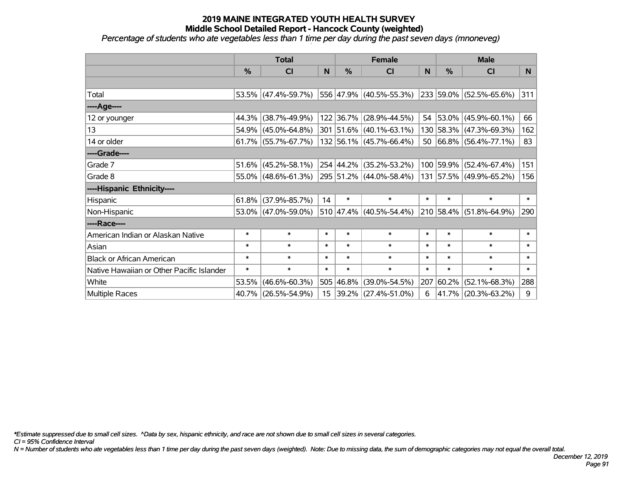*Percentage of students who ate vegetables less than 1 time per day during the past seven days (mnoneveg)*

|                                           | <b>Total</b>  |                        |                  |           | <b>Female</b>             |        | <b>Male</b> |                             |        |  |
|-------------------------------------------|---------------|------------------------|------------------|-----------|---------------------------|--------|-------------|-----------------------------|--------|--|
|                                           | $\frac{0}{0}$ | CI                     | N                | %         | <b>CI</b>                 | N      | %           | <b>CI</b>                   | N.     |  |
|                                           |               |                        |                  |           |                           |        |             |                             |        |  |
| Total                                     |               | 53.5% (47.4%-59.7%)    |                  |           | 556 47.9% (40.5%-55.3%)   |        |             | 233 59.0% (52.5%-65.6%)     | 311    |  |
| ----Age----                               |               |                        |                  |           |                           |        |             |                             |        |  |
| 12 or younger                             | 44.3%         | $(38.7\% - 49.9\%)$    |                  |           | 122 36.7% (28.9%-44.5%)   |        | 54 53.0%    | $(45.9\% - 60.1\%)$         | 66     |  |
| 13                                        |               | $54.9\%$ (45.0%-64.8%) |                  |           | 301 51.6% (40.1%-63.1%)   |        |             | 130 58.3% (47.3%-69.3%)     | 162    |  |
| 14 or older                               |               | $61.7\%$ (55.7%-67.7%) |                  |           | 132 56.1% (45.7%-66.4%)   |        |             | 50 $ 66.8\% $ (56.4%-77.1%) | 83     |  |
| ----Grade----                             |               |                        |                  |           |                           |        |             |                             |        |  |
| Grade 7                                   |               | $51.6\%$ (45.2%-58.1%) |                  |           | 254 44.2% (35.2%-53.2%)   |        | 100 59.9%   | $(52.4\% - 67.4\%)$         | 151    |  |
| Grade 8                                   |               | $55.0\%$ (48.6%-61.3%) |                  |           | 295 51.2% (44.0%-58.4%)   |        |             | 131 57.5% (49.9%-65.2%)     | 156    |  |
| ----Hispanic Ethnicity----                |               |                        |                  |           |                           |        |             |                             |        |  |
| Hispanic                                  | 61.8%         | $(37.9\% - 85.7\%)$    | 14               | $\ast$    | $\ast$                    | $\ast$ | $\ast$      | $\ast$                      | $\ast$ |  |
| Non-Hispanic                              |               | 53.0% (47.0%-59.0%)    |                  |           | $510$ 47.4% (40.5%-54.4%) |        |             | 210 58.4% (51.8%-64.9%)     | 290    |  |
| ----Race----                              |               |                        |                  |           |                           |        |             |                             |        |  |
| American Indian or Alaskan Native         | $\ast$        | $\ast$                 | $\ast$           | $\ast$    | $\ast$                    | $\ast$ | $\ast$      | $\ast$                      | $\ast$ |  |
| Asian                                     | $\ast$        | $\ast$                 | $\ast$           | $\ast$    | $\ast$                    | $\ast$ | $\ast$      | $\ast$                      | $\ast$ |  |
| <b>Black or African American</b>          | $\ast$        | $\ast$                 | $\ast$           | $\ast$    | $\ast$                    | $\ast$ | $\ast$      | $\ast$                      | $\ast$ |  |
| Native Hawaiian or Other Pacific Islander | $\ast$        | $\ast$                 | $\ast$           | $\ast$    | $\ast$                    | $\ast$ | $\ast$      | $\ast$                      | $\ast$ |  |
| White                                     | 53.5%         | $(46.6\% - 60.3\%)$    |                  | 505 46.8% | $(39.0\% - 54.5\%)$       | 207    | 60.2%       | $(52.1\% - 68.3\%)$         | 288    |  |
| Multiple Races                            |               | 40.7% (26.5%-54.9%)    | 15 <sub>15</sub> |           | $ 39.2\% $ (27.4%-51.0%)  | 6      |             | 41.7% (20.3%-63.2%)         | 9      |  |

*\*Estimate suppressed due to small cell sizes. ^Data by sex, hispanic ethnicity, and race are not shown due to small cell sizes in several categories.*

*CI = 95% Confidence Interval*

*N = Number of students who ate vegetables less than 1 time per day during the past seven days (weighted). Note: Due to missing data, the sum of demographic categories may not equal the overall total.*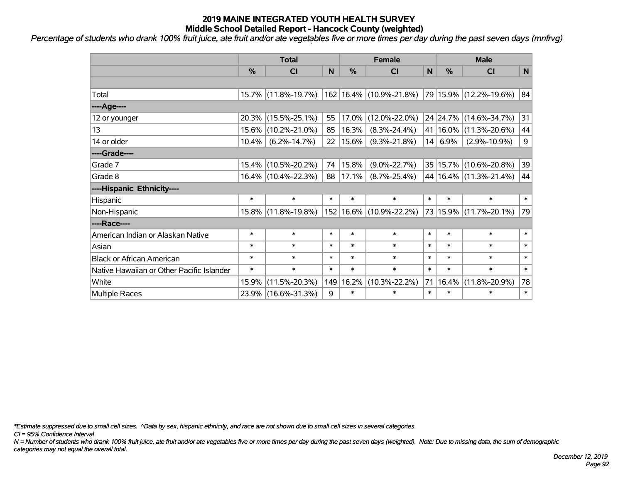*Percentage of students who drank 100% fruit juice, ate fruit and/or ate vegetables five or more times per day during the past seven days (mnfrvg)*

|                                           | <b>Total</b> |                     |        |        | <b>Female</b>               | <b>Male</b> |            |                            |              |
|-------------------------------------------|--------------|---------------------|--------|--------|-----------------------------|-------------|------------|----------------------------|--------------|
|                                           | %            | <b>CI</b>           | N      | %      | C <sub>1</sub>              | N           | %          | <b>CI</b>                  | $\mathsf{N}$ |
|                                           |              |                     |        |        |                             |             |            |                            |              |
| Total                                     |              | 15.7% (11.8%-19.7%) |        |        | 162 16.4% (10.9%-21.8%)     |             |            | 79 15.9% (12.2%-19.6%)     | 84           |
| ---- Age----                              |              |                     |        |        |                             |             |            |                            |              |
| 12 or younger                             | 20.3%        | $(15.5\% - 25.1\%)$ | 55     | 17.0%  | $(12.0\% - 22.0\%)$         |             | 24 24.7%   | $(14.6\% - 34.7\%)$        | 31           |
| 13                                        | 15.6%        | $(10.2\% - 21.0\%)$ | 85     | 16.3%  | $(8.3\% - 24.4\%)$          |             | 41   16.0% | $(11.3\% - 20.6\%)$        | 44           |
| 14 or older                               | 10.4%        | $(6.2\% - 14.7\%)$  | 22     | 15.6%  | $(9.3\% - 21.8\%)$          | 14          | 6.9%       | $(2.9\% - 10.9\%)$         | 9            |
| ----Grade----                             |              |                     |        |        |                             |             |            |                            |              |
| Grade 7                                   | 15.4%        | $(10.5\% - 20.2\%)$ | 74     | 15.8%  | $(9.0\% - 22.7\%)$          |             |            | 35   15.7%   (10.6%-20.8%) | 39           |
| Grade 8                                   |              | 16.4% (10.4%-22.3%) | 88     | 17.1%  | $(8.7\% - 25.4\%)$          |             |            | 44   16.4%   (11.3%-21.4%) | 44           |
| ----Hispanic Ethnicity----                |              |                     |        |        |                             |             |            |                            |              |
| Hispanic                                  | $\ast$       | $\ast$              | $\ast$ | $\ast$ | $\ast$                      | $\ast$      | $\ast$     | $\ast$                     | $\ast$       |
| Non-Hispanic                              |              | 15.8% (11.8%-19.8%) |        |        | 152   16.6%   (10.9%-22.2%) |             |            | 73 15.9% (11.7%-20.1%)     | 79           |
| ----Race----                              |              |                     |        |        |                             |             |            |                            |              |
| American Indian or Alaskan Native         | $\ast$       | $\ast$              | $\ast$ | $\ast$ | $\ast$                      | $\ast$      | $\ast$     | $\ast$                     | $\ast$       |
| Asian                                     | $\ast$       | $\ast$              | $\ast$ | $\ast$ | $\ast$                      | $\ast$      | $\ast$     | $\ast$                     | $\ast$       |
| <b>Black or African American</b>          | $\ast$       | $\ast$              | $\ast$ | $\ast$ | $\ast$                      | $\ast$      | $\ast$     | $\ast$                     | $\ast$       |
| Native Hawaiian or Other Pacific Islander | $\ast$       | $\ast$              | $\ast$ | $\ast$ | $\ast$                      | $\ast$      | $\ast$     | $\ast$                     | $\ast$       |
| White                                     | 15.9%        | $(11.5\% - 20.3\%)$ | 149    | 16.2%  | $(10.3\% - 22.2\%)$         | 71          | 16.4%      | $(11.8\% - 20.9\%)$        | 78           |
| Multiple Races                            |              | 23.9% (16.6%-31.3%) | 9      | $\ast$ | $\ast$                      | $\ast$      | $\ast$     | $\ast$                     | $\ast$       |

*\*Estimate suppressed due to small cell sizes. ^Data by sex, hispanic ethnicity, and race are not shown due to small cell sizes in several categories.*

*CI = 95% Confidence Interval*

*N = Number of students who drank 100% fruit juice, ate fruit and/or ate vegetables five or more times per day during the past seven days (weighted). Note: Due to missing data, the sum of demographic categories may not equal the overall total.*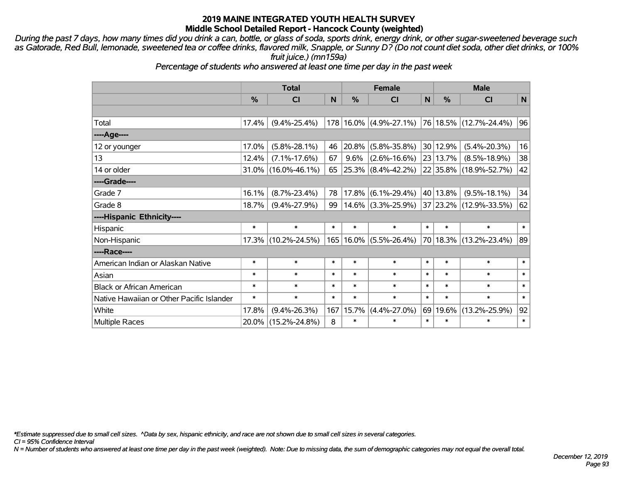*During the past 7 days, how many times did you drink a can, bottle, or glass of soda, sports drink, energy drink, or other sugar-sweetened beverage such as Gatorade, Red Bull, lemonade, sweetened tea or coffee drinks, flavored milk, Snapple, or Sunny D? (Do not count diet soda, other diet drinks, or 100% fruit juice.) (mn159a)*

*Percentage of students who answered at least one time per day in the past week*

|                                           | <b>Total</b> |                     |        |        | <b>Female</b>              |        | <b>Male</b>   |                        |        |  |
|-------------------------------------------|--------------|---------------------|--------|--------|----------------------------|--------|---------------|------------------------|--------|--|
|                                           | $\%$         | <b>CI</b>           | N      | $\%$   | CI                         | N      | $\frac{0}{0}$ | CI                     | N      |  |
|                                           |              |                     |        |        |                            |        |               |                        |        |  |
| Total                                     | 17.4%        | $(9.4\% - 25.4\%)$  |        |        | $178 16.0\% $ (4.9%-27.1%) |        |               | 76 18.5% (12.7%-24.4%) | 96     |  |
| ---- Age----                              |              |                     |        |        |                            |        |               |                        |        |  |
| 12 or younger                             | 17.0%        | $(5.8\% - 28.1\%)$  | 46     | 20.8%  | $(5.8\% - 35.8\%)$         |        | 30 12.9%      | $(5.4\% - 20.3\%)$     | 16     |  |
| 13                                        | 12.4%        | $(7.1\% - 17.6\%)$  | 67     | 9.6%   | $(2.6\% - 16.6\%)$         |        | 23 13.7%      | $(8.5\% - 18.9\%)$     | 38     |  |
| 14 or older                               |              | 31.0% (16.0%-46.1%) | 65     |        | 25.3% (8.4%-42.2%)         |        |               | 22 35.8% (18.9%-52.7%) | 42     |  |
| ----Grade----                             |              |                     |        |        |                            |        |               |                        |        |  |
| Grade 7                                   | 16.1%        | $(8.7\% - 23.4\%)$  | 78     | 17.8%  | $(6.1\% - 29.4\%)$         |        | 40 13.8%      | $(9.5\% - 18.1\%)$     | 34     |  |
| Grade 8                                   | 18.7%        | $(9.4\% - 27.9\%)$  | 99     |        | $14.6\%$ (3.3%-25.9%)      |        |               | 37 23.2% (12.9%-33.5%) | 62     |  |
| ----Hispanic Ethnicity----                |              |                     |        |        |                            |        |               |                        |        |  |
| Hispanic                                  | $\ast$       | $\ast$              | $\ast$ | $\ast$ | $\ast$                     | $\ast$ | $\ast$        | $\ast$                 | $\ast$ |  |
| Non-Hispanic                              |              | 17.3% (10.2%-24.5%) |        |        | 165   16.0%   (5.5%-26.4%) |        |               | 70 18.3% (13.2%-23.4%) | 89     |  |
| ----Race----                              |              |                     |        |        |                            |        |               |                        |        |  |
| American Indian or Alaskan Native         | $\ast$       | $\ast$              | $\ast$ | $\ast$ | $\ast$                     | $\ast$ | $\ast$        | $\ast$                 | $\ast$ |  |
| Asian                                     | $\ast$       | $\ast$              | $\ast$ | $\ast$ | $\ast$                     | $\ast$ | $\ast$        | $\ast$                 | $\ast$ |  |
| <b>Black or African American</b>          | $\ast$       | $\ast$              | $\ast$ | $\ast$ | $\ast$                     | $\ast$ | $\ast$        | $\ast$                 | $\ast$ |  |
| Native Hawaiian or Other Pacific Islander | $\ast$       | $\ast$              | $\ast$ | $\ast$ | $\ast$                     | $\ast$ | $\ast$        | $\ast$                 | $\ast$ |  |
| White                                     | 17.8%        | $(9.4\% - 26.3\%)$  | 167    | 15.7%  | $(4.4\% - 27.0\%)$         | 69     | 19.6%         | $(13.2\% - 25.9\%)$    | 92     |  |
| <b>Multiple Races</b>                     |              | 20.0% (15.2%-24.8%) | 8      | $\ast$ | $\ast$                     | $\ast$ | $\ast$        | $\ast$                 | $\ast$ |  |

*\*Estimate suppressed due to small cell sizes. ^Data by sex, hispanic ethnicity, and race are not shown due to small cell sizes in several categories.*

*CI = 95% Confidence Interval*

*N = Number of students who answered at least one time per day in the past week (weighted). Note: Due to missing data, the sum of demographic categories may not equal the overall total.*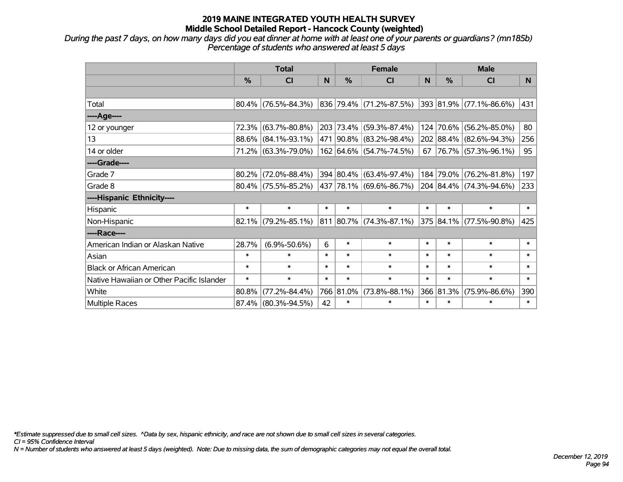*During the past 7 days, on how many days did you eat dinner at home with at least one of your parents or guardians? (mn185b) Percentage of students who answered at least 5 days*

|                                           | <b>Total</b>  |                        |        |               | <b>Female</b>                    | <b>Male</b> |           |                              |        |
|-------------------------------------------|---------------|------------------------|--------|---------------|----------------------------------|-------------|-----------|------------------------------|--------|
|                                           | $\frac{0}{0}$ | <b>CI</b>              | N      | $\frac{0}{0}$ | <b>CI</b>                        | N           | %         | <b>CI</b>                    | N.     |
|                                           |               |                        |        |               |                                  |             |           |                              |        |
| Total                                     |               | $80.4\%$ (76.5%-84.3%) |        |               | $ 836 79.4\%  (71.2\% - 87.5\%)$ |             |           | $ 393 81.9\% $ (77.1%-86.6%) | 431    |
| ----Age----                               |               |                        |        |               |                                  |             |           |                              |        |
| 12 or younger                             | 72.3%         | $(63.7\% - 80.8\%)$    |        |               | 203 73.4% (59.3%-87.4%)          |             | 124 70.6% | $(56.2\% - 85.0\%)$          | 80     |
| 13                                        | 88.6%         | $(84.1\% - 93.1\%)$    |        |               | 471 90.8% (83.2%-98.4%)          |             |           | 202 88.4% (82.6%-94.3%)      | 256    |
| 14 or older                               |               | 71.2% (63.3%-79.0%)    |        |               | 162 64.6% (54.7%-74.5%)          |             |           | 67 76.7% (57.3%-96.1%)       | 95     |
| ----Grade----                             |               |                        |        |               |                                  |             |           |                              |        |
| Grade 7                                   | 80.2%         | $(72.0\% - 88.4\%)$    |        |               | 394 80.4% (63.4%-97.4%)          |             | 184 79.0% | $(76.2\% - 81.8\%)$          | 197    |
| Grade 8                                   |               | $80.4\%$ (75.5%-85.2%) |        |               | 437   78.1%   (69.6%-86.7%)      |             |           | 204 84.4% (74.3%-94.6%)      | 233    |
| ----Hispanic Ethnicity----                |               |                        |        |               |                                  |             |           |                              |        |
| Hispanic                                  | $\ast$        | $\ast$                 | $\ast$ | $\ast$        | $\ast$                           | $\ast$      | $\ast$    | $\ast$                       | $\ast$ |
| Non-Hispanic                              | 82.1%         | $(79.2\% - 85.1\%)$    |        |               | 811 80.7% (74.3%-87.1%)          |             |           | 375 84.1% (77.5%-90.8%)      | 425    |
| ----Race----                              |               |                        |        |               |                                  |             |           |                              |        |
| American Indian or Alaskan Native         | 28.7%         | $(6.9\% - 50.6\%)$     | 6      | $\ast$        | $\ast$                           | $\ast$      | $\ast$    | $\ast$                       | $\ast$ |
| Asian                                     | $\ast$        | $\ast$                 | $\ast$ | $\ast$        | $\ast$                           | $\ast$      | $\ast$    | $\ast$                       | $\ast$ |
| <b>Black or African American</b>          | $\ast$        | $\ast$                 | $\ast$ | $\ast$        | $\ast$                           | $\ast$      | $\ast$    | $\ast$                       | $\ast$ |
| Native Hawaiian or Other Pacific Islander | $\ast$        | $\ast$                 | $\ast$ | $\ast$        | $\ast$                           | $\ast$      | $\ast$    | $\ast$                       | $\ast$ |
| White                                     | 80.8%         | $(77.2\% - 84.4\%)$    |        | 766 81.0%     | $(73.8\% - 88.1\%)$              |             | 366 81.3% | $(75.9\% - 86.6\%)$          | 390    |
| <b>Multiple Races</b>                     | 87.4%         | $(80.3\% - 94.5\%)$    | 42     | $\ast$        | $\ast$                           | $\ast$      | $\ast$    | $\ast$                       | $\ast$ |

*\*Estimate suppressed due to small cell sizes. ^Data by sex, hispanic ethnicity, and race are not shown due to small cell sizes in several categories.*

*CI = 95% Confidence Interval*

*N = Number of students who answered at least 5 days (weighted). Note: Due to missing data, the sum of demographic categories may not equal the overall total.*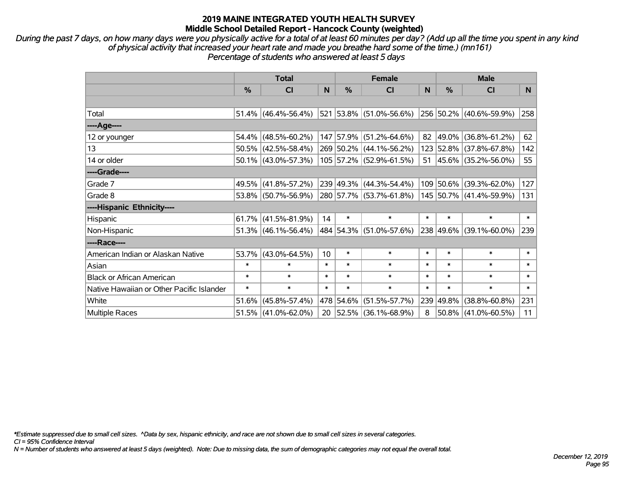*During the past 7 days, on how many days were you physically active for a total of at least 60 minutes per day? (Add up all the time you spent in any kind of physical activity that increased your heart rate and made you breathe hard some of the time.) (mn161) Percentage of students who answered at least 5 days*

|                                           | <b>Total</b> |                        |                 |           | <b>Female</b>            |        | <b>Male</b>   |                         |        |  |
|-------------------------------------------|--------------|------------------------|-----------------|-----------|--------------------------|--------|---------------|-------------------------|--------|--|
|                                           | %            | C <sub>l</sub>         | N               | %         | <b>CI</b>                | N      | $\frac{0}{0}$ | <b>CI</b>               | N.     |  |
|                                           |              |                        |                 |           |                          |        |               |                         |        |  |
| Total                                     |              | $51.4\%$ (46.4%-56.4%) |                 |           | 521 53.8% (51.0%-56.6%)  |        |               | 256 50.2% (40.6%-59.9%) | 258    |  |
| ----Age----                               |              |                        |                 |           |                          |        |               |                         |        |  |
| 12 or younger                             |              | $54.4\%$ (48.5%-60.2%) |                 | 147 57.9% | $(51.2\% - 64.6\%)$      | 82     | 49.0%         | $(36.8\% - 61.2\%)$     | 62     |  |
| 13                                        |              | $50.5\%$ (42.5%-58.4%) |                 |           | 269 50.2% (44.1%-56.2%)  |        | 123 52.8%     | $(37.8\% - 67.8\%)$     | 142    |  |
| 14 or older                               |              | $50.1\%$ (43.0%-57.3%) |                 |           | 105 57.2% (52.9%-61.5%)  |        |               | 51 45.6% (35.2%-56.0%)  | 55     |  |
| ----Grade----                             |              |                        |                 |           |                          |        |               |                         |        |  |
| Grade 7                                   |              | 49.5% (41.8%-57.2%)    |                 | 239 49.3% | $(44.3\% - 54.4\%)$      |        | 109 50.6%     | $(39.3\% - 62.0\%)$     | 127    |  |
| Grade 8                                   |              | 53.8% (50.7%-56.9%)    |                 |           | 280 57.7% (53.7%-61.8%)  |        |               | 145 50.7% (41.4%-59.9%) | 131    |  |
| ----Hispanic Ethnicity----                |              |                        |                 |           |                          |        |               |                         |        |  |
| Hispanic                                  |              | $61.7\%$ (41.5%-81.9%) | 14              | $\ast$    | $\ast$                   | $\ast$ | $\ast$        | $\ast$                  | $\ast$ |  |
| Non-Hispanic                              |              | $51.3\%$ (46.1%-56.4%) |                 |           | 484 54.3% (51.0%-57.6%)  |        | 238 49.6%     | $(39.1\% - 60.0\%)$     | 239    |  |
| ----Race----                              |              |                        |                 |           |                          |        |               |                         |        |  |
| American Indian or Alaskan Native         |              | 53.7% (43.0%-64.5%)    | 10 <sup>1</sup> | $\ast$    | $\ast$                   | $\ast$ | $\ast$        | $\ast$                  | $\ast$ |  |
| Asian                                     | $\ast$       | $\ast$                 | $\ast$          | $\ast$    | $\ast$                   | $\ast$ | $\ast$        | $\ast$                  | $\ast$ |  |
| <b>Black or African American</b>          | $\ast$       | $\ast$                 | $\ast$          | $\ast$    | $\ast$                   | $\ast$ | $\ast$        | $\ast$                  | $\ast$ |  |
| Native Hawaiian or Other Pacific Islander | $\ast$       | $\ast$                 | $\ast$          | $\ast$    | $\ast$                   | $\ast$ | $\ast$        | $\ast$                  | $\ast$ |  |
| White                                     | 51.6%        | $(45.8\% - 57.4\%)$    |                 | 478 54.6% | $(51.5\% - 57.7\%)$      | 239    | 49.8%         | $(38.8\% - 60.8\%)$     | 231    |  |
| <b>Multiple Races</b>                     |              | $51.5\%$ (41.0%-62.0%) | 20              |           | $ 52.5\% $ (36.1%-68.9%) | 8      |               | 50.8% (41.0%-60.5%)     | 11     |  |

*\*Estimate suppressed due to small cell sizes. ^Data by sex, hispanic ethnicity, and race are not shown due to small cell sizes in several categories.*

*CI = 95% Confidence Interval*

*N = Number of students who answered at least 5 days (weighted). Note: Due to missing data, the sum of demographic categories may not equal the overall total.*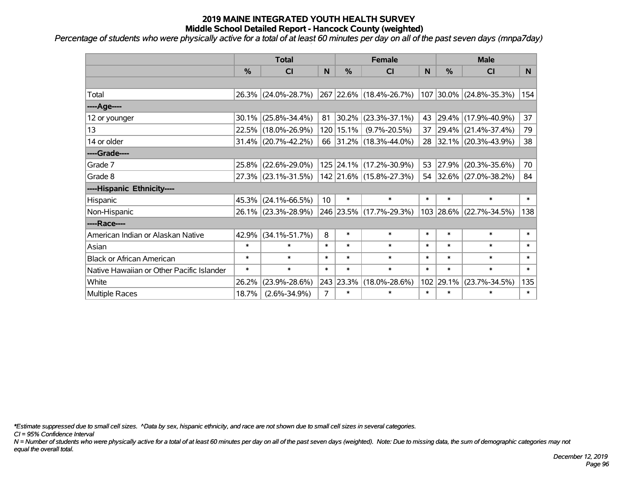*Percentage of students who were physically active for a total of at least 60 minutes per day on all of the past seven days (mnpa7day)*

|                                           | <b>Total</b>  |                     |                 |               | <b>Female</b>            |        | <b>Male</b> |                         |        |  |
|-------------------------------------------|---------------|---------------------|-----------------|---------------|--------------------------|--------|-------------|-------------------------|--------|--|
|                                           | $\frac{0}{0}$ | <b>CI</b>           | N               | $\frac{9}{6}$ | <b>CI</b>                | N      | %           | <b>CI</b>               | N.     |  |
|                                           |               |                     |                 |               |                          |        |             |                         |        |  |
| Total                                     |               | 26.3% (24.0%-28.7%) |                 |               | 267 22.6% (18.4%-26.7%)  |        |             | 107 30.0% (24.8%-35.3%) | 154    |  |
| ----Age----                               |               |                     |                 |               |                          |        |             |                         |        |  |
| 12 or younger                             | 30.1%         | $(25.8\% - 34.4\%)$ | 81              |               | $ 30.2\% $ (23.3%-37.1%) | 43     | 29.4%       | $(17.9\% - 40.9\%)$     | 37     |  |
| 13                                        | 22.5%         | $(18.0\% - 26.9\%)$ |                 | 120 15.1%     | $(9.7\% - 20.5\%)$       |        |             | 37 29.4% (21.4%-37.4%)  | 79     |  |
| 14 or older                               |               | 31.4% (20.7%-42.2%) |                 |               | 66 31.2% (18.3%-44.0%)   |        |             | 28 32.1% (20.3%-43.9%)  | 38     |  |
| ----Grade----                             |               |                     |                 |               |                          |        |             |                         |        |  |
| Grade 7                                   | 25.8%         | $(22.6\% - 29.0\%)$ |                 |               | 125 24.1% (17.2%-30.9%)  | 53     | 27.9%       | $(20.3\% - 35.6\%)$     | 70     |  |
| Grade 8                                   |               | 27.3% (23.1%-31.5%) |                 |               | 142 21.6% (15.8%-27.3%)  |        |             | 54 32.6% (27.0%-38.2%)  | 84     |  |
| ----Hispanic Ethnicity----                |               |                     |                 |               |                          |        |             |                         |        |  |
| Hispanic                                  | 45.3%         | $(24.1\% - 66.5\%)$ | 10 <sup>°</sup> | $\ast$        | $\ast$                   | $\ast$ | $\ast$      | $\ast$                  | $\ast$ |  |
| Non-Hispanic                              |               | 26.1% (23.3%-28.9%) |                 |               | 246 23.5% (17.7%-29.3%)  |        | 103 28.6%   | $(22.7\% - 34.5\%)$     | 138    |  |
| ----Race----                              |               |                     |                 |               |                          |        |             |                         |        |  |
| American Indian or Alaskan Native         | 42.9%         | $(34.1\% - 51.7\%)$ | 8               | $\ast$        | $\ast$                   | $\ast$ | $\ast$      | $\ast$                  | $\ast$ |  |
| Asian                                     | $\ast$        | $\ast$              | $\ast$          | $\ast$        | $\ast$                   | $\ast$ | $\ast$      | $\ast$                  | $\ast$ |  |
| <b>Black or African American</b>          | $\ast$        | $\ast$              | $\ast$          | $\ast$        | $\ast$                   | $\ast$ | $\ast$      | $\ast$                  | $\ast$ |  |
| Native Hawaiian or Other Pacific Islander | $\ast$        | $\ast$              | $\ast$          | $\ast$        | $\ast$                   | $\ast$ | $\ast$      | $\ast$                  | $\ast$ |  |
| White                                     | 26.2%         | $(23.9\% - 28.6\%)$ |                 | 243 23.3%     | $(18.0\% - 28.6\%)$      | 102    | 29.1%       | $(23.7\% - 34.5\%)$     | 135    |  |
| <b>Multiple Races</b>                     | 18.7%         | $(2.6\% - 34.9\%)$  | $\overline{7}$  | $\ast$        | $\ast$                   | $\ast$ | $\ast$      | $\ast$                  | $\ast$ |  |

*\*Estimate suppressed due to small cell sizes. ^Data by sex, hispanic ethnicity, and race are not shown due to small cell sizes in several categories.*

*CI = 95% Confidence Interval*

*N = Number of students who were physically active for a total of at least 60 minutes per day on all of the past seven days (weighted). Note: Due to missing data, the sum of demographic categories may not equal the overall total.*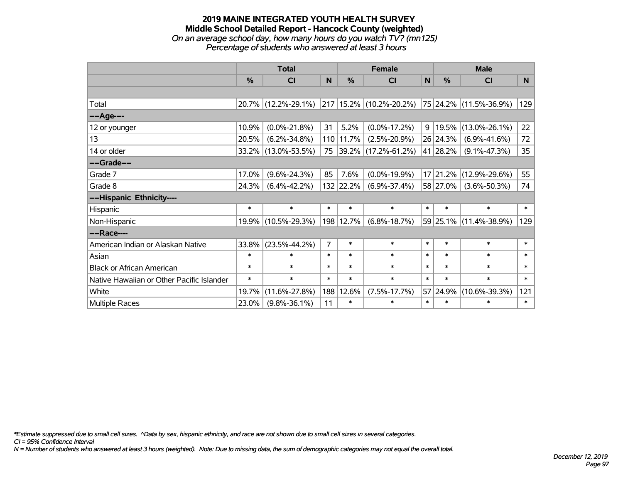#### **2019 MAINE INTEGRATED YOUTH HEALTH SURVEY Middle School Detailed Report - Hancock County (weighted)** *On an average school day, how many hours do you watch TV? (mn125) Percentage of students who answered at least 3 hours*

|                                           | <b>Total</b> |                     |        |           | <b>Female</b>            | <b>Male</b>    |               |                             |        |
|-------------------------------------------|--------------|---------------------|--------|-----------|--------------------------|----------------|---------------|-----------------------------|--------|
|                                           | %            | <b>CI</b>           | N      | %         | <b>CI</b>                | $\mathsf{N}$   | $\frac{0}{0}$ | <b>CI</b>                   | N.     |
|                                           |              |                     |        |           |                          |                |               |                             |        |
| Total                                     |              | 20.7% (12.2%-29.1%) |        |           | 217 15.2% (10.2%-20.2%)  |                |               | $ 75 24.2\% $ (11.5%-36.9%) | 129    |
| ----Age----                               |              |                     |        |           |                          |                |               |                             |        |
| 12 or younger                             | 10.9%        | $(0.0\% - 21.8\%)$  | 31     | 5.2%      | $(0.0\% - 17.2\%)$       | 9 <sup>°</sup> | 19.5%         | $(13.0\% - 26.1\%)$         | 22     |
| 13                                        | 20.5%        | $(6.2\% - 34.8\%)$  |        | 110 11.7% | $(2.5\% - 20.9\%)$       |                | 26 24.3%      | $(6.9\% - 41.6\%)$          | 72     |
| 14 or older                               | 33.2%        | $(13.0\% - 53.5\%)$ | 75     |           | $ 39.2\% $ (17.2%-61.2%) |                | 41 28.2%      | $(9.1\% - 47.3\%)$          | 35     |
| ----Grade----                             |              |                     |        |           |                          |                |               |                             |        |
| Grade 7                                   | 17.0%        | $(9.6\% - 24.3\%)$  | 85     | 7.6%      | $(0.0\% - 19.9\%)$       |                | 17 21.2%      | $(12.9\% - 29.6\%)$         | 55     |
| Grade 8                                   | 24.3%        | $(6.4\% - 42.2\%)$  |        | 132 22.2% | $(6.9\% - 37.4\%)$       |                | 58 27.0%      | $(3.6\% - 50.3\%)$          | 74     |
| ----Hispanic Ethnicity----                |              |                     |        |           |                          |                |               |                             |        |
| Hispanic                                  | $\ast$       | $\ast$              | $\ast$ | $\ast$    | $\ast$                   | $\ast$         | $\ast$        | $\ast$                      | $\ast$ |
| Non-Hispanic                              | 19.9%        | $(10.5\% - 29.3\%)$ |        | 198 12.7% | $(6.8\% - 18.7\%)$       |                |               | 59 25.1% (11.4%-38.9%)      | 129    |
| ----Race----                              |              |                     |        |           |                          |                |               |                             |        |
| American Indian or Alaskan Native         | 33.8%        | $(23.5\% - 44.2\%)$ | 7      | $\ast$    | $\ast$                   | $\ast$         | $\ast$        | $\ast$                      | $\ast$ |
| Asian                                     | $\ast$       | $\ast$              | $\ast$ | $\ast$    | $\ast$                   | $\ast$         | $\ast$        | $\ast$                      | $\ast$ |
| <b>Black or African American</b>          | $\ast$       | $\ast$              | $\ast$ | $\ast$    | $\ast$                   | $\ast$         | $\ast$        | $\ast$                      | $\ast$ |
| Native Hawaiian or Other Pacific Islander | $\ast$       | $\ast$              | $\ast$ | $\ast$    | $\ast$                   | $\ast$         | $\ast$        | $\ast$                      | $\ast$ |
| White                                     | 19.7%        | $(11.6\% - 27.8\%)$ | 188    | 12.6%     | $(7.5\% - 17.7\%)$       |                | 57 24.9%      | $(10.6\% - 39.3\%)$         | 121    |
| <b>Multiple Races</b>                     | 23.0%        | $(9.8\% - 36.1\%)$  | 11     | $\ast$    | $\ast$                   | $\ast$         | $\ast$        | $\ast$                      | $\ast$ |

*\*Estimate suppressed due to small cell sizes. ^Data by sex, hispanic ethnicity, and race are not shown due to small cell sizes in several categories.*

*CI = 95% Confidence Interval*

*N = Number of students who answered at least 3 hours (weighted). Note: Due to missing data, the sum of demographic categories may not equal the overall total.*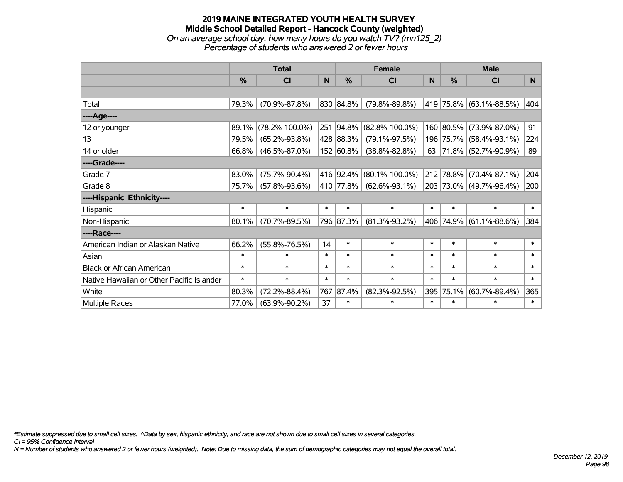#### **2019 MAINE INTEGRATED YOUTH HEALTH SURVEY Middle School Detailed Report - Hancock County (weighted)** *On an average school day, how many hours do you watch TV? (mn125\_2) Percentage of students who answered 2 or fewer hours*

|                                           | <b>Total</b> |                      |        |           | <b>Female</b>        | <b>Male</b> |               |                         |        |
|-------------------------------------------|--------------|----------------------|--------|-----------|----------------------|-------------|---------------|-------------------------|--------|
|                                           | %            | CI                   | N      | %         | <b>CI</b>            | N           | $\frac{0}{0}$ | <b>CI</b>               | N      |
|                                           |              |                      |        |           |                      |             |               |                         |        |
| Total                                     | 79.3%        | $(70.9\% - 87.8\%)$  |        | 830 84.8% | $(79.8\% - 89.8\%)$  |             |               | 419 75.8% (63.1%-88.5%) | 404    |
| ----Age----                               |              |                      |        |           |                      |             |               |                         |        |
| 12 or younger                             | 89.1%        | $(78.2\% - 100.0\%)$ |        | 251 94.8% | $(82.8\% - 100.0\%)$ |             |               | 160 80.5% (73.9%-87.0%) | 91     |
| 13                                        | 79.5%        | $(65.2\% - 93.8\%)$  |        | 428 88.3% | $(79.1\% - 97.5\%)$  |             |               | 196 75.7% (58.4%-93.1%) | 224    |
| 14 or older                               | 66.8%        | $(46.5\% - 87.0\%)$  |        | 152 60.8% | $(38.8\% - 82.8\%)$  |             |               | 63 71.8% (52.7%-90.9%)  | 89     |
| ----Grade----                             |              |                      |        |           |                      |             |               |                         |        |
| Grade 7                                   | 83.0%        | $(75.7\% - 90.4\%)$  |        | 416 92.4% | $(80.1\% - 100.0\%)$ |             |               | 212 78.8% (70.4%-87.1%) | 204    |
| Grade 8                                   | 75.7%        | $(57.8\% - 93.6\%)$  |        | 410 77.8% | $(62.6\% - 93.1\%)$  |             |               | 203 73.0% (49.7%-96.4%) | 200    |
| ----Hispanic Ethnicity----                |              |                      |        |           |                      |             |               |                         |        |
| Hispanic                                  | $\ast$       | $\ast$               | $\ast$ | $\ast$    | $\ast$               | $\ast$      | $\ast$        | $\ast$                  | $\ast$ |
| Non-Hispanic                              | 80.1%        | $(70.7\% - 89.5\%)$  |        | 796 87.3% | $(81.3\% - 93.2\%)$  |             |               | 406 74.9% (61.1%-88.6%) | 384    |
| ----Race----                              |              |                      |        |           |                      |             |               |                         |        |
| American Indian or Alaskan Native         | 66.2%        | $(55.8\% - 76.5\%)$  | 14     | $\ast$    | $\ast$               | $\ast$      | $\ast$        | $\ast$                  | $\ast$ |
| Asian                                     | $\ast$       | $\ast$               | $\ast$ | $\ast$    | $\ast$               | $\ast$      | $\ast$        | $\ast$                  | $\ast$ |
| <b>Black or African American</b>          | $\ast$       | $\ast$               | $\ast$ | $\ast$    | $\ast$               | $\ast$      | $\ast$        | $\ast$                  | $\ast$ |
| Native Hawaiian or Other Pacific Islander | $\ast$       | $\ast$               | $\ast$ | $\ast$    | $\ast$               | $\ast$      | $\ast$        | $\ast$                  | $\ast$ |
| White                                     | 80.3%        | $(72.2\% - 88.4\%)$  | 767    | 87.4%     | $(82.3\% - 92.5\%)$  |             | 395 75.1%     | $(60.7\% - 89.4\%)$     | 365    |
| Multiple Races                            | 77.0%        | $(63.9\% - 90.2\%)$  | 37     | $\ast$    | $\ast$               | $\ast$      | $\ast$        | $\ast$                  | $\ast$ |

*\*Estimate suppressed due to small cell sizes. ^Data by sex, hispanic ethnicity, and race are not shown due to small cell sizes in several categories.*

*CI = 95% Confidence Interval*

*N = Number of students who answered 2 or fewer hours (weighted). Note: Due to missing data, the sum of demographic categories may not equal the overall total.*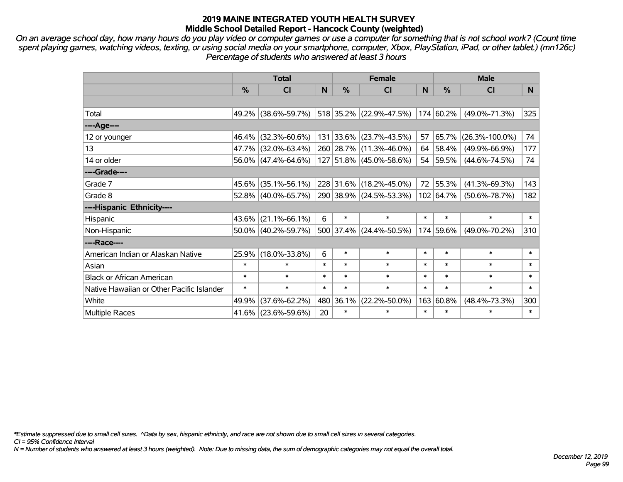*On an average school day, how many hours do you play video or computer games or use a computer for something that is not school work? (Count time spent playing games, watching videos, texting, or using social media on your smartphone, computer, Xbox, PlayStation, iPad, or other tablet.) (mn126c) Percentage of students who answered at least 3 hours*

|                                           | <b>Total</b>  |                                             |        |           | <b>Female</b>             |        | <b>Male</b>    |                      |        |  |
|-------------------------------------------|---------------|---------------------------------------------|--------|-----------|---------------------------|--------|----------------|----------------------|--------|--|
|                                           | $\frac{0}{0}$ | <b>CI</b>                                   | N      | $\%$      | CI                        | N      | $\frac{0}{0}$  | <b>CI</b>            | N      |  |
|                                           |               |                                             |        |           |                           |        |                |                      |        |  |
| Total                                     |               | 49.2% (38.6%-59.7%) 518 35.2% (22.9%-47.5%) |        |           |                           |        | $ 174 60.2\% $ | $(49.0\% - 71.3\%)$  | 325    |  |
| ----Age----                               |               |                                             |        |           |                           |        |                |                      |        |  |
| 12 or younger                             | 46.4%         | $(32.3\% - 60.6\%)$                         |        | 131 33.6% | $(23.7\% - 43.5\%)$       | 57     | 65.7%          | $(26.3\% - 100.0\%)$ | 74     |  |
| 13                                        |               | 47.7% (32.0%-63.4%)                         |        | 260 28.7% | $(11.3\% - 46.0\%)$       |        | 64 58.4%       | $(49.9\% - 66.9\%)$  | 177    |  |
| 14 or older                               |               | 56.0% (47.4%-64.6%)                         |        |           | 127 51.8% (45.0%-58.6%)   |        | 54 59.5%       | $(44.6\% - 74.5\%)$  | 74     |  |
| ----Grade----                             |               |                                             |        |           |                           |        |                |                      |        |  |
| Grade 7                                   |               | 45.6% (35.1%-56.1%)                         |        | 228 31.6% | $(18.2\% - 45.0\%)$       | 72     | 55.3%          | $(41.3\% - 69.3\%)$  | 143    |  |
| Grade 8                                   |               | 52.8% (40.0%-65.7%)                         |        |           | 290 38.9% (24.5%-53.3%)   |        | $102$ 64.7%    | $(50.6\% - 78.7\%)$  | 182    |  |
| ----Hispanic Ethnicity----                |               |                                             |        |           |                           |        |                |                      |        |  |
| Hispanic                                  | 43.6%         | $(21.1\% - 66.1\%)$                         | 6      | $\ast$    | $\ast$                    | $\ast$ | $\ast$         | $\ast$               | $\ast$ |  |
| Non-Hispanic                              |               | 50.0% (40.2%-59.7%)                         |        |           | $500$ 37.4% (24.4%-50.5%) |        | 174 59.6%      | $(49.0\% - 70.2\%)$  | 310    |  |
| ----Race----                              |               |                                             |        |           |                           |        |                |                      |        |  |
| American Indian or Alaskan Native         | 25.9%         | $(18.0\% - 33.8\%)$                         | 6      | $\ast$    | $\ast$                    | $\ast$ | $\ast$         | $\ast$               | $\ast$ |  |
| Asian                                     | $\ast$        | $\ast$                                      | $\ast$ | $\ast$    | $\ast$                    | $\ast$ | $\ast$         | $\ast$               | $\ast$ |  |
| <b>Black or African American</b>          | $\ast$        | $\ast$                                      | $\ast$ | $\ast$    | $\ast$                    | $\ast$ | $\ast$         | $\ast$               | $\ast$ |  |
| Native Hawaiian or Other Pacific Islander | $\ast$        | $\ast$                                      | $\ast$ | $\ast$    | $\ast$                    | $\ast$ | $\ast$         | $\ast$               | $\ast$ |  |
| White                                     | 49.9%         | $(37.6\% - 62.2\%)$                         |        | 480 36.1% | $(22.2\% - 50.0\%)$       | 163    | $ 60.8\% $     | $(48.4\% - 73.3\%)$  | 300    |  |
| <b>Multiple Races</b>                     |               | 41.6% (23.6%-59.6%)                         | 20     | $\ast$    | $\ast$                    | $\ast$ | $\ast$         | $\ast$               | $\ast$ |  |

*\*Estimate suppressed due to small cell sizes. ^Data by sex, hispanic ethnicity, and race are not shown due to small cell sizes in several categories.*

*CI = 95% Confidence Interval*

*N = Number of students who answered at least 3 hours (weighted). Note: Due to missing data, the sum of demographic categories may not equal the overall total.*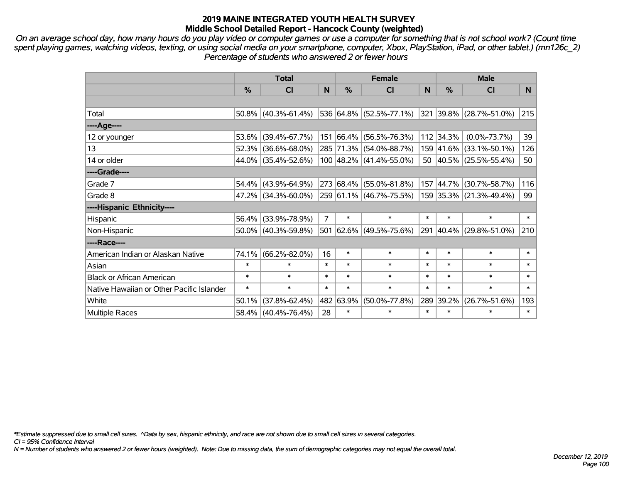*On an average school day, how many hours do you play video or computer games or use a computer for something that is not school work? (Count time spent playing games, watching videos, texting, or using social media on your smartphone, computer, Xbox, PlayStation, iPad, or other tablet.) (mn126c\_2) Percentage of students who answered 2 or fewer hours*

|                                           | <b>Total</b>  |                        |                |        | <b>Female</b>           |        | <b>Male</b> |                                  |        |  |
|-------------------------------------------|---------------|------------------------|----------------|--------|-------------------------|--------|-------------|----------------------------------|--------|--|
|                                           | $\frac{0}{0}$ | <b>CI</b>              | N              | $\%$   | CI                      | N      | $\%$        | <b>CI</b>                        | N.     |  |
|                                           |               |                        |                |        |                         |        |             |                                  |        |  |
| Total                                     |               | $50.8\%$ (40.3%-61.4%) |                |        | 536 64.8% (52.5%-77.1%) |        |             | $ 321 39.8\%  (28.7\% - 51.0\%)$ | 215    |  |
| $---Age---$                               |               |                        |                |        |                         |        |             |                                  |        |  |
| 12 or younger                             |               | 53.6% (39.4%-67.7%)    |                |        | 151 66.4% (56.5%-76.3%) |        | 112 34.3%   | $(0.0\% - 73.7\%)$               | 39     |  |
| 13                                        |               | $52.3\%$ (36.6%-68.0%) |                |        | 285 71.3% (54.0%-88.7%) |        | 159 41.6%   | $(33.1\% - 50.1\%)$              | 126    |  |
| 14 or older                               |               | 44.0% (35.4%-52.6%)    |                |        | 100 48.2% (41.4%-55.0%) |        |             | 50 40.5% (25.5%-55.4%)           | 50     |  |
| ----Grade----                             |               |                        |                |        |                         |        |             |                                  |        |  |
| Grade 7                                   |               | $54.4\%$ (43.9%-64.9%) |                |        | 273 68.4% (55.0%-81.8%) |        | 157 44.7%   | $(30.7\% - 58.7\%)$              | 116    |  |
| Grade 8                                   |               | 47.2% (34.3%-60.0%)    |                |        | 259 61.1% (46.7%-75.5%) |        |             | 159 35.3% (21.3%-49.4%)          | 99     |  |
| ----Hispanic Ethnicity----                |               |                        |                |        |                         |        |             |                                  |        |  |
| Hispanic                                  |               | 56.4% (33.9%-78.9%)    | $\overline{7}$ | $\ast$ | $\ast$                  | $\ast$ | $\ast$      | $\ast$                           | $\ast$ |  |
| Non-Hispanic                              |               | $50.0\%$ (40.3%-59.8%) |                |        | 501 62.6% (49.5%-75.6%) | 291    | $ 40.4\% $  | $(29.8\% - 51.0\%)$              | 210    |  |
| ----Race----                              |               |                        |                |        |                         |        |             |                                  |        |  |
| American Indian or Alaskan Native         |               | 74.1% (66.2%-82.0%)    | 16             | $\ast$ | $\ast$                  | $\ast$ | $\ast$      | $\ast$                           | $\ast$ |  |
| Asian                                     | $\ast$        | $\ast$                 | $\ast$         | $\ast$ | $\ast$                  | $\ast$ | $\ast$      | $\ast$                           | $\ast$ |  |
| <b>Black or African American</b>          | $\ast$        | $\ast$                 | $\ast$         | $\ast$ | $\ast$                  | $\ast$ | $\ast$      | $\ast$                           | $\ast$ |  |
| Native Hawaiian or Other Pacific Islander | $\ast$        | $\ast$                 | $\ast$         | $\ast$ | $\ast$                  | $\ast$ | $\ast$      | $\ast$                           | $\ast$ |  |
| White                                     | 50.1%         | $(37.8\% - 62.4\%)$    | 482            | 63.9%  | $(50.0\% - 77.8\%)$     | 289    | 39.2%       | $(26.7\% - 51.6\%)$              | 193    |  |
| Multiple Races                            |               | 58.4% (40.4%-76.4%)    | 28             | $\ast$ | $\ast$                  | $\ast$ | $\ast$      | $\ast$                           | $\ast$ |  |

*\*Estimate suppressed due to small cell sizes. ^Data by sex, hispanic ethnicity, and race are not shown due to small cell sizes in several categories.*

*CI = 95% Confidence Interval*

*N = Number of students who answered 2 or fewer hours (weighted). Note: Due to missing data, the sum of demographic categories may not equal the overall total.*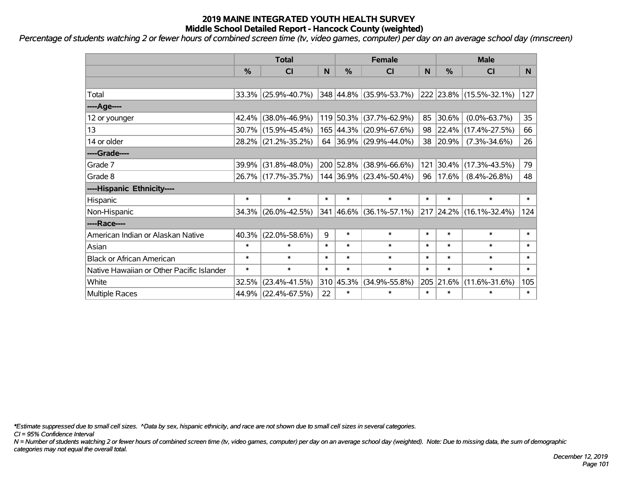*Percentage of students watching 2 or fewer hours of combined screen time (tv, video games, computer) per day on an average school day (mnscreen)*

|                                           | <b>Total</b>  |                     |        |               | <b>Female</b>                            |           | <b>Male</b> |                         |                |  |
|-------------------------------------------|---------------|---------------------|--------|---------------|------------------------------------------|-----------|-------------|-------------------------|----------------|--|
|                                           | $\frac{0}{0}$ | <b>CI</b>           | N      | $\frac{0}{0}$ | CI                                       | N         | %           | <b>CI</b>               | N <sub>1</sub> |  |
|                                           |               |                     |        |               |                                          |           |             |                         |                |  |
| Total                                     |               | 33.3% (25.9%-40.7%) |        |               | 348 44.8% (35.9%-53.7%)                  |           |             | 222 23.8% (15.5%-32.1%) | 127            |  |
| ----Age----                               |               |                     |        |               |                                          |           |             |                         |                |  |
| 12 or younger                             |               | 42.4% (38.0%-46.9%) |        |               | 119 50.3% (37.7%-62.9%)                  | 85        | 30.6%       | $(0.0\% - 63.7\%)$      | 35             |  |
| 13                                        |               | 30.7% (15.9%-45.4%) |        |               | 165 44.3% (20.9%-67.6%)                  | 98        | $ 22.4\% $  | $(17.4\% - 27.5\%)$     | 66             |  |
| 14 or older                               |               | 28.2% (21.2%-35.2%) |        |               | 64 36.9% (29.9%-44.0%)                   |           | 38 20.9%    | $(7.3\% - 34.6\%)$      | 26             |  |
| ----Grade----                             |               |                     |        |               |                                          |           |             |                         |                |  |
| Grade 7                                   | 39.9%         | $(31.8\% - 48.0\%)$ |        |               | 200 52.8% (38.9%-66.6%)                  | 121       | 30.4%       | $(17.3\% - 43.5\%)$     | 79             |  |
| Grade 8                                   |               | 26.7% (17.7%-35.7%) |        |               | 144 36.9% (23.4%-50.4%)                  | $96 \mid$ |             | $17.6\%$ (8.4%-26.8%)   | 48             |  |
| ----Hispanic Ethnicity----                |               |                     |        |               |                                          |           |             |                         |                |  |
| Hispanic                                  | $\ast$        | $\ast$              | $\ast$ | $\ast$        | $\ast$                                   | $\ast$    | $\ast$      | $\ast$                  | $\ast$         |  |
| Non-Hispanic                              |               | 34.3% (26.0%-42.5%) |        |               | $341 \,   46.6\% \,   (36.1\% - 57.1\%)$ |           |             | 217 24.2% (16.1%-32.4%) | 124            |  |
| ----Race----                              |               |                     |        |               |                                          |           |             |                         |                |  |
| American Indian or Alaskan Native         | 40.3%         | $(22.0\% - 58.6\%)$ | 9      | $\ast$        | $\ast$                                   | $\ast$    | $\ast$      | $\ast$                  | $\ast$         |  |
| Asian                                     | $\ast$        | $\ast$              | $\ast$ | $\ast$        | $\ast$                                   | $\ast$    | $\ast$      | $\ast$                  | $\ast$         |  |
| <b>Black or African American</b>          | $\ast$        | $\ast$              | $\ast$ | $\ast$        | $\ast$                                   | $\ast$    | $\ast$      | $\ast$                  | $\ast$         |  |
| Native Hawaiian or Other Pacific Islander | $\ast$        | $\ast$              | $\ast$ | $\ast$        | $\ast$                                   | $\ast$    | $\ast$      | $\ast$                  | $\ast$         |  |
| White                                     | 32.5%         | $(23.4\% - 41.5\%)$ | 310    | 45.3%         | $(34.9\% - 55.8\%)$                      |           | 205 21.6%   | $(11.6\% - 31.6\%)$     | 105            |  |
| <b>Multiple Races</b>                     |               | 44.9% (22.4%-67.5%) | 22     | $\ast$        | $\ast$                                   | $\ast$    | $\ast$      | $\ast$                  | $\ast$         |  |

*\*Estimate suppressed due to small cell sizes. ^Data by sex, hispanic ethnicity, and race are not shown due to small cell sizes in several categories.*

*CI = 95% Confidence Interval*

*N = Number of students watching 2 or fewer hours of combined screen time (tv, video games, computer) per day on an average school day (weighted). Note: Due to missing data, the sum of demographic categories may not equal the overall total.*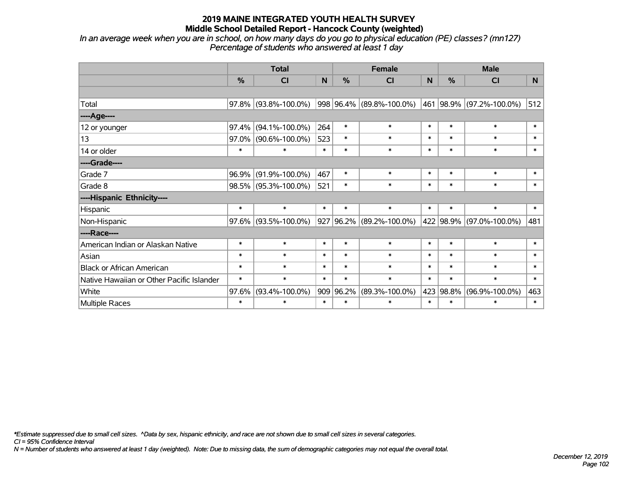*In an average week when you are in school, on how many days do you go to physical education (PE) classes? (mn127) Percentage of students who answered at least 1 day*

|                                           | <b>Total</b>  |                      |        |           | <b>Female</b>            | <b>Male</b> |               |                          |        |
|-------------------------------------------|---------------|----------------------|--------|-----------|--------------------------|-------------|---------------|--------------------------|--------|
|                                           | $\frac{0}{0}$ | <b>CI</b>            | N      | %         | <b>CI</b>                | N           | $\frac{0}{0}$ | <b>CI</b>                | N      |
|                                           |               |                      |        |           |                          |             |               |                          |        |
| Total                                     | 97.8%         | $(93.8\% - 100.0\%)$ |        |           | 998 96.4% (89.8%-100.0%) |             |               | 461 98.9% (97.2%-100.0%) | 512    |
| ----Age----                               |               |                      |        |           |                          |             |               |                          |        |
| 12 or younger                             | 97.4%         | $(94.1\% - 100.0\%)$ | 264    | $\ast$    | $\ast$                   | $\ast$      | $\ast$        | $\ast$                   | $\ast$ |
| 13                                        | 97.0%         | $(90.6\% - 100.0\%)$ | 523    | $\ast$    | $\ast$                   | $\ast$      | $\ast$        | $\ast$                   | $\ast$ |
| 14 or older                               | $\ast$        | $\ast$               | $\ast$ | $\ast$    | $\ast$                   | $\ast$      | $\ast$        | $\ast$                   | $\ast$ |
| ----Grade----                             |               |                      |        |           |                          |             |               |                          |        |
| Grade 7                                   | 96.9%         | $(91.9\% - 100.0\%)$ | 467    | $\ast$    | $\ast$                   | $\ast$      | $\ast$        | $\ast$                   | $\ast$ |
| Grade 8                                   |               | 98.5% (95.3%-100.0%) | 521    | $\ast$    | $\ast$                   | $\ast$      | $\ast$        | $\ast$                   | $\ast$ |
| ----Hispanic Ethnicity----                |               |                      |        |           |                          |             |               |                          |        |
| Hispanic                                  | $\ast$        | $\ast$               | $\ast$ | $\ast$    | $\ast$                   | $\ast$      | $\ast$        | $\ast$                   | $\ast$ |
| Non-Hispanic                              | 97.6%         | $(93.5\% - 100.0\%)$ |        | 927 96.2% | $(89.2\% - 100.0\%)$     |             |               | 422 98.9% (97.0%-100.0%) | 481    |
| ----Race----                              |               |                      |        |           |                          |             |               |                          |        |
| American Indian or Alaskan Native         | $\ast$        | $\ast$               | $\ast$ | $\ast$    | $\ast$                   | $\ast$      | $\ast$        | $\ast$                   | $\ast$ |
| Asian                                     | $\ast$        | $\ast$               | $\ast$ | $\ast$    | $\ast$                   | $\ast$      | $\ast$        | $\ast$                   | $\ast$ |
| <b>Black or African American</b>          | $\ast$        | $\ast$               | $\ast$ | $\ast$    | $\ast$                   | $\ast$      | $\ast$        | $\ast$                   | $\ast$ |
| Native Hawaiian or Other Pacific Islander | $\ast$        | $\ast$               | $\ast$ | $\ast$    | $\ast$                   | $\ast$      | $\ast$        | $\ast$                   | $\ast$ |
| White                                     | 97.6%         | $(93.4\% - 100.0\%)$ |        | 909 96.2% | $(89.3\% - 100.0\%)$     |             | 423 98.8%     | $(96.9\% - 100.0\%)$     | 463    |
| Multiple Races                            | $\ast$        | $\ast$               | $\ast$ | $\ast$    | *                        | $\ast$      | $\ast$        | $\ast$                   | $\ast$ |

*\*Estimate suppressed due to small cell sizes. ^Data by sex, hispanic ethnicity, and race are not shown due to small cell sizes in several categories.*

*CI = 95% Confidence Interval*

*N = Number of students who answered at least 1 day (weighted). Note: Due to missing data, the sum of demographic categories may not equal the overall total.*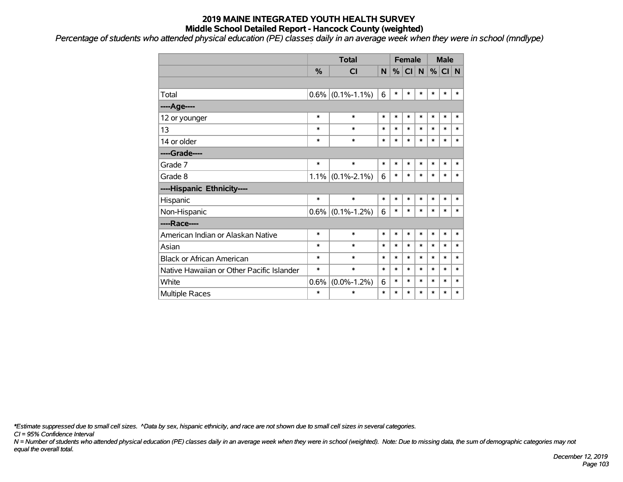*Percentage of students who attended physical education (PE) classes daily in an average week when they were in school (mndlype)*

|                                           |               | <b>Total</b>      |        | <b>Female</b> |           |              | <b>Male</b> |        |        |
|-------------------------------------------|---------------|-------------------|--------|---------------|-----------|--------------|-------------|--------|--------|
|                                           | $\frac{0}{0}$ | <b>CI</b>         | N.     | %             | <b>CI</b> | <sub>N</sub> | $\%$        | CI N   |        |
|                                           |               |                   |        |               |           |              |             |        |        |
| Total                                     | 0.6%          | $(0.1\% - 1.1\%)$ | 6      | $\ast$        | $\ast$    | $\ast$       | $\ast$      | $\ast$ | $\ast$ |
| ----Age----                               |               |                   |        |               |           |              |             |        |        |
| 12 or younger                             | $\ast$        | $\ast$            | $\ast$ | $\ast$        | $\ast$    | $\ast$       | $\ast$      | $\ast$ | $\ast$ |
| 13                                        | $\ast$        | $\ast$            | $\ast$ | $\ast$        | $\ast$    | $\ast$       | $\ast$      | $\ast$ | $\ast$ |
| 14 or older                               | $\ast$        | $\ast$            | $\ast$ | $\ast$        | *         | $\ast$       | $\ast$      | $\ast$ | $\ast$ |
| ----Grade----                             |               |                   |        |               |           |              |             |        |        |
| Grade 7                                   | $\ast$        | $\ast$            | $\ast$ | $\ast$        | *         | $\ast$       | $\ast$      | $\ast$ | $\ast$ |
| Grade 8                                   | $1.1\%$       | $(0.1\% - 2.1\%)$ | 6      | $\ast$        | $\ast$    | $\ast$       | *           | $\ast$ | $\ast$ |
| ----Hispanic Ethnicity----                |               |                   |        |               |           |              |             |        |        |
| Hispanic                                  | $\ast$        | $\ast$            | $\ast$ | $\ast$        | *         | $\ast$       | *           | $\ast$ | $\ast$ |
| Non-Hispanic                              | 0.6%          | $(0.1\% - 1.2\%)$ | 6      | $\ast$        | $\ast$    | $\ast$       | $\ast$      | $\ast$ | $\ast$ |
| ----Race----                              |               |                   |        |               |           |              |             |        |        |
| American Indian or Alaskan Native         | $\ast$        | $\ast$            | $\ast$ | *             | $\ast$    | $\ast$       | $\ast$      | $\ast$ | $\ast$ |
| Asian                                     | $\ast$        | $\ast$            | $\ast$ | $\ast$        | *         | $\ast$       | *           | $\ast$ | $\ast$ |
| <b>Black or African American</b>          | $\ast$        | $\ast$            | $\ast$ | $\ast$        | *         | $\ast$       | *           | $\ast$ | $\ast$ |
| Native Hawaiian or Other Pacific Islander | $\ast$        | $\ast$            | $\ast$ | $\ast$        | $\ast$    | $\ast$       | $\ast$      | $\ast$ | $\ast$ |
| White                                     | 0.6%          | $(0.0\% - 1.2\%)$ | 6      | $\ast$        | *         | $\ast$       | *           | *      | $\ast$ |
| <b>Multiple Races</b>                     | $\ast$        | $\ast$            | $\ast$ | $\ast$        | $\ast$    | $\ast$       | *           | *      | $\ast$ |

*\*Estimate suppressed due to small cell sizes. ^Data by sex, hispanic ethnicity, and race are not shown due to small cell sizes in several categories.*

*CI = 95% Confidence Interval*

*N = Number of students who attended physical education (PE) classes daily in an average week when they were in school (weighted). Note: Due to missing data, the sum of demographic categories may not equal the overall total.*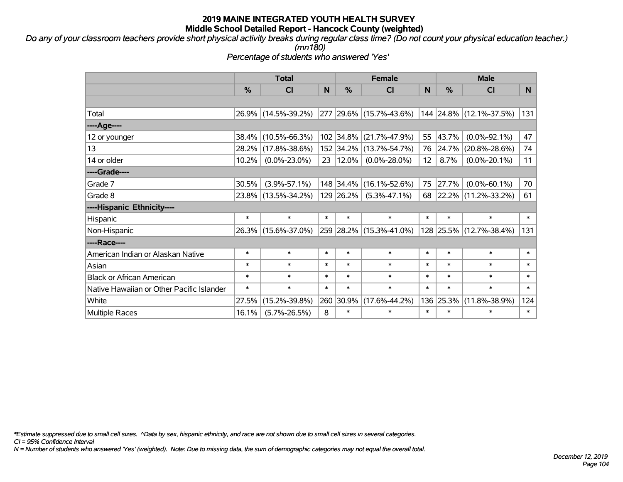*Do any of your classroom teachers provide short physical activity breaks during regular class time? (Do not count your physical education teacher.) (mn180)*

*Percentage of students who answered 'Yes'*

|                                           | <b>Total</b>  |                     |        |            | <b>Female</b>           |                 | <b>Male</b> |                         |        |  |
|-------------------------------------------|---------------|---------------------|--------|------------|-------------------------|-----------------|-------------|-------------------------|--------|--|
|                                           | $\frac{0}{0}$ | <b>CI</b>           | N      | %          | <b>CI</b>               | N               | %           | <b>CI</b>               | N.     |  |
|                                           |               |                     |        |            |                         |                 |             |                         |        |  |
| Total                                     |               | 26.9% (14.5%-39.2%) |        |            | 277 29.6% (15.7%-43.6%) |                 |             | 144 24.8% (12.1%-37.5%) | 131    |  |
| ----Age----                               |               |                     |        |            |                         |                 |             |                         |        |  |
| 12 or younger                             | 38.4%         | $(10.5\% - 66.3\%)$ |        | 102 34.8%  | $(21.7\% - 47.9\%)$     | 55              | 43.7%       | $(0.0\% - 92.1\%)$      | 47     |  |
| 13                                        | $28.2\%$      | $(17.8\% - 38.6\%)$ |        |            | 152 34.2% (13.7%-54.7%) |                 | 76 24.7%    | $(20.8\% - 28.6\%)$     | 74     |  |
| 14 or older                               | 10.2%         | $(0.0\% - 23.0\%)$  | 23     | $ 12.0\% $ | $(0.0\% - 28.0\%)$      | 12 <sup>2</sup> | 8.7%        | $(0.0\% - 20.1\%)$      | 11     |  |
| ----Grade----                             |               |                     |        |            |                         |                 |             |                         |        |  |
| Grade 7                                   | 30.5%         | $(3.9\% - 57.1\%)$  |        | 148 34.4%  | $(16.1\% - 52.6\%)$     | 75              | 27.7%       | $(0.0\% - 60.1\%)$      | 70     |  |
| Grade 8                                   |               | 23.8% (13.5%-34.2%) |        | 129 26.2%  | $(5.3\% - 47.1\%)$      |                 |             | 68 22.2% (11.2%-33.2%)  | 61     |  |
| ----Hispanic Ethnicity----                |               |                     |        |            |                         |                 |             |                         |        |  |
| Hispanic                                  | $\ast$        | $\ast$              | $\ast$ | $\ast$     | $\ast$                  | $\ast$          | $\ast$      | $\ast$                  | $\ast$ |  |
| Non-Hispanic                              |               | 26.3% (15.6%-37.0%) |        |            | 259 28.2% (15.3%-41.0%) |                 | 128 25.5%   | $(12.7\% - 38.4\%)$     | 131    |  |
| ----Race----                              |               |                     |        |            |                         |                 |             |                         |        |  |
| American Indian or Alaskan Native         | $\ast$        | $\ast$              | $\ast$ | $\ast$     | $\ast$                  | $\ast$          | $\ast$      | $\ast$                  | $\ast$ |  |
| Asian                                     | $\ast$        | $\ast$              | $\ast$ | $\ast$     | $\ast$                  | $\ast$          | $\ast$      | $\ast$                  | $\ast$ |  |
| <b>Black or African American</b>          | $\ast$        | $\ast$              | $\ast$ | $\ast$     | $\ast$                  | $\ast$          | $\ast$      | $\ast$                  | $\ast$ |  |
| Native Hawaiian or Other Pacific Islander | $\ast$        | $\ast$              | $\ast$ | $\ast$     | $\ast$                  | $\ast$          | $\ast$      | $\ast$                  | $\ast$ |  |
| White                                     | 27.5%         | $(15.2\% - 39.8\%)$ | 260    | 30.9%      | $(17.6\% - 44.2\%)$     | 136             | 25.3%       | $(11.8\% - 38.9\%)$     | 124    |  |
| <b>Multiple Races</b>                     | 16.1%         | $(5.7\% - 26.5\%)$  | 8      | $\ast$     | $\ast$                  | $\ast$          | $\ast$      | $\ast$                  | $\ast$ |  |

*\*Estimate suppressed due to small cell sizes. ^Data by sex, hispanic ethnicity, and race are not shown due to small cell sizes in several categories.*

*CI = 95% Confidence Interval*

*N = Number of students who answered 'Yes' (weighted). Note: Due to missing data, the sum of demographic categories may not equal the overall total.*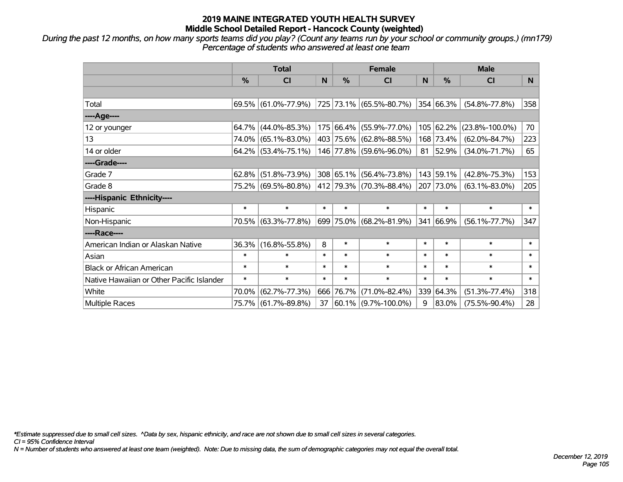*During the past 12 months, on how many sports teams did you play? (Count any teams run by your school or community groups.) (mn179) Percentage of students who answered at least one team*

|                                           | <b>Total</b>  |                        |        |           | <b>Female</b>           |        | <b>Male</b> |                      |        |  |
|-------------------------------------------|---------------|------------------------|--------|-----------|-------------------------|--------|-------------|----------------------|--------|--|
|                                           | $\frac{0}{0}$ | <b>CI</b>              | N      | $\%$      | <b>CI</b>               | N      | $\%$        | <b>CI</b>            | N      |  |
|                                           |               |                        |        |           |                         |        |             |                      |        |  |
| Total                                     |               | 69.5% (61.0%-77.9%)    |        |           | 725 73.1% (65.5%-80.7%) |        | 354 66.3%   | $(54.8\% - 77.8\%)$  | 358    |  |
| ----Age----                               |               |                        |        |           |                         |        |             |                      |        |  |
| 12 or younger                             |               | 64.7% (44.0%-85.3%)    |        | 175 66.4% | $(55.9\% - 77.0\%)$     |        | 105 62.2%   | $(23.8\% - 100.0\%)$ | 70     |  |
| 13                                        |               | 74.0% (65.1%-83.0%)    |        | 403 75.6% | $(62.8\% - 88.5\%)$     |        | 168 73.4%   | $(62.0\% - 84.7\%)$  | 223    |  |
| 14 or older                               |               | $64.2\%$ (53.4%-75.1%) |        |           | 146 77.8% (59.6%-96.0%) | 81     | 52.9%       | $(34.0\% - 71.7\%)$  | 65     |  |
| ----Grade----                             |               |                        |        |           |                         |        |             |                      |        |  |
| Grade 7                                   | $62.8\%$      | $(51.8\% - 73.9\%)$    |        | 308 65.1% | $(56.4\% - 73.8\%)$     |        | 143 59.1%   | $(42.8\% - 75.3\%)$  | 153    |  |
| Grade 8                                   |               | 75.2% (69.5%-80.8%)    |        |           | 412 79.3% (70.3%-88.4%) |        | 207 73.0%   | $(63.1\% - 83.0\%)$  | 205    |  |
| ----Hispanic Ethnicity----                |               |                        |        |           |                         |        |             |                      |        |  |
| Hispanic                                  | $\ast$        | $\ast$                 | $\ast$ | $\ast$    | $\ast$                  | $\ast$ | $\ast$      | $\ast$               | $\ast$ |  |
| Non-Hispanic                              |               | 70.5% (63.3%-77.8%)    |        |           | 699 75.0% (68.2%-81.9%) |        | 341 66.9%   | $(56.1\% - 77.7\%)$  | 347    |  |
| ----Race----                              |               |                        |        |           |                         |        |             |                      |        |  |
| American Indian or Alaskan Native         | 36.3%         | $(16.8\% - 55.8\%)$    | 8      | $\ast$    | $\ast$                  | $\ast$ | $\ast$      | $\ast$               | $\ast$ |  |
| Asian                                     | $\ast$        | $\ast$                 | $\ast$ | $\ast$    | $\ast$                  | $\ast$ | $\ast$      | $\ast$               | $\ast$ |  |
| <b>Black or African American</b>          | $\ast$        | $\ast$                 | $\ast$ | $\ast$    | $\ast$                  | $\ast$ | $\ast$      | $\ast$               | $\ast$ |  |
| Native Hawaiian or Other Pacific Islander | $\ast$        | $\ast$                 | $\ast$ | $\ast$    | $\ast$                  | $\ast$ | $\ast$      | $\ast$               | $\ast$ |  |
| White                                     | 70.0%         | $(62.7\% - 77.3\%)$    | 666    | 76.7%     | $(71.0\% - 82.4\%)$     | 339    | 64.3%       | $(51.3\% - 77.4\%)$  | 318    |  |
| Multiple Races                            |               | 75.7% (61.7%-89.8%)    | 37     |           | $60.1\%$ (9.7%-100.0%)  | 9      | 83.0%       | $(75.5\% - 90.4\%)$  | 28     |  |

*\*Estimate suppressed due to small cell sizes. ^Data by sex, hispanic ethnicity, and race are not shown due to small cell sizes in several categories.*

*CI = 95% Confidence Interval*

*N = Number of students who answered at least one team (weighted). Note: Due to missing data, the sum of demographic categories may not equal the overall total.*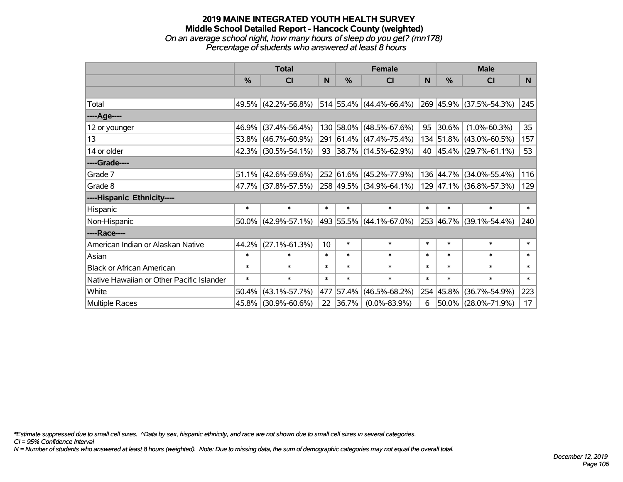#### **2019 MAINE INTEGRATED YOUTH HEALTH SURVEY Middle School Detailed Report - Hancock County (weighted)** *On an average school night, how many hours of sleep do you get? (mn178) Percentage of students who answered at least 8 hours*

|                                           | <b>Total</b>  |                        |                 |        | <b>Female</b>                | <b>Male</b> |           |                         |                 |
|-------------------------------------------|---------------|------------------------|-----------------|--------|------------------------------|-------------|-----------|-------------------------|-----------------|
|                                           | $\frac{0}{0}$ | CI                     | N.              | $\%$   | <b>CI</b>                    | N           | %         | CI                      | N <sub>1</sub>  |
|                                           |               |                        |                 |        |                              |             |           |                         |                 |
| Total                                     |               | 49.5% (42.2%-56.8%)    |                 |        | $ 514 55.4\% $ (44.4%-66.4%) |             |           | 269 45.9% (37.5%-54.3%) | 245             |
| ----Age----                               |               |                        |                 |        |                              |             |           |                         |                 |
| 12 or younger                             | 46.9%         | $(37.4\% - 56.4\%)$    |                 |        | 130 58.0% (48.5%-67.6%)      | 95          | 30.6%     | $(1.0\% - 60.3\%)$      | 35 <sub>2</sub> |
| 13                                        | 53.8%         | $(46.7\% - 60.9\%)$    |                 |        | 291 61.4% (47.4%-75.4%)      |             |           | 134 51.8% (43.0%-60.5%) | 157             |
| 14 or older                               |               | 42.3% (30.5%-54.1%)    |                 |        | 93 38.7% $(14.5\% - 62.9\%)$ |             |           | 40 45.4% (29.7%-61.1%)  | 53              |
| ----Grade----                             |               |                        |                 |        |                              |             |           |                         |                 |
| Grade 7                                   | 51.1%         | $(42.6\% - 59.6\%)$    |                 |        | 252 61.6% (45.2%-77.9%)      |             | 136 44.7% | $(34.0\% - 55.4\%)$     | 116             |
| Grade 8                                   |               | 47.7% (37.8%-57.5%)    |                 |        | 258 49.5% (34.9%-64.1%)      |             |           | 129 47.1% (36.8%-57.3%) | 129             |
| ----Hispanic Ethnicity----                |               |                        |                 |        |                              |             |           |                         |                 |
| Hispanic                                  | $\ast$        | $\ast$                 | $\ast$          | $\ast$ | $\ast$                       | $\ast$      | $\ast$    | $\ast$                  | $\ast$          |
| Non-Hispanic                              |               | $50.0\%$ (42.9%-57.1%) |                 |        | 493 55.5% (44.1%-67.0%)      |             |           | 253 46.7% (39.1%-54.4%) | 240             |
| ----Race----                              |               |                        |                 |        |                              |             |           |                         |                 |
| American Indian or Alaskan Native         | 44.2%         | $(27.1\% - 61.3\%)$    | 10 <sup>1</sup> | $\ast$ | $\ast$                       | $\ast$      | $\ast$    | $\ast$                  | $\ast$          |
| Asian                                     | $\ast$        | $\ast$                 | $\ast$          | $\ast$ | $\ast$                       | $\ast$      | $\ast$    | $\ast$                  | $\ast$          |
| <b>Black or African American</b>          | $\ast$        | $\ast$                 | $\ast$          | $\ast$ | $\ast$                       | $\ast$      | $\ast$    | $\ast$                  | $\ast$          |
| Native Hawaiian or Other Pacific Islander | $\ast$        | $\ast$                 | $\ast$          | $\ast$ | $\ast$                       | $\ast$      | $\ast$    | $\ast$                  | $\ast$          |
| White                                     | 50.4%         | $(43.1\% - 57.7\%)$    | 477             | 57.4%  | $(46.5\% - 68.2\%)$          | 254         | 45.8%     | $(36.7\% - 54.9\%)$     | 223             |
| Multiple Races                            | 45.8%         | $(30.9\% - 60.6\%)$    | 22              | 36.7%  | $(0.0\% - 83.9\%)$           | 6           | 50.0%     | $(28.0\% - 71.9\%)$     | 17              |

*\*Estimate suppressed due to small cell sizes. ^Data by sex, hispanic ethnicity, and race are not shown due to small cell sizes in several categories.*

*CI = 95% Confidence Interval*

*N = Number of students who answered at least 8 hours (weighted). Note: Due to missing data, the sum of demographic categories may not equal the overall total.*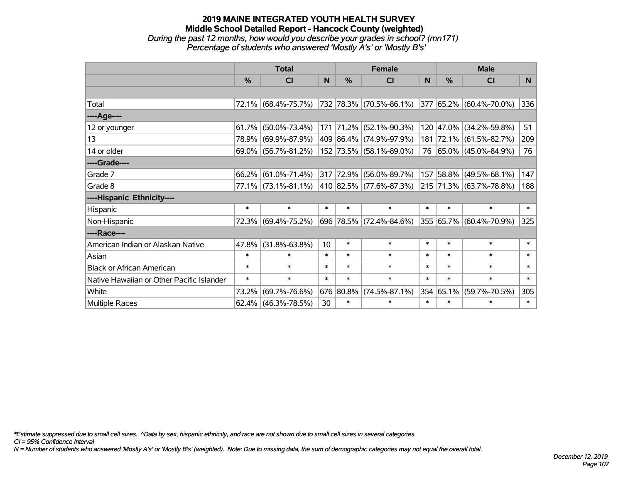## **2019 MAINE INTEGRATED YOUTH HEALTH SURVEY Middle School Detailed Report - Hancock County (weighted)** *During the past 12 months, how would you describe your grades in school? (mn171) Percentage of students who answered 'Mostly A's' or 'Mostly B's'*

|                                           | <b>Total</b>  |                        |        |               | <b>Female</b>                | <b>Male</b> |           |                                  |        |
|-------------------------------------------|---------------|------------------------|--------|---------------|------------------------------|-------------|-----------|----------------------------------|--------|
|                                           | $\frac{0}{0}$ | <b>CI</b>              | N      | $\frac{9}{6}$ | <b>CI</b>                    | N           | %         | <b>CI</b>                        | N.     |
|                                           |               |                        |        |               |                              |             |           |                                  |        |
| Total                                     |               | 72.1% (68.4%-75.7%)    |        |               | 732  78.3%  (70.5%-86.1%)    |             |           | $ 377 65.2\%  (60.4\% - 70.0\%)$ | 336    |
| ----Age----                               |               |                        |        |               |                              |             |           |                                  |        |
| 12 or younger                             | 61.7%         | $(50.0\% - 73.4\%)$    |        |               | 171 71.2% (52.1%-90.3%)      |             | 120 47.0% | $(34.2\% - 59.8\%)$              | 51     |
| 13                                        | 78.9%         | $(69.9\% - 87.9\%)$    |        |               | 409 86.4% (74.9%-97.9%)      |             |           | 181 72.1% (61.5%-82.7%)          | 209    |
| 14 or older                               |               | 69.0% (56.7%-81.2%)    |        |               | 152 73.5% (58.1%-89.0%)      |             |           | 76 65.0% (45.0%-84.9%)           | 76     |
| ----Grade----                             |               |                        |        |               |                              |             |           |                                  |        |
| Grade 7                                   | 66.2%         | $(61.0\% - 71.4\%)$    |        |               | 317 72.9% (56.0%-89.7%)      |             | 157 58.8% | $(49.5\% - 68.1\%)$              | 147    |
| Grade 8                                   |               | 77.1% (73.1%-81.1%)    |        |               | $ 410 82.5\% $ (77.6%-87.3%) |             |           | 215 71.3% (63.7%-78.8%)          | 188    |
| ----Hispanic Ethnicity----                |               |                        |        |               |                              |             |           |                                  |        |
| Hispanic                                  | $\ast$        | $\ast$                 | $\ast$ | $\ast$        | $\ast$                       | $\ast$      | $\ast$    | $\ast$                           | $\ast$ |
| Non-Hispanic                              |               | 72.3% (69.4%-75.2%)    |        |               | 696 78.5% (72.4%-84.6%)      |             |           | 355 65.7% (60.4%-70.9%)          | 325    |
| ----Race----                              |               |                        |        |               |                              |             |           |                                  |        |
| American Indian or Alaskan Native         | 47.8%         | $(31.8\% - 63.8\%)$    | 10     | $\ast$        | $\ast$                       | $\ast$      | $\ast$    | $\ast$                           | $\ast$ |
| Asian                                     | $\ast$        | $\ast$                 | $\ast$ | $\ast$        | $\ast$                       | $\ast$      | $\ast$    | $\ast$                           | $\ast$ |
| <b>Black or African American</b>          | $\ast$        | $\ast$                 | $\ast$ | $\ast$        | $\ast$                       | $\ast$      | $\ast$    | $\ast$                           | $\ast$ |
| Native Hawaiian or Other Pacific Islander | $\ast$        | $\ast$                 | $\ast$ | $\ast$        | $\ast$                       | $\ast$      | $\ast$    | $\ast$                           | $\ast$ |
| White                                     | 73.2%         | $(69.7\% - 76.6\%)$    |        | 676 80.8%     | $(74.5\% - 87.1\%)$          |             | 354 65.1% | $(59.7\% - 70.5\%)$              | 305    |
| Multiple Races                            |               | $62.4\%$ (46.3%-78.5%) | 30     | $\ast$        | $\ast$                       | $\ast$      | $\ast$    | $\ast$                           | $\ast$ |

*\*Estimate suppressed due to small cell sizes. ^Data by sex, hispanic ethnicity, and race are not shown due to small cell sizes in several categories.*

*CI = 95% Confidence Interval*

*N = Number of students who answered 'Mostly A's' or 'Mostly B's' (weighted). Note: Due to missing data, the sum of demographic categories may not equal the overall total.*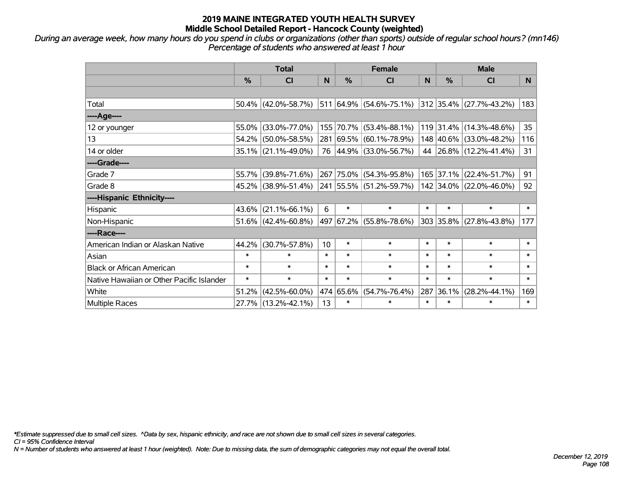*During an average week, how many hours do you spend in clubs or organizations (other than sports) outside of regular school hours? (mn146) Percentage of students who answered at least 1 hour*

|                                           | <b>Total</b>  |                        |                 |               | <b>Female</b>           | <b>Male</b> |           |                                  |        |
|-------------------------------------------|---------------|------------------------|-----------------|---------------|-------------------------|-------------|-----------|----------------------------------|--------|
|                                           | $\frac{0}{0}$ | <b>CI</b>              | N               | $\frac{9}{6}$ | <b>CI</b>               | N           | %         | <b>CI</b>                        | N.     |
|                                           |               |                        |                 |               |                         |             |           |                                  |        |
| Total                                     |               | $50.4\%$ (42.0%-58.7%) |                 |               | 511 64.9% (54.6%-75.1%) |             |           | $ 312 35.4\%  (27.7\% - 43.2\%)$ | 183    |
| ----Age----                               |               |                        |                 |               |                         |             |           |                                  |        |
| 12 or younger                             | $55.0\%$      | $(33.0\% - 77.0\%)$    |                 |               | 155 70.7% (53.4%-88.1%) |             |           | 119 31.4% (14.3%-48.6%)          | 35     |
| 13                                        |               | 54.2% (50.0%-58.5%)    |                 |               | 281 69.5% (60.1%-78.9%) |             |           | 148 40.6% (33.0%-48.2%)          | 116    |
| 14 or older                               |               | $35.1\%$ (21.1%-49.0%) |                 |               | 76 44.9% (33.0%-56.7%)  |             |           | 44 26.8% (12.2%-41.4%)           | 31     |
| ----Grade----                             |               |                        |                 |               |                         |             |           |                                  |        |
| Grade 7                                   | 55.7%         | $(39.8\% - 71.6\%)$    |                 |               | 267 75.0% (54.3%-95.8%) |             | 165 37.1% | $(22.4\% - 51.7\%)$              | 91     |
| Grade 8                                   |               | 45.2% (38.9%-51.4%)    |                 |               | 241 55.5% (51.2%-59.7%) |             |           | 142 34.0% (22.0%-46.0%)          | 92     |
| ----Hispanic Ethnicity----                |               |                        |                 |               |                         |             |           |                                  |        |
| Hispanic                                  | $43.6\%$      | $(21.1\% - 66.1\%)$    | 6               | $\ast$        | $\ast$                  | $\ast$      | $\ast$    | $\ast$                           | $\ast$ |
| Non-Hispanic                              |               | $51.6\%$ (42.4%-60.8%) | 497             |               | 67.2% (55.8%-78.6%)     |             | 303 35.8% | $(27.8\% - 43.8\%)$              | 177    |
| ----Race----                              |               |                        |                 |               |                         |             |           |                                  |        |
| American Indian or Alaskan Native         | 44.2%         | $(30.7\% - 57.8\%)$    | 10 <sup>1</sup> | $\ast$        | $\ast$                  | $\ast$      | $\ast$    | $\ast$                           | $\ast$ |
| Asian                                     | $\ast$        | $\ast$                 | $\ast$          | $\ast$        | $\ast$                  | $\ast$      | $\ast$    | $\ast$                           | $\ast$ |
| <b>Black or African American</b>          | $\ast$        | $\ast$                 | $\ast$          | $\ast$        | $\ast$                  | $\ast$      | $\ast$    | $\ast$                           | $\ast$ |
| Native Hawaiian or Other Pacific Islander | $\ast$        | $\ast$                 | $\ast$          | $\ast$        | $\ast$                  | $\ast$      | $\ast$    | $\ast$                           | $\ast$ |
| White                                     | 51.2%         | $(42.5\% - 60.0\%)$    |                 | 474 65.6%     | $(54.7\% - 76.4\%)$     | 287         | 36.1%     | $(28.2\% - 44.1\%)$              | 169    |
| Multiple Races                            |               | 27.7% (13.2%-42.1%)    | 13              | $\ast$        | $\ast$                  | $\ast$      | $\ast$    | $\ast$                           | $\ast$ |

*\*Estimate suppressed due to small cell sizes. ^Data by sex, hispanic ethnicity, and race are not shown due to small cell sizes in several categories.*

*CI = 95% Confidence Interval*

*N = Number of students who answered at least 1 hour (weighted). Note: Due to missing data, the sum of demographic categories may not equal the overall total.*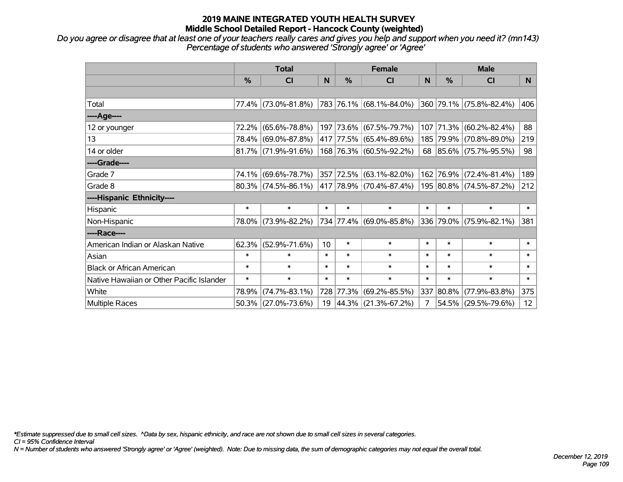## **2019 MAINE INTEGRATED YOUTH HEALTH SURVEY Middle School Detailed Report - Hancock County (weighted)**

*Do you agree or disagree that at least one of your teachers really cares and gives you help and support when you need it? (mn143) Percentage of students who answered 'Strongly agree' or 'Agree'*

|                                           | <b>Total</b>  |                        |        | <b>Female</b> |                         |        | <b>Male</b> |                         |                 |
|-------------------------------------------|---------------|------------------------|--------|---------------|-------------------------|--------|-------------|-------------------------|-----------------|
|                                           | $\frac{0}{0}$ | <b>CI</b>              | N      | $\%$          | <b>CI</b>               | N      | $\%$        | <b>CI</b>               | N.              |
|                                           |               |                        |        |               |                         |        |             |                         |                 |
| Total                                     |               | 77.4% (73.0%-81.8%)    |        |               | 783 76.1% (68.1%-84.0%) |        |             | 360 79.1% (75.8%-82.4%) | 406             |
| ----Age----                               |               |                        |        |               |                         |        |             |                         |                 |
| 12 or younger                             | 72.2%         | $(65.6\% - 78.8\%)$    |        |               | 197 73.6% (67.5%-79.7%) | 107    | 71.3%       | $(60.2\% - 82.4\%)$     | 88              |
| 13                                        |               | 78.4% (69.0%-87.8%)    |        |               | 417 77.5% (65.4%-89.6%) |        |             | 185 79.9% (70.8%-89.0%) | 219             |
| 14 or older                               |               | $81.7\%$ (71.9%-91.6%) |        |               | 168 76.3% (60.5%-92.2%) |        |             | 68 85.6% (75.7%-95.5%)  | 98              |
| ----Grade----                             |               |                        |        |               |                         |        |             |                         |                 |
| Grade 7                                   | 74.1%         | $(69.6\% - 78.7\%)$    |        |               | 357 72.5% (63.1%-82.0%) | 162    | 76.9%       | $(72.4\% - 81.4\%)$     | 189             |
| Grade 8                                   |               | $80.3\%$ (74.5%-86.1%) |        |               | 417 78.9% (70.4%-87.4%) |        |             | 195 80.8% (74.5%-87.2%) | 212             |
| ----Hispanic Ethnicity----                |               |                        |        |               |                         |        |             |                         |                 |
| Hispanic                                  | $\ast$        | $\ast$                 | $\ast$ | $\ast$        | $\ast$                  | $\ast$ | $\ast$      | $\ast$                  | $\ast$          |
| Non-Hispanic                              |               | 78.0% (73.9%-82.2%)    |        |               | 734 77.4% (69.0%-85.8%) |        |             | 336 79.0% (75.9%-82.1%) | 381             |
| ----Race----                              |               |                        |        |               |                         |        |             |                         |                 |
| American Indian or Alaskan Native         |               | $62.3\%$ (52.9%-71.6%) | 10     | $\ast$        | $\ast$                  | $\ast$ | $\ast$      | $\ast$                  | $\ast$          |
| Asian                                     | $\ast$        | $\ast$                 | $\ast$ | $\ast$        | $\ast$                  | $\ast$ | $\ast$      | $\ast$                  | $\ast$          |
| <b>Black or African American</b>          | $\ast$        | $\ast$                 | $\ast$ | $\ast$        | $\ast$                  | $\ast$ | $\ast$      | $\ast$                  | $\ast$          |
| Native Hawaiian or Other Pacific Islander | $\ast$        | $\ast$                 | $\ast$ | $\ast$        | $\ast$                  | $\ast$ | $\ast$      | $\ast$                  | $\pmb{\ast}$    |
| White                                     | 78.9%         | $(74.7\% - 83.1\%)$    |        | 728 77.3%     | $(69.2\% - 85.5\%)$     |        | 337 80.8%   | $(77.9\% - 83.8\%)$     | 375             |
| Multiple Races                            |               | $50.3\%$ (27.0%-73.6%) |        |               | 19 44.3% (21.3%-67.2%)  | 7      |             | 54.5% (29.5%-79.6%)     | 12 <sub>2</sub> |

*\*Estimate suppressed due to small cell sizes. ^Data by sex, hispanic ethnicity, and race are not shown due to small cell sizes in several categories.*

*CI = 95% Confidence Interval*

*N = Number of students who answered 'Strongly agree' or 'Agree' (weighted). Note: Due to missing data, the sum of demographic categories may not equal the overall total.*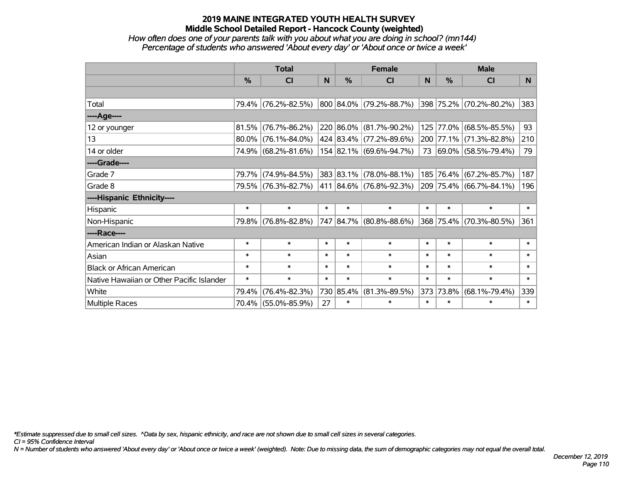## **2019 MAINE INTEGRATED YOUTH HEALTH SURVEY Middle School Detailed Report - Hancock County (weighted)**

### *How often does one of your parents talk with you about what you are doing in school? (mn144) Percentage of students who answered 'About every day' or 'About once or twice a week'*

|                                           | <b>Total</b>  |                     |        | <b>Female</b> |                             |        | <b>Male</b> |                         |          |
|-------------------------------------------|---------------|---------------------|--------|---------------|-----------------------------|--------|-------------|-------------------------|----------|
|                                           | $\frac{0}{0}$ | <b>CI</b>           | N      | $\frac{0}{0}$ | CI                          | N      | %           | <b>CI</b>               | <b>N</b> |
|                                           |               |                     |        |               |                             |        |             |                         |          |
| Total                                     |               | 79.4% (76.2%-82.5%) |        |               | 800 84.0% (79.2%-88.7%)     |        |             | 398 75.2% (70.2%-80.2%) | 383      |
| ----Age----                               |               |                     |        |               |                             |        |             |                         |          |
| 12 or younger                             | 81.5%         | $(76.7\% - 86.2\%)$ |        |               | 220 86.0% (81.7%-90.2%)     | 125    | 77.0%       | $(68.5\% - 85.5\%)$     | 93       |
| 13                                        | $80.0\%$      | $(76.1\% - 84.0\%)$ |        |               | 424 83.4% (77.2%-89.6%)     |        |             | 200 77.1% (71.3%-82.8%) | 210      |
| 14 or older                               |               | 74.9% (68.2%-81.6%) |        |               | 154 82.1% (69.6%-94.7%)     |        |             | 73 69.0% (58.5%-79.4%)  | 79       |
| ----Grade----                             |               |                     |        |               |                             |        |             |                         |          |
| Grade 7                                   | 79.7%         | $(74.9\% - 84.5\%)$ |        |               | 383 83.1% (78.0%-88.1%)     | 185    | 76.4%       | $(67.2\% - 85.7\%)$     | 187      |
| Grade 8                                   |               | 79.5% (76.3%-82.7%) |        |               | 411   84.6%   (76.8%-92.3%) |        |             | 209 75.4% (66.7%-84.1%) | 196      |
| ----Hispanic Ethnicity----                |               |                     |        |               |                             |        |             |                         |          |
| Hispanic                                  | $\ast$        | $\ast$              | $\ast$ | $\ast$        | $\ast$                      | $\ast$ | $\ast$      | $\ast$                  | $\ast$   |
| Non-Hispanic                              | 79.8%         | $(76.8\% - 82.8\%)$ |        |               | 747 84.7% (80.8%-88.6%)     |        | 368 75.4%   | $(70.3\% - 80.5\%)$     | 361      |
| ----Race----                              |               |                     |        |               |                             |        |             |                         |          |
| American Indian or Alaskan Native         | $\ast$        | $\ast$              | $\ast$ | $\ast$        | $\ast$                      | $\ast$ | $\ast$      | $\ast$                  | $\ast$   |
| Asian                                     | $\ast$        | $\ast$              | $\ast$ | $\ast$        | $\ast$                      | $\ast$ | $\ast$      | $\ast$                  | $\ast$   |
| <b>Black or African American</b>          | $\ast$        | $\ast$              | $\ast$ | $\ast$        | $\ast$                      | $\ast$ | $\ast$      | $\ast$                  | $\ast$   |
| Native Hawaiian or Other Pacific Islander | $\ast$        | $\ast$              | $\ast$ | $\ast$        | $\ast$                      | $\ast$ | $\ast$      | $\ast$                  | $\ast$   |
| White                                     | 79.4%         | $(76.4\% - 82.3\%)$ |        | 730 85.4%     | $(81.3\% - 89.5\%)$         | 373    | 73.8%       | $(68.1\% - 79.4\%)$     | 339      |
| <b>Multiple Races</b>                     |               | 70.4% (55.0%-85.9%) | 27     | $\ast$        | $\ast$                      | $\ast$ | $\ast$      | $\ast$                  | $\ast$   |

*\*Estimate suppressed due to small cell sizes. ^Data by sex, hispanic ethnicity, and race are not shown due to small cell sizes in several categories.*

*CI = 95% Confidence Interval*

*N = Number of students who answered 'About every day' or 'About once or twice a week' (weighted). Note: Due to missing data, the sum of demographic categories may not equal the overall total.*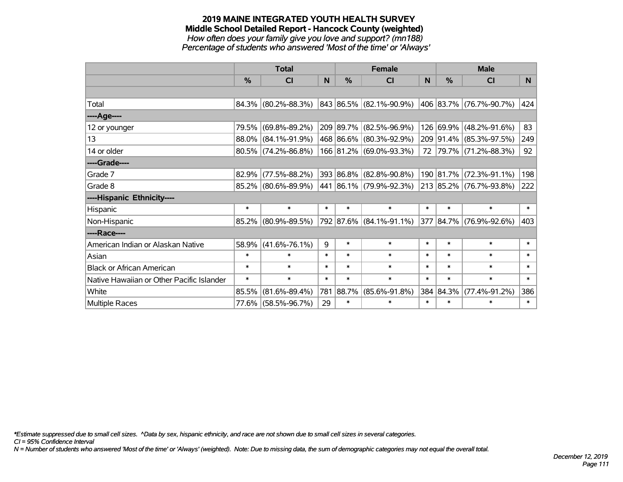#### **2019 MAINE INTEGRATED YOUTH HEALTH SURVEY Middle School Detailed Report - Hancock County (weighted)** *How often does your family give you love and support? (mn188) Percentage of students who answered 'Most of the time' or 'Always'*

|                                           | <b>Total</b>  |                        |        | <b>Female</b> |                         |        | <b>Male</b> |                         |                |  |
|-------------------------------------------|---------------|------------------------|--------|---------------|-------------------------|--------|-------------|-------------------------|----------------|--|
|                                           | $\frac{0}{0}$ | CI                     | N      | $\frac{0}{0}$ | CI                      | N      | %           | <b>CI</b>               | N <sub>1</sub> |  |
|                                           |               |                        |        |               |                         |        |             |                         |                |  |
| Total                                     |               | 84.3% (80.2%-88.3%)    |        |               | 843 86.5% (82.1%-90.9%) |        |             | 406 83.7% (76.7%-90.7%) | 424            |  |
| ----Age----                               |               |                        |        |               |                         |        |             |                         |                |  |
| 12 or younger                             | 79.5%         | $(69.8\% - 89.2\%)$    |        |               | 209 89.7% (82.5%-96.9%) |        | 126 69.9%   | $(48.2\% - 91.6\%)$     | 83             |  |
| 13                                        |               | 88.0% (84.1%-91.9%)    |        |               | 468 86.6% (80.3%-92.9%) |        |             | 209 91.4% (85.3%-97.5%) | 249            |  |
| 14 or older                               |               | $80.5\%$ (74.2%-86.8%) |        |               | 166 81.2% (69.0%-93.3%) |        |             | 72 79.7% (71.2%-88.3%)  | 92             |  |
| ----Grade----                             |               |                        |        |               |                         |        |             |                         |                |  |
| Grade 7                                   | 82.9%         | $(77.5\% - 88.2\%)$    |        |               | 393 86.8% (82.8%-90.8%) |        | 190 81.7%   | $(72.3\% - 91.1\%)$     | 198            |  |
| Grade 8                                   |               | 85.2% (80.6%-89.9%)    |        |               | 441 86.1% (79.9%-92.3%) |        |             | 213 85.2% (76.7%-93.8%) | 222            |  |
| ----Hispanic Ethnicity----                |               |                        |        |               |                         |        |             |                         |                |  |
| Hispanic                                  | $\ast$        | $\ast$                 | $\ast$ | $\ast$        | $\ast$                  | $\ast$ | $\ast$      | $\ast$                  | $\ast$         |  |
| Non-Hispanic                              |               | 85.2% (80.9%-89.5%)    |        |               | 792 87.6% (84.1%-91.1%) |        |             | 377 84.7% (76.9%-92.6%) | 403            |  |
| ----Race----                              |               |                        |        |               |                         |        |             |                         |                |  |
| American Indian or Alaskan Native         | 58.9%         | $(41.6\% - 76.1\%)$    | 9      | $\ast$        | $\ast$                  | $\ast$ | $\ast$      | $\ast$                  | $\ast$         |  |
| Asian                                     | $\ast$        | $\ast$                 | $\ast$ | $\ast$        | $\ast$                  | $\ast$ | $\ast$      | $\ast$                  | $\ast$         |  |
| <b>Black or African American</b>          | $\ast$        | $\ast$                 | $\ast$ | $\ast$        | $\ast$                  | $\ast$ | $\ast$      | $\ast$                  | $\ast$         |  |
| Native Hawaiian or Other Pacific Islander | $\ast$        | $\ast$                 | $\ast$ | $\ast$        | $\ast$                  | $\ast$ | $\ast$      | $\ast$                  | $\ast$         |  |
| White                                     | 85.5%         | $(81.6\% - 89.4\%)$    | 781    | 88.7%         | $(85.6\% - 91.8\%)$     | 384    | 84.3%       | $(77.4\% - 91.2\%)$     | 386            |  |
| Multiple Races                            |               | 77.6% (58.5%-96.7%)    | 29     | $\ast$        | $\ast$                  | $\ast$ | $\ast$      | $\ast$                  | $\ast$         |  |

*\*Estimate suppressed due to small cell sizes. ^Data by sex, hispanic ethnicity, and race are not shown due to small cell sizes in several categories.*

*CI = 95% Confidence Interval*

*N = Number of students who answered 'Most of the time' or 'Always' (weighted). Note: Due to missing data, the sum of demographic categories may not equal the overall total.*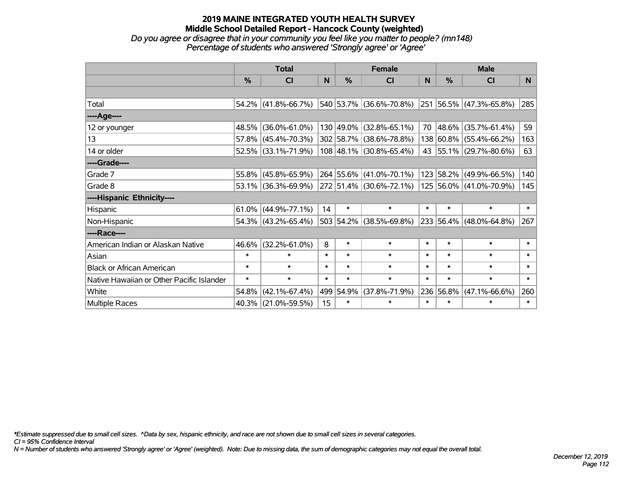#### **2019 MAINE INTEGRATED YOUTH HEALTH SURVEY Middle School Detailed Report - Hancock County (weighted)** *Do you agree or disagree that in your community you feel like you matter to people? (mn148)*

*Percentage of students who answered 'Strongly agree' or 'Agree'*

|                                           | <b>Total</b>  |                                             |        | <b>Female</b> |                         |        | <b>Male</b> |                         |          |
|-------------------------------------------|---------------|---------------------------------------------|--------|---------------|-------------------------|--------|-------------|-------------------------|----------|
|                                           | $\frac{0}{0}$ | <b>CI</b>                                   | N      | $\frac{9}{6}$ | CI                      | N      | %           | <b>CI</b>               | <b>N</b> |
|                                           |               |                                             |        |               |                         |        |             |                         |          |
| Total                                     | 54.2%         | $(41.8\% - 66.7\%)$                         |        |               | 540 53.7% (36.6%-70.8%) |        |             | 251 56.5% (47.3%-65.8%) | 285      |
| ----Age----                               |               |                                             |        |               |                         |        |             |                         |          |
| 12 or younger                             | 48.5%         | $(36.0\% - 61.0\%)$                         |        |               | 130 49.0% (32.8%-65.1%) | 70     | 48.6%       | $(35.7\% - 61.4\%)$     | 59       |
| 13                                        |               | 57.8% (45.4%-70.3%)                         |        |               | 302 58.7% (38.6%-78.8%) |        | 138 60.8%   | $(55.4\% - 66.2\%)$     | 163      |
| 14 or older                               |               | 52.5% (33.1%-71.9%)                         |        |               | 108 48.1% (30.8%-65.4%) |        |             | 43 55.1% (29.7%-80.6%)  | 63       |
| ----Grade----                             |               |                                             |        |               |                         |        |             |                         |          |
| Grade 7                                   | 55.8%         | $(45.8\% - 65.9\%)$                         |        |               | 264 55.6% (41.0%-70.1%) |        | 123 58.2%   | $(49.9\% - 66.5\%)$     | 140      |
| Grade 8                                   |               | 53.1% (36.3%-69.9%) 272 51.4% (30.6%-72.1%) |        |               |                         |        |             | 125 56.0% (41.0%-70.9%) | 145      |
| ----Hispanic Ethnicity----                |               |                                             |        |               |                         |        |             |                         |          |
| Hispanic                                  | $61.0\%$      | $(44.9\% - 77.1\%)$                         | 14     | $\ast$        | $\ast$                  | $\ast$ | $\ast$      | $\ast$                  | $\ast$   |
| Non-Hispanic                              |               | 54.3% (43.2%-65.4%)                         |        |               | 503 54.2% (38.5%-69.8%) |        | 233 56.4%   | $(48.0\% - 64.8\%)$     | 267      |
| ----Race----                              |               |                                             |        |               |                         |        |             |                         |          |
| American Indian or Alaskan Native         | 46.6%         | $(32.2\% - 61.0\%)$                         | 8      | $\ast$        | $\ast$                  | $\ast$ | $\ast$      | $\ast$                  | $\ast$   |
| Asian                                     | $\ast$        | $\ast$                                      | $\ast$ | $\ast$        | $\ast$                  | $\ast$ | $\ast$      | $\ast$                  | $\ast$   |
| <b>Black or African American</b>          | $\ast$        | $\ast$                                      | $\ast$ | $\ast$        | $\ast$                  | $\ast$ | $\ast$      | $\ast$                  | $\ast$   |
| Native Hawaiian or Other Pacific Islander | $\ast$        | $\ast$                                      | $\ast$ | $\ast$        | $\ast$                  | $\ast$ | $\ast$      | $\ast$                  | $\ast$   |
| White                                     | 54.8%         | $(42.1\% - 67.4\%)$                         |        | 499 54.9%     | $(37.8\% - 71.9\%)$     |        | 236 56.8%   | $(47.1\% - 66.6\%)$     | 260      |
| Multiple Races                            |               | 40.3% (21.0%-59.5%)                         | 15     | $\ast$        | $\ast$                  | $\ast$ | $\ast$      | $\ast$                  | $\ast$   |

*\*Estimate suppressed due to small cell sizes. ^Data by sex, hispanic ethnicity, and race are not shown due to small cell sizes in several categories.*

*CI = 95% Confidence Interval*

*N = Number of students who answered 'Strongly agree' or 'Agree' (weighted). Note: Due to missing data, the sum of demographic categories may not equal the overall total.*